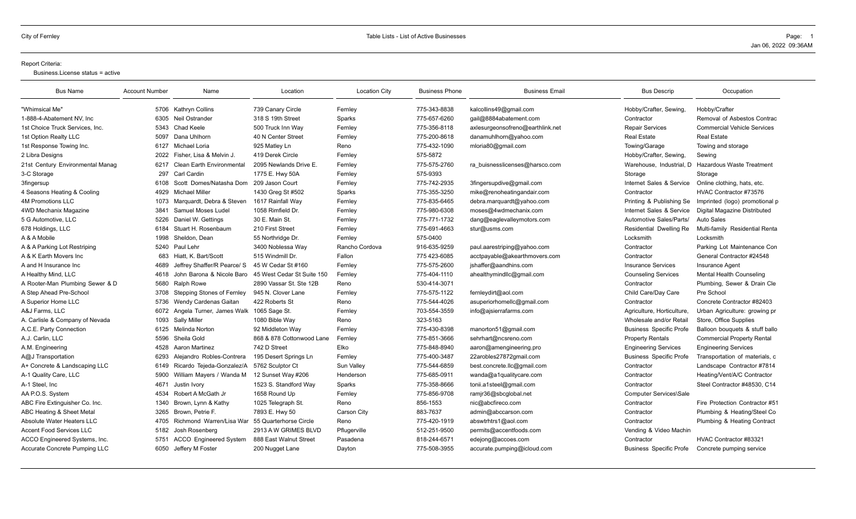#### Report Criteria:

Business.License status = active

| <b>Bus Name</b>                      | <b>Account Number</b> | Name                             | Location                   | <b>Location City</b> | <b>Business Phone</b> | <b>Business Email</b>            | <b>Bus Descrip</b>             | Occupation                         |
|--------------------------------------|-----------------------|----------------------------------|----------------------------|----------------------|-----------------------|----------------------------------|--------------------------------|------------------------------------|
| "Whimsical Me"                       |                       | 5706 Kathryn Collins             | 739 Canary Circle          | Fernlev              | 775-343-8838          | kalcollins49@gmail.com           | Hobby/Crafter, Sewing,         | Hobby/Crafter                      |
| 1-888-4-Abatement NV. Inc            |                       | 6305 Neil Ostrander              | 318 S 19th Street          | Sparks               | 775-657-6260          | gail@8884abatement.com           | Contractor                     | Removal of Asbestos Contrac        |
| 1st Choice Truck Services. Inc.      |                       | 5343 Chad Keele                  | 500 Truck Inn Wav          | Fernley              | 775-356-8118          | axlesurgeonsofreno@earthlink.net | <b>Repair Services</b>         | <b>Commercial Vehicle Services</b> |
| 1st Option Realty LLC                | 5097                  | Dana Uhlhorn                     | 40 N Center Street         | Fernley              | 775-200-8618          | danamuhlhorn@yahoo.com           | <b>Real Estate</b>             | <b>Real Estate</b>                 |
| 1st Response Towing Inc.             |                       | 6127 Michael Loria               | 925 Matley Ln              | Reno                 | 775-432-1090          | mloria80@gmail.com               | Towing/Garage                  | Towing and storage                 |
| 2 Libra Designs                      | 2022                  | Fisher, Lisa & Melvin J.         | 419 Derek Circle           | Fernley              | 575-5872              |                                  | Hobby/Crafter, Sewing,         | Sewing                             |
| 21st Century Environmental Manag     | 6217                  | <b>Clean Earth Environmental</b> | 2095 Newlands Drive E.     | Fernley              | 775-575-2760          | ra buisnesslicenses@harsco.com   | Warehouse, Industrial, D       | <b>Hazardous Waste Treatment</b>   |
| 3-C Storage                          | 297                   | Carl Cardin                      | 1775 E. Hwy 50A            | Fernley              | 575-9393              |                                  | Storage                        | Storage                            |
| <b>3fingersup</b>                    | 6108                  | Scott Domes/Natasha Dom          | 209 Jason Court            | Fernley              | 775-742-2935          | 3fingersupdive@gmail.com         | Internet Sales & Service       | Online clothing, hats, etc.        |
| 4 Seasons Heating & Cooling          | 4929                  | <b>Michael Miller</b>            | 1430 Greg St #502          | Sparks               | 775-355-3250          | mike@renoheatingandair.com       | Contractor                     | HVAC Contractor #73576             |
| <b>4M Promotions LLC</b>             | 1073                  | Marquardt, Debra & Steven        | 1617 Rainfall Way          | Fernley              | 775-835-6465          | debra.marquardt@yahoo.com        | Printing & Publishing Se       | Imprinted (logo) promotional p     |
| 4WD Mechanix Magazine                | 3841                  | Samuel Moses Ludel               | 1058 Rimfield Dr.          | Fernley              | 775-980-6308          | moses@4wdmechanix.com            | Internet Sales & Service       | Digital Magazine Distributed       |
| 5 G Automotive, LLC                  | 5226                  | Daniel W. Gettings               | 30 E. Main St.             | Fernley              | 775-771-1732          | dang@eaglevalleymotors.com       | Automotive Sales/Parts/        | <b>Auto Sales</b>                  |
| 678 Holdings, LLC                    |                       | 6184 Stuart H. Rosenbaum         | 210 First Street           | Fernley              | 775-691-4663          | stur@usms.com                    | Residential Dwelling Re        | Multi-family Residential Renta     |
| A & A Mobile                         | 1998                  | Sheldon, Dean                    | 55 Northridge Dr.          | Fernley              | 575-0400              |                                  | Locksmith                      | Locksmith                          |
| A & A Parking Lot Restriping         |                       | 5240 Paul Lehr                   | 3400 Noblessa Way          | Rancho Cordova       | 916-635-9259          | paul.aarestriping@yahoo.com      | Contractor                     | Parking Lot Maintenance Con        |
| A & K Earth Movers Inc               |                       | 683 Hiatt, K. Bart/Scott         | 515 Windmill Dr.           | Fallon               | 775 423-6085          | acctpayable@akearthmovers.com    | Contractor                     | General Contractor #24548          |
| A and H Insurance Inc                | 4689                  | Jeffrey Shaffer/R Pearce/ S      | 45 W Cedar St #160         | Fernley              | 775-575-2600          | jshaffer@aandhins.com            | <b>Insurance Services</b>      | <b>Insurance Agent</b>             |
| A Healthy Mind, LLC                  | 4618                  | John Barona & Nicole Baro        | 45 West Cedar St Suite 150 | Fernley              | 775-404-1110          | ahealthymindllc@gmail.com        | <b>Counseling Services</b>     | Mental Health Counseling           |
| A Rooter-Man Plumbing Sewer & D      | 5680                  | <b>Ralph Rowe</b>                | 2890 Vassar St. Ste 12B    | Reno                 | 530-414-3071          |                                  | Contractor                     | Plumbing, Sewer & Drain Cle        |
| A Step Ahead Pre-School              | 3708                  | Stepping Stones of Fernley       | 945 N. Clover Lane         | Fernley              | 775-575-1122          | fernleydirt@aol.com              | Child Care/Day Care            | Pre School                         |
| A Superior Home LLC                  | 5736                  | Wendv Cardenas Gaitan            | 422 Roberts St             | Reno                 | 775-544-4026          | asuperiorhomellc@gmail.com       | Contractor                     | Concrete Contractor #82403         |
| A&J Farms, LLC                       |                       | 6072 Angela Turner, James Walk   | 1065 Sage St.              | Fernley              | 703-554-3559          | info@ajsierrafarms.com           | Agriculture, Horticulture,     | Urban Agriculture: growing pr      |
| A. Carlisle & Company of Nevada      |                       | 1093 Sally Miller                | 1080 Bible Way             | Reno                 | 323-5163              |                                  | Wholesale and/or Retail        | Store, Office Supplies             |
| A.C.E. Party Connection              |                       | 6125 Melinda Norton              | 92 Middleton Way           | Fernley              | 775-430-8398          | manorton51@gmail.com             | <b>Business Specific Profe</b> | Balloon bouquets & stuff ballo     |
| A.J. Carlin, LLC                     | 5596                  | Sheila Gold                      | 868 & 878 Cottonwood Lane  | Fernley              | 775-851-3666          | sehrhart@ncsreno.com             | <b>Property Rentals</b>        | <b>Commercial Property Rental</b>  |
| A.M. Engineering                     | 4528                  | <b>Aaron Martinez</b>            | 742 D Street               | Elko                 | 775-848-8940          | aaron@amengineering.pro          | <b>Engineering Services</b>    | <b>Engineering Services</b>        |
| A@J Transportation                   | 6293                  | Alejandro Robles-Contrera        | 195 Desert Springs Ln      | Fernley              | 775-400-3487          | 22arobles27872gmail.com          | <b>Business Specific Profe</b> | Transportation of materials, c     |
| A+ Concrete & Landscaping LLC        |                       | 6149 Ricardo Tejeda-Gonzalez/A   | 5762 Sculptor Ct           | Sun Valley           | 775-544-6859          | best.concrete.llc@gmail.com      | Contractor                     | Landscape Contractor #7814         |
| A-1 Quality Care, LLC                | 5900                  | William Mayers / Wanda M         | 12 Sunset Way #206         | Henderson            | 775-685-0911          | wanda@a1qualitycare.com          | Contractor                     | Heating/Vent/A/C Contractor        |
| A-1 Steel, Inc                       | 4671                  | Justin Ivory                     | 1523 S. Standford Way      | Sparks               | 775-358-8666          | tonii.a1steel@gmail.com          | Contractor                     | Steel Contractor #48530, C14       |
| AA P.O.S. System                     | 4534                  | Robert A McGath Jr               | 1658 Round Up              | Fernley              | 775-856-9708          | ramjr36@sbcglobal.net            | Computer Services\Sale         |                                    |
| ABC Fire Extinguisher Co. Inc.       | 1340                  | Brown, Lynn & Kathy              | 1025 Telegraph St.         | Reno                 | 856-1553              | nic@abcfireco.com                | Contractor                     | Fire Protection Contractor #51     |
| <b>ABC Heating &amp; Sheet Metal</b> | 3265                  | Brown, Petrie F.                 | 7893 E. Hwy 50             | Carson City          | 883-7637              | admin@abccarson.com              | Contractor                     | Plumbing & Heating/Steel Co.       |
| Absolute Water Heaters LLC           |                       | 4705 Richmond Warren/Lisa War    | 55 Quarterhorse Circle     | Reno                 | 775-420-1919          | abswtrhtrs1@aol.com              | Contractor                     | Plumbing & Heating Contract        |
| <b>Accent Food Services LLC</b>      | 5182                  | Josh Rosenberg                   | 2913 A W GRIMES BLVD       | Pflugerville         | 512-251-9500          | permits@accentfoods.com          | Vending & Video Machin         |                                    |
| ACCO Engineered Systems, Inc.        |                       | 5751 ACCO Engineered System      | 888 East Walnut Street     | Pasadena             | 818-244-6571          | edejong@accoes.com               | Contractor                     | HVAC Contractor #83321             |
| <b>Accurate Concrete Pumping LLC</b> |                       | 6050 Jeffery M Foster            | 200 Nugget Lane            | Dayton               | 775-508-3955          | accurate.pumping@icloud.com      | <b>Business Specific Profe</b> | Concrete pumping service           |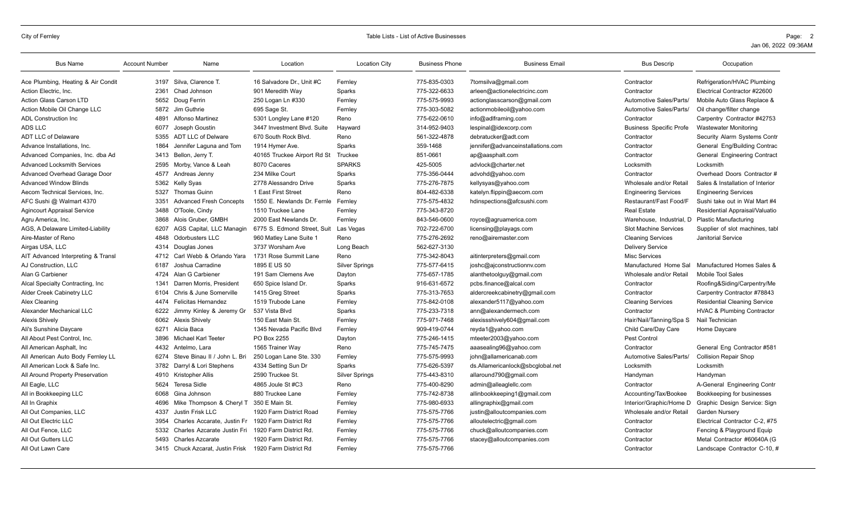| <b>Bus Name</b>                    | <b>Account Number</b> | Name                             | Location                    | <b>Location City</b>  | <b>Business Phone</b> | <b>Business Email</b>             | <b>Bus Descrip</b>             | Occupation                            |
|------------------------------------|-----------------------|----------------------------------|-----------------------------|-----------------------|-----------------------|-----------------------------------|--------------------------------|---------------------------------------|
| Ace Plumbing, Heating & Air Condit |                       | 3197 Silva, Clarence T.          | 16 Salvadore Dr., Unit #C   | Fernley               | 775-835-0303          | 7tomsilva@gmail.com               | Contractor                     | Refrigeration/HVAC Plumbing           |
| Action Electric, Inc.              | 2361                  | Chad Johnson                     | 901 Meredith Way            | Sparks                | 775-322-6633          | arleen@actionelectricinc.com      | Contractor                     | Electrical Contractor #22600          |
| <b>Action Glass Carson LTD</b>     | 5652                  | Doug Ferrin                      | 250 Logan Ln #330           | Fernley               | 775-575-9993          | actionglasscarson@gmail.com       | Automotive Sales/Parts/        | Mobile Auto Glass Replace &           |
| Action Mobile Oil Change LLC       |                       | 5872 Jim Guthrie                 | 695 Sage St.                | Fernley               | 775-303-5082          | actionmobileoil@yahoo.com         | Automotive Sales/Parts/        | Oil change/filter change              |
| <b>ADL Construction Inc.</b>       | 4891                  | <b>Alfonso Martinez</b>          | 5301 Longley Lane #120      | Reno                  | 775-622-0610          | info@adlframing.com               | Contractor                     | Carpentry Contractor #42753           |
| ADS LLC                            | 6077                  | Joseph Goustin                   | 3447 Investment Blvd, Suite | Hayward               | 314-952-9403          | lespinal@idexcorp.com             | <b>Business Specific Profe</b> | <b>Wastewater Monitoring</b>          |
| <b>ADT LLC of Delaware</b>         | 5355                  | <b>ADT LLC of Delware</b>        | 670 South Rock Blvd.        | Reno                  | 561-322-4878          | debratucker@adt.com               | Contractor                     | Security Alarm Systems Contr          |
| Advance Installations, Inc.        | 1864                  | Jennifer Laguna and Tom          | 1914 Hymer Ave.             | Sparks                | 359-1468              | jennifer@advanceinstallations.com | Contractor                     | General Eng/Building Contrac          |
| Advanced Companies, Inc. dba Ad    | 3413                  | Bellon, Jerry T.                 | 40165 Truckee Airport Rd St | Truckee               | 851-0661              | ap@aasphalt.com                   | Contractor                     | General Engineering Contract          |
| <b>Advanced Locksmith Services</b> | 2595                  | Morby, Vance & Leah              | 8070 Caceres                | <b>SPARKS</b>         | 425-5005              | advlock@charter.net               | Locksmith                      | Locksmith                             |
| Advanced Overhead Garage Door      | 4577                  | Andreas Jenny                    | 234 Milke Court             | Sparks                | 775-356-0444          | advohd@yahoo.com                  | Contractor                     | Overhead Doors Contractor #           |
| <b>Advanced Window Blinds</b>      | 5362                  | <b>Kelly Syas</b>                | 2778 Alessandro Drive       | <b>Sparks</b>         | 775-276-7875          | kellysyas@yahoo.com               | Wholesale and/or Retai         | Sales & Installation of Interior      |
| Aecom Technical Services, Inc.     | 5327                  | <b>Thomas Guinn</b>              | 1 East First Street         | Reno                  | 804-482-6338          | katelyn.flippin@aecom.com         | <b>Engineering Services</b>    | <b>Engineering Services</b>           |
| AFC Sushi @ Walmart 4370           | 3351                  | <b>Advanced Fresh Concepts</b>   | 1550 E. Newlands Dr. Fernle | Fernley               | 775-575-4832          | hdinspections@afcsushi.com        | Restaurant/Fast Food/F         | Sushi take out in Wal Mart #4         |
| <b>Agincourt Appraisal Service</b> | 3488                  | O'Toole, Cindy                   | 1510 Truckee Lane           | Fernley               | 775-343-8720          |                                   | <b>Real Estate</b>             | Residential Appraisal/Valuatio        |
| Agru America, Inc.                 | 3868                  | Alois Gruber, GMBH               | 2000 East Newlands Dr.      | Fernley               | 843-546-0600          | royce@agruamerica.com             | Warehouse, Industrial, D       | <b>Plastic Manufacturing</b>          |
| AGS, A Delaware Limited-Liability  | 6207                  | AGS Capital, LLC Managin         | 6775 S. Edmond Street, Suit | Las Vegas             | 702-722-6700          | licensing@playags.com             | <b>Slot Machine Services</b>   | Supplier of slot machines, tabl       |
| Aire-Master of Reno                | 4848                  | <b>Odorbusters LLC</b>           | 960 Matley Lane Suite 1     | Reno                  | 775-276-2692          | reno@airemaster.com               | <b>Cleaning Services</b>       | <b>Janitorial Service</b>             |
| Airgas USA, LLC                    | 4314                  | Douglas Jones                    | 3737 Worsham Ave            | Long Beach            | 562-627-3130          |                                   | <b>Delivery Service</b>        |                                       |
| AIT Advanced Interpreting & Transl | 4712                  | Carl Webb & Orlando Yara         | 1731 Rose Summit Lane       | Reno                  | 775-342-8043          | aitinterpreters@gmail.com         | <b>Misc Services</b>           |                                       |
| AJ Construction, LLC               | 6187                  | Joshua Carradine                 | 1895 E US 50                | <b>Silver Springs</b> | 775-577-6415          | joshc@ajconstructionnv.com        | Manufactured Home Sal          | Manufactured Homes Sales &            |
| Alan G Carbiener                   | 4724                  | Alan G Carbiener                 | 191 Sam Clemens Ave         | Dayton                | 775-657-1785          | alanthetoolguy@gmail.com          | Wholesale and/or Retail        | <b>Mobile Tool Sales</b>              |
| Alcal Specialty Contracting, Inc.  | 1341                  | Darren Morris, President         | 650 Spice Island Dr.        | Sparks                | 916-631-6572          | pcbs.finance@alcal.com            | Contractor                     | Roofing&Siding/Carpentry/Me           |
| Alder Creek Cabinetry LLC          | 6104                  | Chris & June Somerville          | 1415 Greg Street            | Sparks                | 775-313-7653          | aldercreekcabinetry@gmail.com     | Contractor                     | Carpentry Contractor #78843           |
| Alex Cleaning                      | 4474                  | <b>Felicitas Hernandez</b>       | 1519 Trubode Lane           | Fernley               | 775-842-0108          | alexander5117@yahoo.com           | <b>Cleaning Services</b>       | <b>Residential Cleaning Service</b>   |
| Alexander Mechanical LLC           | 6222                  | Jimmy Kinley & Jeremy Gr         | 537 Vista Blvd              | Sparks                | 775-233-7318          | ann@alexandermech.com             | Contractor                     | <b>HVAC &amp; Plumbing Contractor</b> |
| <b>Alexis Shively</b>              |                       | 6062 Alexis Shively              | 150 East Main St.           | Fernley               | 775-971-7468          | alexissshively604@gmail.com       | Hair/Nail/Tanning/Spa S        | Nail Technician                       |
| Ali's Sunshine Daycare             | 6271                  | Alicia Baca                      | 1345 Nevada Pacific Blvd    | Fernley               | 909-419-0744          | reyda1@yahoo.com                  | Child Care/Day Care            | Home Daycare                          |
| All About Pest Control, Inc.       | 3896                  | Michael Karl Teeter              | PO Box 2255                 | Dayton                | 775-246-1415          | mteeter2003@yahoo.com             | Pest Control                   |                                       |
| All American Asphalt, Inc.         | 4432                  | Antelmo, Lara                    | 1565 Trainer Way            | Reno                  | 775-745-7475          | aaasealing96@yahoo.com            | Contractor                     | General Eng Contractor #581           |
| All American Auto Body Fernley LL  | 6274                  | Steve Binau II / John L. Bri     | 250 Logan Lane Ste. 330     | Fernley               | 775-575-9993          | john@allamericanab.com            | Automotive Sales/Parts/        | <b>Collision Repair Shop</b>          |
| All American Lock & Safe Inc.      | 3782                  | Darryl & Lori Stephens           | 4334 Setting Sun Dr         | Sparks                | 775-626-5397          | ds.Allamericanlock@sbcglobal.net  | Locksmith                      | Locksmith                             |
| All Around Property Preservation   |                       | 4910 Kristopher Allis            | 2590 Truckee St.            | <b>Silver Springs</b> | 775-443-8310          | allaround790@gmail.com            | Handyman                       | Handyman                              |
| All Eagle, LLC                     | 5624                  | <b>Teresa Sidle</b>              | 4865 Joule St #C3           | Reno                  | 775-400-8290          | admin@alleaglellc.com             | Contractor                     | A-General Engineering Contr           |
| All in Bookkeeping LLC             | 6068                  | Gina Johnson                     | 880 Truckee Lane            | Fernley               | 775-742-8738          | allinbookkeeping1@gmail.com       | Accounting/Tax/Bookee          | Bookkeeping for businesses            |
| All In Graphix                     | 4696                  | Mike Thompson & Cheryl T         | 350 E Main St               | Fernley               | 775-980-6933          | allingraphix@gmail.com            | Interior/Graphic/Home D        | Graphic Design Service: Sign          |
| All Out Companies, LLC             | 4337                  | Justin Frisk LLC                 | 1920 Farm District Road     | Fernley               | 775-575-7766          | justin@alloutcompanies.com        | Wholesale and/or Retail        | Garden Nursery                        |
| All Out Electric LLC               | 3954                  | Charles Accarate, Justin Fr      | 1920 Farm District Rd       | Fernley               | 775-575-7766          | alloutelectric@gmail.com          | Contractor                     | Electrical Contractor C-2, #75        |
| All Out Fence, LLC                 | 5332                  | Charles Azcarate Justin Fri      | 1920 Farm District Rd.      | Fernley               | 775-575-7766          | chuck@alloutcompanies.com         | Contractor                     | Fencing & Playground Equip            |
| All Out Gutters LLC                | 5493                  | <b>Charles Azcarate</b>          | 1920 Farm District Rd.      | Fernley               | 775-575-7766          | stacey@alloutcompanies.com        | Contractor                     | Metal Contractor #60640A (G           |
| All Out Lawn Care                  |                       | 3415 Chuck Azcarat, Justin Frisk | 1920 Farm District Rd       | Fernley               | 775-575-7766          |                                   | Contractor                     | Landscape Contractor C-10, #          |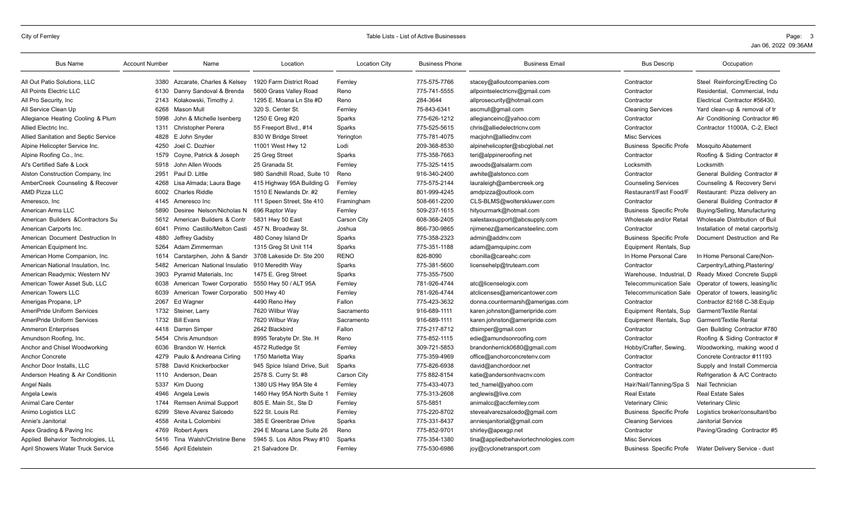| <b>Bus Name</b>                      | <b>Account Number</b> | Name                            | Location                     | <b>Location City</b> | <b>Business Phone</b> | <b>Business Email</b>                | <b>Bus Descrip</b>             | Occupation                       |
|--------------------------------------|-----------------------|---------------------------------|------------------------------|----------------------|-----------------------|--------------------------------------|--------------------------------|----------------------------------|
| All Out Patio Solutions, LLC         |                       | 3380 Azcarate, Charles & Kelsey | 1920 Farm District Road      | Fernley              | 775-575-7766          | stacey@alloutcompanies.com           | Contractor                     | Steel Reinforcing/Erecting Co    |
| All Points Electric LLC              | 6130                  | Danny Sandoval & Brenda         | 5600 Grass Valley Road       | Reno                 | 775-741-5555          | allpointselectricnv@gmail.com        | Contractor                     | Residential, Commercial, Indu    |
| All Pro Security, Inc                | 2143                  | Kolakowski. Timothy J.          | 1295 E. Moana Ln Ste #D      | Reno                 | 284-3644              | allprosecurity@hotmail.com           | Contractor                     | Electrical Contractor #56430.    |
| All Service Clean Up                 | 6268                  | Mason Mull                      | 320 S. Center St.            | Fernley              | 75-843-6341           | ascmull@gmail.com                    | <b>Cleaning Services</b>       | Yard clean-up & removal of tr    |
| Allegiance Heating Cooling & Plum    | 5998                  | John & Michelle Isenberg        | 1250 E Greg #20              | Sparks               | 775-626-1212          | allegianceinc@yahoo.com              | Contractor                     | Air Conditioning Contractor #6   |
| Allied Electric Inc.                 | 1311                  | <b>Christopher Perera</b>       | 55 Freeport Blvd., #14       | Sparks               | 775-525-5615          | chris@alliedelectricnv.com           | Contractor                     | Contractor 11000A, C-2, Elect    |
| Allied Sanitation and Septic Service | 4828                  | E John Snyder                   | 830 W Bridge Street          | Yerington            | 775-781-4075          | macjohn@alliednv.com                 | Misc Services                  |                                  |
| Alpine Helicopter Service Inc.       | 4250                  | Joel C. Dozhier                 | 11001 West Hwy 12            | Lodi                 | 209-368-8530          | alpinehelicopter@sbcglobal.net       | <b>Business Specific Profe</b> | <b>Mosquito Abatement</b>        |
| Alpine Roofing Co., Inc.             | 1579                  | Coyne, Patrick & Joseph         | 25 Greg Street               | Sparks               | 775-358-7663          | teri@alppineroofing.net              | Contractor                     | Roofing & Siding Contractor #    |
| Al's Certified Safe & Lock           | 5918                  | John Allen Woods                | 25 Granada St.               | Fernley              | 775-325-1415          | awoods@alsalarm.com                  | Locksmith                      | Locksmith                        |
| Alston Construction Company, Inc.    | 2951                  | Paul D. Little                  | 980 Sandhill Road, Suite 10  | Reno                 | 916-340-2400          | awhite@alstonco.com                  | Contractor                     | General Building Contractor #    |
| AmberCreek Counseling & Recover      | 4268                  | Lisa Almada; Laura Bage         | 415 Highway 95A Building G   | Fernley              | 775-575-2144          | lauraleigh@ambercreek.org            | <b>Counseling Services</b>     | Counseling & Recovery Servi      |
| <b>AMD Pizza LLC</b>                 | 6002                  | <b>Charles Riddle</b>           | 1510 E Newlands Dr. #2       | Fernley              | 801-999-4245          | amdpizza@outlook.com                 | Restaurant/Fast Food/F         | Restaurant: Pizza delivery an    |
| Ameresco, Inc.                       |                       | 4145 Ameresco Inc               | 111 Speen Street, Ste 410    | Framingham           | 508-661-2200          | CLS-BLMS@wolterskluwer.com           | Contractor                     | General Building Contractor #    |
| American Arms LLC                    | 5890                  | Desiree Nelson/Nicholas N       | 696 Raptor Way               | Fernley              | 509-237-1615          | hityourmark@hotmail.com              | <b>Business Specific Profe</b> | Buying/Selling, Manufacturing    |
| American Builders & Contractors Su   | 5612                  | American Builders & Contr       | 5831 Hwy 50 East             | Carson City          | 608-368-2405          | salestaxsupport@abcsupply.com        | Wholesale and/or Retail        | Wholesale Distribution of Buil   |
| American Carports Inc.               | 6041                  | Primo Castillo/Melton Casti     | 457 N. Broadway St.          | Joshua               | 866-730-9865          | njimenez@americansteelinc.com        | Contractor                     | Installation of metal carports/g |
| American Document Destruction In     | 4880                  | Jeffrey Gadsby                  | 480 Coney Island Dr          | Sparks               | 775-358-2323          | admin@addnv.com                      | <b>Business Specific Profe</b> | Document Destruction and Re      |
| American Equipment Inc.              | 5264                  | Adam Zimmerman                  | 1315 Greg St Unit 114        | Sparks               | 775-351-1188          | adam@amquipinc.com                   | Equipment Rentals, Sup         |                                  |
| American Home Companion, Inc.        | 1614                  | Carstarphen, John & Sandr       | 3708 Lakeside Dr. Ste 200    | <b>RENO</b>          | 826-8090              | cbonilla@careahc.com                 | In Home Personal Care          | In Home Personal Care(Non-       |
| American National Insulation, Inc.   | 5482                  | American National Insulatio     | 910 Meredith Way             | Sparks               | 775-381-5600          | licensehelp@truteam.com              | Contractor                     | Carpentry/Lathing, Plastering/   |
| American Readymix; Western NV        | 3903                  | Pyramid Materials, Inc.         | 1475 E. Greg Street          | Sparks               | 775-355-7500          |                                      | Warehouse, Industrial, D       | Ready Mixed Concrete Suppli      |
| American Tower Asset Sub. LLC        | 6038                  | American Tower Corporatio       | 5550 Hwy 50 / ALT 95A        | Fernley              | 781-926-4744          | atc@licenselogix.com                 | <b>Telecommunication Sale</b>  | Operator of towers, leasing/lic  |
| American Towers LLC                  | 6039                  | American Tower Corporatio       | 500 Hwy 40                   | Fernley              | 781-926-4744          | atclicenses@americantower.com        | <b>Telecommunication Sale</b>  | Operator of towers, leasing/lic  |
| Amerigas Propane, LP                 | 2067                  | Ed Wagner                       | 4490 Reno Hwy                | Fallon               | 775-423-3632          | donna.countermarsh@amerigas.com      | Contractor                     | Contractor 82168 C-38: Equip     |
| AmeriPride Uniform Services          | 1732                  | Steiner, Larry                  | 7620 Wilbur Wav              | Sacramento           | 916-689-1111          | karen.johnston@ameripride.com        | Equipment Rentals, Sup         | <b>Garment/Textile Rental</b>    |
| <b>AmeriPride Uniform Services</b>   | 1732                  | <b>Bill Evans</b>               | 7620 Wilbur Way              | Sacramento           | 916-689-1111          | karen.johnston@ameripride.com        | Equipment Rentals, Sup         | Garment/Textile Rental           |
| <b>Ammeron Enterprises</b>           | 4418                  | Darren Simper                   | 2642 Blackbird               | Fallon               | 775-217-8712          | dtsimper@gmail.com                   | Contractor                     | Gen Building Contractor #780     |
| Amundson Roofing, Inc.               | 5454                  | <b>Chris Amundson</b>           | 8995 Terabyte Dr. Ste. H     | Reno                 | 775-852-1115          | edie@amundsonroofing.com             | Contractor                     | Roofing & Siding Contractor #    |
| Anchor and Chisel Woodworking        | 6036                  | Brandon W. Herrick              | 4572 Rutledge St             | Fernley              | 309-721-5853          | brandonherrick0680@gmail.com         | Hobby/Crafter, Sewing          | Woodworking, making wood d       |
| <b>Anchor Concrete</b>               | 4279                  | Paulo & Andreana Cirling        | 1750 Marietta Way            | Sparks               | 775-359-4969          | office@anchorconcretenv.com          | Contractor                     | Concrete Contractor #11193       |
| Anchor Door Installs, LLC            | 5788                  | David Knickerbocker             | 945 Spice Island Drive, Suit | Sparks               | 775-826-6938          | david@anchordoor.net                 | Contractor                     | Supply and Install Commercia     |
| Anderson Heating & Air Conditionin   | 1110                  | Anderson, Dean                  | 2578 S. Curry St. #8         | Carson City          | 775 882-8154          | katie@andersonhvacnv.com             | Contractor                     | Refrigeration & A/C Contracto    |
| Angel Nails                          | 5337                  | Kim Duong                       | 1380 US Hwy 95A Ste 4        | Fernley              | 775-433-4073          | ted hamel@yahoo.com                  | Hair/Nail/Tanning/Spa S        | Nail Technician                  |
| Angela Lewis                         | 4946                  | Angela Lewis                    | 1460 Hwy 95A North Suite 1   | Fernley              | 775-313-2608          | anglewis@live.com                    | <b>Real Estate</b>             | <b>Real Estate Sales</b>         |
| <b>Animal Care Center</b>            | 1744                  | Remsen Animal Support           | 805 E. Main St., Ste D       | Fernley              | 575-5851              | animalcc@accfernley.com              | <b>Veterinary Clinic</b>       | <b>Veterinary Clinic</b>         |
| Animo Logistics LLC                  | 6299                  | Steve Alvarez Salcedo           | 522 St. Louis Rd.            | Fernley              | 775-220-8702          | stevealvarezsalcedo@gmail.com        | <b>Business Specific Profe</b> | Logistics broker/consultant/bo   |
| Annie's Janitorial                   | 4558                  | Anita L Colombini               | 385 E Greenbrae Drive        | Sparks               | 775-331-8437          | anniesjanitorial@gmail.com           | <b>Cleaning Services</b>       | <b>Janitorial Service</b>        |
| Apex Grading & Paving Inc            | 4769                  | <b>Robert Avers</b>             | 294 E Moana Lane Suite 26    | Reno                 | 775-852-9701          | shirley@apexgp.net                   | Contractor                     | Paving/Grading Contractor #5     |
| Applied Behavior Technologies, LL    | 5416                  | Tina Walsh/Christine Bene       | 5945 S. Los Altos Pkwy #10   | <b>Sparks</b>        | 775-354-1380          | tina@appliedbehaviortechnologies.com | <b>Misc Services</b>           |                                  |
| April Showers Water Truck Service    |                       | 5546 April Edelstein            | 21 Salvadore Dr.             | Fernley              | 775-530-6986          | joy@cyclonetransport.com             | <b>Business Specific Profe</b> | Water Delivery Service - dust    |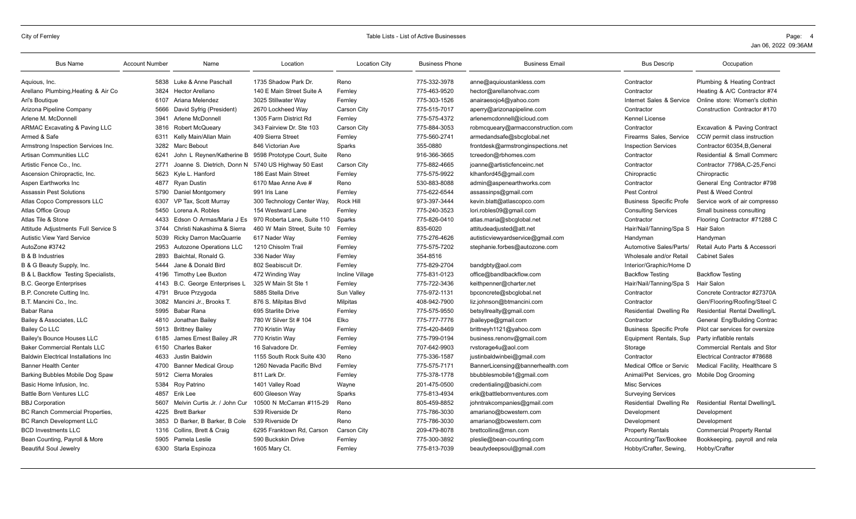| <b>Bus Name</b>                              | <b>Account Number</b> | Name                           | Location                    | <b>Location City</b> | <b>Business Phone</b> | <b>Business Email</b>              | <b>Bus Descrip</b>                           | Occupation                         |
|----------------------------------------------|-----------------------|--------------------------------|-----------------------------|----------------------|-----------------------|------------------------------------|----------------------------------------------|------------------------------------|
| Aquious, Inc.                                |                       | 5838 Luke & Anne Paschall      | 1735 Shadow Park Dr.        | Reno                 | 775-332-3978          | anne@aquioustankless.com           | Contractor                                   | Plumbing & Heating Contract        |
| Arellano Plumbing, Heating & Air Co          | 3824                  | Hector Arellano                | 140 E Main Street Suite A   | Fernley              | 775-463-9520          | hector@arellanohvac.com            | Contractor                                   | Heating & A/C Contractor #74       |
| Ari's Boutique                               | 6107                  | Ariana Melendez                | 3025 Stillwater Way         | Fernley              | 775-303-1526          | anairaesojo4@yahoo.com             | Internet Sales & Service                     | Online store: Women's clothin      |
| Arizona Pipeline Company                     | 5666                  | David Syfrig (President)       | 2670 Lockheed Way           | <b>Carson City</b>   | 775-515-7017          | aperry@arizonapipeline.com         | Contractor                                   | Construction Contractor #170       |
| Arlene M. McDonnell                          | 3941                  | Arlene McDonnell               | 1305 Farm District Rd       | Fernley              | 775-575-4372          | arlenemcdonnell@icloud.com         | Kennel License                               |                                    |
| <b>ARMAC Excavating &amp; Paving LLC</b>     | 3816                  | <b>Robert McQueary</b>         | 343 Fairview Dr. Ste 103    | Carson City          | 775-884-3053          | robmcqueary@armacconstruction.com  | Contractor                                   | Excavation & Paving Contract       |
| Armed & Safe                                 | 6311                  | Kelly Main/Allan Main          | 409 Sierra Street           | Fernley              | 775-560-2741          | armedandsafe@sbcglobal.net         | Firearms Sales, Service                      | CCW permit class instruction       |
| Armstrong Inspection Services Inc.           | 3282                  | Marc Bebout                    | 846 Victorian Ave           | Sparks               | 355-0880              | frontdesk@armstronginspections.net | <b>Inspection Services</b>                   | Contractor 60354, B, General       |
| Artisan Communities LLC                      | 6241                  | John L Reynen/Katherine B      | 9598 Prototype Court, Suite | Reno                 | 916-366-3665          | tcreedon@rbhomes.com               | Contractor                                   | Residential & Small Commerc        |
| Artistic Fence Co., Inc.                     | 2771                  | Joanne S. Dietrich, Donn N.    | 5740 US Highway 50 East     | <b>Carson City</b>   | 775-882-4665          | joanne@artisticfenceinc.net        | Contractor                                   | Contractor 7798A, C-25, Fenci      |
| Ascension Chiropractic, Inc.                 | 5623                  | Kyle L. Hanford                | 186 East Main Street        | Fernley              | 775-575-9922          | klhanford45@gmail.com              | Chiropractic                                 | Chiropractic                       |
| Aspen Earthworks Inc                         | 4877                  | Ryan Dustin                    | 6170 Mae Anne Ave #         | Reno                 | 530-883-8088          | admin@aspenearthworks.com          | Contractor                                   | General Eng Contractor #798        |
| <b>Assassin Pest Solutions</b>               | 5790                  | Daniel Montgomery              | 991 Iris Lane               | Fernley              | 775-622-6544          | assassinps@gmail.com               | Pest Control                                 | Pest & Weed Control                |
| Atlas Copco Compressors LLC                  | 6307                  | VP Tax, Scott Murray           | 300 Technology Center Way,  | Rock Hill            | 973-397-3444          | kevin.blatt@atlascopco.com         | <b>Business Specific Profe</b>               | Service work of air compresso      |
| Atlas Office Group                           | 5450                  | Lorena A. Robles               | 154 Westward Lane           | Fernley              | 775-240-3523          | lori.robles09@gmail.com            | <b>Consulting Services</b>                   | Small business consulting          |
| Atlas Tile & Stone                           | 4433                  | Edson O Armas/Maria J Es       | 970 Roberta Lane, Suite 110 | Sparks               | 775-826-0410          | atlas.maria@sbcglobal.net          | Contractor                                   | Flooring Contractor #71288 C       |
| Attitude Adiustments Full Service S          | 3744                  | Christi Nakashima & Sierra     | 460 W Main Street. Suite 10 | Fernley              | 835-6020              | attitudeadjusted@att.net           | Hair/Nail/Tanning/Spa S                      | Hair Salon                         |
| <b>Autistic View Yard Service</b>            | 5039                  | <b>Ricky Darron MacQuarrie</b> | 617 Nader Way               | Fernley              | 775-276-4626          | autisticviewyardservice@gmail.com  | Handyman                                     | Handyman                           |
| AutoZone #3742                               | 2953                  | Autozone Operations LLC        | 1210 Chisolm Trail          | Fernley              | 775-575-7202          | stephanie.forbes@autozone.com      | Automotive Sales/Parts/                      | Retail Auto Parts & Accessori      |
| <b>B &amp; B Industries</b>                  | 2893                  | Baichtal, Ronald G.            | 336 Nader Way               | Fernley              | 354-8516              |                                    | Wholesale and/or Retail                      | <b>Cabinet Sales</b>               |
| B & G Beauty Supply, Inc.                    | 5444                  | Jane & Donald Bird             | 802 Seabiscuit Dr.          | Fernley              | 775-829-2704          | bandgbty@aol.com                   | Interior/Graphic/Home D                      |                                    |
| B & L Backflow Testing Specialists,          | 4196                  | Timothy Lee Buxton             | 472 Winding Way             | Incline Village      | 775-831-0123          | office@bandlbackflow.com           | <b>Backflow Testing</b>                      | <b>Backflow Testing</b>            |
| <b>B.C. George Enterprises</b>               | 4143                  | B.C. George Enterprises L      | 325 W Main St Ste 1         | Fernley              | 775-722-3436          | keithpenner@charter.net            | Hair/Nail/Tanning/Spa S                      | <b>Hair Salon</b>                  |
| B.P. Concrete Cutting Inc.                   | 4791                  | <b>Bruce Przygoda</b>          | 5885 Stella Drive           | Sun Valley           | 775-972-1131          | bpconcrete@sbcglobal.net           | Contractor                                   | Concrete Contractor #27370A        |
| B.T. Mancini Co., Inc.                       | 3082                  | Mancini Jr., Brooks T.         | 876 S. Milpitas Blvd        | Milpitas             | 408-942-7900          | liz.johnson@btmancini.com          | Contractor                                   | Gen/Flooring/Roofing/Steel C       |
| Babar Rana                                   | 5995                  | Babar Rana                     | 695 Starlite Drive          | Fernley              | 775-575-9550          | betsyllrealty@gmail.com            | Residential Dwelling Re                      | Residential Rental Dwelling/L      |
| Bailey & Associates, LLC                     | 4810                  | Jonathan Bailey                | 780 W Silver St # 104       | Elko                 | 775-777-7776          | jbaileype@gmail.com                | Contractor                                   | General Eng/Building Contrac       |
| Bailey Co LLC                                |                       | 5913 Brittney Bailey           | 770 Kristin Way             | Fernley              | 775-420-8469          | brittneyh1121@yahoo.com            | <b>Business Specific Profe</b>               | Pilot car services for oversize    |
| Bailey's Bounce Houses LLC                   | 6185                  | James Ernest Bailey JR         | 770 Kristin Way             | Fernley              | 775-799-0194          | business.renonv@gmail.com          | Equipment Rentals, Sup                       | Party inflatible rentals           |
| <b>Baker Commercial Rentals LLC</b>          | 6150                  | <b>Charles Baker</b>           | 16 Salvadore Dr             | Fernley              | 707-642-9903          | rvstorage4u@aol.com                | Storage                                      | <b>Commercial Rentals and Stor</b> |
| <b>Baldwin Electrical Installations Inc.</b> | 4633                  | Justin Baldwin                 | 1155 South Rock Suite 430   | Reno                 | 775-336-1587          | justinbaldwinbei@gmail.com         | Contractor                                   | Electrical Contractor #78688       |
| <b>Banner Health Center</b>                  | 4700                  | <b>Banner Medical Group</b>    | 1260 Nevada Pacific Blvd    | Fernley              | 775-575-7171          | BannerLicensing@bannerhealth.com   | Medical Office or Servic                     | Medical Facility, Healthcare S     |
| Barking Bubbles Mobile Dog Spaw              | 5912                  | Cierra Morales                 | 811 Lark Dr.                | Fernley              | 775-378-1778          | bbubblesmobile1@gmail.com          | Animal/Pet Services, gro Mobile Dog Grooming |                                    |
| Basic Home Infusion, Inc.                    | 5384                  | Roy Patrino                    | 1401 Valley Road            | Wayne                | 201-475-0500          | credentialing@basichi.com          | <b>Misc Services</b>                         |                                    |
| <b>Battle Born Ventures LLC</b>              | 4857                  | Erik Lee                       | 600 Gleeson Way             | Sparks               | 775-813-4934          | erik@battlebornventures.com        | <b>Surveying Services</b>                    |                                    |
| <b>BBJ Corporation</b>                       | 5607                  | Melvin Curtis Jr. / John Cur   | 10500 N McCarran #115-29    | Reno                 | 805-459-8852          | johntrakcompanies@gmail.com        | Residential Dwelling Re                      | Residential Rental Dwelling/L      |
| <b>BC Ranch Commercial Properties,</b>       | 4225                  | <b>Brett Barker</b>            | 539 Riverside Dr            | Reno                 | 775-786-3030          | amariano@bcwestern.com             | Development                                  | Development                        |
| <b>BC Ranch Development LLC</b>              | 3853                  | D Barker, B Barker, B Cole     | 539 Riverside Dr            | Reno                 | 775-786-3030          | amariano@bcwestern.com             | Development                                  | Development                        |
| <b>BCD Investments LLC</b>                   | 1316                  | Collins, Brett & Craig         | 6295 Franktown Rd. Carson   | <b>Carson City</b>   | 209-479-8078          | brettcollins@msn.com               | <b>Property Rentals</b>                      | <b>Commercial Property Rental</b>  |
| Bean Counting, Payroll & More                | 5905                  | Pamela Leslie                  | 590 Buckskin Drive          | Fernley              | 775-300-3892          | pleslie@bean-counting.com          | Accounting/Tax/Bookee                        | Bookkeeping, payroll and rela      |
| <b>Beautiful Soul Jewelry</b>                |                       | 6300 Starla Espinoza           | 1605 Mary Ct.               | Fernley              | 775-813-7039          | beautydeepsoul@gmail.com           | Hobby/Crafter, Sewing,                       | Hobby/Crafter                      |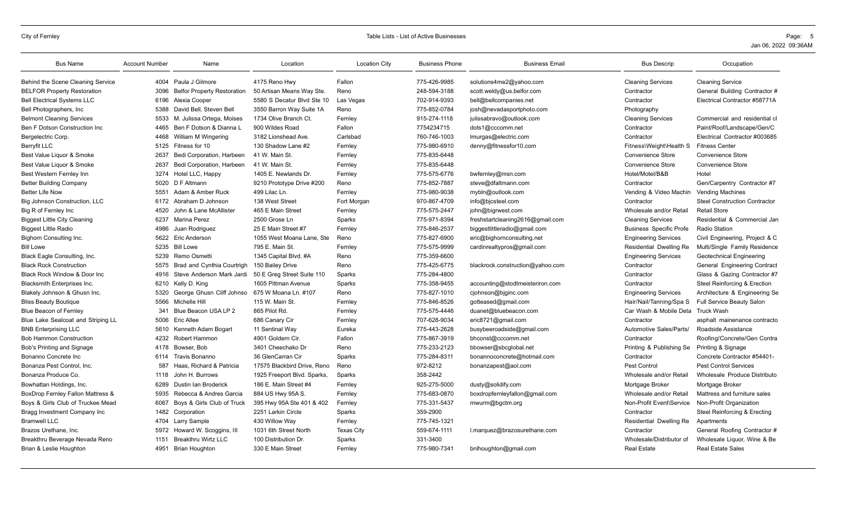| <b>Bus Name</b>                              | <b>Account Number</b> | Name                               | Location                    | <b>Location City</b> | <b>Business Phone</b> | <b>Business Email</b>            | <b>Bus Descrip</b>                | Occupation                           |
|----------------------------------------------|-----------------------|------------------------------------|-----------------------------|----------------------|-----------------------|----------------------------------|-----------------------------------|--------------------------------------|
| Behind the Scene Cleaning Service            |                       | 4004 Paula J Gilmore               | 4175 Reno Hwy               | Fallon               | 775-426-9985          | solutions4me2@yahoo.com          | <b>Cleaning Services</b>          | <b>Cleaning Service</b>              |
| <b>BELFOR Property Restoration</b>           | 3096                  | <b>Belfor Property Restoration</b> | 50 Artisan Means Way Ste.   | Reno                 | 248-594-3188          | scott.weldy@us.belfor.com        | Contractor                        | General Building Contractor #        |
| <b>Bell Electrical Systems LLC</b>           | 6196                  | Alexia Cooper                      | 5580 S Decatur Blvd Ste 10  | Las Vegas            | 702-914-9393          | bell@bellcompanies.net           | Contractor                        | Electrical Contractor #58771A        |
| Bell Photographers, Inc.                     | 5388                  | David Bell, Steven Bell            | 3550 Barron Way Suite 1A    | Reno                 | 775-852-0784          | josh@nevadasportphoto.com        | Photography                       |                                      |
| <b>Belmont Cleaning Services</b>             | 5533                  | M. Julissa Ortega, Moises          | 1734 Olive Branch Ct.       | Fernley              | 915-274-1118          | julissabravo@outlook.com         | <b>Cleaning Services</b>          | Commercial and residential cl        |
| Ben F Dotson Construction Inc                | 4465                  | Ben F Dotson & Dianna L            | 900 Wildes Road             | Fallon               | 7754234715            | dots1@cccomm.net                 | Contractor                        | Paint/Roof/Landscape/Gen/C           |
| Bergelectric Corp.                           | 4468                  | William M Wingering                | 3182 Lionshead Ave.         | Carlsbad             | 760-746-1003          | Imurgas@electric.com             | Contractor                        | Electrical Contractor #003685        |
| <b>Berryfit LLC</b>                          | 5125                  | Fitness for 10                     | 130 Shadow Lane #2          | Fernley              | 775-980-6910          | denny@fitnessfor10.com           | Fitness\Weight\Health S           | <b>Fitness Center</b>                |
| Best Value Liquor & Smoke                    | 2637                  | Bedi Corporation, Harbeen          | 41 W. Main St.              | Fernley              | 775-835-6448          |                                  | Convenience Store                 | <b>Convenience Store</b>             |
| Best Value Liquor & Smoke                    | 2637                  | Bedi Corporation, Harbeen          | 41 W. Main St.              | Fernley              | 775-835-6448          |                                  | Convenience Store                 | Convenience Store                    |
| Best Western Fernley Inn                     | 3274                  | Hotel LLC, Happy                   | 1405 E. Newlands Dr.        | Fernley              | 775-575-6776          | bwfernley@msn.com                | Hotel/Motel/B&B                   | Hotel                                |
| <b>Better Building Company</b>               | 5020                  | D F Altmann                        | 9210 Prototype Drive #200   | Reno                 | 775-852-7887          | steve@dfaltmann.com              | Contractor                        | Gen/Carpentry Contractor #7          |
| <b>Better Life Now</b>                       | 5551                  | Adam & Amber Ruck                  | 499 Lilac Ln.               | Fernley              | 775-980-9038          | mybln@outlook.com                | Vending & Video Machin            | <b>Vending Machines</b>              |
| Big Johnson Construction, LLC                | 6172                  | Abraham D Johnson                  | 138 West Street             | Fort Morgan          | 970-867-4709          | info@bjcsteel.com                | Contractor                        | <b>Steel Construction Contractor</b> |
| Big R of Fernley Inc                         | 4520                  | John & Lane McAllister             | 465 E Main Street           | Fernley              | 775-575-2447          | john@bigrwest.com                | Wholesale and/or Retail           | <b>Retail Store</b>                  |
| <b>Biggest Little City Cleaning</b>          | 6237                  | <b>Marina Perez</b>                | 2500 Grose Ln               | Sparks               | 775-971-8394          | freshstartcleaning2616@gmail.com | <b>Cleaning Services</b>          | Residential & Commercial Jan         |
| <b>Biggest Little Radio</b>                  | 4986                  | Juan Rodriguez                     | 25 E Main Street #7         | Fernley              | 775-846-2537          | biggestlittleradio@gmail.com     | <b>Business Specific Profe</b>    | <b>Radio Station</b>                 |
| Bighorn Consulting Inc.                      | 5622                  | Eric Anderson                      | 1055 West Moana Lane, Ste   | Reno                 | 775-827-6900          | eric@bighornconsulting.net       | <b>Engineering Services</b>       | Civil Engineering, Project & C       |
| <b>Bill Lowe</b>                             | 5235                  | <b>Bill Lowe</b>                   | 795 E. Main St.             | Fernley              | 775-575-9999          | cardinrealtypros@gmail.com       | Residential Dwelling Re           | Multi/Single Family Residence        |
| Black Eagle Consulting, Inc.                 | 5239                  | Remo Osmetti                       | 1345 Capital Blvd. #A       | Reno                 | 775-359-6600          |                                  | <b>Engineering Services</b>       | Geotechnical Engineering             |
| <b>Black Rock Construction</b>               | 5575                  | Brad and Cynthia Courtrigh         | 150 Bailey Drive            | Reno                 | 775-425-6775          | blackrock.construction@yahoo.com | Contractor                        | General Engineering Contract         |
| Black Rock Window & Door Inc.                | 4916                  | Steve Anderson Mark Jardi          | 50 E Greg Street Suite 110  | Sparks               | 775-284-4800          |                                  | Contractor                        | Glass & Gazing Contractor #7         |
| Blacksmith Enterprises Inc.                  | 6210                  | Kelly D. King                      | 1605 Pittman Avenue         | Sparks               | 775-358-9455          | accounting@stodtmeisteriron.com  | Contractor                        | Steel Reinforcing & Erection         |
| Blakely Johnson & Ghusn Inc.                 | 5320                  | George Ghusn Cliff Johnso          | 675 W Moana Ln. #107        | Reno                 | 775-827-1010          | cjohnson@bjginc.com              | <b>Engineering Services</b>       | Architecture & Engineering Se        |
| <b>Bliss Beauty Boutique</b>                 | 5566                  | Michelle Hill                      | 115 W. Main St.             | Fernley              | 775-846-8526          | gotteased@gmail.com              | Hair/Nail/Tanning/Spa S           | Full Service Beauty Salon            |
| <b>Blue Beacon of Fernley</b>                | 341                   | Blue Beacon USA LP 2               | 865 Pilot Rd.               | Fernley              | 775-575-4446          | duanet@bluebeacon.com            | Car Wash & Mobile Deta Truck Wash |                                      |
| Blue Lake Sealcoat and Striping LL           | 5006                  | <b>Eric Allee</b>                  | 686 Canary Cir              | Fernley              | 707-628-9034          | eric8721@gmail.com               | Contractor                        | asphalt mainenance contracto         |
| <b>BNB Enterprising LLC</b>                  | 5610                  | Kenneth Adam Bogart                | 11 Sentinal Way             | Eureka               | 775-443-2628          | busybeeroadside@gmail.com        | Automotive Sales/Parts/           | Roadside Assistance                  |
| <b>Bob Hammon Construction</b>               | 4232                  | Robert Hammon                      | 4901 Goldern Cir.           | Fallon               | 775-867-3919          | bhconst@cccomm.net               | Contractor                        | Roofing/Concrete/Gen Contra          |
| Bob's Printing and Signage                   | 4178                  | Bowser, Bob                        | 3401 Cheechako Dr           | Reno                 | 775-233-2123          | bbowser@sbcglobal.net            | Printing & Publishing Se          | Printing & Signage                   |
| Bonanno Concrete Inc                         | 6114                  | Travis Bonanno                     | 36 GlenCarran Cir           | Sparks               | 775-284-8311          | bonannoconcrete@hotmail.com      | Contractor                        | Concrete Contractor #54401-          |
| Bonanza Pest Control, Inc.                   | 587                   | Haas, Richard & Patricia           | 17575 Blackbird Drive, Reno | Reno                 | 972-8212              | bonanzapest@aol.com              | Pest Control                      | <b>Pest Control Services</b>         |
| Bonanza Produce Co.                          |                       | 1118 John H. Burrows               | 1925 Freeport Blvd. Sparks, | Sparks               | 358-2442              |                                  | Wholesale and/or Retail           | Wholesale Produce Distributo         |
| Bowhattan Holdings, Inc.                     | 6289                  | Dustin Ian Broderick               | 186 E. Main Street #4       | Fernley              | 925-275-5000          | dusty@solidify.com               | Mortgage Broker                   | Mortgage Broker                      |
| <b>BoxDrop Fernley Fallon Mattress &amp;</b> | 5935                  | Rebecca & Andres Garcia            | 884 US Hwy 95A S.           | Fernley              | 775-683-0870          | boxdropfernleyfallon@gmail.com   | Wholesale and/or Retail           | Mattress and furniture sales         |
| Boys & Girls Club of Truckee Mead            | 6067                  | Boys & Girls Club of Truck         | 395 Hwy 95A Ste 401 & 402   | Fernley              | 775-331-5437          | mwurm@bgctm.org                  | Non-Profit Event\Service          | Non-Profit Organization              |
| Bragg Investment Company Inc                 | 1482                  | Corporation                        | 2251 Larkin Circle          | Sparks               | 359-2900              |                                  | Contractor                        | Steel Reinforcing & Erecting         |
| <b>Bramwell LLC</b>                          | 4704                  | Larry Sample                       | 430 Willow Way              | Fernley              | 775-745-1321          |                                  | Residential Dwelling Re           | Apartments                           |
| Brazos Urethane, Inc.                        | 5972                  | Howard W. Scoggins, III            | 1031 6th Street North       | <b>Texas City</b>    | 559-674-1111          | l.marquez@brazosurethane.com     | Contractor                        | General Roofing Contractor #         |
| Breakthru Beverage Nevada Reno               | 1151                  | <b>Breakthru Wirtz LLC</b>         | 100 Distribution Dr.        | Sparks               | 331-3400              |                                  | Wholesale/Distributor of          | Wholesale Liquor, Wine & Be          |
| Brian & Leslie Houghton                      | 4951                  | <b>Brian Houghton</b>              | 330 E Main Street           | Fernley              | 775-980-7341          | bnlhoughton@gmail.com            | <b>Real Estate</b>                | <b>Real Estate Sales</b>             |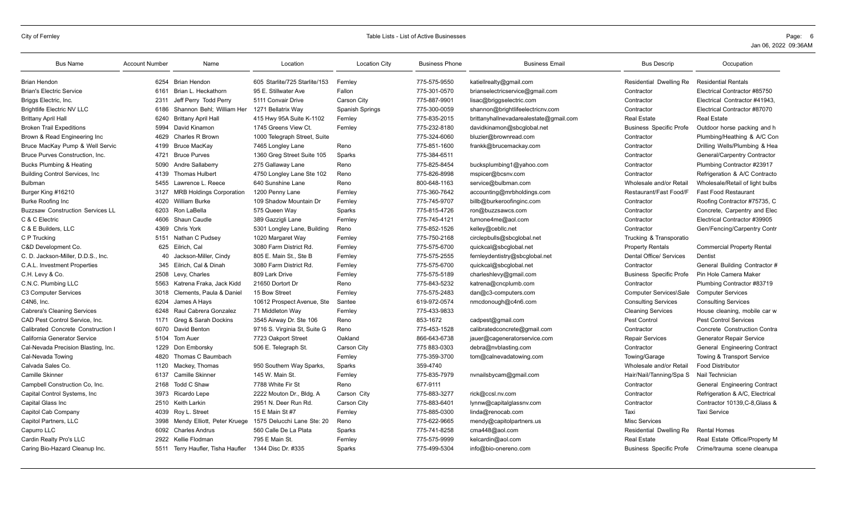| <b>Bus Name</b>                         | <b>Account Number</b> | Name                              | Location                      | <b>Location City</b> | <b>Business Phone</b> | <b>Business Email</b>                  | <b>Bus Descrip</b>             | Occupation                          |
|-----------------------------------------|-----------------------|-----------------------------------|-------------------------------|----------------------|-----------------------|----------------------------------------|--------------------------------|-------------------------------------|
| <b>Brian Hendon</b>                     | 6254                  | <b>Brian Hendon</b>               | 605 Starlite/725 Starlite/153 | Fernley              | 775-575-9550          | katiellrealty@gmail.com                | Residential Dwelling Re        | <b>Residential Rentals</b>          |
| <b>Brian's Electric Service</b>         | 6161                  | Brian L. Heckathorn               | 95 E. Stillwater Ave          | Fallon               | 775-301-0570          | brianselectricservice@gmail.com        | Contractor                     | Electrical Contractor #85750        |
| Briggs Electric, Inc.                   | 2311                  | Jeff Perry Todd Perry             | 5111 Convair Drive            | <b>Carson City</b>   | 775-887-9901          | lisac@briggselectric.com               | Contractor                     | Electrical Contractor #41943,       |
| <b>Brightlife Electric NV LLC</b>       | 6186                  | Shannon Behl; William Her         | 1271 Bellatrix Way            | Spanish Springs      | 775-300-0059          | shannon@brightlifeelectricnv.com       | Contractor                     | Electrical Contractor #87070        |
| <b>Brittany April Hall</b>              | 6240                  | <b>Brittany April Hall</b>        | 415 Hwy 95A Suite K-1102      | Fernley              | 775-835-2015          | brittanyhallnevadarealestate@gmail.com | <b>Real Estate</b>             | Real Estate                         |
| <b>Broken Trail Expeditions</b>         | 5994                  | David Kinamon                     | 1745 Greens View Ct.          | Fernley              | 775-232-8180          | davidkinamon@sbcqlobal.net             | <b>Business Specific Profe</b> | Outdoor horse packing and h         |
| Brown & Read Engineering Inc            | 4629                  | <b>Charles R Brown</b>            | 1000 Telegraph Street, Suite  |                      | 775-324-6060          | bluzier@brownread.com                  | Contractor                     | Plumbing/Heathing & A/C Con         |
| Bruce MacKay Pump & Well Servic         | 4199                  | Bruce MacKav                      | 7465 Longley Lane             | Reno                 | 775-851-1600          | frankk@brucemackay.com                 | Contractor                     | Drilling Wells/Plumbing & Hea       |
| Bruce Purves Construction, Inc.         | 4721                  | <b>Bruce Purves</b>               | 1360 Greg Street Suite 105    | Sparks               | 775-384-6511          |                                        | Contractor                     | General/Carpentry Contractor        |
| Bucks Plumbing & Heating                | 5090                  | Andre Sallaberry                  | 275 Gallaway Lane             | Reno                 | 775-825-8454          | bucksplumbing1@yahoo.com               | Contractor                     | Plumbing Contractor #23917          |
| <b>Building Control Services, Inc.</b>  | 4139                  | <b>Thomas Hulbert</b>             | 4750 Longley Lane Ste 102     | Reno                 | 775-826-8998          | mspicer@bcsnv.com                      | Contractor                     | Refrigeration & A/C Contracto       |
| <b>Bulbman</b>                          | 5455                  | Lawrence L. Reece                 | 640 Sunshine Lane             | Reno                 | 800-648-1163          | service@bulbman.com                    | Wholesale and/or Retail        | Wholesale/Retail of light bulbs     |
| Burger King #16210                      | 3127                  | <b>MRB Holdings Corporation</b>   | 1200 Penny Lane               | Fernley              | 775-360-7642          | accounting@mrbholdings.com             | Restaurant/Fast Food/F         | <b>Fast Food Restaurant</b>         |
| <b>Burke Roofing Inc</b>                | 4020                  | <b>William Burke</b>              | 109 Shadow Mountain Dr        | Fernley              | 775-745-9707          | billb@burkeroofinginc.com              | Contractor                     | Roofing Contractor #75735, C        |
| <b>Buzzsaw Construction Services LL</b> | 6203                  | Ron LaBella                       | 575 Queen Way                 | Sparks               | 775-815-4726          | ron@buzzsawcs.com                      | Contractor                     | Concrete, Carpentry and Elec        |
| C & C Electric                          | 4606                  | Shaun Caudle                      | 389 Gazzigli Lane             | Fernley              | 775-745-4121          | turnone4me@aol.com                     | Contractor                     | Electrical Contractor #39905        |
| C & E Builders, LLC                     | 4369                  | <b>Chris York</b>                 | 5301 Longley Lane, Building   | Reno                 | 775-852-1526          | kelley@cebllc.net                      | Contractor                     | Gen/Fencing/Carpentry Contr         |
| C P Trucking                            | 5151                  | Nathan C Pudsev                   | 1020 Margaret Way             | Fernley              | 775-750-2168          | circlepbulls@sbcglobal.net             | Trucking & Transporatio        |                                     |
| C&D Development Co.                     | 625                   | Eilrich, Cal                      | 3080 Farm District Rd.        | Fernley              | 775-575-6700          | quickcal@sbcqlobal.net                 | <b>Property Rentals</b>        | <b>Commercial Property Rental</b>   |
| C. D. Jackson-Miller, D.D.S., Inc.      | 40                    | Jackson-Miller, Cindy             | 805 E. Main St., Ste B        | Fernley              | 775-575-2555          | fernleydentistry@sbcglobal.net         | Dental Office/ Services        | Dentist                             |
| C.A.L. Investment Properties            | 345                   | Eilrich, Cal & Dinah              | 3080 Farm District Rd.        | Fernley              | 775-575-6700          | quickcal@sbcglobal.net                 | Contractor                     | General Building Contractor #       |
| C.H. Levy & Co.                         | 2508                  | Levy, Charles                     | 809 Lark Drive                | Fernley              | 775-575-5189          | charleshlevy@gmail.com                 | <b>Business Specific Profe</b> | Pin Hole Camera Maker               |
| C.N.C. Plumbing LLC                     | 5563                  | Katrena Fraka, Jack Kidd          | 21650 Dortort Dr              | Reno                 | 775-843-5232          | katrena@cncplumb.com                   | Contractor                     | Plumbing Contractor #83719          |
| C3 Computer Services                    | 3018                  | Clements, Paula & Daniel          | 15 Bow Street                 | Fernley              | 775-575-2483          | dan@c3-computers.com                   | Computer Services\Sale         | <b>Computer Services</b>            |
| C4N6, Inc.                              | 6204                  | James A Hays                      | 10612 Prospect Avenue, Ste    | Santee               | 619-972-0574          | nmcdonough@c4n6.com                    | <b>Consulting Services</b>     | <b>Consulting Services</b>          |
| <b>Cabrera's Cleaning Services</b>      | 6248                  | Raul Cabrera Gonzalez             | 71 Middleton Way              | Fernley              | 775-433-9833          |                                        | <b>Cleaning Services</b>       | House cleaning, mobile car w        |
| CAD Pest Control Service, Inc.          | 1171                  | Greg & Sarah Dockins              | 3545 Airway Dr. Ste 106       | Reno                 | 853-1672              | cadpest@gmail.com                      | Pest Control                   | <b>Pest Control Services</b>        |
| Calibrated Concrete Construction I      | 6070                  | David Benton                      | 9716 S. Virginia St, Suite G  | Reno                 | 775-453-1528          | calibratedconcrete@gmail.com           | Contractor                     | Concrete Construction Contra        |
| California Generator Service            | 5104                  | Tom Auer                          | 7723 Oakport Street           | Oakland              | 866-643-6738          | jauer@cageneratorservice.com           | <b>Repair Services</b>         | <b>Generator Repair Service</b>     |
| Cal-Nevada Precision Blasting, Inc.     | 1229                  | Don Emborsky                      | 506 E. Telegraph St.          | <b>Carson City</b>   | 775 883-0303          | debra@nvblasting.com                   | Contractor                     | <b>General Engineering Contract</b> |
| Cal-Nevada Towing                       | 4820                  | Thomas C Baumbach                 |                               | Fernley              | 775-359-3700          | tom@calnevadatowing.com                | Towing/Garage                  | Towing & Transport Service          |
| Calvada Sales Co.                       | 1120                  | Mackey, Thomas                    | 950 Southern Way Sparks,      | Sparks               | 359-4740              |                                        | Wholesale and/or Retail        | <b>Food Distributor</b>             |
| Camille Skinner                         | 6137                  | Camille Skinner                   | 145 W. Main St.               | Fernlev              | 775-835-7979          | nvnailsbycam@gmail.com                 | Hair/Nail/Tanning/Spa S        | Nail Technician                     |
| Campbell Construction Co, Inc.          | 2168                  | Todd C Shaw                       | 7788 White Fir St             | Reno                 | 677-9111              |                                        | Contractor                     | General Engineering Contract        |
| Capital Control Systems, Inc.           | 3973                  | Ricardo Lepe                      | 2222 Mouton Dr., Bldg. A      | Carson City          | 775-883-3277          | rick@ccsl.nv.com                       | Contractor                     | Refrigeration & A/C, Electrical     |
| Capital Glass Inc                       | 2510                  | Keith Larkin                      | 2951 N. Deer Run Rd.          | <b>Carson City</b>   | 775-883-6401          | lynnw@capitalglassnv.com               | Contractor                     | Contractor 10139, C-8, Glass &      |
| Capitol Cab Company                     | 4039                  | Roy L. Street                     | 15 E Main St #7               | Fernley              | 775-885-0300          | linda@renocab.com                      | Taxi                           | <b>Taxi Service</b>                 |
| Capitol Partners, LLC                   | 3998                  | Mendy Elliott, Peter Kruege       | 1575 Delucchi Lane Ste: 20    | Reno                 | 775-622-9665          | mendy@capitolpartners.us               | <b>Misc Services</b>           |                                     |
| Capurro LLC                             | 6092                  | <b>Charles Andrus</b>             | 560 Calle De La Plata         | Sparks               | 775-741-8258          | cma448@aol.com                         | Residential Dwelling Re        | <b>Rental Homes</b>                 |
| Cardin Realty Pro's LLC                 | 2922                  | Kellie Flodman                    | 795 E Main St.                | Fernley              | 775-575-9999          | kelcardin@aol.com                      | <b>Real Estate</b>             | Real Estate Office/Property M       |
| Caring Bio-Hazard Cleanup Inc.          |                       | 5511 Terry Haufler, Tisha Haufler | 1344 Disc Dr. #335            | Sparks               | 775-499-5304          | info@bio-onereno.com                   | <b>Business Specific Profe</b> | Crime/trauma scene cleanupa         |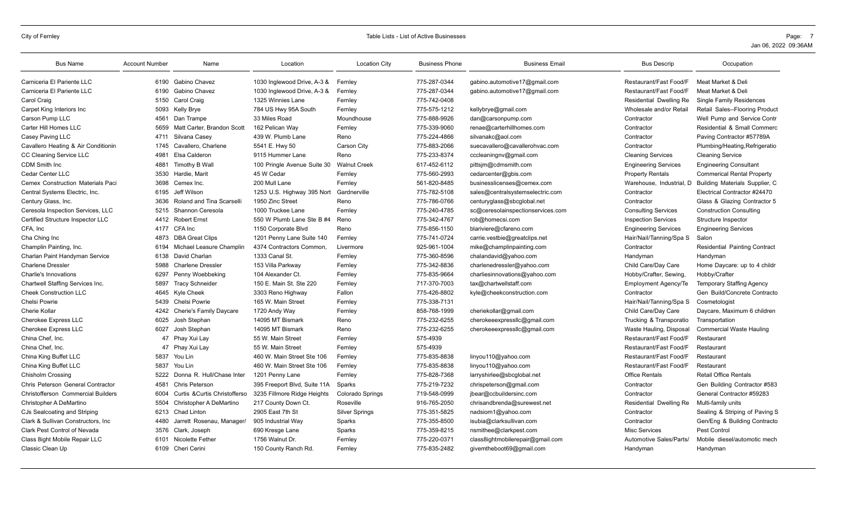| <b>Bus Name</b>                     | <b>Account Number</b> | Name                             | Location                     | <b>Location City</b>  | <b>Business Phone</b> | <b>Business Email</b>             | <b>Bus Descrip</b>          | Occupation                           |
|-------------------------------------|-----------------------|----------------------------------|------------------------------|-----------------------|-----------------------|-----------------------------------|-----------------------------|--------------------------------------|
| Carniceria El Pariente LLC          | 6190                  | Gabino Chavez                    | 1030 Inglewood Drive, A-3 &  | Fernley               | 775-287-0344          | gabino.automotive17@gmail.com     | Restaurant/Fast Food/F      | Meat Market & Deli                   |
| Carniceria El Pariente LLC          | 6190                  | Gabino Chavez                    | 1030 Inglewood Drive, A-3 &  | Fernley               | 775-287-0344          | gabino.automotive17@gmail.com     | Restaurant/Fast Food/F      | Meat Market & Deli                   |
| Carol Craig                         | 5150                  | Carol Craig                      | 1325 Winnies Lane            | Fernley               | 775-742-0408          |                                   | Residential Dwelling Re     | <b>Single Family Residences</b>      |
| Carpet King Interiors Inc           | 5093                  | Kelly Brye                       | 784 US Hwy 95A South         | Fernley               | 775-575-1212          | kellybrye@gmail.com               | Wholesale and/or Retail     | Retail Sales--Flooring Product       |
| Carson Pump LLC                     | 4561                  | Dan Trampe                       | 33 Miles Road                | Moundhouse            | 775-888-9926          | dan@carsonpump.com                | Contractor                  | Well Pump and Service Contr          |
| Carter Hill Homes LLC               | 5659                  | Matt Carter, Brandon Scott       | 162 Pelican Way              | Fernley               | 775-339-9060          | renae@carterhillhomes.com         | Contractor                  | Residential & Small Commerc          |
| Casey Paving LLC                    | 4711                  | Silvana Casey                    | 439 W. Plumb Lane            | Reno                  | 775-224-4866          | silvanakc@aol.com                 | Contractor                  | Paving Contractor #57789A            |
| Cavallero Heating & Air Conditionin | 1745                  | Cavallero, Charlene              | 5541 E. Hwy 50               | Carson City           | 775-883-2066          | suecavallero@cavallerohvac.com    | Contractor                  | Plumbing/Heating, Refrigeratio       |
| CC Cleaning Service LLC             | 4981                  | Elsa Calderon                    | 9115 Hummer Lane             | Reno                  | 775-233-8374          | cccleaningnv@gmail.com            | <b>Cleaning Services</b>    | <b>Cleaning Service</b>              |
| <b>CDM Smith Inc</b>                | 4881                  | Timothy B Wall                   | 100 Pringle Avenue Suite 30  | <b>Walnut Creek</b>   | 617-452-6112          | pittsjm@cdmsmith.com              | <b>Engineering Services</b> | <b>Engineering Consultant</b>        |
| Cedar Center LLC                    | 3530                  | Hardie, Marit                    | 45 W Cedar                   | Fernley               | 775-560-2993          | cedarcenter@gbis.com              | <b>Property Rentals</b>     | <b>Commerical Rental Property</b>    |
| Cemex Construction Materials Paci   | 3698                  | Cemex Inc.                       | 200 Mull Lane                | Fernley               | 561-820-8485          | businesslicenses@cemex.com        | Warehouse, Industrial, D    | Building Materials Supplier, C       |
| Central Systems Electric, Inc.      | 6195                  | Jeff Wilson                      | 1253 U.S. Highway 395 Nort   | Gardnerville          | 775-782-5108          | sales@centralsystemselectric.com  | Contractor                  | Electrical Contractor #24470         |
| Century Glass, Inc.                 | 3636                  | <b>Roland and Tina Scarselli</b> | 1950 Zinc Street             | Reno                  | 775-786-0766          | centuryglass@sbcglobal.net        | Contractor                  | Glass & Glazing Contractor 5         |
| Ceresola Inspection Services, LLC   | 5215                  | Shannon Ceresola                 | 1000 Truckee Lane            | Fernley               | 775-240-4785          | sc@ceresolainspectionservices.com | <b>Consulting Services</b>  | <b>Construction Consulting</b>       |
| Certified Structure Inspector LLC   | 4412                  | <b>Robert Ernst</b>              | 550 W Plumb Lane Ste B #4    | Reno                  | 775-342-4767          | rob@homecsi.com                   | <b>Inspection Services</b>  | Structure Inspector                  |
| CFA, Inc                            | 4177                  | CFA Inc                          | 1150 Corporate Blvd          | Reno                  | 775-856-1150          | blariviere@cfareno.com            | <b>Engineering Services</b> | <b>Engineering Services</b>          |
| Cha Ching Inc                       | 4873                  | <b>DBA Great Clips</b>           | 1201 Penny Lane Suite 140    | Fernley               | 775-741-0724          | carrie.vestbie@greatclips.net     | Hair/Nail/Tanning/Spa S     | Salon                                |
| Champlin Painting, Inc.             | 6194                  | Michael Leasure Champlin         | 4374 Contractors Common.     | Livermore             | 925-961-1004          | mike@champlinpainting.com         | Contractor                  | <b>Residential Painting Contract</b> |
| Charlan Paint Handyman Service      | 6138                  | David Charlan                    | 1333 Canal St.               | Fernley               | 775-360-8596          | chalandavid@yahoo.com             | Handyman                    | Handyman                             |
| <b>Charlene Dressler</b>            | 5988                  | <b>Charlene Dressler</b>         | 153 Villa Parkway            | Fernley               | 775-342-8836          | charlenedressler@yahoo.com        | Child Care/Day Care         | Home Daycare: up to 4 childr         |
| Charlie's Innovations               | 6297                  | Penny Woebbeking                 | 104 Alexander Ct             | Fernley               | 775-835-9664          | charliesinnovations@yahoo.com     | Hobby/Crafter, Sewing       | Hobby/Crafter                        |
| Chartwell Staffing Services Inc.    | 5897                  | <b>Tracy Schneider</b>           | 150 E. Main St. Ste 220      | Fernley               | 717-370-7003          | tax@chartwellstaff.com            | <b>Employment Agency/Te</b> | <b>Temporary Staffing Agency</b>     |
| <b>Cheek Construction LLC</b>       |                       | 4645 Kyle Cheek                  | 3303 Reno Highway            | Fallon                | 775-426-8802          | kyle@cheekconstruction.com        | Contractor                  | Gen Build/Concrete Contracto         |
| <b>Chelsi Powrie</b>                | 5439                  | Chelsi Powrie                    | 165 W. Main Street           | Fernley               | 775-338-7131          |                                   | Hair/Nail/Tanning/Spa S     | Cosmetologist                        |
| <b>Cherie Kollar</b>                | 4242                  | Cherie's Family Daycare          | 1720 Andy Way                | Fernley               | 858-768-1999          | cheriekollar@gmail.com            | Child Care/Day Care         | Daycare, Maximum 6 children          |
| <b>Cherokee Express LLC</b>         | 6025                  | Josh Stephan                     | 14095 MT Bismark             | Reno                  | 775-232-6255          | cherokeeexpressllc@gmail.com      | Trucking & Transporatio     | Transportation                       |
| <b>Cherokee Express LLC</b>         | 6027                  | Josh Stephan                     | 14095 MT Bismark             | Reno                  | 775-232-6255          | cherokeeexpressllc@gmail.com      | Waste Hauling, Disposal     | <b>Commercial Waste Hauling</b>      |
| China Chef, Inc.                    |                       | 47 Phay Xui Lay                  | 55 W. Main Street            | Fernley               | 575-4939              |                                   | Restaurant/Fast Food/F      | Restaurant                           |
| China Chef, Inc.                    | 47                    | Phay Xui Lay                     | 55 W. Main Street            | Fernley               | 575-4939              |                                   | Restaurant/Fast Food/F      | Restaurant                           |
| China King Buffet LLC               | 5837                  | You Lin                          | 460 W. Main Street Ste 106   | Fernley               | 775-835-8838          | linyou110@yahoo.com               | Restaurant/Fast Food/F      | Restaurant                           |
| China King Buffet LLC               | 5837                  | You Lin                          | 460 W. Main Street Ste 106   | Fernley               | 775-835-8838          | linyou110@yahoo.com               | Restaurant/Fast Food/F      | Restaurant                           |
| Chisholm Crossing                   | 5222                  | Donna R. Hull/Chase Inter        | 1201 Penny Lane              | Fernley               | 775-828-7368          | larryshirlee@sbcqlobal.net        | <b>Office Rentals</b>       | <b>Retail Office Rentals</b>         |
| Chris Peterson General Contractor   | 4581                  | Chris Peterson                   | 395 Freeport Blvd, Suite 11A | Sparks                | 775-219-7232          | chrispeterson@gmail.com           | Contractor                  | Gen Building Contractor #583         |
| Christofferson Commercial Builders  | 6004                  | Curtis & Curtis Christofferso    | 3235 Fillmore Ridge Heights  | Colorado Springs      | 719-548-0999          | jbear@ccbuildersinc.com           | Contractor                  | General Contractor #59283            |
| Christopher A DeMartino             | 5504                  | Christopher A DeMartino          | 217 County Down Ct.          | Roseville             | 916-765-2050          | chrisandbrenda@surewest.net       | Residential Dwelling Re     | Multi-family units                   |
| CJs Sealcoating and Striping        | 6213                  | <b>Chad Linton</b>               | 2905 East 7th St             | <b>Silver Springs</b> | 775-351-5825          | nadsiom1@yahoo.com                | Contractor                  | Sealing & Striping of Paving S       |
| Clark & Sullivan Constructors, Inc. | 4480                  | Jarrett Rosenau. Manager/        | 905 Industrial Way           | Sparks                | 775-355-8500          | isubia@clarksullivan.com          | Contractor                  | Gen/Eng & Building Contracto         |
| Clark Pest Control of Nevada        | 3576                  | Clark, Joseph                    | 690 Kresge Lane              | Sparks                | 775-359-8215          | nsmithee@clarkpest.com            | <b>Misc Services</b>        | Pest Control                         |
| Class 8ight Mobile Repair LLC       | 6101                  | Nicolette Fether                 | 1756 Walnut Dr.              | Fernley               | 775-220-0371          | class8ightmobilerepair@gmail.com  | Automotive Sales/Parts      | Mobile diesel/automotic mech         |
| Classic Clean Up                    |                       | 6109 Cheri Cerini                | 150 County Ranch Rd.         | Fernley               | 775-835-2482          | givemtheboot69@gmail.com          | Handyman                    | Handyman                             |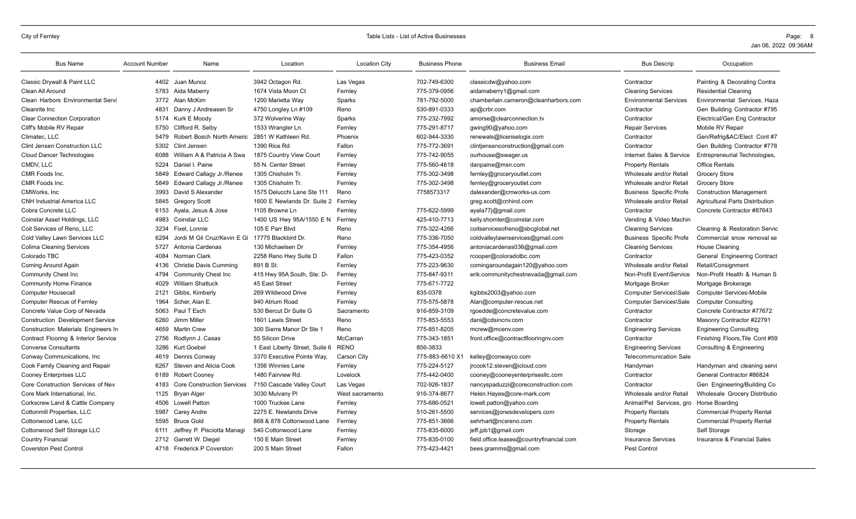| <b>Bus Name</b>                         | <b>Account Number</b> | Name                              | Location                       | <b>Location City</b> | <b>Business Phone</b> | <b>Business Email</b>                    | <b>Bus Descrip</b>                      | Occupation                             |
|-----------------------------------------|-----------------------|-----------------------------------|--------------------------------|----------------------|-----------------------|------------------------------------------|-----------------------------------------|----------------------------------------|
| Classic Drywall & Paint LLC             |                       | 4402 Juan Munoz                   | 3942 Octagon Rd.               | Las Vegas            | 702-749-6300          | classicdw@yahoo.com                      | Contractor                              | Painting & Decorating Contra           |
| Clean All Around                        | 5783                  | Aida Maberry                      | 1674 Vista Moon Ct             | Fernley              | 775-379-0956          | aidamaberry1@gmail.com                   | <b>Cleaning Services</b>                | <b>Residential Cleaning</b>            |
| Clean Harbors Environmental Servi       |                       | 3772 Alan McKim                   | 1200 Marietta Way              | Sparks               | 781-792-5000          | chamberlain.cameron@cleanharbors.com     | <b>Environmental Services</b>           | Environmental Services, Haza           |
| Cleanrite Inc                           | 4831                  | Danny J Andreasen Sr              | 4750 Longley Ln #109           | Reno                 | 530-891-0333          | ap@crbr.com                              | Contractor                              | Gen Building Contractor #795           |
| <b>Clear Connection Corporation</b>     | 5174                  | Kurk E Moody                      | 372 Wolverine Way              | Sparks               | 775-232-7992          | amorse@clearconnection.tv                | Contractor                              | Electrical/Gen Eng Contractor          |
| Cliff's Mobile RV Repair                | 5750                  | Clifford R. Selby                 | 1533 Wrangler Ln.              | Fernley              | 775-291-8717          | gwing90@yahoo.com                        | <b>Repair Services</b>                  | Mobile RV Repair                       |
| Climatec, LLC                           | 5479                  | Robert Bosch North Americ         | 2851 W Kathleen Rd.            | Phoenix              | 602-944-3330          | renewals@licenselogix.com                | Contractor                              | Gen/Refrig&AC/Elect Cont #7            |
| Clint Jensen Construction LLC           | 5302                  | Clint Jensen                      | 1390 Rice Rd                   | Fallon               | 775-772-3691          | clintjensenconstruction@gmail.com        | Contractor                              | Gen Building Contractor #778           |
| <b>Cloud Dancer Technologies</b>        | 6088                  | William A & Patricia A Swa        | 1875 Country View Court        | Fernley              | 775-742-9055          | ourhouse@swager.us                       | Internet Sales & Service                | Entrepreneurial Technologies,          |
| CMDV, LLC                               | 5224                  | Daniel I. Paine                   | 55 N. Center Street            | Fernley              | 775-560-4618          | danpaine@msn.com                         | <b>Property Rentals</b>                 | <b>Office Rentals</b>                  |
| CMR Foods Inc.                          | 5849                  | Edward Callagy Jr./Renee          | 1305 Chisholm Tr.              | Fernley              | 775-302-3498          | fernley@groceryoutlet.com                | Wholesale and/or Retail                 | <b>Grocery Store</b>                   |
| CMR Foods Inc.                          | 5849                  | Edward Callagy Jr./Renee          | 1305 Chisholm Tr.              | Fernley              | 775-302-3498          | fernley@groceryoutlet.com                | Wholesale and/or Retail                 | <b>Grocery Store</b>                   |
| CMWorks, Inc.                           | 3993                  | David S Alexander                 | 1575 Delucchi Lane Ste 111     | Reno                 | 7758573317            | dalexander@cmworks-us.com                | <b>Business Specific Profe</b>          | <b>Construction Management</b>         |
| <b>CNH Industrial America LLC</b>       | 5845                  | <b>Gregory Scott</b>              | 1600 E Newlands Dr. Suite 2    | Fernley              |                       | greg.scott@cnhind.com                    | Wholesale and/or Retail                 | <b>Agricultural Parts Distribution</b> |
| Cobra Concrete LLC                      | 6153                  | Ayala, Jesus & Jose               | 1105 Browne Ln                 | Fernley              | 775-622-5999          | ayala77j@gmail.com                       | Contractor                              | Concrete Contractor #87643             |
| Coinstar Asset Holdings, LLC            | 4983                  | Coinstar LLC                      | 1400 US Hwy 95A/1550 E N       | Fernley              | 425-410-7713          | kelly.shomler@coinstar.com               | Vending & Video Machin                  |                                        |
| Coit Services of Reno, LLC              | 3234                  | Fixel, Lonnie                     | 105 E Parr Blvd                | Reno                 | 775-322-4266          | coitservicesofreno@sbcglobal.net         | <b>Cleaning Services</b>                | Cleaning & Restoration Servic          |
| Cold Valley Lawn Services LLC           | 6294                  | Jordi M Gil Cruz/Kevin E Gi       | 17775 Blackbird Dr.            | Reno                 | 775-336-7050          | coldvalleylawnservices@gmail.com         | <b>Business Specific Profe</b>          | Commercial snow removal se             |
| <b>Colima Cleaning Services</b>         | 5727                  | Antonia Cardenas                  | 130 Michaelsen Dr              | Fernley              | 775-354-4956          | antoniacardenas036@gmail.com             | <b>Cleaning Services</b>                | House Cleaning                         |
| Colorado TBC                            | 4084                  | Norman Clark                      | 2258 Reno Hwy Suite D          | Fallon               | 775-423-0352          | rcooper@coloradotbc.com                  | Contractor                              | General Engineering Contract           |
| Coming Around Again                     | 4136                  | <b>Christie Davis Cumming</b>     | 891 B St.                      | Fernley              | 775-223-9630          | comingaroundagain120@yahoo.com           | Wholesale and/or Retail                 | Retail/Consignment                     |
| <b>Community Chest Inc</b>              | 4794                  | <b>Community Chest Inc</b>        | 415 Hwy 95A South, Ste: D-     | Fernley              | 775-847-9311          | erik.communitychestnevada@gmail.com      | Non-Profit Event\Service                | Non-Profit Health & Human S            |
| <b>Community Home Finance</b>           | 4029                  | <b>William Shattuck</b>           | 45 East Street                 | Fernley              | 775-671-7722          |                                          | Mortgage Broker                         | Mortgage Brokerage                     |
| <b>Computer Housecall</b>               | 2121                  | Gibbs, Kimberly                   | 269 Wildwood Drive             | Fernley              | 835-0378              | kgibbs2003@yahoo.com                     | <b>Computer Services\Sale</b>           | <b>Computer Services-Mobile</b>        |
| <b>Computer Rescue of Fernley</b>       | 1964                  | Scher, Alan E.                    | 940 Atrium Road                | Fernley              | 775-575-5878          | Alan@computer-rescue.net                 | <b>Computer Services\Sale</b>           | <b>Computer Consulting</b>             |
| Concrete Value Corp of Nevada           | 5063                  | Paul T Esch                       | 530 Bercut Dr Suite G          | Sacramento           | 916-859-3109          | rgoedde@concretevalue.com                | Contractor                              | Concrete Contractor #77672             |
| <b>Construction Development Service</b> | 6260                  | Jimm Miller                       | 1601 Lewis Street              | Reno                 | 775-853-5553          | dani@cdsincnv.com                        | Contractor                              | Masonry Contractor #22791              |
| Construction Materials Engineers In     | 4659                  | <b>Martin Crew</b>                | 300 Sierra Manor Dr Ste 1      | Reno                 | 775-851-8205          | mcrew@mcenv.com                          | <b>Engineering Services</b>             | <b>Engineering Consulting</b>          |
| Contract Flooring & Interior Service    | 2756                  | Rodlynn J. Casas                  | 55 Silicon Drive               | McCarran             | 775-343-1851          | front.office@contractflooringnv.com      | Contractor                              | Finishing Floors, Tile Cont #59        |
| <b>Converse Consultants</b>             | 3286                  | <b>Kurt Goebel</b>                | 1 East Liberty Street, Suite 6 | <b>RENO</b>          | 856-3833              |                                          | <b>Engineering Services</b>             | Consulting & Engineering               |
| Conway Communications, Inc.             | 4619                  | Dennis Conway                     | 3370 Executive Pointe Way,     | Carson City          | 775-883-6610 X1       | kelley@conwayco.com                      | <b>Telecommunication Sale</b>           |                                        |
| Cook Family Cleaning and Repair         | 6267                  | Steven and Alicia Cook            | 1356 Winnies Lane              | Fernley              | 775-224-5127          | jrcook12.steven@icloud.com               | Handyman                                | Handyman and cleaning servi            |
| Cooney Enterprises LLC                  | 6189                  | <b>Robert Cooney</b>              | 1480 Fairview Rd.              | Lovelock             | 775-442-0400          | cooney@cooneyenterprisesllc.com          | Contractor                              | General Contractor #86824              |
| Core Construction Services of Nev       | 4183                  | <b>Core Construction Services</b> | 7150 Cascade Valley Court      | Las Vegas            | 702-926-1837          | nancyspaduzzi@coreconstruction.com       | Contractor                              | Gen Engineering/Building Co            |
| Core Mark International, Inc.           | 1125                  | <b>Bryan Alger</b>                | 3030 Mulvany Pl                | West sacramento      | 916-374-8677          | Helen.Hayes@core-mark.com                | Wholesale and/or Retail                 | Wholesale Grocery Distributio          |
| Corkscrew Land & Cattle Company         | 4506                  | Lowell Patton                     | 1000 Truckee Lane              | Fernley              | 775-686-0521          | lowell.patton@yahoo.com                  | Animal/Pet Services, gro Horse Boarding |                                        |
| Cottonmill Properties, LLC              | 5987                  | Carey Andre                       | 2275 E. Newlands Drive         | Fernley              | 510-261-5500          | services@jonesdevelopers.com             | <b>Property Rentals</b>                 | <b>Commercial Property Rental</b>      |
| Cottonwood Lane, LLC                    | 5595                  | <b>Bruce Gold</b>                 | 868 & 878 Cottonwood Lane      | Fernley              | 775-851-3666          | sehrhart@ncsreno.com                     | <b>Property Rentals</b>                 | <b>Commercial Property Rental</b>      |
| Cottonwood Self Storage LLC             | 6111                  | Jeffrey P. Pisciotta Managi       | 540 Cottonwood Lane            | Fernley              | 775-835-6000          | jeff.jpb1@gmail.com                      | Storage                                 | Self Storage                           |
| <b>Country Financial</b>                | 2712                  | Garrett W. Diegel                 | 150 E Main Street              | Fernley              | 775-835-0100          | field.office.leases@countryfinancial.com | <b>Insurance Services</b>               | <b>Insurance &amp; Financial Sales</b> |
| <b>Coverston Pest Control</b>           | 4718                  | <b>Frederick P Coverston</b>      | 200 S Main Street              | Fallon               | 775-423-4421          | bees.gramms@gmail.com                    | Pest Control                            |                                        |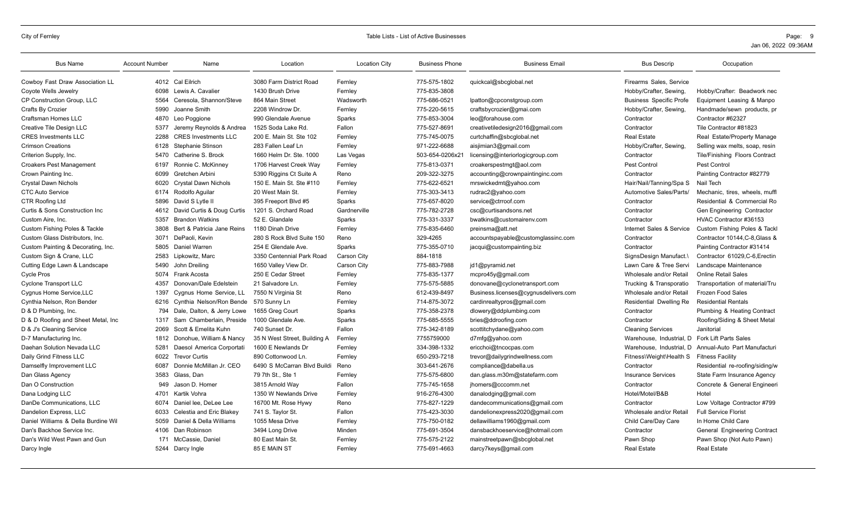| <b>Bus Name</b>                          | <b>Account Number</b> | Name                        | Location                     | <b>Location City</b> | <b>Business Phone</b> | <b>Business Email</b>                | <b>Bus Descrip</b>             | Occupation                      |
|------------------------------------------|-----------------------|-----------------------------|------------------------------|----------------------|-----------------------|--------------------------------------|--------------------------------|---------------------------------|
| Cowboy Fast Draw Association LL          |                       | 4012 Cal Eilrich            | 3080 Farm District Road      | Fernley              | 775-575-1802          | quickcal@sbcqlobal.net               | Firearms Sales, Service        |                                 |
| Coyote Wells Jewelry                     | 6098                  | Lewis A. Cavalier           | 1430 Brush Drive             | Fernley              | 775-835-3808          |                                      | Hobby/Crafter, Sewing.         | Hobby/Crafter: Beadwork nec     |
| <b>CP Construction Group, LLC</b>        | 5564                  | Ceresola, Shannon/Steve     | 864 Main Street              | Wadsworth            | 775-686-0521          | lpatton@cpconstgroup.com             | <b>Business Specific Profe</b> | Equipment Leasing & Manpo       |
| Crafts By Crozier                        | 5990                  | Joanne Smith                | 2208 Windrow Dr.             | Fernley              | 775-220-5615          | craftsbycrozier@gmai.com             | Hobby/Crafter, Sewing          | Handmade/sewn products, pr      |
| Craftsman Homes LLC                      | 4870                  | Leo Poggione                | 990 Glendale Avenue          | Sparks               | 775-853-3004          | leo@forahouse.com                    | Contractor                     | Contractor #62327               |
| Creative Tile Design LLC                 | 5377                  | Jeremy Reynolds & Andrea    | 1525 Soda Lake Rd.           | Fallon               | 775-527-8691          | creativetiledesign2016@gmail.com     | Contractor                     | Tile Contractor #81823          |
| <b>CRES Investments LLC</b>              | 2288                  | <b>CRES</b> Investments LLC | 200 E. Main St. Ste 102      | Fernley              | 775-745-0075          | curtchaffin@sbcglobal.net            | <b>Real Estate</b>             | Real Estate/Property Manage     |
| <b>Crimson Creations</b>                 | 6128                  | Stephanie Stinson           | 283 Fallen Leaf Ln           | Fernley              | 971-222-6688          | aisjimian3@gmail.com                 | Hobby/Crafter, Sewing,         | Selling wax melts, soap, resin  |
| Criterion Supply, Inc.                   | 5470                  | Catherine S. Brock          | 1660 Helm Dr. Ste. 1000      | Las Vegas            | 503-654-0206x21       | licensing@interiorlogicgroup.com     | Contractor                     | Tile/Finishing Floors Contract  |
| <b>Croakers Pest Management</b>          | 6197                  | Ronnie C. McKinney          | 1706 Harvest Creek Way       | Fernley              | 775-813-0371          | croakerspestmgt@aol.com              | Pest Control                   | Pest Control                    |
| Crown Painting Inc.                      | 6099                  | Gretchen Arbini             | 5390 Riggins Ct Suite A      | Reno                 | 209-322-3275          | accounting@crownpaintinginc.com      | Contractor                     | Painting Contractor #82779      |
| <b>Crystal Dawn Nichols</b>              | 6020                  | <b>Crystal Dawn Nichols</b> | 150 E. Main St. Ste #110     | Fernley              | 775-622-6521          | mrswickedmt@yahoo.com                | Hair/Nail/Tanning/Spa S        | Nail Tech                       |
| <b>CTC Auto Service</b>                  |                       | 6174 Rodolfo Aquilar        | 20 West Main St.             | Fernley              | 775-303-3413          | rudrac2@yahoo.com                    | Automotive Sales/Parts/        | Mechanic, tires, wheels, muffl. |
| CTR Roofing Ltd                          | 5896                  | David S Lytle II            | 395 Freeport Blvd #5         | Sparks               | 775-657-8020          | service@ctrroof.com                  | Contractor                     | Residential & Commercial Ro     |
| Curtis & Sons Construction Inc           | 4612                  | David Curtis & Doug Curtis  | 1201 S. Orchard Road         | Gardnerville         | 775-782-2728          | csc@curtisandsons.net                | Contractor                     | Gen Engineering Contractor      |
| Custom Aire, Inc.                        | 5357                  | <b>Brandon Watkins</b>      | 52 E. Glandale               | Sparks               | 775-331-3337          | bwatkins@customairenv.com            | Contractor                     | HVAC Contractor #36153          |
| <b>Custom Fishing Poles &amp; Tackle</b> | 3808                  | Bert & Patricia Jane Reins  | 1180 Dinah Drive             | Fernley              | 775-835-6460          | preinsma@att.net                     | Internet Sales & Service       | Custom Fishing Poles & Tackl    |
| Custom Glass Distributors, Inc.          | 3071                  | DePaoli, Kevin              | 280 S Rock Blvd Suite 150    | Reno                 | 329-4265              | accountspayable@customglassinc.com   | Contractor                     | Contractor 10144, C-8, Glass &  |
| Custom Painting & Decorating, Inc.       | 5805                  | Daniel Warren               | 254 E Glendale Ave.          | Sparks               | 775-355-0710          | jacqui@custompainting.biz            | Contractor                     | Painting Contractor #31414      |
| Custom Sign & Crane, LLC                 | 2583                  | Lipkowitz, Marc             | 3350 Centennial Park Road    | Carson City          | 884-1818              |                                      | SignsDesign Manufact.\         | Contractor 61029.C-6. Erectin   |
| Cutting Edge Lawn & Landscape            | 5490                  | John Dreiling               | 1650 Valley View Dr.         | Carson City          | 775-883-7988          | jd1@pyramid.net                      | Lawn Care & Tree Servi         | Landscape Maintenance           |
| <b>Cycle Pros</b>                        | 5074                  | <b>Frank Acosta</b>         | 250 E Cedar Street           | Fernley              | 775-835-1377          | mcpro45y@gmail.com                   | Wholesale and/or Retail        | <b>Online Retail Sales</b>      |
| <b>Cyclone Transport LLC</b>             | 4357                  | Donovan/Dale Edelstein      | 21 Salvadore Ln.             | Fernley              | 775-575-5885          | donovane@cyclonetransport.com        | Trucking & Transporatio        | Transportation of material/Tru  |
| Cygnus Home Service, LLC                 | 1397                  | Cygnus Home Service, LL     | 7550 N Virginia St           | Reno                 | 612-439-8497          | Business.licenses@cygnusdelivers.com | Wholesale and/or Retail        | Frozen Food Sales               |
| Cynthia Nelson, Ron Bender               | 6216                  | Cynthia Nelson/Ron Bende    | 570 Sunny Ln                 | Fernley              | 714-875-3072          | cardinrealtypros@gmail.com           | Residential Dwelling Re        | <b>Residential Rentals</b>      |
| D & D Plumbing, Inc.                     | 794                   | Dale, Dalton, & Jerry Lowe  | 1655 Greg Court              | Sparks               | 775-358-2378          | dlowery@ddplumbing.com               | Contractor                     | Plumbing & Heating Contract     |
| D & D Roofing and Sheet Metal, Inc.      | 1317                  | Sam Chamberlain, Preside    | 1000 Glendale Ave.           | Sparks               | 775-685-5555          | bries@ddroofing.com                  | Contractor                     | Roofing/Siding & Sheet Metal    |
| D & J's Cleaning Service                 | 2069                  | Scott & Emelita Kuhn        | 740 Sunset Dr.               | Fallon               | 775-342-8189          | scottitchydane@yahoo.com             | <b>Cleaning Services</b>       | Janitorial                      |
| D-7 Manufacturing Inc.                   | 1812                  | Donohue, William & Nancy    | 35 N West Street, Building A | Fernley              | 7755759000            | d7mfg@yahoo.com                      | Warehouse, Industrial, D       | <b>Fork Lift Parts Sales</b>    |
| Daehan Solution Nevada LLC               | 5281                  | Daesol America Corportati   | 1600 E Newlands Dr           | Fernley              | 334-398-1332          | ericchoi@tncocpas.com                | Warehouse. Industrial. D       | Annual-Auto Part Manufacturi    |
| Daily Grind Fitness LLC                  | 6022                  | <b>Trevor Curtis</b>        | 890 Cottonwood Ln.           | Fernley              | 650-293-7218          | trevor@dailygrindwellness.com        | Fitness\Weight\Health S        | <b>Fitness Facility</b>         |
| Damselfly Improvement LLC                | 6087                  | Donnie McMillan Jr. CEO     | 6490 S McCarran Blvd Buildi  | Reno                 | 303-641-2676          | compliance@dabella.us                | Contractor                     | Residential re-roofing/siding/w |
| Dan Glass Agency                         | 3583                  | Glass, Dan                  | 79 7th St., Ste 1            | Fernley              | 775-575-6800          | dan.glass.m30m@statefarm.com         | <b>Insurance Services</b>      | State Farm Insurance Agency     |
| Dan O Construction                       | 949                   | Jason D. Homer              | 3815 Arnold Way              | Fallon               | 775-745-1658          | jhomers@cccomm.net                   | Contractor                     | Concrete & General Engineeri    |
| Dana Lodging LLC                         | 4701                  | Kartik Vohra                | 1350 W Newlands Drive        | Fernley              | 916-276-4300          | danalodging@gmail.com                | Hotel/Motel/B&B                | Hotel                           |
| DanDe Communications, LLC                | 6074                  | Daniel lee, DeLee Lee       | 16700 Mt. Rose Hywy          | Reno                 | 775-827-1229          | dandecommunications@gmail.com        | Contractor                     | Low Voltage Contractor #799     |
| Dandelion Express, LLC                   | 6033                  | Celestia and Eric Blakey    | 741 S. Taylor St.            | Fallon               | 775-423-3030          | dandelionexpress2020@gmail.com       | Wholesale and/or Retail        | <b>Full Service Florist</b>     |
| Daniel Williams & Della Burdine Wil      | 5059                  | Daniel & Della Williams     | 1055 Mesa Drive              | Fernley              | 775-750-0182          | dellawilliams1960@gmail.com          | Child Care/Day Care            | In Home Child Care              |
| Dan's Backhoe Service Inc.               | 4106                  | Dan Robinson                | 3494 Long Drive              | Minden               | 775-691-3504          | dansbackhoeservice@hotmail.com       | Contractor                     | General Engineering Contract    |
| Dan's Wild West Pawn and Gun             | 171                   | McCassie, Daniel            | 80 East Main St.             | Fernley              | 775-575-2122          | mainstreetpawn@sbcqlobal.net         | Pawn Shop                      | Pawn Shop (Not Auto Pawn)       |
| Darcy Ingle                              |                       | 5244 Darcy Ingle            | 85 E MAIN ST                 | Fernley              | 775-691-4663          | darcy7keys@gmail.com                 | <b>Real Estate</b>             | <b>Real Estate</b>              |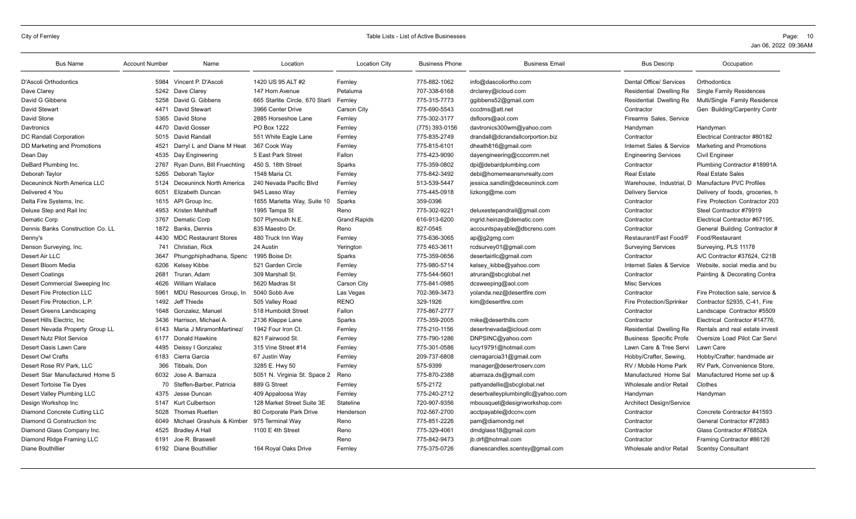| <b>Bus Name</b>                  | <b>Account Number</b> | Name                         | Location                        | <b>Location City</b> | <b>Business Phone</b> | <b>Business Email</b>             | <b>Bus Descrip</b>              | Occupation                      |
|----------------------------------|-----------------------|------------------------------|---------------------------------|----------------------|-----------------------|-----------------------------------|---------------------------------|---------------------------------|
| D'Ascoli Orthodontics            | 5984                  | Vincent P. D'Ascoli          | 1420 US 95 ALT #2               | Fernley              | 775-882-1062          | info@dascoliortho.com             | <b>Dental Office/ Services</b>  | Orthodontics                    |
| Dave Clarey                      | 5242                  | Dave Clarey                  | 147 Horn Avenue                 | Petaluma             | 707-338-6168          | drclarey@icloud.com               | Residential Dwelling Re         | <b>Single Family Residences</b> |
| David G Gibbens                  | 5258                  | David G. Gibbens             | 665 Starlite Circle, 670 Starli | Fernley              | 775-315-7773          | ggibbens52@gmail.com              | Residential Dwelling Re         | Multi/Single Family Residence   |
| <b>David Stewart</b>             | 4471                  | David Stewart                | 3966 Center Drive               | <b>Carson City</b>   | 775-690-5543          | cccdms@att.net                    | Contractor                      | Gen Building/Carpentry Contr    |
| David Stone                      | 5365                  | David Stone                  | 2885 Horseshoe Lane             | Fernley              | 775-302-3177          | dsfloors@aol.com                  | Firearms Sales, Service         |                                 |
| Davtronics                       | 4470                  | David Gosser                 | PO Box 1222                     | Fernley              | (775) 393-0156        | davtronics300wm@yahoo.com         | Handyman                        | Handyman                        |
| <b>DC Randall Corporation</b>    | 5015                  | David Randall                | 551 White Eagle Lane            | Fernley              | 775-835-2749          | drandall@dcrandallcorportion.biz  | Contractor                      | Electrical Contractor #80182    |
| DD Marketing and Promotions      | 4521                  | Darryl L and Diane M Heat    | 367 Cook Way                    | Fernley              | 775-815-6101          | dheath816@gmail.com               | Internet Sales & Service        | <b>Marketing and Promotions</b> |
| Dean Day                         | 4535                  | Day Engineering              | 5 East Park Street              | Fallon               | 775-423-9090          | dayengineering@cccomm.net         | <b>Engineering Services</b>     | <b>Civil Engineer</b>           |
| DeBard Plumbing Inc.             | 2767                  | Ryan Dunn, Bill Fruechting   | 450 S. 18th Street              | Sparks               | 775-359-0802          | dpi@debardplumbing.com            | Contractor                      | Plumbing Contractor #18991A     |
| Deborah Taylor                   | 5265                  | Deborah Taylor               | 1548 Maria Ct.                  | Fernley              | 775-842-3492          | debi@homemeansnvrealty.com        | <b>Real Estate</b>              | <b>Real Estate Sales</b>        |
| Deceuninck North America LLC     | 5124                  | Deceuninck North America     | 240 Nevada Pacific Blvd         | Fernley              | 513-539-5447          | jessica.sandlin@deceuninck.com    | Warehouse, Industrial, D.       | Manufacture PVC Profiles        |
| Delivered 4 You                  | 6051                  | <b>Elizabeth Duncan</b>      | 945 Lasso Way                   | Fernley              | 775-445-0918          | lizkong@me.com                    | <b>Delivery Service</b>         | Delivery of foods, groceries, h |
| Delta Fire Systems, Inc.         | 1615                  | API Group Inc.               | 1655 Marietta Way, Suite 10     | Sparks               | 359-0396              |                                   | Contractor                      | Fire Protection Contractor 203  |
| Deluxe Step and Rail Inc         | 4953                  | Kristen Mehlhaff             | 1995 Tampa St                   | Reno                 | 775-302-9221          | deluxestepandrail@gmail.com       | Contractor                      | Steel Contractor #79919         |
| Dematic Corp                     | 3767                  | Dematic Corp                 | 507 Plymouth N.E.               | <b>Grand Rapids</b>  | 616-913-6200          | ingrid.heinze@dematic.com         | Contractor                      | Electrical Contractor #67195,   |
| Dennis Banks Construction Co. LL | 1872                  | Banks, Dennis                | 835 Maestro Dr.                 | Reno                 | 827-0545              | accountspayable@dbcreno.com       | Contractor                      | General Building Contractor #   |
| Denny's                          | 4430                  | <b>MDC Restaurant Stores</b> | 480 Truck Inn Way               | Fernley              | 775-636-3065          | ap@g2gmg.com                      | Restaurant/Fast Food/F          | Food/Restaurant                 |
| Denson Surveying, Inc.           | 741                   | Christian, Rick              | 24 Austin                       | Yerington            | 775 463-3611          | rcdsurvey01@gmail.com             | <b>Surveying Services</b>       | Surveying, PLS 11178            |
| Desert Air LLC                   | 3647                  | Phungphiphadhana, Spenc      | 1995 Boise Dr.                  | Sparks               | 775-359-0656          | desertairllc@gmail.com            | Contractor                      | A/C Contractor #37624, C21B     |
| Desert Bloom Media               | 6206                  | Kelsey Kibbe                 | 521 Garden Circle               | Fernley              | 775-980-5714          | kelsey kibbe@yahoo.com            | Internet Sales & Service        | Website, social media and bu    |
| <b>Desert Coatings</b>           | 2681                  | Truran, Adam                 | 309 Marshall St.                | Fernley              | 775-544-5601          | atruran@sbcglobal.net             | Contractor                      | Painting & Decorating Contra    |
| Desert Commercial Sweeping Inc   | 4626                  | William Wallace              | 5620 Madras St                  | <b>Carson City</b>   | 775-841-0985          | dcsweeping@aol.com                | <b>Misc Services</b>            |                                 |
| Desert Fire Protection LLC       | 5961                  | MDU Resources Group, In      | 5040 Sobb Ave                   | Las Vegas            | 702-369-3473          | yolanda.nez@desertfire.com        | Contractor                      | Fire Protection sale, service & |
| Desert Fire Protection, L.P.     | 1492                  | Jeff Thiede                  | 505 Valley Road                 | <b>RENO</b>          | 329-1926              | kim@desertfire.com                | <b>Fire Protection/Sprinker</b> | Contractor 52935, C-41, Fire    |
| Desert Greens Landscaping        | 1648                  | Gonzalez, Manuel             | 518 Humboldt Street             | Fallon               | 775-867-2777          |                                   | Contractor                      | Landscape Contractor #5509      |
| Desert Hills Electric. Inc.      | 3436                  | Harrison, Michael A.         | 2136 Kleppe Lane                | Sparks               | 775-359-2005          | mike@deserthills.com              | Contractor                      | Electrical Contractor #14776.   |
| Desert Nevada Property Group LL  | 6143                  | Maria J MiramonMartinez/     | 1942 Four Iron Ct               | Fernley              | 775-210-1156          | desertnevada@icloud.com           | Residential Dwelling Re         | Rentals and real estate investi |
| <b>Desert Nutz Pilot Service</b> | 6177                  | Donald Hawkins               | 821 Fairwood St.                | Fernley              | 775-790-1286          | DNPSINC@yahoo.com                 | <b>Business Specific Profe</b>  | Oversize Load Pilot Car Servi   |
| Desert Oasis Lawn Care           | 4495                  | Deissy I Gonzalez            | 315 Vine Street #14             | Fernley              | 775-301-0586          | lucy19791@hotmail.com             | Lawn Care & Tree Servi          | Lawn Care                       |
| Desert Owl Crafts                | 6183                  | Cierra Garcia                | 67 Justin Way                   | Fernley              | 209-737-6808          | cierragarcia31@gmail.com          | Hobby/Crafter, Sewing,          | Hobby/Crafter: handmade air     |
| Desert Rose RV Park, LLC         | 366                   | Tibbals, Don                 | 3285 E. Hwy 50                  | Fernley              | 575-9399              | manager@desertroserv.com          | RV / Mobile Home Park           | RV Park, Convenience Store,     |
| Desert Star Manufactured Home S  | 6032                  | Jose A. Barraza              | 5051 N. Virginia St. Space 2    | Reno                 | 775-870-2388          | abarraza.ds@gmail.com             | Manufactured Home Sal           | Manufactured Home set up &      |
| Desert Tortoise Tie Dyes         |                       | 70 Steffen-Barber, Patricia  | 889 G Street                    | Fernley              | 575-2172              | pattyandellis@sbcglobal.net       | Wholesale and/or Retail         | Clothes                         |
| Desert Valley Plumbing LLC       | 4375                  | Jesse Duncan                 | 409 Appaloosa Way               | Fernley              | 775-240-2712          | desertvalleyplumbingllc@yahoo.com | Handyman                        | Handyman                        |
| Design Workshop Inc              | 5147                  | Kurt Culbertson              | 128 Market Street Suite 3E      | Stateline            | 720-907-9356          | mbousquet@designworkshop.com      | <b>Architect Design/Service</b> |                                 |
| Diamond Concrete Cutting LLC     | 5028                  | <b>Thomas Ruetten</b>        | 80 Corporate Park Drive         | Henderson            | 702-567-2700          | acctpayable@dccnv.com             | Contractor                      | Concrete Contractor #41593      |
| Diamond G Construction Inc.      | 6049                  | Michael Grashuis & Kimber    | 975 Terminal Way                | Reno                 | 775-851-2226          | pam@diamondg.net                  | Contractor                      | General Contractor #72883       |
| Diamond Glass Company Inc.       | 4525                  | <b>Bradley A Hall</b>        | 1100 E 4th Street               | Reno                 | 775-329-4061          | dmdglass18@gmail.com              | Contractor                      | Glass Contractor #76852A        |
| Diamond Ridge Framing LLC        | 6191                  | Joe R. Braswell              |                                 | Reno                 | 775-842-9473          | jb.drf@hotmail.com                | Contractor                      | Framing Contractor #86126       |
| Diane Bouthillier                |                       | 6192 Diane Bouthillier       | 164 Royal Oaks Drive            | Fernley              | 775-375-0726          | dianescandles.scentsy@gmail.com   | Wholesale and/or Retail         | <b>Scentsy Consultant</b>       |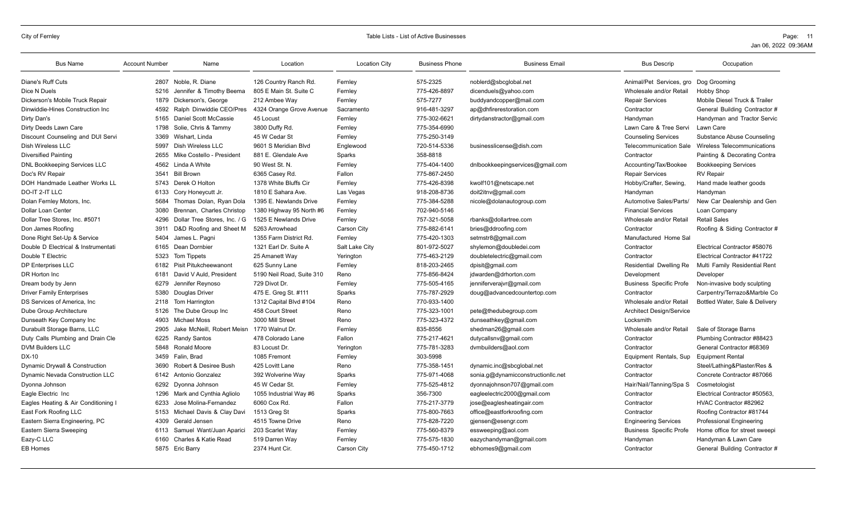| <b>Bus Name</b>                        | <b>Account Number</b> | Name                         | Location                  | <b>Location City</b> | <b>Business Phone</b> | <b>Business Email</b>              | <b>Bus Descrip</b>                    | Occupation                      |
|----------------------------------------|-----------------------|------------------------------|---------------------------|----------------------|-----------------------|------------------------------------|---------------------------------------|---------------------------------|
| Diane's Ruff Cuts                      | 2807                  | Noble, R. Diane              | 126 Country Ranch Rd.     | Fernley              | 575-2325              | noblerd@sbcglobal.net              | Animal/Pet Services, gro Dog Grooming |                                 |
| Dice N Duels                           | 5216                  | Jennifer & Timothy Beema     | 805 E Main St. Suite C    | Fernley              | 775-426-8897          | dicenduels@yahoo.com               | Wholesale and/or Retail               | <b>Hobby Shop</b>               |
| Dickerson's Mobile Truck Repair        | 1879                  | Dickerson's, George          | 212 Ambee Way             | Fernley              | 575-7277              | buddyandcopper@mail.com            | <b>Repair Services</b>                | Mobile Diesel Truck & Trailer   |
| Dinwiddie-Hines Construction Inc       | 4592                  | Ralph Dinwiddie CEO/Pres     | 4324 Orange Grove Avenue  | Sacramento           | 916-481-3297          | ap@dhfirerestoration.com           | Contractor                            | General Building Contractor #   |
| Dirty Dan's                            | 5165                  | Daniel Scott McCassie        | 45 Locust                 | Fernley              | 775-302-6621          | dirtydanstractor@gmail.com         | Handyman                              | Handyman and Tractor Servic     |
| Dirty Deeds Lawn Care                  | 1798                  | Solie, Chris & Tammy         | 3800 Duffy Rd.            | Fernley              | 775-354-6990          |                                    | Lawn Care & Tree Servi                | Lawn Care                       |
| Discount Counseling and DUI Servi      | 3369                  | Wishart, Linda               | 45 W Cedar St             | Fernley              | 775-250-3149          |                                    | <b>Counseling Services</b>            | Substance Abuse Counseling      |
| Dish Wireless LLC                      | 5997                  | Dish Wireless LLC            | 9601 S Meridian Blvd      | Englewood            | 720-514-5336          | businesslicense@dish.com           | Telecommunication Sale                | Wireless Telecommunications     |
| <b>Diversified Painting</b>            | 2655                  | Mike Costello - President    | 881 E. Glendale Ave       | Sparks               | 358-8818              |                                    | Contractor                            | Painting & Decorating Contra    |
| <b>DNL Bookkeeping Services LLC</b>    | 4562                  | Linda A White                | 90 West St. N.            | Fernley              | 775-404-1400          | dnlbookkeepingservices@gmail.com   | Accounting/Tax/Bookee                 | <b>Bookkeeping Services</b>     |
| Doc's RV Repair                        | 3541                  | <b>Bill Brown</b>            | 6365 Casey Rd             | Fallon               | 775-867-2450          |                                    | <b>Repair Services</b>                | <b>RV</b> Repair                |
| DOH Handmade Leather Works LL          | 5743                  | Derek O Holton               | 1378 White Bluffs Cir     | Fernley              | 775-426-8398          | kwolf101@netscape.net              | Hobby/Crafter, Sewing                 | Hand made leather goods         |
| DO-IT 2-IT LLC                         | 6133                  | Cory Honeycutt Jr.           | 1810 E Sahara Ave.        | Las Vegas            | 918-208-8736          | doit2itnv@gmail.com                | Handyman                              | Handyman                        |
| Dolan Fernley Motors, Inc.             | 5684                  | Thomas Dolan, Ryan Dola      | 1395 E. Newlands Drive    | Fernley              | 775-384-5288          | nicole@dolanautogroup.com          | Automotive Sales/Parts/               | New Car Dealership and Gen      |
| Dollar Loan Center                     | 3080                  | Brennan. Charles Christop    | 1380 Highway 95 North #6  | Fernley              | 702-940-5146          |                                    | <b>Financial Services</b>             | Loan Company                    |
| Dollar Tree Stores, Inc. #5071         | 4296                  | Dollar Tree Stores, Inc. / G | 1525 E Newlands Drive     | Fernley              | 757-321-5058          | rbanks@dollartree.com              | Wholesale and/or Retail               | <b>Retail Sales</b>             |
| Don James Roofing                      | 3911                  | D&D Roofing and Sheet M      | 5263 Arrowhead            | Carson City          | 775-882-6141          | bries@ddroofing.com                | Contractor                            | Roofing & Siding Contractor #   |
| Done Right Set-Up & Service            | 5404                  | James L. Pagni               | 1355 Farm District Rd.    | Fernley              | 775-420-1303          | setmstr8@gmail.com                 | Manufactured Home Sal                 |                                 |
| Double D Electrical & Instrumentati    | 6165                  | Dean Dornbier                | 1321 Earl Dr. Suite A     | Salt Lake City       | 801-972-5027          | shylemon@doubledei.com             | Contractor                            | Electrical Contractor #58076    |
| Double T Electric                      | 5323                  | Tom Tippets                  | 25 Amanett Way            | Yerington            | 775-463-2129          | doubletelectric@gmail.com          | Contractor                            | Electrical Contractor #41722    |
| <b>DP Enterprises LLC</b>              | 6182                  | <b>Pisit Pitukcheewanont</b> | 625 Sunny Lane            | Fernley              | 818-203-2465          | dpisit@gmail.com                   | Residential Dwelling Re               | Multi Family Residential Rent   |
| DR Horton Inc                          | 6181                  | David V Auld, President      | 5190 Neil Road, Suite 310 | Reno                 | 775-856-8424          | jdwarden@drhorton.com              | Development                           | Developer                       |
| Dream body by Jenn                     | 6279                  | Jennifer Revnoso             | 729 Divot Dr.             | Fernley              | 775-505-4165          | jenniferverajvr@gmail.com          | <b>Business Specific Profe</b>        | Non-invasive body sculpting     |
| <b>Driver Family Enterprises</b>       | 5380                  | Douglas Driver               | 475 E. Greg St. #111      | Sparks               | 775-787-2929          | doug@advancedcountertop.com        | Contractor                            | Carpentry/Terrazo&Marble Co     |
| DS Services of America, Inc.           | 2118                  | Tom Harrington               | 1312 Capital Blvd #104    | Reno                 | 770-933-1400          |                                    | Wholesale and/or Retail               | Bottled Water, Sale & Delivery  |
| Dube Group Architecture                | 5126                  | The Dube Group Inc           | 458 Court Street          | Reno                 | 775-323-1001          | pete@thedubegroup.com              | <b>Architect Design/Service</b>       |                                 |
| Dunseath Key Company Inc               | 4903                  | Michael Moss                 | 3000 Mill Street          | Reno                 | 775-323-4372          | dunseathkey@gmail.com              | Locksmith                             |                                 |
| Durabuilt Storage Barns, LLC           | 2905                  | Jake McNeill, Robert Meisn   | 1770 Walnut Dr.           | Fernley              | 835-8556              | shedman26@gmail.com                | Wholesale and/or Retail               | Sale of Storage Barns           |
| Duty Calls Plumbing and Drain Cle      | 6225                  | <b>Randy Santos</b>          | 478 Colorado Lane         | Fallon               | 775-217-4621          | dutycallsnv@gmail.com              | Contractor                            | Plumbing Contractor #88423      |
| <b>DVM Builders LLC</b>                | 5848                  | <b>Ronald Moore</b>          | 83 Locust Dr.             | Yerington            | 775-781-3283          | dvmbuilders@aol.com                | Contractor                            | General Contractor #68369       |
| DX-10                                  | 3459                  | Falin, Brad                  | 1085 Fremont              | Fernley              | 303-5998              |                                    | Equipment Rentals, Sup                | <b>Equipment Rental</b>         |
| Dynamic Drywall & Construction         | 3690                  | Robert & Desiree Bush        | 425 Lovitt Lane           | Reno                 | 775-358-1451          | dynamic.inc@sbcglobal.net          | Contractor                            | Steel/Lathing&Plaster/Res &     |
| <b>Dynamic Nevada Construction LLC</b> | 6142                  | Antonio Gonzalez             | 392 Wolverine Way         | Sparks               | 775-971-4068          | sonia.g@dynamicconstructionllc.net | Contractor                            | Concrete Contractor #87066      |
| Dyonna Johnson                         | 6292                  | Dyonna Johnson               | 45 W Cedar St.            | Fernley              | 775-525-4812          | dyonnajohnson707@gmail.com         | Hair/Nail/Tanning/Spa S               | Cosmetologist                   |
| Eagle Electric Inc                     | 1296                  | Mark and Cynthia Agliolo     | 1055 Industrial Way #6    | Sparks               | 356-7300              | eagleelectric2000@gmail.com        | Contractor                            | Electrical Contractor #50563.   |
| Eagles Heating & Air Conditioning I    | 6233                  | Jose Molina-Fernandez        | 6060 Cox Rd.              | Fallon               | 775-217-3779          | jose@eaglesheatingair.com          | Contractor                            | HVAC Contractor #82962          |
| East Fork Roofing LLC                  | 5153                  | Michael Davis & Clay Davi    | 1513 Greg St              | Sparks               | 775-800-7663          | office@eastforkroofing.com         | Contractor                            | Roofing Contractor #81744       |
| Eastern Sierra Engineering, PC         | 4309                  | Gerald Jensen                | 4515 Towne Drive          | Reno                 | 775-828-7220          | gjensen@esengr.com                 | <b>Engineering Services</b>           | <b>Professional Engineering</b> |
| Eastern Sierra Sweeping                | 6113                  | Samuel Want/Juan Aparici     | 203 Scarlet Way           | Fernley              | 775-560-8379          | essweeping@aol.com                 | <b>Business Specific Profe</b>        | Home office for street sweepi   |
| Eazy-C LLC                             | 6160                  | Charles & Katie Read         | 519 Darren Way            | Fernley              | 775-575-1830          | eazychandyman@gmail.com            | Handyman                              | Handyman & Lawn Care            |
| <b>EB Homes</b>                        |                       | 5875 Eric Barry              | 2374 Hunt Cir.            | <b>Carson City</b>   | 775-450-1712          | ebhomes9@gmail.com                 | Contractor                            | General Building Contractor #   |
|                                        |                       |                              |                           |                      |                       |                                    |                                       |                                 |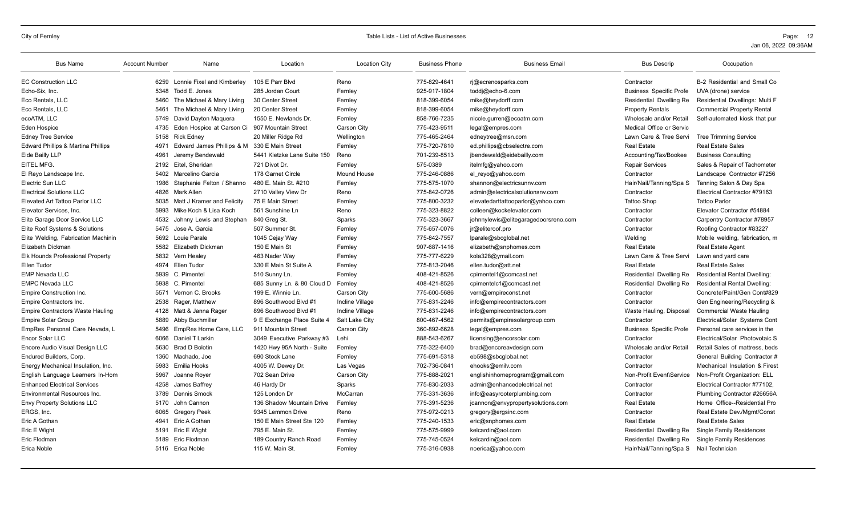| <b>Bus Name</b>                         | <b>Account Number</b> | Name                                          | Location                    | <b>Location City</b> | <b>Business Phone</b> | <b>Business Email</b>                | <b>Bus Descrip</b>                      | Occupation                          |
|-----------------------------------------|-----------------------|-----------------------------------------------|-----------------------------|----------------------|-----------------------|--------------------------------------|-----------------------------------------|-------------------------------------|
| <b>EC Construction LLC</b>              |                       | 6259 Lonnie Fixel and Kimberley               | 105 E Parr Blyd             | Reno                 | 775-829-4641          | ri@ecrenosparks.com                  | Contractor                              | B-2 Residential and Small Co        |
| Echo-Six, Inc.                          | 5348                  | Todd E. Jones                                 | 285 Jordan Court            | Fernley              | 925-917-1804          | toddj@echo-6.com                     | <b>Business Specific Profe</b>          | UVA (drone) service                 |
| Eco Rentals, LLC                        | 5460                  | The Michael & Mary Living                     | 30 Center Street            | Fernley              | 818-399-6054          | mike@heydorff.com                    | Residential Dwelling Re                 | Residential Dwellings: Multi F      |
| Eco Rentals, LLC                        | 5461                  | The Michael & Mary Living                     | 20 Center Street            | Fernley              | 818-399-6054          | mike@heydorff.com                    | <b>Property Rentals</b>                 | <b>Commercial Property Rental</b>   |
| ecoATM. LLC                             | 5749                  | David Dayton Maguera                          | 1550 E. Newlands Dr.        | Fernley              | 858-766-7235          | nicole.gurren@ecoatm.com             | Wholesale and/or Retail                 | Self-automated kiosk that pur       |
| Eden Hospice                            | 4735                  | Eden Hospice at Carson Ci 907 Mountain Street |                             | <b>Carson City</b>   | 775-423-9511          | legal@empres.com                     | Medical Office or Servic                |                                     |
| <b>Edney Tree Service</b>               | 5158                  | <b>Rick Edney</b>                             | 20 Miller Ridge Rd          | Wellington           | 775-465-2464          | edneytree@msn.com                    | Lawn Care & Tree Servi                  | <b>Tree Trimming Service</b>        |
| Edward Phillips & Martina Phillips      | 4971                  | Edward James Phillips & M                     | 330 E Main Street           | Fernley              | 775-720-7810          | ed.phillips@cbselectre.com           | <b>Real Estate</b>                      | <b>Real Estate Sales</b>            |
| Eide Bailly LLP                         | 4961                  | Jeremy Bendewald                              | 5441 Kietzke Lane Suite 150 | Reno                 | 701-239-8513          | jbendewald@eidebailly.com            | Accounting/Tax/Bookee                   | <b>Business Consulting</b>          |
| EITEL MFG.                              | 2192                  | Eitel, Sheridan                               | 721 Divot Dr.               | Fernley              | 575-0389              | itelmfg@yahoo.com                    | <b>Repair Services</b>                  | Sales & Repair of Tachometer        |
| El Reyo Landscape Inc.                  | 5402                  | Marcelino Garcia                              | 178 Garnet Circle           | <b>Mound House</b>   | 775-246-0886          | el reyo@yahoo.com                    | Contractor                              | Landscape Contractor #7256          |
| Electric Sun LLC                        | 1986                  | Stephanie Felton / Shanno                     | 480 E. Main St. #210        | Fernley              | 775-575-1070          | shannon@electricsunnv.com            | Hair/Nail/Tanning/Spa S                 | Tanning Salon & Day Spa             |
| <b>Electrical Solutions LLC</b>         | 4826                  | Mark Allen                                    | 2710 Valley View Dr         | Reno                 | 775-842-0726          | admin@electricalsolutionsnv.com      | Contractor                              | Electrical Contractor #79163        |
| Elevated Art Tattoo Parlor LLC          | 5035                  | Matt J Kramer and Felicity                    | 75 E Main Street            | Fernley              | 775-800-3232          | elevatedarttattooparlor@yahoo.com    | Tattoo Shop                             | <b>Tattoo Parlor</b>                |
| Elevator Services, Inc.                 | 5993                  | Mike Koch & Lisa Koch                         | 561 Sunshine Ln             | Reno                 | 775-323-8822          | colleen@kockelevator.com             | Contractor                              | Elevator Contractor #54884          |
| Elite Garage Door Service LLC           | 4532                  | Johnny Lewis and Stephan                      | 840 Greg St.                | Sparks               | 775-323-3667          | johnnylewis@elitegaragedoorsreno.com | Contractor                              | Carpentry Contractor #78957         |
| Elite Roof Systems & Solutions          | 5475                  | Jose A. Garcia                                | 507 Summer St.              | Fernley              | 775-657-0076          | jr@eliteroof.pro                     | Contractor                              | Roofing Contractor #83227           |
| Elite Welding, Fabrication Machinin     | 5692                  | <b>Louie Parale</b>                           | 1045 Cejay Way              | Fernley              | 775-842-7557          | lparale@sbcglobal.net                | Welding                                 | Mobile welding, fabrication, m      |
| Elizabeth Dickman                       | 5582                  | Elizabeth Dickman                             | 150 E Main St               | Fernley              | 907-687-1416          | elizabeth@snphomes.com               | <b>Real Estate</b>                      | Real Estate Agent                   |
| <b>Elk Hounds Professional Property</b> | 5832                  | Vern Healey                                   | 463 Nader Way               | Fernley              | 775-777-6229          | kola328@ymail.com                    | Lawn Care & Tree Servi                  | Lawn and yard care                  |
| Ellen Tudor                             | 4974                  | Ellen Tudor                                   | 330 E Main St Suite A       | Fernley              | 775-813-2046          | ellen.tudor@att.net                  | <b>Real Estate</b>                      | <b>Real Estate Sales</b>            |
| <b>EMP Nevada LLC</b>                   | 5939                  | C. Pimentel                                   | 510 Sunny Ln.               | Fernley              | 408-421-8526          | cpimentel1@comcast.net               | Residential Dwelling Re                 | <b>Residential Rental Dwelling:</b> |
| <b>EMPC Nevada LLC</b>                  | 5938                  | C. Pimentel                                   | 685 Sunny Ln. & 80 Cloud D  | Fernley              | 408-421-8526          | cpimentelc1@comcast.net              | Residential Dwelling Re                 | <b>Residential Rental Dwelling:</b> |
| <b>Empire Construction Inc.</b>         | 5571                  | Vernon C. Brooks                              | 199 E. Winnie Ln.           | Carson City          | 775-600-5686          | vern@empireconst.net                 | Contractor                              | Concrete/Paint/Gen Cont#829         |
| Empire Contractors Inc.                 | 2538                  | Rager, Matthew                                | 896 Southwood Blvd #1       | Incline Village      | 775-831-2246          | info@empirecontractors.com           | Contractor                              | Gen Engineering/Recycling &         |
| <b>Empire Contractors Waste Hauling</b> | 4128                  | Matt & Janna Rager                            | 896 Southwood Blvd #1       | Incline Village      | 775-831-2246          | info@empirecontractors.com           | Waste Hauling, Disposal                 | <b>Commercial Waste Hauling</b>     |
| <b>Empire Solar Group</b>               | 5889                  | Abby Buchmiller                               | 9 E Exchange Place Suite 4  | Salt Lake City       | 800-467-4562          | permits@empiresolargroup.com         | Contractor                              | Electrical/Solar Systems Cont       |
| EmpRes Personal Care Nevada, L          | 5496                  | EmpRes Home Care, LLC                         | 911 Mountain Street         | Carson City          | 360-892-6628          | legal@empres.com                     | <b>Business Specific Profe</b>          | Personal care services in the       |
| Encor Solar LLC                         | 6066                  | Daniel T Larkin                               | 3049 Executive Parkway #3   | Lehi                 | 888-543-6267          | licensing@encorsolar.com             | Contractor                              | Electrical/Solar Photovotaic S      |
| Encore Audio Visual Design LLC          | 5630                  | <b>Brad D Bolotin</b>                         | 1420 Hwy 95A North - Suite  | Fernley              | 775-322-6400          | brad@encoreavdesign.com              | Wholesale and/or Retail                 | Retail Sales of mattress, beds      |
| Endured Builders, Corp.                 | 1360                  | Machado, Joe                                  | 690 Stock Lane              | Fernley              | 775-691-5318          | eb598@sbcqlobal.net                  | Contractor                              | General Building Contractor #       |
| Energy Mechanical Insulation, Inc.      | 5983                  | Emilia Hooks                                  | 4005 W. Dewey Dr.           | Las Vegas            | 702-736-0841          | ehooks@emilv.com                     | Contractor                              | Mechanical Insulation & Firest      |
| English Language Learners In-Hom        | 5967                  | Joanne Rover                                  | 702 Sean Drive              | Carson City          | 775-888-2021          | englishinhomeprogram@gmail.com       | Non-Profit Event\Service                | Non-Profit Organization: ELL        |
| <b>Enhanced Electrical Services</b>     | 4258                  | James Baffrey                                 | 46 Hardy Dr                 | Sparks               | 775-830-2033          | admin@enhancedelectrical.net         | Contractor                              | Electrical Contractor #77102.       |
| <b>Environmental Resources Inc.</b>     | 3789                  | Dennis Smock                                  | 125 London Dr               | McCarran             | 775-331-3636          | info@easyrooterplumbing.com          | Contractor                              | Plumbing Contractor #26656A         |
| <b>Envy Property Solutions LLC</b>      | 5170                  | John Cannon                                   | 136 Shadow Mountain Drive   | Fernley              | 775-391-5236          | jcannon@envypropertysolutions.com    | <b>Real Estate</b>                      | Home Office--Residential Pro        |
| ERGS, Inc.                              | 6065                  | <b>Gregory Peek</b>                           | 9345 Lemmon Drive           | Reno                 | 775-972-0213          | gregory@ergsinc.com                  | Contractor                              | Real Estate Dev./Mgmt/Const         |
| Eric A Gothan                           | 4941                  | Eric A Gothan                                 | 150 E Main Street Ste 120   | Fernley              | 775-240-1533          | eric@snphomes.com                    | <b>Real Estate</b>                      | <b>Real Estate Sales</b>            |
| Eric E Wight                            | 5191                  | Eric E Wight                                  | 795 E. Main St.             | Fernley              | 775-575-9999          | kelcardin@aol.com                    | Residential Dwelling Re                 | <b>Single Family Residences</b>     |
| Eric Flodman                            | 5189                  | Eric Flodman                                  | 189 Country Ranch Road      | Fernley              | 775-745-0524          | kelcardin@aol.com                    | Residential Dwelling Re                 | <b>Single Family Residences</b>     |
| Erica Noble                             |                       | 5116 Erica Noble                              | 115 W. Main St.             | Fernley              | 775-316-0938          | noerica@yahoo.com                    | Hair/Nail/Tanning/Spa S Nail Technician |                                     |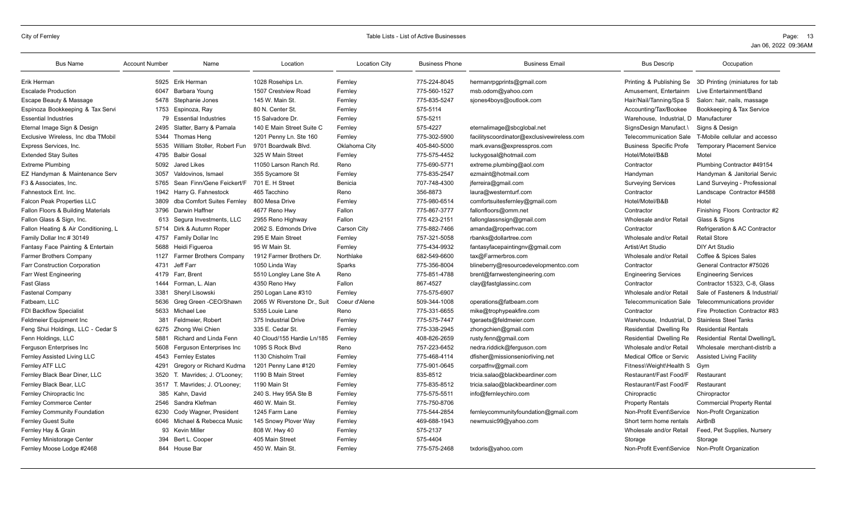| <b>Bus Name</b>                      | <b>Account Number</b> | Name                           | Location                    | <b>Location City</b> | <b>Business Phone</b> | <b>Business Email</b>                      | <b>Bus Descrip</b>                               | Occupation                         |
|--------------------------------------|-----------------------|--------------------------------|-----------------------------|----------------------|-----------------------|--------------------------------------------|--------------------------------------------------|------------------------------------|
| Erik Herman                          | 5925                  | Erik Herman                    | 1028 Rosehips Ln            | Fernley              | 775-224-8045          | hermanrpgprints@gmail.com                  | Printing & Publishing Se                         | 3D Printing (miniatures for tab    |
| <b>Escalade Production</b>           | 6047                  | Barbara Young                  | 1507 Crestview Road         | Fernley              | 775-560-1527          | msb.odom@yahoo.com                         | Amusement, Entertainm                            | Live Entertainment/Band            |
| Escape Beauty & Massage              | 5478                  | Stephanie Jones                | 145 W. Main St              | Fernley              | 775-835-5247          | sjones4boys@outlook.com                    | Hair/Nail/Tanning/Spa S                          | Salon: hair, nails, massage        |
| Espinoza Bookkeeping & Tax Servi     | 1753                  | Espinoza, Ray                  | 80 N. Center St.            | Fernley              | 575-5114              |                                            | Accounting/Tax/Bookee                            | Bookkeeping & Tax Service          |
| <b>Essential Industries</b>          | 79                    | <b>Essential Industries</b>    | 15 Salvadore Dr.            | Fernley              | 575-5211              |                                            | Warehouse, Industrial, D                         | Manufacturer                       |
| Eternal Image Sign & Design          | 2495                  | Slatter, Barry & Pamala        | 140 E Main Street Suite C   | Fernley              | 575-4227              | eternalimage@sbcglobal.net                 | SignsDesign Manufact.\                           | Signs & Design                     |
| Exclusive Wireless, Inc dba TMobil   | 5344                  | Thomas Heng                    | 1201 Penny Ln. Ste 160      | Fernley              | 775-302-5900          | facilityscoordinator@exclusivewireless.com | <b>Telecommunication Sale</b>                    | T-Mobile cellular and accesso      |
| Express Services, Inc.               | 5535                  | William Stoller, Robert Fun    | 9701 Boardwalk Blvd.        | Oklahoma City        | 405-840-5000          | mark.evans@expresspros.com                 | <b>Business Specific Profe</b>                   | <b>Temporary Placement Service</b> |
| <b>Extended Stay Suites</b>          | 4795                  | Balbir Gosal                   | 325 W Main Street           | Fernley              | 775-575-4452          | luckygosal@hotmail.com                     | Hotel/Motel/B&B                                  | Motel                              |
| <b>Extreme Plumbing</b>              | 5092                  | <b>Jared Likes</b>             | 11050 Larson Ranch Rd.      | Reno                 | 775-690-5771          | extreme.plumbing@aol.com                   | Contractor                                       | Plumbing Contractor #49154         |
| EZ Handyman & Maintenance Serv       | 3057                  | Valdovinos, Ismael             | 355 Sycamore St             | Fernley              | 775-835-2547          | ezmaint@hotmail.com                        | Handyman                                         | Handyman & Janitorial Servic       |
| F3 & Associates, Inc.                | 5765                  | Sean Finn/Gene Feickert/F      | 701 E. H Street             | Benicia              | 707-748-4300          | jferreira@gmail.com                        | <b>Surveying Services</b>                        | Land Surveying - Professional      |
| Fahnestock Ent. Inc.                 |                       | 1942 Harry G. Fahnestock       | 465 Tacchino                | Reno                 | 356-8873              | laura@westernturf.com                      | Contractor                                       | Landscape Contractor #4588         |
| <b>Falcon Peak Properties LLC</b>    | 3809                  | dba Comfort Suites Fernley     | 800 Mesa Drive              | Fernley              | 775-980-6514          | comfortsuitesfernley@gmail.com             | Hotel/Motel/B&B                                  | Hotel                              |
| Fallon Floors & Building Materials   | 3796                  | Darwin Haffner                 | 4677 Reno Hwv               | Fallon               | 775-867-3777          | fallonfloors@omm.net                       | Contractor                                       | Finishing Floors Contractor #2     |
| Fallon Glass & Sign, Inc.            | 613                   | Segura Investments, LLC        | 2955 Reno Highway           | Fallon               | 775 423-2151          | fallonglassnsign@gmail.com                 | Wholesale and/or Retail                          | Glass & Signs                      |
| Fallon Heating & Air Conditioning, L | 5714                  | Dirk & Autumn Roper            | 2062 S. Edmonds Drive       | Carson City          | 775-882-7466          | amanda@roperhvac.com                       | Contractor                                       | Refrigeration & AC Contractor      |
| Family Dollar Inc # 30149            | 4757                  | Family Dollar Inc              | 295 E Main Street           | Fernley              | 757-321-5058          | rbanks@dollartree.com                      | Wholesale and/or Retail                          | <b>Retail Store</b>                |
| Fantasy Face Painting & Entertain    | 5688                  | Heidi Figueroa                 | 95 W Main St.               | Fernley              | 775-434-9932          | fantasyfacepaintingnv@gmail.com            | Artist/Art Studio                                | <b>DIY Art Studio</b>              |
| <b>Farmer Brothers Company</b>       | 1127                  | <b>Farmer Brothers Company</b> | 1912 Farmer Brothers Dr.    | Northlake            | 682-549-6600          | tax@Farmerbros.com                         | Wholesale and/or Retail                          | Coffee & Spices Sales              |
| <b>Farr Construction Corporation</b> | 4731                  | Jeff Farr                      | 1050 Linda Way              | Sparks               | 775-356-8004          | blineberry@resourcedevelopmentco.com       | Contractor                                       | General Contractor #75026          |
| <b>Farr West Engineering</b>         | 4179                  | Farr, Brent                    | 5510 Longley Lane Ste A     | Reno                 | 775-851-4788          | brent@farrwestengineering.com              | <b>Engineering Services</b>                      | <b>Engineering Services</b>        |
| <b>Fast Glass</b>                    | 1444                  | Forman, L. Alan                | 4350 Reno Hwy               | Fallon               | 867-4527              | clay@fastglassinc.com                      | Contractor                                       | Contractor 15323, C-8, Glass       |
| <b>Fastenal Company</b>              | 3381                  | Sheryl Lisowski                | 250 Logan Lane #310         | Fernley              | 775-575-6907          |                                            | Wholesale and/or Retail                          | Sale of Fasteners & Industrial/    |
| Fatbeam, LLC                         | 5636                  | Greg Green -CEO/Shawn          | 2065 W Riverstone Dr., Suit | Coeur d'Alene        | 509-344-1008          | operations@fatbeam.com                     | <b>Telecommunication Sale</b>                    | Telecommunications provider        |
| <b>FDI Backflow Specialist</b>       | 5633                  | Michael Lee                    | 5355 Louie Lane             | Reno                 | 775-331-6655          | mike@trophypeakfire.com                    | Contractor                                       | Fire Protection Contractor #83     |
| Feldmeier Equipment Inc              | 381                   | Feldmeier, Robert              | 375 Industrial Drive        | Fernley              | 775-575-7447          | tgeraets@feldmeier.com                     | Warehouse, Industrial, D                         | <b>Stainless Steel Tanks</b>       |
| Feng Shui Holdings, LLC - Cedar S    | 6275                  | Zhong Wei Chien                | 335 E. Cedar St             | Fernley              | 775-338-2945          | zhongchien@gmail.com                       | Residential Dwelling Re                          | <b>Residential Rentals</b>         |
| Fenn Holdings, LLC                   | 5881                  | Richard and Linda Fenn         | 40 Cloud/155 Hardie Ln/185  | Fernley              | 408-826-2659          | rusty.fenn@gmail.com                       | Residential Dwelling Re                          | Residential Rental Dwelling/L      |
| Ferguson Enterprises Inc             | 5608                  | Ferguson Enterprises Inc       | 1095 S Rock Blvd            | Reno                 | 757-223-6452          | nedra.riddick@ferguson.com                 | Wholesale and/or Retail                          | Wholesale merchant-distrib a       |
| Fernley Assisted Living LLC          | 4543                  | <b>Fernley Estates</b>         | 1130 Chisholm Trail         | Fernley              | 775-468-4114          | dfisher@missionseniorliving.net            | Medical Office or Servic                         | <b>Assisted Living Facility</b>    |
| Fernley ATF LLC                      | 4291                  | Gregory or Richard Kudrna      | 1201 Penny Lane #120        | Fernley              | 775-901-0645          | corpatfnv@gmail.com                        | Fitness\Weight\Health S                          | Gym                                |
| Fernley Black Bear Diner, LLC        | 3520                  | T. Mavrides; J. O'Looney;      | 1190 B Main Street          | Fernley              | 835-8512              | tricia.salao@blackbeardiner.com            | Restaurant/Fast Food/F                           | Restaurant                         |
| Fernley Black Bear, LLC              |                       | 3517 T. Mavrides; J. O'Looney; | 1190 Main St                | Fernley              | 775-835-8512          | tricia.salao@blackbeardiner.com            | Restaurant/Fast Food/F                           | Restaurant                         |
| Fernley Chiropractic Inc             | 385                   | Kahn, David                    | 240 S. Hwy 95A Ste B        | Fernley              | 775-575-5511          | info@fernleychiro.com                      | Chiropractic                                     | Chiropractor                       |
| <b>Fernley Commerce Center</b>       | 2546                  | Sandra Klefman                 | 460 W. Main St              | Fernley              | 775-750-8706          |                                            | <b>Property Rentals</b>                          | <b>Commercial Property Rental</b>  |
| <b>Fernley Community Foundation</b>  | 6230                  | Cody Wagner, President         | 1245 Farm Lane              | Fernley              | 775-544-2854          | fernleycommunityfoundation@gmail.com       | Non-Profit Event\Service                         | Non-Profit Organization            |
| <b>Fernley Guest Suite</b>           | 6046                  | Michael & Rebecca Music        | 145 Snowy Plover Way        | Fernley              | 469-688-1943          | newmusic99@yahoo.com                       | Short term home rentals                          | AirBnB                             |
| Fernley Hay & Grain                  |                       | 93 Kevin Miller                | 808 W. Hwy 40               | Fernley              | 575-2137              |                                            | Wholesale and/or Retail                          | Feed, Pet Supplies, Nursery        |
| Fernley Ministorage Center           | 394                   | Bert L. Cooper                 | 405 Main Street             | Fernley              | 575-4404              |                                            | Storage                                          | Storage                            |
| Fernley Moose Lodge #2468            |                       | 844 House Bar                  | 450 W. Main St.             | Fernley              | 775-575-2468          | txdoris@yahoo.com                          | Non-Profit Event\Service Non-Profit Organization |                                    |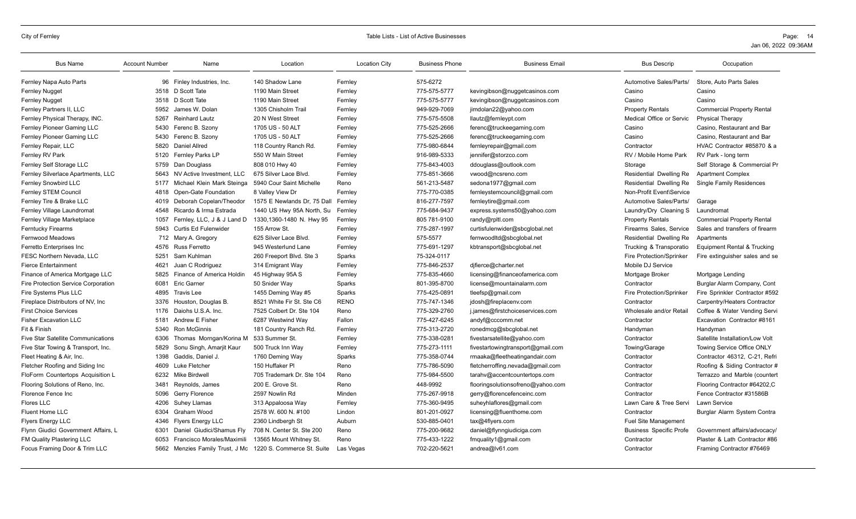| <b>Bus Name</b>                           | <b>Account Number</b> | Name                       | Location                    | <b>Location City</b> | <b>Business Phone</b> | <b>Business Email</b>             | <b>Bus Descrip</b>             | Occupation                             |
|-------------------------------------------|-----------------------|----------------------------|-----------------------------|----------------------|-----------------------|-----------------------------------|--------------------------------|----------------------------------------|
| Fernley Napa Auto Parts                   |                       | 96 Finley Industries, Inc. | 140 Shadow Lane             | Fernley              | 575-6272              |                                   | Automotive Sales/Parts/        | Store, Auto Parts Sales                |
| <b>Fernley Nugget</b>                     |                       | 3518 D Scott Tate          | 1190 Main Street            | Fernley              | 775-575-5777          | kevingibson@nuggetcasinos.com     | Casino                         | Casino                                 |
| <b>Fernley Nugget</b>                     | 3518                  | D Scott Tate               | 1190 Main Street            | Fernley              | 775-575-5777          | kevingibson@nuggetcasinos.com     | Casino                         | Casino                                 |
| Fernley Partners II, LLC                  | 5952                  | James W. Dolan             | 1305 Chisholm Trail         | Fernley              | 949-929-7069          | jimdolan22@yahoo.com              | <b>Property Rentals</b>        | <b>Commercial Property Rental</b>      |
| Fernley Physical Therapy, INC.            | 5267                  | <b>Reinhard Lautz</b>      | 20 N West Street            | Fernley              | 775-575-5508          | llautz@fernleypt.com              | Medical Office or Servic       | <b>Physical Therapy</b>                |
| Fernley Pioneer Gaming LLC                | 5430                  | Ferenc B. Szony            | 1705 US - 50 ALT            | Fernley              | 775-525-2666          | ferenc@truckeegaming.com          | Casino                         | Casino, Restaurant and Bar             |
| Fernley Pioneer Gaming LLC                | 5430                  | Ferenc B. Szonv            | 1705 US - 50 ALT            | Fernley              | 775-525-2666          | ferenc@truckeegaming.com          | Casino                         | Casino, Restaurant and Bar             |
| Fernley Repair, LLC                       | 5820                  | <b>Daniel Allred</b>       | 118 Country Ranch Rd.       | Fernley              | 775-980-6844          | fernleyrepair@gmail.com           | Contractor                     | HVAC Contractor #85870 & a             |
| Fernley RV Park                           | 5120                  | Fernley Parks LP           | 550 W Main Street           | Fernley              | 916-989-5333          | jennifer@storzco.com              | RV / Mobile Home Park          | RV Park - long term                    |
| Fernley Self Storage LLC                  | 5759                  | Dan Douglass               | 808 010 Hwy 40              | Fernley              | 775-843-4003          | ddouglass@outlook.com             | Storage                        | Self Storage & Commercial Pr           |
| Fernley Silverlace Apartments, LLC        | 5643                  | NV Active Investment, LLC  | 675 Silver Lace Blvd.       | Fernley              | 775-851-3666          | vwood@ncsreno.com                 | Residential Dwelling Re        | <b>Apartment Complex</b>               |
| <b>Fernley Snowbird LLC</b>               | 5177                  | Michael Klein Mark Steinga | 5940 Cour Saint Michelle    | Reno                 | 561-213-5487          | sedona1977@gmail.com              | Residential Dwelling Re        | <b>Single Family Residences</b>        |
| Fernley STEM Council                      | 4818                  | Open-Gate Foundation       | 8 Valley View Dr            | Fernley              | 775-770-0385          | fernleystemcouncil@gmail.com      | Non-Profit Event\Service       |                                        |
| Fernley Tire & Brake LLC                  | 4019                  | Deborah Copelan/Theodor    | 1575 E Newlands Dr, 75 Dall | Fernley              | 816-277-7597          | fernleytire@gmail.com             | Automotive Sales/Parts/        | Garage                                 |
| Fernley Village Laundromat                | 4548                  | Ricardo & Irma Estrada     | 1440 US Hwy 95A North, Su   | Fernley              | 775-684-9437          | express.systems50@yahoo.com       | Laundry/Dry Cleaning S         | Laundromat                             |
| Fernley Village Marketplace               | 1057                  | Fernley, LLC, J & J Land D | 1330,1360-1480 N. Hwy 95    | Fernley              | 805 781-9100          | randy@rpltl.com                   | <b>Property Rentals</b>        | <b>Commercial Property Rental</b>      |
| <b>Ferntucky Firearms</b>                 | 5943                  | Curtis Ed Fulenwider       | 155 Arrow St.               | Fernley              | 775-287-1997          | curtisfulenwider@sbcglobal.net    | Firearms Sales, Service        | Sales and transfers of firearm         |
| Fernwood Meadows                          |                       | 712 Mary A. Gregory        | 625 Silver Lace Blvd.       | Fernley              | 575-5577              | fernwoodltd@sbcglobal.net         | Residential Dwelling Re        | Apartments                             |
| Ferretto Enterprises Inc                  | 4576                  | <b>Russ Ferretto</b>       | 945 Westerlund Lane         | Fernley              | 775-691-1297          | kbtransport@sbcglobal.net         | Trucking & Transporatio        | <b>Equipment Rental &amp; Trucking</b> |
| <b>FESC Northern Nevada, LLC</b>          | 5251                  | Sam Kuhlman                | 260 Freeport Blvd. Ste 3    | Sparks               | 75-324-0117           |                                   | Fire Protection/Sprinker       | Fire extinguisher sales and se         |
| <b>Fierce Entertainment</b>               | 4621                  | Juan C Rodriguez           | 314 Emigrant Way            | Fernley              | 775-846-2537          | djfierce@charter.net              | Mobile DJ Service              |                                        |
| Finance of America Mortgage LLC           | 5825                  | Finance of America Holdin  | 45 Highway 95A S            | Fernley              | 775-835-4660          | licensing@financeofamerica.com    | Mortgage Broker                | Mortgage Lending                       |
| Fire Protection Service Corporation       | 6081                  | <b>Eric Garner</b>         | 50 Snider Wav               | Sparks               | 801-395-8700          | license@mountainalarm.com         | Contractor                     | Burglar Alarm Company, Cont            |
| Fire Systems Plus LLC                     | 4895                  | <b>Travis Lee</b>          | 1455 Deming Way #5          | Sparks               | 775-425-0891          | tleefsp@gmail.com                 | Fire Protection/Sprinker       | Fire Sprinkler Contractor #592         |
| Fireplace Distributors of NV, Inc.        | 3376                  | Houston, Douglas B.        | 8521 White Fir St. Ste C6   | <b>RENO</b>          | 775-747-1346          | jdosh@fireplacenv.com             | Contractor                     | Carpentry/Heaters Contractor           |
| <b>First Choice Services</b>              | 1176                  | Daiohs U.S.A. Inc.         | 7525 Colbert Dr. Ste 104    | Reno                 | 775-329-2760          | j.james@firstchoiceservices.com   | Wholesale and/or Retail        | Coffee & Water Vending Servi           |
| <b>Fisher Excavation LLC</b>              | 5181                  | Andrew E Fisher            | 6287 Westwind Way           | Fallon               | 775-427-6245          | andyf@cccomm.net                  | Contractor                     | Excavation Contractor #8161            |
| Fit & Finish                              | 5340                  | <b>Ron McGinnis</b>        | 181 Country Ranch Rd.       | Fernley              | 775-313-2720          | ronedmcg@sbcglobal.net            | Handyman                       | Handyman                               |
| <b>Five Star Satellite Communications</b> | 6306                  | Thomas Morngan/Korina M    | 533 Summer St.              | Fernley              | 775-338-0281          | fivestarsatellite@yahoo.com       | Contractor                     | Satellite Installation/Low Volt        |
| Five Star Towing & Transport, Inc.        | 5829                  | Sonu Singh, Amarjit Kaur   | 500 Truck Inn Way           | Fernley              | 775-273-1111          | fivestartowingtransport@gmail.com | Towing/Garage                  | Towing Service Office ONLY             |
| Fleet Heating & Air, Inc.                 | 1398                  | Gaddis, Daniel J.          | 1760 Deming Way             | Sparks               | 775-358-0744          | rmaaka@fleetheatingandair.com     | Contractor                     | Contractor 46312, C-21, Refri          |
| Fletcher Roofing and Siding Inc           | 4609                  | Luke Fletcher              | 150 Huffaker PI             | Reno                 | 775-786-5090          | fletcherroffing.nevada@gmail.com  | Contractor                     | Roofing & Siding Contractor #          |
| FloForm Countertops Acquisition L         | 6232                  | Mike Birdwell              | 705 Trademark Dr. Ste 104   | Reno                 | 775-984-5500          | tarahv@accentcountertops.com      | Contractor                     | Terrazzo and Marble (countert          |
| Flooring Solutions of Reno, Inc.          | 3481                  | Reynolds, James            | 200 E. Grove St.            | Reno                 | 448-9992              | flooringsolutionsofreno@yahoo.com | Contractor                     | Flooring Contractor #64202,C           |
| Florence Fence Inc                        | 5096                  | Gerry Florence             | 2597 Nowlin Rd              | Minden               | 775-267-9918          | gerry@florencefenceinc.com        | Contractor                     | Fence Contractor #31586B               |
| <b>Flores LLC</b>                         | 4206                  | Suhey Llamas               | 313 Appaloosa Way           | Fernley              | 775-360-9495          | suheyhlaflores@gmail.com          | Lawn Care & Tree Servi         | Lawn Service                           |
| Fluent Home LLC                           | 6304                  | Graham Wood                | 2578 W. 600 N. #100         | Lindon               | 801-201-0927          | licensing@fluenthome.com          | Contractor                     | Burglar Alarm System Contra            |
| <b>Flyers Energy LLC</b>                  | 4346                  | <b>Flyers Energy LLC</b>   | 2360 Lindbergh St           | Auburn               | 530-885-0401          | tax@4flyers.com                   | Fuel Site Management           |                                        |
| Flynn Giudici Government Affairs, L       | 6301                  | Daniel Giudici/Shamus Flv  | 708 N. Center St. Ste 200   | Reno                 | 775-200-9682          | daniel@flynngiudiciga.com         | <b>Business Specific Profe</b> | Government affairs/advocacy/           |
| FM Quality Plastering LLC                 | 6053                  | Francisco Morales/Maximili | 13565 Mount Whitney St.     | Reno                 | 775-433-1222          | fmquality1@gmail.com              | Contractor                     | Plaster & Lath Contractor #86          |
| Focus Framing Door & Trim LLC             | 5662                  | Menzies Family Trust, J Mc | 1220 S. Commerce St. Suite  | Las Vegas            | 702-220-5621          | andrea@lv61.com                   | Contractor                     | Framing Contractor #76469              |
|                                           |                       |                            |                             |                      |                       |                                   |                                |                                        |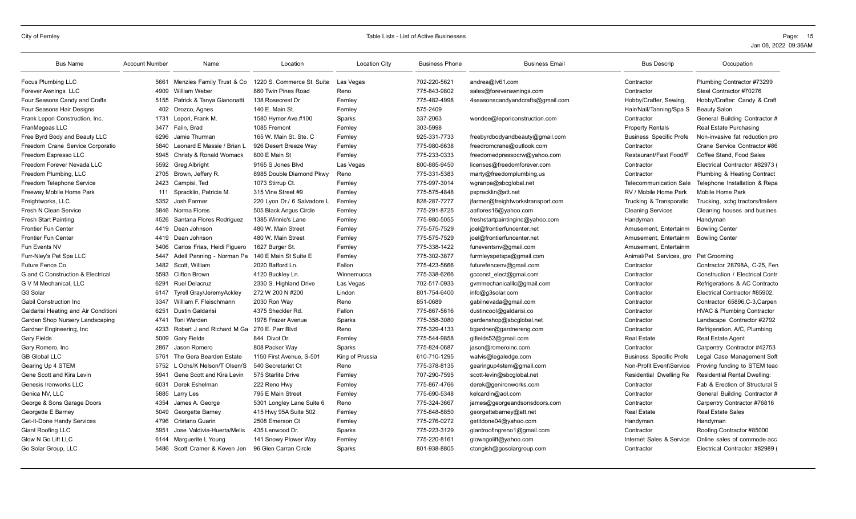| <b>Bus Name</b>                      | <b>Account Number</b> | Name                        | Location                    | <b>Location City</b> | <b>Business Phone</b> | <b>Business Email</b>             | <b>Bus Descrip</b>             | Occupation                            |
|--------------------------------------|-----------------------|-----------------------------|-----------------------------|----------------------|-----------------------|-----------------------------------|--------------------------------|---------------------------------------|
| <b>Focus Plumbing LLC</b>            | 5661                  | Menzies Family Trust & Co   | 1220 S. Commerce St. Suite  | Las Vegas            | 702-220-5621          | andrea@lv61.com                   | Contractor                     | Plumbing Contractor #73299            |
| Forever Awnings LLC                  | 4909                  | William Weber               | 860 Twin Pines Road         | Reno                 | 775-843-9802          | sales@foreverawnings.com          | Contractor                     | Steel Contractor #70276               |
| Four Seasons Candy and Crafts        | 5155                  | Patrick & Tanya Gianonatti  | 138 Rosecrest Dr            | Fernley              | 775-482-4998          | 4seasonscandyandcrafts@gmail.com  | Hobby/Crafter, Sewing          | Hobby/Crafter: Candy & Craft          |
| Four Seasons Hair Designs            | 402                   | Orozco, Agnes               | 140 E. Main St.             | Fernley              | 575-2409              |                                   | Hair/Nail/Tanning/Spa S        | <b>Beauty Salon</b>                   |
| Frank Lepori Construction, Inc.      | 1731                  | Lepori, Frank M.            | 1580 Hymer Ave.#100         | Sparks               | 337-2063              | wendee@leporiconstruction.com     | Contractor                     | General Building Contractor #         |
| FranMegeas LLC                       | 3477                  | Falin, Brad                 | 1085 Fremont                | Fernley              | 303-5998              |                                   | <b>Property Rentals</b>        | Real Estate Purchasing                |
| Free Byrd Body and Beauty LLC        | 6296                  | Jamie Thurman               | 165 W. Main St. Ste. C      | Fernley              | 925-331-7733          | freebyrdbodyandbeauty@gmail.com   | <b>Business Specific Profe</b> | Non-invasive fat reduction pro        |
| Freedom Crane Service Corporatio     | 5840                  | Leonard E Massie / Brian L  | 926 Desert Breeze Way       | Fernley              | 775-980-6638          | freedromcrane@outlook.com         | Contractor                     | Crane Service Contractor #86          |
| Freedom Espresso LLC                 | 5945                  | Christy & Ronald Womack     | 800 E Main St               | Fernley              | 775-233-0333          | freedomedpressocrw@yahoo.com      | Restaurant/Fast Food/F         | Coffee Stand, Food Sales              |
| Freedom Forever Nevada LLC           | 5592                  | Greg Albright               | 9165 S Jones Blvd           | Las Vegas            | 800-885-9450          | licenses@freedomforever.com       | Contractor                     | Electrical Contractor #82973 (        |
| Freedom Plumbing, LLC                | 2705                  | Brown, Jeffery R.           | 8985 Double Diamond Pkwy    | Reno                 | 775-331-5383          | marty@freedomplumbing.us          | Contractor                     | Plumbing & Heating Contract           |
| Freedom Telephone Service            | 2423                  | Campisi, Ted                | 1073 Stirrup Ct.            | Fernley              | 775-997-3014          | wgranpa@sbcglobal.net             | <b>Telecommunication Sale</b>  | Telephone Installation & Repa         |
| Freeway Mobile Home Park             | 111                   | Spracklin, Patricia M.      | 315 Vine Street #9          | Fernley              | 775-575-4848          | pspracklin@att.net                | RV / Mobile Home Park          | Mobile Home Park                      |
| Freightworks, LLC                    | 5352                  | Josh Farmer                 | 220 Lyon Dr./ 6 Salvadore L | Fernley              | 828-287-7277          | jfarmer@freightworkstransport.com | Trucking & Transporatio        | Trucking, xchg tractors/trailers      |
| Fresh N Clean Service                | 5846                  | Norma Flores                | 505 Black Angus Circle      | Fernley              | 775-291-8725          | aaflores16@yahoo.com              | <b>Cleaning Services</b>       | Cleaning houses and busines           |
| <b>Fresh Start Painting</b>          | 4526                  | Santana Flores Rodriguez    | 1385 Winnie's Lane          | Fernley              | 775-980-5055          | freshstartpaintinginc@yahoo.com   | Handyman                       | Handyman                              |
| <b>Frontier Fun Center</b>           | 4419                  | Dean Johnson                | 480 W. Main Street          | Fernley              | 775-575-7529          | joel@frontierfuncenter.net        | Amusement, Entertainm          | <b>Bowling Center</b>                 |
| <b>Frontier Fun Center</b>           | 4419                  | Dean Johnson                | 480 W. Main Street          | Fernley              | 775-575-7529          | joel@frontierfuncenter.net        | Amusement, Entertainm          | <b>Bowling Center</b>                 |
| Fun Events NV                        | 5406                  | Carlos Frias, Heidi Figuero | 1627 Burger St.             | Fernley              | 775-338-1422          | funeventsnv@gmail.com             | Amusement, Entertainm          |                                       |
| Furr-Nley's Pet Spa LLC              | 5447                  | Adell Panning - Norman Pa   | 140 E Main St Suite E       | Fernley              | 775-302-3877          | furrnleyspetspa@gmail.com         | Animal/Pet Services, gro       | Pet Grooming                          |
| <b>Future Fence Co</b>               | 3482                  | Scott. William              | 2020 Bafford Ln.            | Fallon               | 775-423-5666          | futurefencenv@gmail.com           | Contractor                     | Contractor 28798A. C-25. Fen          |
| G and C Construction & Electrical    | 5593                  | Clifton Brown               | 4120 Buckley Ln.            | Winnemucca           | 775-338-6266          | gcconst elect@gmai.com            | Contractor                     | Construction / Electrical Contr       |
| <b>GVM Mechanical, LLC</b>           | 6291                  | <b>Ruel Delacruz</b>        | 2330 S. Highland Drive      | Las Vegas            | 702-517-0933          | qvmmechanicalllc@gmail.com        | Contractor                     | Refrigerations & AC Contracto         |
| G3 Solar                             | 6147                  | Tyrell Gray/JeremyAckley    | 272 W 200 N #200            | Lindon               | 801-754-6400          | info@g3solar.com                  | Contractor                     | Electrical Contractor #85902,         |
| <b>Gabil Construction Inc.</b>       | 3347                  | William F. Fleischmann      | 2030 Ron Way                | Reno                 | 851-0689              | gabilnevada@gmail.com             | Contractor                     | Contractor 65896, C-3, Carpen         |
| Galdarisi Heating and Air Conditioni | 6251                  | <b>Dustin Galdarisi</b>     | 4375 Sheckler Rd.           | Fallon               | 775-867-5616          | dustincool@galdarisi.co           | Contractor                     | <b>HVAC &amp; Plumbing Contractor</b> |
| Garden Shop Nursery Landscaping      | 4741                  | Toni Warden                 | 1978 Frazer Avenue          | Sparks               | 775-358-3080          | gardenshop@sbcglobal.net          | Contractor                     | Landscape Contractor #2792            |
| Gardner Engineering, Inc.            | 4233                  | Robert J and Richard M Ga   | 270 E. Parr Blvd            | Reno                 | 775-329-4133          | bgardner@gardnereng.com           | Contractor                     | Refrigeration, A/C, Plumbing          |
| Gary Fields                          | 5009                  | <b>Gary Fields</b>          | 844 Divot Dr.               | Fernley              | 775-544-9858          | glfields52@gmail.com              | <b>Real Estate</b>             | <b>Real Estate Agent</b>              |
| Gary Romero, Inc                     | 2867                  | Jason Romero                | 808 Packer Way              | Sparks               | 775-824-0687          | jason@romeroinc.com               | Contractor                     | Carpentry Contractor #42753           |
| <b>GB Global LLC</b>                 | 5761                  | The Gera Bearden Estate     | 1150 First Avenue, S-501    | King of Prussia      | 610-710-1295          | walvis@legaledge.com              | <b>Business Specific Profe</b> | Legal Case Management Soft            |
| Gearing Up 4 STEM                    | 5752                  | L Ochs/K Nelson/T Olsen/S   | 540 Secretariet Ct          | Reno                 | 775-378-8135          | gearingup4stem@gmail.com          | Non-Profit Event\Service       | Proving funding to STEM teac          |
| Gene Scott and Kira Levin            | 5941                  | Gene Scott and Kira Levin   | 575 Starlite Drive          | Fernley              | 707-290-7595          | scott-levin@sbcglobal.net         | Residential Dwelling Re        | <b>Residential Rental Dwelling:</b>   |
| Genesis Ironworks LLC                | 6031                  | Derek Eshelman              | 222 Reno Hwy                | Fernley              | 775-867-4766          | derek@genironworks.com            | Contractor                     | Fab & Erection of Structural S        |
| Genica NV, LLC                       | 5885                  | Larry Les                   | 795 E Main Street           | Fernley              | 775-690-5348          | kelcardin@aol.com                 | Contractor                     | General Building Contractor #         |
| George & Sons Garage Doors           | 4354                  | James A. George             | 5301 Longley Lane Suite 6   | Reno                 | 775-324-3667          | james@georgeandsonsdoors.com      | Contractor                     | Carpentry Contractor #76816           |
| Georgette E Barney                   | 5049                  | Georgette Barney            | 415 Hwy 95A Suite 502       | Fernley              | 775-848-8850          | georgettebarney@att.net           | <b>Real Estate</b>             | <b>Real Estate Sales</b>              |
| Get-It-Done Handy Services           | 4796                  | Cristano Guarin             | 2508 Emerson Ct             | Fernley              | 775-276-0272          | getitdone04@yahoo.com             | Handyman                       | Handyman                              |
| <b>Giant Roofing LLC</b>             | 5951                  | Jose Valdivia-Huerta/Melis  | 435 Lenwood Dr.             | Sparks               | 775-223-3129          | giantroofingreno1@gmail.com       | Contractor                     | Roofing Contractor #85000             |
| Glow N Go Lift LLC                   | 6144                  | Marquerite L Young          | 141 Snowy Plower Way        | Fernley              | 775-220-8161          | glowngolift@yahoo.com             | Internet Sales & Service       | Online sales of commode acc           |
| Go Solar Group, LLC                  | 5486                  | Scott Cramer & Keven Jen    | 96 Glen Carran Circle       | Sparks               | 801-938-8805          | ctongish@gosolargroup.com         | Contractor                     | Electrical Contractor #82989 (        |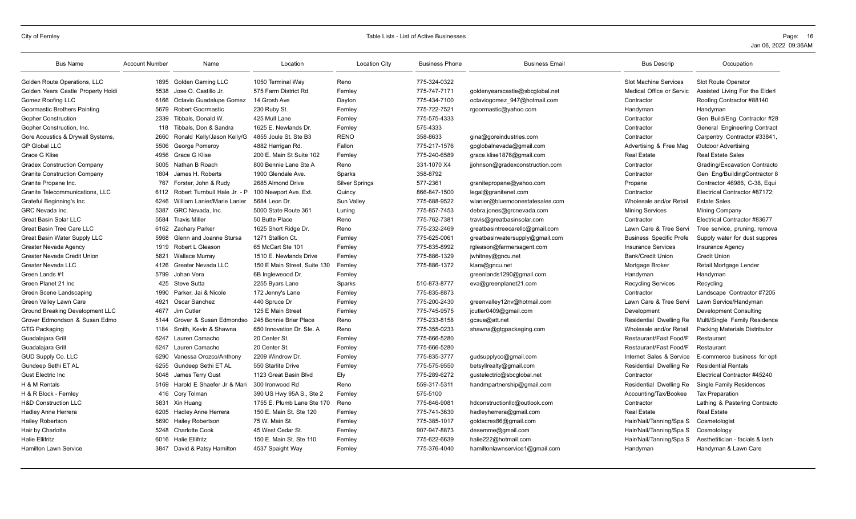| 775-324-0322<br>Slot Machine Services<br>Golden Route Operations, LLC<br>1895<br><b>Golden Gaming LLC</b><br>1050 Terminal Way<br>Reno<br><b>Slot Route Operator</b><br>775-747-7171<br>Golden Years Castle Property Holdi<br>5538<br>Jose O. Castillo Jr.<br>575 Farm District Rd.<br>goldenyearscastle@sbcglobal.net<br>Medical Office or Servic<br>Assisted Living For the Elderl<br>Fernley<br>775-434-7100<br>Roofing Contractor #88140<br>Gomez Roofing LLC<br>6166<br>Octavio Guadalupe Gomez<br>14 Grosh Ave<br>octaviogomez_947@hotmail.com<br>Dayton<br>Contractor<br>775-722-7521<br>Goormastic Brothers Painting<br>5679<br><b>Robert Goormastic</b><br>230 Ruby St.<br>rgoormastic@yahoo.com<br>Fernley<br>Handyman<br>Handyman<br>2339<br>Tibbals, Donald W.<br>775-575-4333<br>Gen Build/Eng Contractor #28<br>425 Mull Lane<br>Fernlev<br>Contractor<br>575-4333<br>Gopher Construction, Inc.<br>Tibbals, Don & Sandra<br>1625 E. Newlands Dr.<br><b>General Engineering Contract</b><br>118<br>Fernley<br>Contractor<br>Ronald Kelly/Jason Kelly/G<br><b>RENO</b><br>358-8633<br>Gore Acoustics & Drywall Systems,<br>2660<br>4855 Joule St. Ste B3<br>gina@goreindustries.com<br>Contractor<br>Carpentry Contractor #33841.<br>775-217-1576<br>gpglobalnevada@gmail.com<br>Advertising & Free Mag<br><b>GP Global LLC</b><br>5506<br>George Pomeroy<br>4882 Harrigan Rd.<br>Fallon<br><b>Outdoor Advertising</b><br>4956<br>Grace G Klise<br>200 E. Main St Suite 102<br>775-240-6589<br>grace.klise1876@gmail.com<br><b>Real Estate Sales</b><br><b>Real Estate</b><br>Fernley<br>331-1070 X4<br><b>Gradex Construction Company</b><br>5005<br>Nathan B Roach<br>800 Bennie Lane Ste A<br>Grading/Excavation Contracto<br>Reno<br>jjohnson@gradexconstruction.com<br>Contractor<br>358-8792<br><b>Granite Construction Company</b><br>1804<br>James H. Roberts<br>1900 Glendale Ave.<br>Sparks<br>Gen Eng/BuildingContractor 8<br>Contractor<br>Granite Propane Inc.<br>767<br>Forster, John & Rudy<br>2685 Almond Drive<br><b>Silver Springs</b><br>577-2361<br>Contractor 46986, C-38, Equi<br>granitepropane@yahoo.com<br>Propane<br>Granite Telecommunications, LLC<br>6112<br>Robert Turnbull Hale Jr. - P<br>100 Newport Ave. Ext.<br>Quincy<br>866-847-1500<br>legal@granitenet.com<br>Contractor<br>Electrical Contractor #87172:<br>William Lanier/Marie Lanier<br>775-688-9522<br>wlanier@bluemoonestatesales.com<br><b>Estate Sales</b><br>Grateful Beginning's Inc<br>6246<br>5684 Leon Dr.<br>Sun Valley<br>Wholesale and/or Retail<br>775-857-7453<br>5387<br>GRC Nevada, Inc.<br>5000 State Route 361<br>debra.jones@grcnevada.com<br>Mining Company<br>GRC Nevada Inc.<br>Lunina<br><b>Mining Services</b><br><b>Great Basin Solar LLC</b><br>5584<br><b>Travis Miller</b><br>50 Butte Place<br>775-762-7381<br>Reno<br>travis@greatbasinsolar.com<br>Contractor<br>Electrical Contractor #83677<br>775-232-2469<br><b>Great Basin Tree Care LLC</b><br>6162 Zachary Parker<br>1625 Short Ridge Dr.<br>Reno<br>greatbasintreecarellc@gmail.com<br>Lawn Care & Tree Servi<br>Tree service, pruning, remova<br>Great Basin Water Supply LLC<br>Glenn and Joanne Stursa<br>1271 Stallion Ct.<br>775-625-0061<br>greatbasinwatersupply@gmail.com<br><b>Business Specific Profe</b><br>Supply water for dust suppres<br>5968<br>Fernley<br>Greater Nevada Agency<br>1919<br>Robert L Gleason<br>65 McCart Ste 101<br>Fernley<br>775-835-8992<br>rgleason@farmersagent.com<br><b>Insurance Services</b><br><b>Insurance Agency</b><br>5821<br>1510 E. Newlands Drive<br>775-886-1329<br><b>Bank/Credit Union</b><br><b>Credit Union</b><br>Greater Nevada Credit Union<br><b>Wallace Murray</b><br>Fernley<br>jwhitney@gncu.net<br>775-886-1372<br>Greater Nevada LLC<br>4126<br><b>Greater Nevada LLC</b><br>150 E Main Street. Suite 130<br>klara@gncu.net<br>Mortgage Broker<br>Retail Mortgage Lender<br>Fernley<br>Green Lands #1<br>5799<br>Johan Vera<br>6B Ingleweood Dr.<br>greenlands1290@gmail.com<br>Handyman<br>Handyman<br>Fernley<br>510-873-8777<br>Green Planet 21 Inc<br>425<br><b>Steve Sutta</b><br>2255 Byars Lane<br>Sparks<br>eva@greenplanet21.com<br><b>Recycling Services</b><br>Recycling<br>775-835-8873<br>Landscape Contractor #7205<br>Green Scene Landscaping<br>1990<br>Parker, Jai & Nicole<br>172 Jenny's Lane<br>Fernley<br>Contractor<br>Green Valley Lawn Care<br>440 Spruce Dr<br>775-200-2430<br>Lawn Care & Tree Servi<br>Lawn Service/Handyman<br>4921<br>Oscar Sanchez<br>Fernley<br>greenvalley12nv@hotmail.com<br>Ground Breaking Development LLC<br>125 E Main Street<br>775-745-9575<br>Development Consulting<br>4677<br>Jim Cutler<br>jcutler0409@gmail.com<br>Development<br>Fernlev<br>245 Bonnie Briar Place<br>775-233-8158<br>Grover Edmondson & Susan Edmo<br>Grover & Susan Edmondso<br>gcsue@att.net<br>Multi/Single Family Residence<br>5144<br>Reno<br>Residential Dwelling Re<br>Smith, Kevin & Shawna<br>775-355-0233<br><b>GTG Packaging</b><br>1184<br>650 Innovation Dr. Ste. A<br>Reno<br>shawna@gtgpackaging.com<br>Wholesale and/or Retail<br>Packing Materials Distributor<br>Guadalajara Grill<br>Lauren Camacho<br>20 Center St.<br>775-666-5280<br>Restaurant/Fast Food/F<br>6247<br>Fernley<br>Restaurant<br>775-666-5280<br>Guadalajara Grill<br>6247<br>Lauren Camacho<br>20 Center St.<br>Fernley<br>Restaurant/Fast Food/F<br>Restaurant<br>775-835-3777<br>GUD Supply Co. LLC<br>6290<br>Vanessa Orozco/Anthony<br>2209 Windrow Dr.<br>Internet Sales & Service<br>Fernley<br>gudsupplyco@gmail.com<br>E-commerce business for opti<br>Gundeep Sethi ET AL<br>550 Starlite Drive<br>775-575-9550<br>Gundeep Sethi ET AL<br>6255<br>betsyllrealty@gmail.com<br>Residential Dwelling Re<br><b>Residential Rentals</b><br>Fernley<br>775-289-6272<br><b>Gust Electric Inc</b><br>5048<br>James Terry Gust<br>1123 Great Basin Blvd<br>Ely<br>gustelectric@sbcglobal.net<br>Electrical Contractor #45240<br>Contractor<br>Harold E Shaefer Jr & Mari<br>559-317-5311<br>Residential Dwelling Re<br><b>Single Family Residences</b><br>H & M Rentals<br>5169<br>300 Ironwood Rd<br>Reno<br>handmpartnership@gmail.com<br>575-5100<br>H & R Block - Fernley<br>416<br>Cory Tolman<br>390 US Hwy 95A S., Ste 2<br>Fernley<br>Accounting/Tax/Bookee<br><b>Tax Preparation</b><br><b>H&amp;D Construction LLC</b><br>5831<br>1755 E. Plumb Lane Ste 170<br>775-846-9081<br>hdconstructionllc@outlook.com<br>Lathing & Pastering Contracto<br>Xin Huang<br>Reno<br>Contractor<br>6205<br>Hadley Anne Herrera<br>150 E. Main St. Ste 120<br>775-741-3630<br><b>Real Estate</b><br><b>Real Estate</b><br><b>Hadley Anne Herrera</b><br>Fernley<br>hadleyherrera@gmail.com<br>75 W. Main St.<br>775-385-1017<br><b>Hailey Robertson</b><br>5690<br><b>Hailey Robertson</b><br>goldacres86@gmail.com<br>Hair/Nail/Tanning/Spa S<br>Fernley<br>Cosmetologist<br>Hair by Charlotte<br>5248<br><b>Charlotte Cook</b><br>45 West Cedar St.<br>907-947-8873<br>desemme@gmail.com<br>Hair/Nail/Tanning/Spa S<br>Fernley<br>Cosmotology<br><b>Halie Ellifritz</b><br><b>Halie Ellifritz</b><br>150 E. Main St. Ste 110<br>775-622-6639<br>Aesthetitician - facials & lash<br>6016<br>halie222@hotmail.com<br>Hair/Nail/Tanning/Spa S<br>Fernley<br>David & Patsy Hamilton<br>775-376-4040<br>Handyman & Lawn Care<br><b>Hamilton Lawn Service</b><br>3847<br>4537 Spaight Way<br>Fernley<br>hamiltonlawnservice1@gmail.com<br>Handyman | <b>Bus Name</b>            | <b>Account Number</b> | Name | Location | <b>Location City</b> | <b>Business Phone</b> | <b>Business Email</b> | <b>Bus Descrip</b> | Occupation |
|-----------------------------------------------------------------------------------------------------------------------------------------------------------------------------------------------------------------------------------------------------------------------------------------------------------------------------------------------------------------------------------------------------------------------------------------------------------------------------------------------------------------------------------------------------------------------------------------------------------------------------------------------------------------------------------------------------------------------------------------------------------------------------------------------------------------------------------------------------------------------------------------------------------------------------------------------------------------------------------------------------------------------------------------------------------------------------------------------------------------------------------------------------------------------------------------------------------------------------------------------------------------------------------------------------------------------------------------------------------------------------------------------------------------------------------------------------------------------------------------------------------------------------------------------------------------------------------------------------------------------------------------------------------------------------------------------------------------------------------------------------------------------------------------------------------------------------------------------------------------------------------------------------------------------------------------------------------------------------------------------------------------------------------------------------------------------------------------------------------------------------------------------------------------------------------------------------------------------------------------------------------------------------------------------------------------------------------------------------------------------------------------------------------------------------------------------------------------------------------------------------------------------------------------------------------------------------------------------------------------------------------------------------------------------------------------------------------------------------------------------------------------------------------------------------------------------------------------------------------------------------------------------------------------------------------------------------------------------------------------------------------------------------------------------------------------------------------------------------------------------------------------------------------------------------------------------------------------------------------------------------------------------------------------------------------------------------------------------------------------------------------------------------------------------------------------------------------------------------------------------------------------------------------------------------------------------------------------------------------------------------------------------------------------------------------------------------------------------------------------------------------------------------------------------------------------------------------------------------------------------------------------------------------------------------------------------------------------------------------------------------------------------------------------------------------------------------------------------------------------------------------------------------------------------------------------------------------------------------------------------------------------------------------------------------------------------------------------------------------------------------------------------------------------------------------------------------------------------------------------------------------------------------------------------------------------------------------------------------------------------------------------------------------------------------------------------------------------------------------------------------------------------------------------------------------------------------------------------------------------------------------------------------------------------------------------------------------------------------------------------------------------------------------------------------------------------------------------------------------------------------------------------------------------------------------------------------------------------------------------------------------------------------------------------------------------------------------------------------------------------------------------------------------------------------------------------------------------------------------------------------------------------------------------------------------------------------------------------------------------------------------------------------------------------------------------------------------------------------------------------------------------------------------------------------------------------------------------------------------------------------------------------------------------------------------------------------------------------------------------------------------------------------------------------------------------------------------------------------------------------------------------------------------------------------------------------------------------------------------------------------------------------------------------------------------------------------------------------------------------------------------------------------------------------------------------------------------------------------------------------------------------------------------------------------------------------------------------------------------------------------------------------------------------------------------------------------------------------------------------------------------------------------------------------------------------------------------------------------------------------------------------------------------------------------------------------------------------------------------------------------------------------------------------------------------------------------------------------------------------------------------------------------------------------------------------------------------------------------------------------------------------------------------------------------------------------------------------------------------------------------------------------------------------------------------------------------------------------------------------------------------------------------|----------------------------|-----------------------|------|----------|----------------------|-----------------------|-----------------------|--------------------|------------|
|                                                                                                                                                                                                                                                                                                                                                                                                                                                                                                                                                                                                                                                                                                                                                                                                                                                                                                                                                                                                                                                                                                                                                                                                                                                                                                                                                                                                                                                                                                                                                                                                                                                                                                                                                                                                                                                                                                                                                                                                                                                                                                                                                                                                                                                                                                                                                                                                                                                                                                                                                                                                                                                                                                                                                                                                                                                                                                                                                                                                                                                                                                                                                                                                                                                                                                                                                                                                                                                                                                                                                                                                                                                                                                                                                                                                                                                                                                                                                                                                                                                                                                                                                                                                                                                                                                                                                                                                                                                                                                                                                                                                                                                                                                                                                                                                                                                                                                                                                                                                                                                                                                                                                                                                                                                                                                                                                                                                                                                                                                                                                                                                                                                                                                                                                                                                                                                                                                                                                                                                                                                                                                                                                                                                                                                                                                                                                                                                                                                                                                                                                                                                                                                                                                                                                                                                                                                                                                                                                                                                                                                                                                                                                                                                                                                                                                                                                                                                                                                                                                                             |                            |                       |      |          |                      |                       |                       |                    |            |
|                                                                                                                                                                                                                                                                                                                                                                                                                                                                                                                                                                                                                                                                                                                                                                                                                                                                                                                                                                                                                                                                                                                                                                                                                                                                                                                                                                                                                                                                                                                                                                                                                                                                                                                                                                                                                                                                                                                                                                                                                                                                                                                                                                                                                                                                                                                                                                                                                                                                                                                                                                                                                                                                                                                                                                                                                                                                                                                                                                                                                                                                                                                                                                                                                                                                                                                                                                                                                                                                                                                                                                                                                                                                                                                                                                                                                                                                                                                                                                                                                                                                                                                                                                                                                                                                                                                                                                                                                                                                                                                                                                                                                                                                                                                                                                                                                                                                                                                                                                                                                                                                                                                                                                                                                                                                                                                                                                                                                                                                                                                                                                                                                                                                                                                                                                                                                                                                                                                                                                                                                                                                                                                                                                                                                                                                                                                                                                                                                                                                                                                                                                                                                                                                                                                                                                                                                                                                                                                                                                                                                                                                                                                                                                                                                                                                                                                                                                                                                                                                                                                             |                            |                       |      |          |                      |                       |                       |                    |            |
|                                                                                                                                                                                                                                                                                                                                                                                                                                                                                                                                                                                                                                                                                                                                                                                                                                                                                                                                                                                                                                                                                                                                                                                                                                                                                                                                                                                                                                                                                                                                                                                                                                                                                                                                                                                                                                                                                                                                                                                                                                                                                                                                                                                                                                                                                                                                                                                                                                                                                                                                                                                                                                                                                                                                                                                                                                                                                                                                                                                                                                                                                                                                                                                                                                                                                                                                                                                                                                                                                                                                                                                                                                                                                                                                                                                                                                                                                                                                                                                                                                                                                                                                                                                                                                                                                                                                                                                                                                                                                                                                                                                                                                                                                                                                                                                                                                                                                                                                                                                                                                                                                                                                                                                                                                                                                                                                                                                                                                                                                                                                                                                                                                                                                                                                                                                                                                                                                                                                                                                                                                                                                                                                                                                                                                                                                                                                                                                                                                                                                                                                                                                                                                                                                                                                                                                                                                                                                                                                                                                                                                                                                                                                                                                                                                                                                                                                                                                                                                                                                                                             |                            |                       |      |          |                      |                       |                       |                    |            |
|                                                                                                                                                                                                                                                                                                                                                                                                                                                                                                                                                                                                                                                                                                                                                                                                                                                                                                                                                                                                                                                                                                                                                                                                                                                                                                                                                                                                                                                                                                                                                                                                                                                                                                                                                                                                                                                                                                                                                                                                                                                                                                                                                                                                                                                                                                                                                                                                                                                                                                                                                                                                                                                                                                                                                                                                                                                                                                                                                                                                                                                                                                                                                                                                                                                                                                                                                                                                                                                                                                                                                                                                                                                                                                                                                                                                                                                                                                                                                                                                                                                                                                                                                                                                                                                                                                                                                                                                                                                                                                                                                                                                                                                                                                                                                                                                                                                                                                                                                                                                                                                                                                                                                                                                                                                                                                                                                                                                                                                                                                                                                                                                                                                                                                                                                                                                                                                                                                                                                                                                                                                                                                                                                                                                                                                                                                                                                                                                                                                                                                                                                                                                                                                                                                                                                                                                                                                                                                                                                                                                                                                                                                                                                                                                                                                                                                                                                                                                                                                                                                                             |                            |                       |      |          |                      |                       |                       |                    |            |
|                                                                                                                                                                                                                                                                                                                                                                                                                                                                                                                                                                                                                                                                                                                                                                                                                                                                                                                                                                                                                                                                                                                                                                                                                                                                                                                                                                                                                                                                                                                                                                                                                                                                                                                                                                                                                                                                                                                                                                                                                                                                                                                                                                                                                                                                                                                                                                                                                                                                                                                                                                                                                                                                                                                                                                                                                                                                                                                                                                                                                                                                                                                                                                                                                                                                                                                                                                                                                                                                                                                                                                                                                                                                                                                                                                                                                                                                                                                                                                                                                                                                                                                                                                                                                                                                                                                                                                                                                                                                                                                                                                                                                                                                                                                                                                                                                                                                                                                                                                                                                                                                                                                                                                                                                                                                                                                                                                                                                                                                                                                                                                                                                                                                                                                                                                                                                                                                                                                                                                                                                                                                                                                                                                                                                                                                                                                                                                                                                                                                                                                                                                                                                                                                                                                                                                                                                                                                                                                                                                                                                                                                                                                                                                                                                                                                                                                                                                                                                                                                                                                             | <b>Gopher Construction</b> |                       |      |          |                      |                       |                       |                    |            |
|                                                                                                                                                                                                                                                                                                                                                                                                                                                                                                                                                                                                                                                                                                                                                                                                                                                                                                                                                                                                                                                                                                                                                                                                                                                                                                                                                                                                                                                                                                                                                                                                                                                                                                                                                                                                                                                                                                                                                                                                                                                                                                                                                                                                                                                                                                                                                                                                                                                                                                                                                                                                                                                                                                                                                                                                                                                                                                                                                                                                                                                                                                                                                                                                                                                                                                                                                                                                                                                                                                                                                                                                                                                                                                                                                                                                                                                                                                                                                                                                                                                                                                                                                                                                                                                                                                                                                                                                                                                                                                                                                                                                                                                                                                                                                                                                                                                                                                                                                                                                                                                                                                                                                                                                                                                                                                                                                                                                                                                                                                                                                                                                                                                                                                                                                                                                                                                                                                                                                                                                                                                                                                                                                                                                                                                                                                                                                                                                                                                                                                                                                                                                                                                                                                                                                                                                                                                                                                                                                                                                                                                                                                                                                                                                                                                                                                                                                                                                                                                                                                                             |                            |                       |      |          |                      |                       |                       |                    |            |
|                                                                                                                                                                                                                                                                                                                                                                                                                                                                                                                                                                                                                                                                                                                                                                                                                                                                                                                                                                                                                                                                                                                                                                                                                                                                                                                                                                                                                                                                                                                                                                                                                                                                                                                                                                                                                                                                                                                                                                                                                                                                                                                                                                                                                                                                                                                                                                                                                                                                                                                                                                                                                                                                                                                                                                                                                                                                                                                                                                                                                                                                                                                                                                                                                                                                                                                                                                                                                                                                                                                                                                                                                                                                                                                                                                                                                                                                                                                                                                                                                                                                                                                                                                                                                                                                                                                                                                                                                                                                                                                                                                                                                                                                                                                                                                                                                                                                                                                                                                                                                                                                                                                                                                                                                                                                                                                                                                                                                                                                                                                                                                                                                                                                                                                                                                                                                                                                                                                                                                                                                                                                                                                                                                                                                                                                                                                                                                                                                                                                                                                                                                                                                                                                                                                                                                                                                                                                                                                                                                                                                                                                                                                                                                                                                                                                                                                                                                                                                                                                                                                             |                            |                       |      |          |                      |                       |                       |                    |            |
|                                                                                                                                                                                                                                                                                                                                                                                                                                                                                                                                                                                                                                                                                                                                                                                                                                                                                                                                                                                                                                                                                                                                                                                                                                                                                                                                                                                                                                                                                                                                                                                                                                                                                                                                                                                                                                                                                                                                                                                                                                                                                                                                                                                                                                                                                                                                                                                                                                                                                                                                                                                                                                                                                                                                                                                                                                                                                                                                                                                                                                                                                                                                                                                                                                                                                                                                                                                                                                                                                                                                                                                                                                                                                                                                                                                                                                                                                                                                                                                                                                                                                                                                                                                                                                                                                                                                                                                                                                                                                                                                                                                                                                                                                                                                                                                                                                                                                                                                                                                                                                                                                                                                                                                                                                                                                                                                                                                                                                                                                                                                                                                                                                                                                                                                                                                                                                                                                                                                                                                                                                                                                                                                                                                                                                                                                                                                                                                                                                                                                                                                                                                                                                                                                                                                                                                                                                                                                                                                                                                                                                                                                                                                                                                                                                                                                                                                                                                                                                                                                                                             |                            |                       |      |          |                      |                       |                       |                    |            |
|                                                                                                                                                                                                                                                                                                                                                                                                                                                                                                                                                                                                                                                                                                                                                                                                                                                                                                                                                                                                                                                                                                                                                                                                                                                                                                                                                                                                                                                                                                                                                                                                                                                                                                                                                                                                                                                                                                                                                                                                                                                                                                                                                                                                                                                                                                                                                                                                                                                                                                                                                                                                                                                                                                                                                                                                                                                                                                                                                                                                                                                                                                                                                                                                                                                                                                                                                                                                                                                                                                                                                                                                                                                                                                                                                                                                                                                                                                                                                                                                                                                                                                                                                                                                                                                                                                                                                                                                                                                                                                                                                                                                                                                                                                                                                                                                                                                                                                                                                                                                                                                                                                                                                                                                                                                                                                                                                                                                                                                                                                                                                                                                                                                                                                                                                                                                                                                                                                                                                                                                                                                                                                                                                                                                                                                                                                                                                                                                                                                                                                                                                                                                                                                                                                                                                                                                                                                                                                                                                                                                                                                                                                                                                                                                                                                                                                                                                                                                                                                                                                                             | Grace G Klise              |                       |      |          |                      |                       |                       |                    |            |
|                                                                                                                                                                                                                                                                                                                                                                                                                                                                                                                                                                                                                                                                                                                                                                                                                                                                                                                                                                                                                                                                                                                                                                                                                                                                                                                                                                                                                                                                                                                                                                                                                                                                                                                                                                                                                                                                                                                                                                                                                                                                                                                                                                                                                                                                                                                                                                                                                                                                                                                                                                                                                                                                                                                                                                                                                                                                                                                                                                                                                                                                                                                                                                                                                                                                                                                                                                                                                                                                                                                                                                                                                                                                                                                                                                                                                                                                                                                                                                                                                                                                                                                                                                                                                                                                                                                                                                                                                                                                                                                                                                                                                                                                                                                                                                                                                                                                                                                                                                                                                                                                                                                                                                                                                                                                                                                                                                                                                                                                                                                                                                                                                                                                                                                                                                                                                                                                                                                                                                                                                                                                                                                                                                                                                                                                                                                                                                                                                                                                                                                                                                                                                                                                                                                                                                                                                                                                                                                                                                                                                                                                                                                                                                                                                                                                                                                                                                                                                                                                                                                             |                            |                       |      |          |                      |                       |                       |                    |            |
|                                                                                                                                                                                                                                                                                                                                                                                                                                                                                                                                                                                                                                                                                                                                                                                                                                                                                                                                                                                                                                                                                                                                                                                                                                                                                                                                                                                                                                                                                                                                                                                                                                                                                                                                                                                                                                                                                                                                                                                                                                                                                                                                                                                                                                                                                                                                                                                                                                                                                                                                                                                                                                                                                                                                                                                                                                                                                                                                                                                                                                                                                                                                                                                                                                                                                                                                                                                                                                                                                                                                                                                                                                                                                                                                                                                                                                                                                                                                                                                                                                                                                                                                                                                                                                                                                                                                                                                                                                                                                                                                                                                                                                                                                                                                                                                                                                                                                                                                                                                                                                                                                                                                                                                                                                                                                                                                                                                                                                                                                                                                                                                                                                                                                                                                                                                                                                                                                                                                                                                                                                                                                                                                                                                                                                                                                                                                                                                                                                                                                                                                                                                                                                                                                                                                                                                                                                                                                                                                                                                                                                                                                                                                                                                                                                                                                                                                                                                                                                                                                                                             |                            |                       |      |          |                      |                       |                       |                    |            |
|                                                                                                                                                                                                                                                                                                                                                                                                                                                                                                                                                                                                                                                                                                                                                                                                                                                                                                                                                                                                                                                                                                                                                                                                                                                                                                                                                                                                                                                                                                                                                                                                                                                                                                                                                                                                                                                                                                                                                                                                                                                                                                                                                                                                                                                                                                                                                                                                                                                                                                                                                                                                                                                                                                                                                                                                                                                                                                                                                                                                                                                                                                                                                                                                                                                                                                                                                                                                                                                                                                                                                                                                                                                                                                                                                                                                                                                                                                                                                                                                                                                                                                                                                                                                                                                                                                                                                                                                                                                                                                                                                                                                                                                                                                                                                                                                                                                                                                                                                                                                                                                                                                                                                                                                                                                                                                                                                                                                                                                                                                                                                                                                                                                                                                                                                                                                                                                                                                                                                                                                                                                                                                                                                                                                                                                                                                                                                                                                                                                                                                                                                                                                                                                                                                                                                                                                                                                                                                                                                                                                                                                                                                                                                                                                                                                                                                                                                                                                                                                                                                                             |                            |                       |      |          |                      |                       |                       |                    |            |
|                                                                                                                                                                                                                                                                                                                                                                                                                                                                                                                                                                                                                                                                                                                                                                                                                                                                                                                                                                                                                                                                                                                                                                                                                                                                                                                                                                                                                                                                                                                                                                                                                                                                                                                                                                                                                                                                                                                                                                                                                                                                                                                                                                                                                                                                                                                                                                                                                                                                                                                                                                                                                                                                                                                                                                                                                                                                                                                                                                                                                                                                                                                                                                                                                                                                                                                                                                                                                                                                                                                                                                                                                                                                                                                                                                                                                                                                                                                                                                                                                                                                                                                                                                                                                                                                                                                                                                                                                                                                                                                                                                                                                                                                                                                                                                                                                                                                                                                                                                                                                                                                                                                                                                                                                                                                                                                                                                                                                                                                                                                                                                                                                                                                                                                                                                                                                                                                                                                                                                                                                                                                                                                                                                                                                                                                                                                                                                                                                                                                                                                                                                                                                                                                                                                                                                                                                                                                                                                                                                                                                                                                                                                                                                                                                                                                                                                                                                                                                                                                                                                             |                            |                       |      |          |                      |                       |                       |                    |            |
|                                                                                                                                                                                                                                                                                                                                                                                                                                                                                                                                                                                                                                                                                                                                                                                                                                                                                                                                                                                                                                                                                                                                                                                                                                                                                                                                                                                                                                                                                                                                                                                                                                                                                                                                                                                                                                                                                                                                                                                                                                                                                                                                                                                                                                                                                                                                                                                                                                                                                                                                                                                                                                                                                                                                                                                                                                                                                                                                                                                                                                                                                                                                                                                                                                                                                                                                                                                                                                                                                                                                                                                                                                                                                                                                                                                                                                                                                                                                                                                                                                                                                                                                                                                                                                                                                                                                                                                                                                                                                                                                                                                                                                                                                                                                                                                                                                                                                                                                                                                                                                                                                                                                                                                                                                                                                                                                                                                                                                                                                                                                                                                                                                                                                                                                                                                                                                                                                                                                                                                                                                                                                                                                                                                                                                                                                                                                                                                                                                                                                                                                                                                                                                                                                                                                                                                                                                                                                                                                                                                                                                                                                                                                                                                                                                                                                                                                                                                                                                                                                                                             |                            |                       |      |          |                      |                       |                       |                    |            |
|                                                                                                                                                                                                                                                                                                                                                                                                                                                                                                                                                                                                                                                                                                                                                                                                                                                                                                                                                                                                                                                                                                                                                                                                                                                                                                                                                                                                                                                                                                                                                                                                                                                                                                                                                                                                                                                                                                                                                                                                                                                                                                                                                                                                                                                                                                                                                                                                                                                                                                                                                                                                                                                                                                                                                                                                                                                                                                                                                                                                                                                                                                                                                                                                                                                                                                                                                                                                                                                                                                                                                                                                                                                                                                                                                                                                                                                                                                                                                                                                                                                                                                                                                                                                                                                                                                                                                                                                                                                                                                                                                                                                                                                                                                                                                                                                                                                                                                                                                                                                                                                                                                                                                                                                                                                                                                                                                                                                                                                                                                                                                                                                                                                                                                                                                                                                                                                                                                                                                                                                                                                                                                                                                                                                                                                                                                                                                                                                                                                                                                                                                                                                                                                                                                                                                                                                                                                                                                                                                                                                                                                                                                                                                                                                                                                                                                                                                                                                                                                                                                                             |                            |                       |      |          |                      |                       |                       |                    |            |
|                                                                                                                                                                                                                                                                                                                                                                                                                                                                                                                                                                                                                                                                                                                                                                                                                                                                                                                                                                                                                                                                                                                                                                                                                                                                                                                                                                                                                                                                                                                                                                                                                                                                                                                                                                                                                                                                                                                                                                                                                                                                                                                                                                                                                                                                                                                                                                                                                                                                                                                                                                                                                                                                                                                                                                                                                                                                                                                                                                                                                                                                                                                                                                                                                                                                                                                                                                                                                                                                                                                                                                                                                                                                                                                                                                                                                                                                                                                                                                                                                                                                                                                                                                                                                                                                                                                                                                                                                                                                                                                                                                                                                                                                                                                                                                                                                                                                                                                                                                                                                                                                                                                                                                                                                                                                                                                                                                                                                                                                                                                                                                                                                                                                                                                                                                                                                                                                                                                                                                                                                                                                                                                                                                                                                                                                                                                                                                                                                                                                                                                                                                                                                                                                                                                                                                                                                                                                                                                                                                                                                                                                                                                                                                                                                                                                                                                                                                                                                                                                                                                             |                            |                       |      |          |                      |                       |                       |                    |            |
|                                                                                                                                                                                                                                                                                                                                                                                                                                                                                                                                                                                                                                                                                                                                                                                                                                                                                                                                                                                                                                                                                                                                                                                                                                                                                                                                                                                                                                                                                                                                                                                                                                                                                                                                                                                                                                                                                                                                                                                                                                                                                                                                                                                                                                                                                                                                                                                                                                                                                                                                                                                                                                                                                                                                                                                                                                                                                                                                                                                                                                                                                                                                                                                                                                                                                                                                                                                                                                                                                                                                                                                                                                                                                                                                                                                                                                                                                                                                                                                                                                                                                                                                                                                                                                                                                                                                                                                                                                                                                                                                                                                                                                                                                                                                                                                                                                                                                                                                                                                                                                                                                                                                                                                                                                                                                                                                                                                                                                                                                                                                                                                                                                                                                                                                                                                                                                                                                                                                                                                                                                                                                                                                                                                                                                                                                                                                                                                                                                                                                                                                                                                                                                                                                                                                                                                                                                                                                                                                                                                                                                                                                                                                                                                                                                                                                                                                                                                                                                                                                                                             |                            |                       |      |          |                      |                       |                       |                    |            |
|                                                                                                                                                                                                                                                                                                                                                                                                                                                                                                                                                                                                                                                                                                                                                                                                                                                                                                                                                                                                                                                                                                                                                                                                                                                                                                                                                                                                                                                                                                                                                                                                                                                                                                                                                                                                                                                                                                                                                                                                                                                                                                                                                                                                                                                                                                                                                                                                                                                                                                                                                                                                                                                                                                                                                                                                                                                                                                                                                                                                                                                                                                                                                                                                                                                                                                                                                                                                                                                                                                                                                                                                                                                                                                                                                                                                                                                                                                                                                                                                                                                                                                                                                                                                                                                                                                                                                                                                                                                                                                                                                                                                                                                                                                                                                                                                                                                                                                                                                                                                                                                                                                                                                                                                                                                                                                                                                                                                                                                                                                                                                                                                                                                                                                                                                                                                                                                                                                                                                                                                                                                                                                                                                                                                                                                                                                                                                                                                                                                                                                                                                                                                                                                                                                                                                                                                                                                                                                                                                                                                                                                                                                                                                                                                                                                                                                                                                                                                                                                                                                                             |                            |                       |      |          |                      |                       |                       |                    |            |
|                                                                                                                                                                                                                                                                                                                                                                                                                                                                                                                                                                                                                                                                                                                                                                                                                                                                                                                                                                                                                                                                                                                                                                                                                                                                                                                                                                                                                                                                                                                                                                                                                                                                                                                                                                                                                                                                                                                                                                                                                                                                                                                                                                                                                                                                                                                                                                                                                                                                                                                                                                                                                                                                                                                                                                                                                                                                                                                                                                                                                                                                                                                                                                                                                                                                                                                                                                                                                                                                                                                                                                                                                                                                                                                                                                                                                                                                                                                                                                                                                                                                                                                                                                                                                                                                                                                                                                                                                                                                                                                                                                                                                                                                                                                                                                                                                                                                                                                                                                                                                                                                                                                                                                                                                                                                                                                                                                                                                                                                                                                                                                                                                                                                                                                                                                                                                                                                                                                                                                                                                                                                                                                                                                                                                                                                                                                                                                                                                                                                                                                                                                                                                                                                                                                                                                                                                                                                                                                                                                                                                                                                                                                                                                                                                                                                                                                                                                                                                                                                                                                             |                            |                       |      |          |                      |                       |                       |                    |            |
|                                                                                                                                                                                                                                                                                                                                                                                                                                                                                                                                                                                                                                                                                                                                                                                                                                                                                                                                                                                                                                                                                                                                                                                                                                                                                                                                                                                                                                                                                                                                                                                                                                                                                                                                                                                                                                                                                                                                                                                                                                                                                                                                                                                                                                                                                                                                                                                                                                                                                                                                                                                                                                                                                                                                                                                                                                                                                                                                                                                                                                                                                                                                                                                                                                                                                                                                                                                                                                                                                                                                                                                                                                                                                                                                                                                                                                                                                                                                                                                                                                                                                                                                                                                                                                                                                                                                                                                                                                                                                                                                                                                                                                                                                                                                                                                                                                                                                                                                                                                                                                                                                                                                                                                                                                                                                                                                                                                                                                                                                                                                                                                                                                                                                                                                                                                                                                                                                                                                                                                                                                                                                                                                                                                                                                                                                                                                                                                                                                                                                                                                                                                                                                                                                                                                                                                                                                                                                                                                                                                                                                                                                                                                                                                                                                                                                                                                                                                                                                                                                                                             |                            |                       |      |          |                      |                       |                       |                    |            |
|                                                                                                                                                                                                                                                                                                                                                                                                                                                                                                                                                                                                                                                                                                                                                                                                                                                                                                                                                                                                                                                                                                                                                                                                                                                                                                                                                                                                                                                                                                                                                                                                                                                                                                                                                                                                                                                                                                                                                                                                                                                                                                                                                                                                                                                                                                                                                                                                                                                                                                                                                                                                                                                                                                                                                                                                                                                                                                                                                                                                                                                                                                                                                                                                                                                                                                                                                                                                                                                                                                                                                                                                                                                                                                                                                                                                                                                                                                                                                                                                                                                                                                                                                                                                                                                                                                                                                                                                                                                                                                                                                                                                                                                                                                                                                                                                                                                                                                                                                                                                                                                                                                                                                                                                                                                                                                                                                                                                                                                                                                                                                                                                                                                                                                                                                                                                                                                                                                                                                                                                                                                                                                                                                                                                                                                                                                                                                                                                                                                                                                                                                                                                                                                                                                                                                                                                                                                                                                                                                                                                                                                                                                                                                                                                                                                                                                                                                                                                                                                                                                                             |                            |                       |      |          |                      |                       |                       |                    |            |
|                                                                                                                                                                                                                                                                                                                                                                                                                                                                                                                                                                                                                                                                                                                                                                                                                                                                                                                                                                                                                                                                                                                                                                                                                                                                                                                                                                                                                                                                                                                                                                                                                                                                                                                                                                                                                                                                                                                                                                                                                                                                                                                                                                                                                                                                                                                                                                                                                                                                                                                                                                                                                                                                                                                                                                                                                                                                                                                                                                                                                                                                                                                                                                                                                                                                                                                                                                                                                                                                                                                                                                                                                                                                                                                                                                                                                                                                                                                                                                                                                                                                                                                                                                                                                                                                                                                                                                                                                                                                                                                                                                                                                                                                                                                                                                                                                                                                                                                                                                                                                                                                                                                                                                                                                                                                                                                                                                                                                                                                                                                                                                                                                                                                                                                                                                                                                                                                                                                                                                                                                                                                                                                                                                                                                                                                                                                                                                                                                                                                                                                                                                                                                                                                                                                                                                                                                                                                                                                                                                                                                                                                                                                                                                                                                                                                                                                                                                                                                                                                                                                             |                            |                       |      |          |                      |                       |                       |                    |            |
|                                                                                                                                                                                                                                                                                                                                                                                                                                                                                                                                                                                                                                                                                                                                                                                                                                                                                                                                                                                                                                                                                                                                                                                                                                                                                                                                                                                                                                                                                                                                                                                                                                                                                                                                                                                                                                                                                                                                                                                                                                                                                                                                                                                                                                                                                                                                                                                                                                                                                                                                                                                                                                                                                                                                                                                                                                                                                                                                                                                                                                                                                                                                                                                                                                                                                                                                                                                                                                                                                                                                                                                                                                                                                                                                                                                                                                                                                                                                                                                                                                                                                                                                                                                                                                                                                                                                                                                                                                                                                                                                                                                                                                                                                                                                                                                                                                                                                                                                                                                                                                                                                                                                                                                                                                                                                                                                                                                                                                                                                                                                                                                                                                                                                                                                                                                                                                                                                                                                                                                                                                                                                                                                                                                                                                                                                                                                                                                                                                                                                                                                                                                                                                                                                                                                                                                                                                                                                                                                                                                                                                                                                                                                                                                                                                                                                                                                                                                                                                                                                                                             |                            |                       |      |          |                      |                       |                       |                    |            |
|                                                                                                                                                                                                                                                                                                                                                                                                                                                                                                                                                                                                                                                                                                                                                                                                                                                                                                                                                                                                                                                                                                                                                                                                                                                                                                                                                                                                                                                                                                                                                                                                                                                                                                                                                                                                                                                                                                                                                                                                                                                                                                                                                                                                                                                                                                                                                                                                                                                                                                                                                                                                                                                                                                                                                                                                                                                                                                                                                                                                                                                                                                                                                                                                                                                                                                                                                                                                                                                                                                                                                                                                                                                                                                                                                                                                                                                                                                                                                                                                                                                                                                                                                                                                                                                                                                                                                                                                                                                                                                                                                                                                                                                                                                                                                                                                                                                                                                                                                                                                                                                                                                                                                                                                                                                                                                                                                                                                                                                                                                                                                                                                                                                                                                                                                                                                                                                                                                                                                                                                                                                                                                                                                                                                                                                                                                                                                                                                                                                                                                                                                                                                                                                                                                                                                                                                                                                                                                                                                                                                                                                                                                                                                                                                                                                                                                                                                                                                                                                                                                                             |                            |                       |      |          |                      |                       |                       |                    |            |
|                                                                                                                                                                                                                                                                                                                                                                                                                                                                                                                                                                                                                                                                                                                                                                                                                                                                                                                                                                                                                                                                                                                                                                                                                                                                                                                                                                                                                                                                                                                                                                                                                                                                                                                                                                                                                                                                                                                                                                                                                                                                                                                                                                                                                                                                                                                                                                                                                                                                                                                                                                                                                                                                                                                                                                                                                                                                                                                                                                                                                                                                                                                                                                                                                                                                                                                                                                                                                                                                                                                                                                                                                                                                                                                                                                                                                                                                                                                                                                                                                                                                                                                                                                                                                                                                                                                                                                                                                                                                                                                                                                                                                                                                                                                                                                                                                                                                                                                                                                                                                                                                                                                                                                                                                                                                                                                                                                                                                                                                                                                                                                                                                                                                                                                                                                                                                                                                                                                                                                                                                                                                                                                                                                                                                                                                                                                                                                                                                                                                                                                                                                                                                                                                                                                                                                                                                                                                                                                                                                                                                                                                                                                                                                                                                                                                                                                                                                                                                                                                                                                             |                            |                       |      |          |                      |                       |                       |                    |            |
|                                                                                                                                                                                                                                                                                                                                                                                                                                                                                                                                                                                                                                                                                                                                                                                                                                                                                                                                                                                                                                                                                                                                                                                                                                                                                                                                                                                                                                                                                                                                                                                                                                                                                                                                                                                                                                                                                                                                                                                                                                                                                                                                                                                                                                                                                                                                                                                                                                                                                                                                                                                                                                                                                                                                                                                                                                                                                                                                                                                                                                                                                                                                                                                                                                                                                                                                                                                                                                                                                                                                                                                                                                                                                                                                                                                                                                                                                                                                                                                                                                                                                                                                                                                                                                                                                                                                                                                                                                                                                                                                                                                                                                                                                                                                                                                                                                                                                                                                                                                                                                                                                                                                                                                                                                                                                                                                                                                                                                                                                                                                                                                                                                                                                                                                                                                                                                                                                                                                                                                                                                                                                                                                                                                                                                                                                                                                                                                                                                                                                                                                                                                                                                                                                                                                                                                                                                                                                                                                                                                                                                                                                                                                                                                                                                                                                                                                                                                                                                                                                                                             |                            |                       |      |          |                      |                       |                       |                    |            |
|                                                                                                                                                                                                                                                                                                                                                                                                                                                                                                                                                                                                                                                                                                                                                                                                                                                                                                                                                                                                                                                                                                                                                                                                                                                                                                                                                                                                                                                                                                                                                                                                                                                                                                                                                                                                                                                                                                                                                                                                                                                                                                                                                                                                                                                                                                                                                                                                                                                                                                                                                                                                                                                                                                                                                                                                                                                                                                                                                                                                                                                                                                                                                                                                                                                                                                                                                                                                                                                                                                                                                                                                                                                                                                                                                                                                                                                                                                                                                                                                                                                                                                                                                                                                                                                                                                                                                                                                                                                                                                                                                                                                                                                                                                                                                                                                                                                                                                                                                                                                                                                                                                                                                                                                                                                                                                                                                                                                                                                                                                                                                                                                                                                                                                                                                                                                                                                                                                                                                                                                                                                                                                                                                                                                                                                                                                                                                                                                                                                                                                                                                                                                                                                                                                                                                                                                                                                                                                                                                                                                                                                                                                                                                                                                                                                                                                                                                                                                                                                                                                                             |                            |                       |      |          |                      |                       |                       |                    |            |
|                                                                                                                                                                                                                                                                                                                                                                                                                                                                                                                                                                                                                                                                                                                                                                                                                                                                                                                                                                                                                                                                                                                                                                                                                                                                                                                                                                                                                                                                                                                                                                                                                                                                                                                                                                                                                                                                                                                                                                                                                                                                                                                                                                                                                                                                                                                                                                                                                                                                                                                                                                                                                                                                                                                                                                                                                                                                                                                                                                                                                                                                                                                                                                                                                                                                                                                                                                                                                                                                                                                                                                                                                                                                                                                                                                                                                                                                                                                                                                                                                                                                                                                                                                                                                                                                                                                                                                                                                                                                                                                                                                                                                                                                                                                                                                                                                                                                                                                                                                                                                                                                                                                                                                                                                                                                                                                                                                                                                                                                                                                                                                                                                                                                                                                                                                                                                                                                                                                                                                                                                                                                                                                                                                                                                                                                                                                                                                                                                                                                                                                                                                                                                                                                                                                                                                                                                                                                                                                                                                                                                                                                                                                                                                                                                                                                                                                                                                                                                                                                                                                             |                            |                       |      |          |                      |                       |                       |                    |            |
|                                                                                                                                                                                                                                                                                                                                                                                                                                                                                                                                                                                                                                                                                                                                                                                                                                                                                                                                                                                                                                                                                                                                                                                                                                                                                                                                                                                                                                                                                                                                                                                                                                                                                                                                                                                                                                                                                                                                                                                                                                                                                                                                                                                                                                                                                                                                                                                                                                                                                                                                                                                                                                                                                                                                                                                                                                                                                                                                                                                                                                                                                                                                                                                                                                                                                                                                                                                                                                                                                                                                                                                                                                                                                                                                                                                                                                                                                                                                                                                                                                                                                                                                                                                                                                                                                                                                                                                                                                                                                                                                                                                                                                                                                                                                                                                                                                                                                                                                                                                                                                                                                                                                                                                                                                                                                                                                                                                                                                                                                                                                                                                                                                                                                                                                                                                                                                                                                                                                                                                                                                                                                                                                                                                                                                                                                                                                                                                                                                                                                                                                                                                                                                                                                                                                                                                                                                                                                                                                                                                                                                                                                                                                                                                                                                                                                                                                                                                                                                                                                                                             |                            |                       |      |          |                      |                       |                       |                    |            |
|                                                                                                                                                                                                                                                                                                                                                                                                                                                                                                                                                                                                                                                                                                                                                                                                                                                                                                                                                                                                                                                                                                                                                                                                                                                                                                                                                                                                                                                                                                                                                                                                                                                                                                                                                                                                                                                                                                                                                                                                                                                                                                                                                                                                                                                                                                                                                                                                                                                                                                                                                                                                                                                                                                                                                                                                                                                                                                                                                                                                                                                                                                                                                                                                                                                                                                                                                                                                                                                                                                                                                                                                                                                                                                                                                                                                                                                                                                                                                                                                                                                                                                                                                                                                                                                                                                                                                                                                                                                                                                                                                                                                                                                                                                                                                                                                                                                                                                                                                                                                                                                                                                                                                                                                                                                                                                                                                                                                                                                                                                                                                                                                                                                                                                                                                                                                                                                                                                                                                                                                                                                                                                                                                                                                                                                                                                                                                                                                                                                                                                                                                                                                                                                                                                                                                                                                                                                                                                                                                                                                                                                                                                                                                                                                                                                                                                                                                                                                                                                                                                                             |                            |                       |      |          |                      |                       |                       |                    |            |
|                                                                                                                                                                                                                                                                                                                                                                                                                                                                                                                                                                                                                                                                                                                                                                                                                                                                                                                                                                                                                                                                                                                                                                                                                                                                                                                                                                                                                                                                                                                                                                                                                                                                                                                                                                                                                                                                                                                                                                                                                                                                                                                                                                                                                                                                                                                                                                                                                                                                                                                                                                                                                                                                                                                                                                                                                                                                                                                                                                                                                                                                                                                                                                                                                                                                                                                                                                                                                                                                                                                                                                                                                                                                                                                                                                                                                                                                                                                                                                                                                                                                                                                                                                                                                                                                                                                                                                                                                                                                                                                                                                                                                                                                                                                                                                                                                                                                                                                                                                                                                                                                                                                                                                                                                                                                                                                                                                                                                                                                                                                                                                                                                                                                                                                                                                                                                                                                                                                                                                                                                                                                                                                                                                                                                                                                                                                                                                                                                                                                                                                                                                                                                                                                                                                                                                                                                                                                                                                                                                                                                                                                                                                                                                                                                                                                                                                                                                                                                                                                                                                             |                            |                       |      |          |                      |                       |                       |                    |            |
|                                                                                                                                                                                                                                                                                                                                                                                                                                                                                                                                                                                                                                                                                                                                                                                                                                                                                                                                                                                                                                                                                                                                                                                                                                                                                                                                                                                                                                                                                                                                                                                                                                                                                                                                                                                                                                                                                                                                                                                                                                                                                                                                                                                                                                                                                                                                                                                                                                                                                                                                                                                                                                                                                                                                                                                                                                                                                                                                                                                                                                                                                                                                                                                                                                                                                                                                                                                                                                                                                                                                                                                                                                                                                                                                                                                                                                                                                                                                                                                                                                                                                                                                                                                                                                                                                                                                                                                                                                                                                                                                                                                                                                                                                                                                                                                                                                                                                                                                                                                                                                                                                                                                                                                                                                                                                                                                                                                                                                                                                                                                                                                                                                                                                                                                                                                                                                                                                                                                                                                                                                                                                                                                                                                                                                                                                                                                                                                                                                                                                                                                                                                                                                                                                                                                                                                                                                                                                                                                                                                                                                                                                                                                                                                                                                                                                                                                                                                                                                                                                                                             |                            |                       |      |          |                      |                       |                       |                    |            |
|                                                                                                                                                                                                                                                                                                                                                                                                                                                                                                                                                                                                                                                                                                                                                                                                                                                                                                                                                                                                                                                                                                                                                                                                                                                                                                                                                                                                                                                                                                                                                                                                                                                                                                                                                                                                                                                                                                                                                                                                                                                                                                                                                                                                                                                                                                                                                                                                                                                                                                                                                                                                                                                                                                                                                                                                                                                                                                                                                                                                                                                                                                                                                                                                                                                                                                                                                                                                                                                                                                                                                                                                                                                                                                                                                                                                                                                                                                                                                                                                                                                                                                                                                                                                                                                                                                                                                                                                                                                                                                                                                                                                                                                                                                                                                                                                                                                                                                                                                                                                                                                                                                                                                                                                                                                                                                                                                                                                                                                                                                                                                                                                                                                                                                                                                                                                                                                                                                                                                                                                                                                                                                                                                                                                                                                                                                                                                                                                                                                                                                                                                                                                                                                                                                                                                                                                                                                                                                                                                                                                                                                                                                                                                                                                                                                                                                                                                                                                                                                                                                                             |                            |                       |      |          |                      |                       |                       |                    |            |
|                                                                                                                                                                                                                                                                                                                                                                                                                                                                                                                                                                                                                                                                                                                                                                                                                                                                                                                                                                                                                                                                                                                                                                                                                                                                                                                                                                                                                                                                                                                                                                                                                                                                                                                                                                                                                                                                                                                                                                                                                                                                                                                                                                                                                                                                                                                                                                                                                                                                                                                                                                                                                                                                                                                                                                                                                                                                                                                                                                                                                                                                                                                                                                                                                                                                                                                                                                                                                                                                                                                                                                                                                                                                                                                                                                                                                                                                                                                                                                                                                                                                                                                                                                                                                                                                                                                                                                                                                                                                                                                                                                                                                                                                                                                                                                                                                                                                                                                                                                                                                                                                                                                                                                                                                                                                                                                                                                                                                                                                                                                                                                                                                                                                                                                                                                                                                                                                                                                                                                                                                                                                                                                                                                                                                                                                                                                                                                                                                                                                                                                                                                                                                                                                                                                                                                                                                                                                                                                                                                                                                                                                                                                                                                                                                                                                                                                                                                                                                                                                                                                             |                            |                       |      |          |                      |                       |                       |                    |            |
|                                                                                                                                                                                                                                                                                                                                                                                                                                                                                                                                                                                                                                                                                                                                                                                                                                                                                                                                                                                                                                                                                                                                                                                                                                                                                                                                                                                                                                                                                                                                                                                                                                                                                                                                                                                                                                                                                                                                                                                                                                                                                                                                                                                                                                                                                                                                                                                                                                                                                                                                                                                                                                                                                                                                                                                                                                                                                                                                                                                                                                                                                                                                                                                                                                                                                                                                                                                                                                                                                                                                                                                                                                                                                                                                                                                                                                                                                                                                                                                                                                                                                                                                                                                                                                                                                                                                                                                                                                                                                                                                                                                                                                                                                                                                                                                                                                                                                                                                                                                                                                                                                                                                                                                                                                                                                                                                                                                                                                                                                                                                                                                                                                                                                                                                                                                                                                                                                                                                                                                                                                                                                                                                                                                                                                                                                                                                                                                                                                                                                                                                                                                                                                                                                                                                                                                                                                                                                                                                                                                                                                                                                                                                                                                                                                                                                                                                                                                                                                                                                                                             |                            |                       |      |          |                      |                       |                       |                    |            |
|                                                                                                                                                                                                                                                                                                                                                                                                                                                                                                                                                                                                                                                                                                                                                                                                                                                                                                                                                                                                                                                                                                                                                                                                                                                                                                                                                                                                                                                                                                                                                                                                                                                                                                                                                                                                                                                                                                                                                                                                                                                                                                                                                                                                                                                                                                                                                                                                                                                                                                                                                                                                                                                                                                                                                                                                                                                                                                                                                                                                                                                                                                                                                                                                                                                                                                                                                                                                                                                                                                                                                                                                                                                                                                                                                                                                                                                                                                                                                                                                                                                                                                                                                                                                                                                                                                                                                                                                                                                                                                                                                                                                                                                                                                                                                                                                                                                                                                                                                                                                                                                                                                                                                                                                                                                                                                                                                                                                                                                                                                                                                                                                                                                                                                                                                                                                                                                                                                                                                                                                                                                                                                                                                                                                                                                                                                                                                                                                                                                                                                                                                                                                                                                                                                                                                                                                                                                                                                                                                                                                                                                                                                                                                                                                                                                                                                                                                                                                                                                                                                                             |                            |                       |      |          |                      |                       |                       |                    |            |
|                                                                                                                                                                                                                                                                                                                                                                                                                                                                                                                                                                                                                                                                                                                                                                                                                                                                                                                                                                                                                                                                                                                                                                                                                                                                                                                                                                                                                                                                                                                                                                                                                                                                                                                                                                                                                                                                                                                                                                                                                                                                                                                                                                                                                                                                                                                                                                                                                                                                                                                                                                                                                                                                                                                                                                                                                                                                                                                                                                                                                                                                                                                                                                                                                                                                                                                                                                                                                                                                                                                                                                                                                                                                                                                                                                                                                                                                                                                                                                                                                                                                                                                                                                                                                                                                                                                                                                                                                                                                                                                                                                                                                                                                                                                                                                                                                                                                                                                                                                                                                                                                                                                                                                                                                                                                                                                                                                                                                                                                                                                                                                                                                                                                                                                                                                                                                                                                                                                                                                                                                                                                                                                                                                                                                                                                                                                                                                                                                                                                                                                                                                                                                                                                                                                                                                                                                                                                                                                                                                                                                                                                                                                                                                                                                                                                                                                                                                                                                                                                                                                             |                            |                       |      |          |                      |                       |                       |                    |            |
|                                                                                                                                                                                                                                                                                                                                                                                                                                                                                                                                                                                                                                                                                                                                                                                                                                                                                                                                                                                                                                                                                                                                                                                                                                                                                                                                                                                                                                                                                                                                                                                                                                                                                                                                                                                                                                                                                                                                                                                                                                                                                                                                                                                                                                                                                                                                                                                                                                                                                                                                                                                                                                                                                                                                                                                                                                                                                                                                                                                                                                                                                                                                                                                                                                                                                                                                                                                                                                                                                                                                                                                                                                                                                                                                                                                                                                                                                                                                                                                                                                                                                                                                                                                                                                                                                                                                                                                                                                                                                                                                                                                                                                                                                                                                                                                                                                                                                                                                                                                                                                                                                                                                                                                                                                                                                                                                                                                                                                                                                                                                                                                                                                                                                                                                                                                                                                                                                                                                                                                                                                                                                                                                                                                                                                                                                                                                                                                                                                                                                                                                                                                                                                                                                                                                                                                                                                                                                                                                                                                                                                                                                                                                                                                                                                                                                                                                                                                                                                                                                                                             |                            |                       |      |          |                      |                       |                       |                    |            |
|                                                                                                                                                                                                                                                                                                                                                                                                                                                                                                                                                                                                                                                                                                                                                                                                                                                                                                                                                                                                                                                                                                                                                                                                                                                                                                                                                                                                                                                                                                                                                                                                                                                                                                                                                                                                                                                                                                                                                                                                                                                                                                                                                                                                                                                                                                                                                                                                                                                                                                                                                                                                                                                                                                                                                                                                                                                                                                                                                                                                                                                                                                                                                                                                                                                                                                                                                                                                                                                                                                                                                                                                                                                                                                                                                                                                                                                                                                                                                                                                                                                                                                                                                                                                                                                                                                                                                                                                                                                                                                                                                                                                                                                                                                                                                                                                                                                                                                                                                                                                                                                                                                                                                                                                                                                                                                                                                                                                                                                                                                                                                                                                                                                                                                                                                                                                                                                                                                                                                                                                                                                                                                                                                                                                                                                                                                                                                                                                                                                                                                                                                                                                                                                                                                                                                                                                                                                                                                                                                                                                                                                                                                                                                                                                                                                                                                                                                                                                                                                                                                                             |                            |                       |      |          |                      |                       |                       |                    |            |
|                                                                                                                                                                                                                                                                                                                                                                                                                                                                                                                                                                                                                                                                                                                                                                                                                                                                                                                                                                                                                                                                                                                                                                                                                                                                                                                                                                                                                                                                                                                                                                                                                                                                                                                                                                                                                                                                                                                                                                                                                                                                                                                                                                                                                                                                                                                                                                                                                                                                                                                                                                                                                                                                                                                                                                                                                                                                                                                                                                                                                                                                                                                                                                                                                                                                                                                                                                                                                                                                                                                                                                                                                                                                                                                                                                                                                                                                                                                                                                                                                                                                                                                                                                                                                                                                                                                                                                                                                                                                                                                                                                                                                                                                                                                                                                                                                                                                                                                                                                                                                                                                                                                                                                                                                                                                                                                                                                                                                                                                                                                                                                                                                                                                                                                                                                                                                                                                                                                                                                                                                                                                                                                                                                                                                                                                                                                                                                                                                                                                                                                                                                                                                                                                                                                                                                                                                                                                                                                                                                                                                                                                                                                                                                                                                                                                                                                                                                                                                                                                                                                             |                            |                       |      |          |                      |                       |                       |                    |            |
|                                                                                                                                                                                                                                                                                                                                                                                                                                                                                                                                                                                                                                                                                                                                                                                                                                                                                                                                                                                                                                                                                                                                                                                                                                                                                                                                                                                                                                                                                                                                                                                                                                                                                                                                                                                                                                                                                                                                                                                                                                                                                                                                                                                                                                                                                                                                                                                                                                                                                                                                                                                                                                                                                                                                                                                                                                                                                                                                                                                                                                                                                                                                                                                                                                                                                                                                                                                                                                                                                                                                                                                                                                                                                                                                                                                                                                                                                                                                                                                                                                                                                                                                                                                                                                                                                                                                                                                                                                                                                                                                                                                                                                                                                                                                                                                                                                                                                                                                                                                                                                                                                                                                                                                                                                                                                                                                                                                                                                                                                                                                                                                                                                                                                                                                                                                                                                                                                                                                                                                                                                                                                                                                                                                                                                                                                                                                                                                                                                                                                                                                                                                                                                                                                                                                                                                                                                                                                                                                                                                                                                                                                                                                                                                                                                                                                                                                                                                                                                                                                                                             |                            |                       |      |          |                      |                       |                       |                    |            |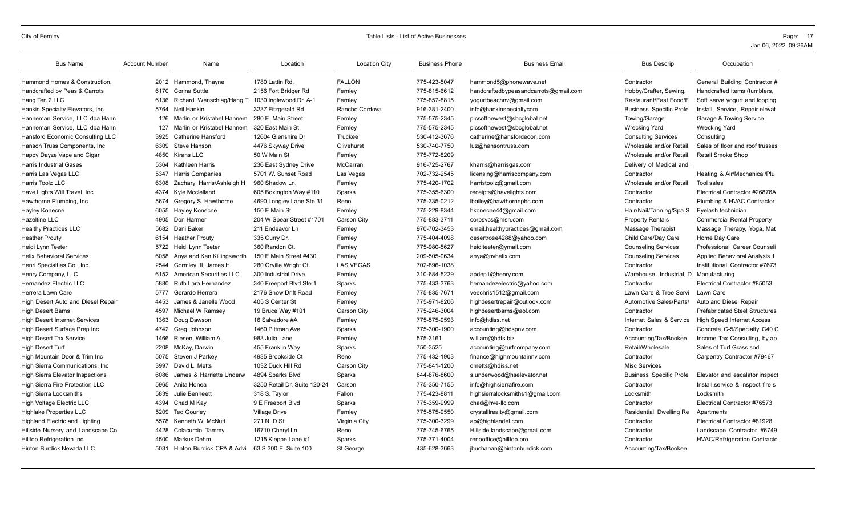| <b>Bus Name</b>                         | <b>Account Number</b> | Name                           | Location                     | <b>Location City</b> | <b>Business Phone</b> | <b>Business Email</b>                 | <b>Bus Descrip</b>             | Occupation                            |
|-----------------------------------------|-----------------------|--------------------------------|------------------------------|----------------------|-----------------------|---------------------------------------|--------------------------------|---------------------------------------|
| Hammond Homes & Construction.           |                       | 2012 Hammond, Thayne           | 1780 Lattin Rd               | <b>FALLON</b>        | 775-423-5047          | hammond5@phonewave.net                | Contractor                     | General Building Contractor #         |
| Handcrafted by Peas & Carrots           | 6170                  | Corina Suttle                  | 2156 Fort Bridger Rd         | Fernley              | 775-815-6612          | handcraftedbypeasandcarrots@gmail.com | Hobby/Crafter, Sewing,         | Handcrafted items (tumblers,          |
| Hang Ten 2 LLC                          | 6136                  | Richard Wenschlag/Hang T       | 1030 Inglewood Dr. A-1       | Fernley              | 775-857-8815          | yogurtbeachnv@gmail.com               | Restaurant/Fast Food/F         | Soft serve yogurt and topping         |
| Hankin Specialty Elevators, Inc.        | 5764                  | Neil Hankin                    | 3237 Fitzgerald Rd.          | Rancho Cordova       | 916-381-2400          | info@hankinspecialtycom               | <b>Business Specific Profe</b> | Install, Service, Repair elevat       |
| Hanneman Service, LLC dba Hann          | 126                   | Marlin or Kristabel Hannem     | 280 E. Main Street           | Fernley              | 775-575-2345          | picsofthewest@sbcqlobal.net           | Towing/Garage                  | Garage & Towing Service               |
| Hanneman Service, LLC dba Hann          | 127                   | Marlin or Kristabel Hannem     | 320 East Main St             | Fernley              | 775-575-2345          | picsofthewest@sbcqlobal.net           | <b>Wrecking Yard</b>           | <b>Wrecking Yard</b>                  |
| Hansford Economic Consulting LLC        | 3925                  | <b>Catherine Hansford</b>      | 12604 Glenshire Dr           | Truckee              | 530-412-3676          | catherine@hansfordecon.com            | <b>Consulting Services</b>     | Consulting                            |
| Hanson Truss Components, Inc            | 6309                  | Steve Hanson                   | 4476 Skyway Drive            | Olivehurst           | 530-740-7750          | luz@hansontruss.com                   | Wholesale and/or Retail        | Sales of floor and roof trusses       |
| Happy Dayze Vape and Cigar              | 4850                  | Kirans LLC                     | 50 W Main St                 | Fernley              | 775-772-8209          |                                       | Wholesale and/or Retail        | <b>Retail Smoke Shop</b>              |
| <b>Harris Industrial Gases</b>          | 5364                  | Kathleen Harris                | 236 East Sydney Drive        | McCarran             | 916-725-2767          | kharris@harrisgas.com                 | Delivery of Medical and I      |                                       |
| Harris Las Vegas LLC                    | 5347                  | <b>Harris Companies</b>        | 5701 W. Sunset Road          | Las Vegas            | 702-732-2545          | licensing@harriscompany.com           | Contractor                     | Heating & Air/Mechanical/Plu          |
| Harris Toolz LLC                        | 6308                  | Zachary Harris/Ashleigh H      | 960 Shadow Ln                | Fernley              | 775-420-1702          | harristoolz@gmail.com                 | Wholesale and/or Retail        | <b>Tool sales</b>                     |
| Have Lights Will Travel Inc.            | 4374                  | Kyle Mcclelland                | 605 Boxington Way #110       | Sparks               | 775-355-6300          | receipts@havelights.com               | Contractor                     | Electrical Contractor #26876A         |
| Hawthorne Plumbing, Inc.                | 5674                  | Gregory S. Hawthorne           | 4690 Longley Lane Ste 31     | Reno                 | 775-335-0212          | lbailey@hawthornephc.com              | Contractor                     | Plumbing & HVAC Contractor            |
| Hayley Konecne                          | 6055                  | <b>Hayley Konecne</b>          | 150 E Main St.               | Fernley              | 775-229-8344          | hkonecne44@gmail.com                  | Hair/Nail/Tanning/Spa S        | Eyelash technician                    |
| Hazeltine LLC                           | 4905                  | Don Harmer                     | 204 W Spear Street #1701     | Carson City          | 775-883-3711          | corpsvcs@msn.com                      | <b>Property Rentals</b>        | <b>Commercial Rental Property</b>     |
| <b>Healthy Practices LLC</b>            | 5682                  | Dani Baker                     | 211 Endeavor Ln              | Fernley              | 970-702-3453          | email.healthypractices@gmail.com      | Massage Therapist              | Massage Therapy, Yoga, Mat            |
| <b>Heather Prouty</b>                   | 6154                  | <b>Heather Prouty</b>          | 335 Curry Dr.                | Fernley              | 775-404-4098          | desertrose4288@yahoo.com              | Child Care/Day Care            | Home Day Care                         |
| Heidi Lynn Teeter                       | 5722                  | Heidi Lvnn Teeter              | 360 Randon Ct.               | Fernley              | 775-980-5627          | heiditeeter@ymail.com                 | <b>Counseling Services</b>     | Professional Career Counseli          |
| <b>Helix Behavioral Services</b>        | 6058                  | Anya and Ken Killingsworth     | 150 E Main Street #430       | Fernley              | 209-505-0634          | anya@nvhelix.com                      | <b>Counseling Services</b>     | Applied Behavioral Analysis 1         |
| Henri Specialties Co., Inc.             | 2544                  | Gormley III, James H.          | 280 Orville Wright Ct.       | <b>LAS VEGAS</b>     | 702-896-1038          |                                       | Contractor                     | Institutional Contractor #7673        |
| Henry Company, LLC                      | 6152                  | <b>American Securities LLC</b> | 300 Industrial Drive         | Fernley              | 310-684-5229          | apdep1@henry.com                      | Warehouse, Industrial, D       | Manufacturing                         |
| Hernandez Electric LLC                  | 5880                  | Ruth Lara Hernandez            | 340 Freeport Blvd Ste 1      | Sparks               | 775-433-3763          | hernandezelectric@yahoo.com           | Contractor                     | Electrical Contractor #85053          |
| Herrera Lawn Care                       | 5777                  | Gerardo Herrera                | 2176 Snow Drift Road         | Fernley              | 775-835-7671          | veechris1512@gmail.com                | Lawn Care & Tree Servi         | Lawn Care                             |
| High Desert Auto and Diesel Repair      | 4453                  | James & Janelle Wood           | 405 S Center St              | Fernley              | 775-971-8206          | highdesertrepair@outlook.com          | Automotive Sales/Parts/        | Auto and Diesel Repair                |
| <b>High Desert Barns</b>                | 4597                  | Michael W Ramsey               | 19 Bruce Way #101            | Carson City          | 775-246-3004          | highdesertbarns@aol.com               | Contractor                     | <b>Prefabricated Steel Structures</b> |
| <b>High Desert Internet Services</b>    | 1363                  | Doug Dawson                    | 16 Salvadore #A              | Fernley              | 775-575-9593          | info@hdiss.net                        | Internet Sales & Service       | <b>High Speed Internet Access</b>     |
| High Desert Surface Prep Inc            | 4742                  | Greg Johnson                   | 1460 Pittman Ave             | Sparks               | 775-300-1900          | accounting@hdspnv.com                 | Contractor                     | Concrete C-5/Specialty C40 C          |
| <b>High Desert Tax Service</b>          | 1466                  | Riesen, William A.             | 983 Julia Lane               | Fernley              | 575-3161              | william@hdts.biz                      | Accounting/Tax/Bookee          | Income Tax Consulting, by ap          |
| <b>High Desert Turf</b>                 | 2208                  | McKay, Darwin                  | 455 Franklin Way             | Sparks               | 750-3525              | accounting@turfcompany.com            | Retail/Wholesale               | Sales of Turf Grass sod               |
| High Mountain Door & Trim Inc           | 5075                  | Steven J Parkey                | 4935 Brookside Ct            | Reno                 | 775-432-1903          | finance@highmountainnv.com            | Contractor                     | Carpentry Contractor #79467           |
| High Sierra Communications, Inc.        | 3997                  | David L. Metts                 | 1032 Duck Hill Rd            | Carson City          | 775-841-1200          | dmetts@hdiss.net                      | Misc Services                  |                                       |
| <b>High Sierra Elevator Inspections</b> | 6086                  | James & Harriette Underw       | 4894 Sparks Blvd             | Sparks               | 844-876-8600          | s.underwood@hselevator.net            | <b>Business Specific Profe</b> | Elevator and escalator inspect        |
| High Sierra Fire Protection LLC         | 5965                  | Anita Honea                    | 3250 Retail Dr. Suite 120-24 | Carson               | 775-350-7155          | info@highsierrafire.com               | Contractor                     | Install, service & inspect fire s     |
| High Sierra Locksmiths                  | 5839                  | Julie Benneett                 | 318 S. Taylor                | Fallon               | 775-423-8811          | highsierralocksmiths1@gmail.com       | Locksmith                      | Locksmith                             |
| High Voltage Electric LLC               | 4394                  | Chad M Kay                     | 9 E Freeport Blvd            | Sparks               | 775-359-9999          | chad@hve-llc.com                      | Contractor                     | Electrical Contractor #76573          |
| <b>Highlake Properties LLC</b>          | 5209                  | <b>Ted Gourley</b>             | <b>Village Drive</b>         | Fernley              | 775-575-9550          | crystalllrealty@gmail.com             | Residential Dwelling Re        | Apartments                            |
| Highland Electric and Lighting          | 5578                  | Kenneth W. McNutt              | 271 N. D St.                 | Virginia City        | 775-300-3299          | ap@highlandel.com                     | Contractor                     | Electrical Contractor #81928          |
| Hillside Nursery and Landscape Co       | 4428                  | Colacurcio, Tammy              | 16710 Cheryl Ln              | Reno                 | 775-745-6765          | Hillside.landscape@gmail.com          | Contractor                     | Landscape Contractor #6749            |
| Hilltop Refrigeration Inc               | 4500                  | Markus Dehm                    | 1215 Kleppe Lane #1          | Sparks               | 775-771-4004          | renooffice@hilltop.pro                | Contractor                     | <b>HVAC/Refrigeration Contracto</b>   |
| <b>Hinton Burdick Nevada LLC</b>        | 5031                  | Hinton Burdick CPA & Advi      | 63 S 300 E. Suite 100        | St George            | 435-628-3663          | jbuchanan@hintonburdick.com           | Accounting/Tax/Bookee          |                                       |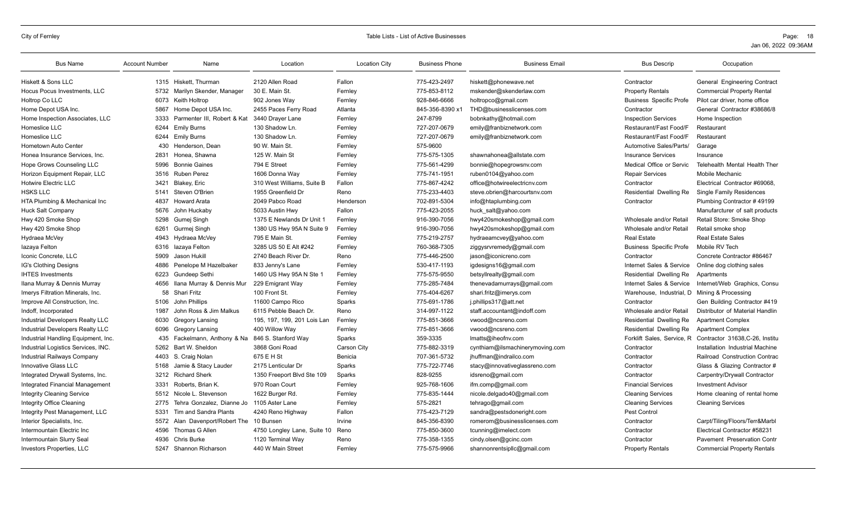| <b>Bus Name</b>                     | <b>Account Number</b> | Name                                         | Location                    | <b>Location City</b> | <b>Business Phone</b> | <b>Business Email</b>           | <b>Bus Descrip</b>             | Occupation                         |
|-------------------------------------|-----------------------|----------------------------------------------|-----------------------------|----------------------|-----------------------|---------------------------------|--------------------------------|------------------------------------|
| Hiskett & Sons LLC                  |                       | 1315 Hiskett. Thurman                        | 2120 Allen Road             | Fallon               | 775-423-2497          | hiskett@phonewave.net           | Contractor                     | General Engineering Contract       |
| Hocus Pocus Investments, LLC        | 5732                  | Marilyn Skender, Manager                     | 30 E. Main St.              | Fernley              | 775-853-8112          | mskender@skenderlaw.com         | <b>Property Rentals</b>        | <b>Commercial Property Rental</b>  |
| Holtrop Co LLC                      | 6073                  | Keith Holtrop                                | 902 Jones Way               | Fernley              | 928-846-6666          | holtropco@gmail.com             | <b>Business Specific Profe</b> | Pilot car driver, home office      |
| Home Depot USA Inc.                 | 5867                  | Home Depot USA Inc.                          | 2455 Paces Ferry Road       | Atlanta              | 845-356-8390 x        | THD@businesslicenses.com        | Contractor                     | General Contractor #38686/8        |
| Home Inspection Associates, LLC     | 3333                  | Parmenter III. Robert & Kat                  | 3440 Drayer Lane            | Fernley              | 247-8799              | bobnkathy@hotmail.com           | <b>Inspection Services</b>     | Home Inspection                    |
| Homeslice LLC                       | 6244                  | <b>Emily Burns</b>                           | 130 Shadow Ln.              | Fernley              | 727-207-0679          | emily@franbiznetwork.com        | Restaurant/Fast Food/F         | Restaurant                         |
| <b>Homeslice LLC</b>                | 6244                  | <b>Emily Burns</b>                           | 130 Shadow Ln.              | Fernley              | 727-207-0679          | emily@franbiznetwork.com        | Restaurant/Fast Food/F         | Restaurant                         |
| Hometown Auto Center                | 430                   | Henderson, Dean                              | 90 W. Main St.              | Fernley              | 575-9600              |                                 | Automotive Sales/Parts/        | Garage                             |
| Honea Insurance Services, Inc.      | 2831                  | Honea. Shawna                                | 125 W. Main St              | Fernley              | 775-575-1305          | shawnahonea@allstate.com        | <b>Insurance Services</b>      | Insurance                          |
| Hope Grows Counseling LLC           | 5996                  | <b>Bonnie Gaines</b>                         | 794 E Street                | Fernley              | 775-561-4299          | bonnie@hopegrowsnv.com          | Medical Office or Servic       | Telehealth Mental Health Ther      |
| Horizon Equipment Repair, LLC       | 3516                  | <b>Ruben Perez</b>                           | 1606 Donna Way              | Fernley              | 775-741-1951          | ruben0104@yahoo.com             | <b>Repair Services</b>         | Mobile Mechanic                    |
| Hotwire Electric LLC                | 3421                  | Blakey, Eric                                 | 310 West Williams, Suite B  | Fallon               | 775-867-4242          | office@hotwireelectricnv.com    | Contractor                     | Electrical Contractor #69068.      |
| <b>HSKS LLC</b>                     | 5141                  | Steven O'Brien                               | 1955 Greenfield Dr          | Reno                 | 775-233-4403          | steve.obrien@harcourtsnv.com    | <b>Residential Dwelling Re</b> | <b>Single Family Residences</b>    |
| HTA Plumbing & Mechanical Inc       | 4837                  | <b>Howard Arata</b>                          | 2049 Pabco Road             | Henderson            | 702-891-5304          | info@htaplumbing.com            | Contractor                     | Plumbing Contractor #49199         |
| <b>Huck Salt Company</b>            | 5676                  | John Huckaby                                 | 5033 Austin Hwy             | Fallon               | 775-423-2055          | huck salt@yahoo.com             |                                | Manufarcturer of salt products     |
| Hwy 420 Smoke Shop                  | 5298                  | Gumej Singh                                  | 1375 E Newlands Dr Unit 1   | Fernley              | 916-390-7056          | hwy420smokeshop@gmail.com       | Wholesale and/or Retail        | Retail Store: Smoke Shop           |
| Hwy 420 Smoke Shop                  | 6261                  | Gurmej Singh                                 | 1380 US Hwy 95A N Suite 9   | Fernley              | 916-390-7056          | hwy420smokeshop@gmail.com       | Wholesale and/or Retail        | Retail smoke shop                  |
| Hydraea McVey                       | 4943                  | Hydraea McVey                                | 795 E Main St.              | Fernley              | 775-219-2757          | hydraeamcvey@yahoo.com          | <b>Real Estate</b>             | <b>Real Estate Sales</b>           |
| lazaya Felton                       | 6316                  | lazaya Felton                                | 3285 US 50 E Alt #242       | Fernley              | 760-368-7305          | ziggysrvremedy@gmail.com        | <b>Business Specific Profe</b> | Mobile RV Tech                     |
| Iconic Concrete, LLC                | 5909                  | Jason Hukill                                 | 2740 Beach River Dr.        | Reno                 | 775-446-2500          | jason@iconicreno.com            | Contractor                     | Concrete Contractor #86467         |
| IG's Clothing Designs               | 4886                  | Penelope M Hazelbaker                        | 833 Jenny's Lane            | Fernley              | 530-417-1193          | igdesigns16@gmail.com           | Internet Sales & Service       | Online dog clothing sales          |
| <b>IHTES Investments</b>            | 6223                  | <b>Gundeep Sethi</b>                         | 1460 US Hwy 95A N Ste 1     | Fernley              | 775-575-9550          | betsyllrealty@gmail.com         | Residential Dwelling Re        | Apartments                         |
| Ilana Murray & Dennis Murray        | 4656                  | Ilana Murray & Dennis Mur                    | 229 Emigrant Way            | Fernley              | 775-285-7484          | thenevadamurrays@gmail.com      | Internet Sales & Service       | Internet/Web Graphics, Consu       |
| Imerys Filtration Minerals, Inc.    | 58                    | Shari Fritz                                  | 100 Front St.               | Fernley              | 775-404-6267          | shari.fritz@imerys.com          | Warehouse, Industrial, D       | Mining & Processing                |
| Improve All Construction, Inc.      | 5106                  | John Phillips                                | 11600 Campo Rico            | Sparks               | 775-691-1786          | j.phillips317@att.net           | Contractor                     | Gen Building Contractor #419       |
| Indoff, Incorporated                | 1987                  | John Ross & Jim Malkus                       | 6115 Pebble Beach Dr.       | Reno                 | 314-997-1122          | staff.accountant@indoff.com     | Wholesale and/or Retail        | Distributor of Material Handlin    |
| Industrial Developers Realty LLC    | 6030                  | Gregory Lansing                              | 195, 197, 199, 201 Lois Lan | Fernley              | 775-851-3666          | vwood@ncsreno.com               | <b>Residential Dwelling Re</b> | <b>Apartment Complex</b>           |
| Industrial Developers Realty LLC    | 6096                  | <b>Gregory Lansing</b>                       | 400 Willow Way              | Fernley              | 775-851-3666          | vwood@ncsreno.com               | Residential Dwelling Re        | <b>Apartment Complex</b>           |
| Industrial Handling Equipment, Inc. | 435                   | Fackelmann, Anthony & Na 846 S. Stanford Way |                             | Sparks               | 359-3335              | Imatts@iheofnv.com              | Forklift Sales, Service, R     | Contractor 31638, C-26, Institu    |
| Industrial Logistics Services, INC. | 5262                  | Bart W. Sheldon                              | 3868 Goni Road              | Carson City          | 775-882-3319          | cynthiam@ilsmachinerymoving.com | Contractor                     | Installation Industrial Machine    |
| <b>Industrial Railwavs Company</b>  | 4403                  | S. Craig Nolan                               | 675 E H St                  | Benicia              | 707-361-5732          | jhuffman@indrailco.com          | Contractor                     | Railroad Construction Contrac      |
| Innovative Glass LLC                | 5168                  | Jamie & Stacy Lauder                         | 2175 Lenticular Dr          | Sparks               | 775-722-7746          | stacy@innovativeglassreno.com   | Contractor                     | Glass & Glazing Contractor #       |
| Integrated Drywall Systems, Inc.    | 3212                  | <b>Richard Sherk</b>                         | 1350 Freeport Blvd Ste 109  | Sparks               | 828-9255              | idsreno@gmail.com               | Contractor                     | Carpentry/Drywall Contractor       |
| Integrated Financial Management     | 3331                  | Roberts, Brian K.                            | 970 Roan Court              | Fernley              | 925-768-1606          | ifm.comp@gmail.com              | <b>Financial Services</b>      | <b>Investment Advisor</b>          |
| <b>Integrity Cleaning Service</b>   | 5512                  | Nicole L. Stevenson                          | 1622 Burger Rd.             | Fernley              | 775-835-1444          | nicole.delgado40@gmail.com      | <b>Cleaning Services</b>       | Home cleaning of rental home       |
| Integrity Office Cleaning           | 2775                  | Tehra Gonzalez, Dianne Jo                    | 1105 Aster Lane             | Fernley              | 575-2821              | tehrago@gmail.com               | <b>Cleaning Services</b>       | <b>Cleaning Services</b>           |
| Integrity Pest Management, LLC      | 5331                  | Tim and Sandra Plants                        | 4240 Reno Highway           | Fallon               | 775-423-7129          | sandra@pestsdoneright.com       | Pest Control                   |                                    |
| Interior Specialists, Inc.          | 5572                  | Alan Davenport/Robert The 10 Bunsen          |                             | Irvine               | 845-356-8390          | romerom@businesslicenses.com    | Contractor                     | Carpt/Tiling/Floors/Terr&Marbl     |
| Intermountain Electric Inc          | 4596                  | Thomas G Allen                               | 4750 Longley Lane, Suite 10 | Reno                 | 775-850-3600          | tcunning@imelect.com            | Contractor                     | Electrical Contractor #58231       |
| Intermountain Slurry Seal           | 4936                  | <b>Chris Burke</b>                           | 1120 Terminal Way           | Reno                 | 775-358-1355          | cindy.olsen@gcinc.com           | Contractor                     | Pavement Preservation Contr        |
| <b>Investors Properties, LLC</b>    | 5247                  | Shannon Richarson                            | 440 W Main Street           | Fernley              | 775-575-9966          | shannonrentsipllc@gmail.com     | <b>Property Rentals</b>        | <b>Commercial Property Rentals</b> |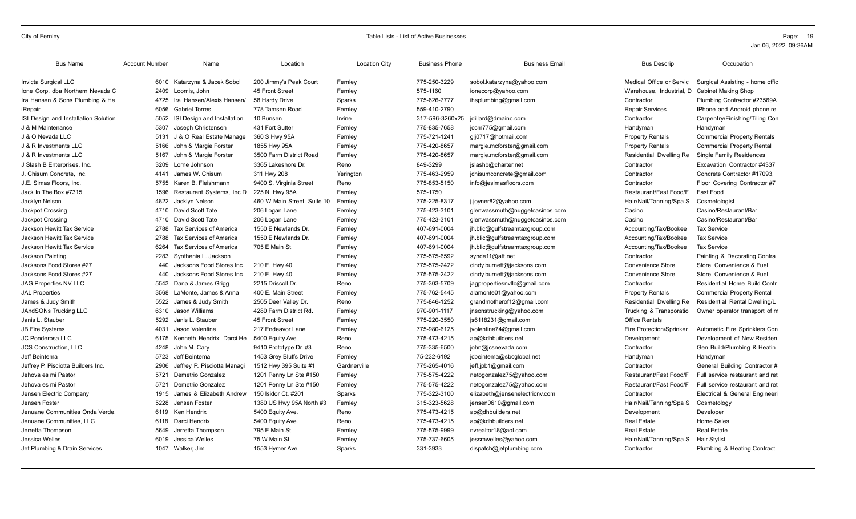| <b>Bus Name</b>                      | <b>Account Number</b> | Name                           | Location                    | <b>Location City</b> | <b>Business Phone</b> | <b>Business Email</b>          | <b>Bus Descrip</b>       | Occupation                          |
|--------------------------------------|-----------------------|--------------------------------|-----------------------------|----------------------|-----------------------|--------------------------------|--------------------------|-------------------------------------|
| Invicta Surgical LLC                 |                       | 6010 Katarzyna & Jacek Sobol   | 200 Jimmy's Peak Court      | Fernley              | 775-250-3229          | sobol.katarzyna@yahoo.com      | Medical Office or Servic | Surgical Assisting - home offic     |
| Ione Corp. dba Northern Nevada C     | 2409                  | Loomis, John                   | 45 Front Street             | Fernley              | 575-1160              | ionecorp@yahoo.com             | Warehouse, Industrial, D | <b>Cabinet Making Shop</b>          |
| Ira Hansen & Sons Plumbing & He      | 4725                  | Ira Hansen/Alexis Hansen/      | 58 Hardy Drive              | Sparks               | 775-626-7777          | ihsplumbing@gmail.com          | Contractor               | Plumbing Contractor #23569A         |
| iRepair                              | 6056                  | <b>Gabriel Torres</b>          | 778 Tamsen Road             | Fernley              | 559-410-2790          |                                | <b>Repair Services</b>   | IPhone and Android phone re         |
| ISI Design and Installation Solution | 5052                  | ISI Design and Installation    | 10 Bunsen                   | Irvine               | 317-596-3260x25       | jdillard@dmainc.com            | Contractor               | Carpentry/Finishing/Tiling Con      |
| J & M Maintenance                    | 5307                  | Joseph Christensen             | 431 Fort Sutter             | Fernley              | 775-835-7658          | jccm775@gmail.com              | Handyman                 | Handyman                            |
| J & O Nevada LLC                     | 5131                  | J & O Real Estate Manage       | 360 S Hwy 95A               | Fernley              | 775-721-1241          | qlj0717@hotmail.com            | <b>Property Rentals</b>  | <b>Commercial Property Rentals</b>  |
| J & R Investments LLC                | 5166                  | John & Margie Forster          | 1855 Hwy 95A                | Fernley              | 775-420-8657          | margie.mcforster@gmail.com     | <b>Property Rentals</b>  | <b>Commercial Property Rental</b>   |
| J & R Investments LLC                | 5167                  | John & Margie Forster          | 3500 Farm District Road     | Fernley              | 775-420-8657          | margie.mcforster@gmail.com     | Residential Dwelling Re  | <b>Single Family Residences</b>     |
| J Slash B Enterprises, Inc.          | 3209                  | Lorne Johnson                  | 3365 Lakeshore Dr.          | Reno                 | 849-3299              | jslashb@charter.net            | Contractor               | Excavation Contractor #4337         |
| J. Chisum Concrete, Inc.             | 4141                  | James W. Chisum                | 311 Hwy 208                 | Yerington            | 775-463-2959          | jchisumconcrete@gmail.com      | Contractor               | Concrete Contractor #17093.         |
| J.E. Simas Floors. Inc.              | 5755                  | Karen B. Fleishmann            | 9400 S. Virginia Street     | Reno                 | 775-853-5150          | info@jesimasfloors.com         | Contractor               | Floor Covering Contractor #7        |
| Jack In The Box #7315                | 1596                  | Restaurant Systems, Inc D      | 225 N. Hwy 95A              | Fernley              | 575-1750              |                                | Restaurant/Fast Food/F   | Fast Food                           |
| Jacklyn Nelson                       | 4822                  | Jacklyn Nelson                 | 460 W Main Street. Suite 10 | Fernley              | 775-225-8317          | j.joyner82@yahoo.com           | Hair/Nail/Tanning/Spa S  | Cosmetologist                       |
| Jackpot Crossing                     |                       | 4710 David Scott Tate          | 206 Logan Lane              | Fernley              | 775-423-3101          | glenwassmuth@nuggetcasinos.com | Casino                   | Casino/Restaurant/Bar               |
| Jackpot Crossing                     | 4710                  | David Scott Tate               | 206 Logan Lane              | Fernley              | 775-423-3101          | glenwassmuth@nuggetcasinos.com | Casino                   | Casino/Restaurant/Bar               |
| Jackson Hewitt Tax Service           | 2788                  | Tax Services of America        | 1550 E Newlands Dr.         | Fernley              | 407-691-0004          | jh.blic@gulfstreamtaxgroup.com | Accounting/Tax/Bookee    | <b>Tax Service</b>                  |
| Jackson Hewitt Tax Service           | 2788                  | <b>Tax Services of America</b> | 1550 E Newlands Dr.         | Fernley              | 407-691-0004          | jh.blic@gulfstreamtaxgroup.com | Accounting/Tax/Bookee    | <b>Tax Service</b>                  |
| Jackson Hewitt Tax Service           | 6264                  | Tax Services of America        | 705 E Main St.              | Fernley              | 407-691-0004          | jh.blic@gulfstreamtaxgroup.com | Accounting/Tax/Bookee    | <b>Tax Service</b>                  |
| Jackson Painting                     | 2283                  | Synthenia L. Jackson           |                             | Fernley              | 775-575-6592          | synde11@att.net                | Contractor               | Painting & Decorating Contra        |
| Jacksons Food Stores #27             | 440                   | Jacksons Food Stores Inc       | 210 E. Hwy 40               | Fernley              | 775-575-2422          | cindy.burnett@jacksons.com     | Convenience Store        | Store, Convenience & Fuel           |
| Jacksons Food Stores #27             | 440                   | Jacksons Food Stores Inc       | 210 E. Hwy 40               | Fernley              | 775-575-2422          | cindy.burnett@jacksons.com     | <b>Convenience Store</b> | Store, Convenience & Fuel           |
| <b>JAG Properties NV LLC</b>         | 5543                  | Dana & James Grigg             | 2215 Driscoll Dr.           | Reno                 | 775-303-5709          | jagpropertiesnvllc@gmail.com   | Contractor               | <b>Residential Home Build Contr</b> |
| <b>JAL Properties</b>                | 3568                  | LaMonte, James & Anna          | 400 E. Main Street          | Fernley              | 775-762-5445          | alamonte01@yahoo.com           | <b>Property Rentals</b>  | <b>Commercial Property Rental</b>   |
| James & Judy Smith                   |                       | 5522 James & Judy Smith        | 2505 Deer Valley Dr.        | Reno                 | 775-846-1252          | grandmotherof12@gmail.com      | Residential Dwelling Re  | Residential Rental Dwelling/L       |
| <b>JAndSONs Trucking LLC</b>         | 6310                  | Jason Williams                 | 4280 Farm District Rd.      | Fernley              | 970-901-1117          | jnsonstrucking@yahoo.com       | Trucking & Transporatio  | Owner operator transport of m       |
| Janis L. Stauber                     | 5292                  | Janis L. Stauber               | 45 Front Street             | Fernley              | 775-220-3550          | js6118231@gmail.com            | <b>Office Rentals</b>    |                                     |
| <b>JB Fire Systems</b>               | 4031                  | Jason Volentine                | 217 Endeavor Lane           | Fernley              | 775-980-6125          | jvolentine74@gmail.com         | Fire Protection/Sprinker | Automatic Fire Sprinklers Con       |
| JC Ponderosa LLC                     |                       | 6175 Kenneth Hendrix; Darci He | 5400 Equity Ave             | Reno                 | 775-473-4215          | ap@kdhbuilders.net             | Development              | Development of New Residen          |
| <b>JCS Construction, LLC</b>         | 4248                  | John M. Cary                   | 9410 Prototype Dr. #3       | Reno                 | 775-335-6500          | john@jcsnevada.com             | Contractor               | Gen Build/Plumbing & Heatin         |
| Jeff Beintema                        | 5723                  | Jeff Beintema                  | 1453 Grey Bluffs Drive      | Fernley              | 75-232-6192           | jcbeintema@sbcglobal.net       | Handyman                 | Handyman                            |
| Jeffrey P. Pisciotta Builders Inc.   | 2906                  | Jeffrey P. Pisciotta Managi    | 1512 Hwy 395 Suite #1       | Gardnerville         | 775-265-4016          | jeff.jpb1@gmail.com            | Contractor               | General Building Contractor #       |
| Jehova es mi Pastor                  | 5721                  | Demetrio Gonzalez              | 1201 Penny Ln Ste #150      | Fernley              | 775-575-4222          | netogonzalez75@yahoo.com       | Restaurant/Fast Food/F   | Full service restaurant and ret     |
| Jehova es mi Pastor                  | 5721                  | Demetrio Gonzalez              | 1201 Penny Ln Ste #150      | Fernley              | 775-575-4222          | netogonzalez75@yahoo.com       | Restaurant/Fast Food/F   | Full service restaurant and ret     |
| Jensen Electric Company              | 1915                  | James & Elizabeth Andrew       | 150 Isidor Ct. #201         | Sparks               | 775-322-3100          | elizabeth@jensenelectricnv.com | Contractor               | Electrical & General Engineeri      |
| Jensen Foster                        | 5228                  | Jensen Foster                  | 1380 US Hwy 95A North #3    | Fernley              | 315-323-5628          | jensen0610@gmail.com           | Hair/Nail/Tanning/Spa S  | Cosmetology                         |
| Jenuane Communities Onda Verde.      | 6119                  | Ken Hendrix                    | 5400 Equity Ave.            | Reno                 | 775-473-4215          | ap@dhbuilders.net              | Development              | Developer                           |
| Jenuane Communities, LLC             | 6118                  | Darci Hendrix                  | 5400 Equity Ave.            | Reno                 | 775-473-4215          | ap@kdhbuilders.net             | <b>Real Estate</b>       | <b>Home Sales</b>                   |
| Jerretta Thompson                    | 5649                  | Jerretta Thompson              | 795 E Main St.              | Fernley              | 775-575-9999          | nvrealtor18@aol.com            | <b>Real Estate</b>       | <b>Real Estate</b>                  |
| Jessica Welles                       | 6019                  | Jessica Welles                 | 75 W Main St.               | Fernley              | 775-737-6605          | jessmwelles@yahoo.com          | Hair/Nail/Tanning/Spa S  | <b>Hair Stylist</b>                 |
| Jet Plumbing & Drain Services        |                       | 1047 Walker, Jim               | 1553 Hymer Ave.             | Sparks               | 331-3933              | dispatch@jetplumbing.com       | Contractor               | Plumbing & Heating Contract         |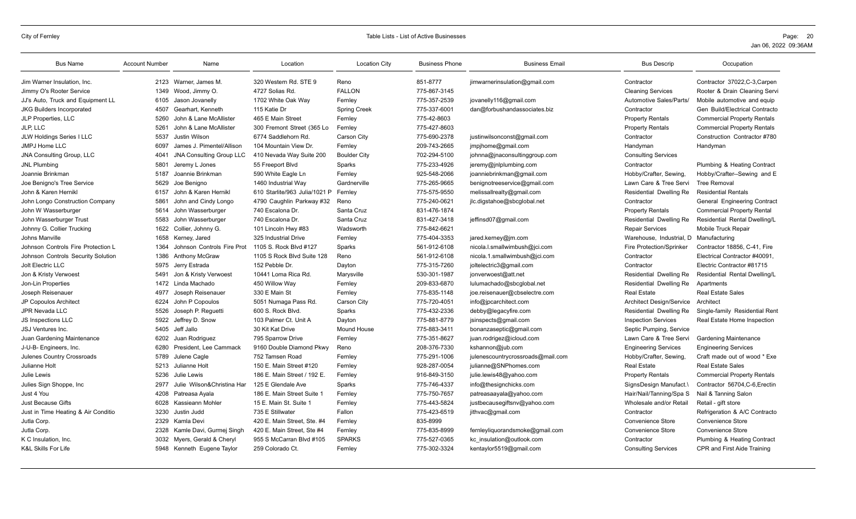| <b>Bus Name</b>                     | <b>Account Number</b> | Name                            | Location                      | <b>Location City</b> | <b>Business Phone</b> | <b>Business Email</b>             | <b>Bus Descrip</b>              | Occupation                         |
|-------------------------------------|-----------------------|---------------------------------|-------------------------------|----------------------|-----------------------|-----------------------------------|---------------------------------|------------------------------------|
| Jim Warner Insulation, Inc.         |                       | 2123 Warner, James M.           | 320 Western Rd. STE 9         | Reno                 | 851-8777              | jimwarnerinsulation@gmail.com     | Contractor                      | Contractor 37022, C-3, Carpen      |
| Jimmy O's Rooter Service            | 1349                  | Wood, Jimmy O.                  | 4727 Solias Rd.               | <b>FALLON</b>        | 775-867-3145          |                                   | <b>Cleaning Services</b>        | Rooter & Drain Cleaning Servi      |
| JJ's Auto, Truck and Equipment LL   | 6105                  | Jason Jovanelly                 | 1702 White Oak Way            | Fernley              | 775-357-2539          | jovanelly116@gmail.com            | Automotive Sales/Parts/         | Mobile automotive and equip        |
| <b>JKG Builders Incorporated</b>    | 4507                  | Gearhart, Kenneth               | 115 Katie Dr                  | <b>Spring Creek</b>  | 775-337-6001          | dan@forbushandassociates.biz      | Contractor                      | Gen Build/Electrical Contracto     |
| JLP Properties, LLC                 | 5260                  | John & Lane McAllister          | 465 E Main Street             | Fernley              | 775-42-8603           |                                   | <b>Property Rentals</b>         | <b>Commercial Property Rentals</b> |
| JLP, LLC                            | 5261                  | John & Lane McAllister          | 300 Fremont Street (365 Lo    | Fernley              | 775-427-8603          |                                   | <b>Property Rentals</b>         | <b>Commercial Property Rentals</b> |
| JLW Holdings Series I LLC           | 5537                  | Justin Wilson                   | 6774 Saddlehorn Rd.           | Carson City          | 775-690-2378          | justinwilsonconst@gmail.com       | Contractor                      | Construction Contractor #780       |
| JMPJ Home LLC                       | 6097                  | James J. Pimentel/Allison       | 104 Mountain View Dr.         | Fernley              | 209-743-2665          | jmpjhome@gmail.com                | Handyman                        | Handyman                           |
| <b>JNA Consulting Group, LLC</b>    | 4041                  | <b>JNA Consulting Group LLC</b> | 410 Nevada Way Suite 200      | <b>Boulder City</b>  | 702-294-5100          | johnna@jnaconsultinggroup.com     | <b>Consulting Services</b>      |                                    |
| <b>JNL Plumbing</b>                 | 5801                  | Jeremy L Jones                  | 55 Freeport Blvd              | Sparks               | 775-233-4926          | jeremy@jnlplumbing.com            | Contractor                      | Plumbing & Heating Contract        |
| Joannie Brinkman                    | 5187                  | Joannie Brinkman                | 590 White Eagle Ln            | Fernley              | 925-548-2066          | joanniebrinkman@gmail.com         | Hobby/Crafter, Sewing,          | Hobby/Crafter--Sewing and E        |
| Joe Benigno's Tree Service          | 5629                  | Joe Benigno                     | 1460 Industrial Way           | Gardnerville         | 775-265-9665          | benignotreeservice@gmail.com      | Lawn Care & Tree Servi          | <b>Tree Removal</b>                |
| John & Karen Hernikl                | 6157                  | John & Karen Hernikl            | 610 Starlite/963 Julia/1021 P | Fernlev              | 775-575-9550          | melissallrealty@gmail.com         | Residential Dwelling Re         | <b>Residential Rentals</b>         |
| John Longo Construction Company     | 5861                  | John and Cindy Longo            | 4790 Caughlin Parkway #32     | Reno                 | 775-240-0621          | jlc.digstahoe@sbcglobal.net       | Contractor                      | General Engineering Contract       |
| John W Wasserburger                 | 5614                  | John Wasserburger               | 740 Escalona Dr.              | Santa Cruz           | 831-476-1874          |                                   | <b>Property Rentals</b>         | <b>Commercial Property Rental</b>  |
| John Wasserburger Trust             | 5583                  | John Wasserburger               | 740 Escalona Dr.              | Santa Cruz           | 831-427-3418          | jeffinsd07@gmail.com              | Residential Dwelling Re         | Residential Rental Dwelling/L      |
| Johnny G. Collier Trucking          | 1622                  | Collier, Johnny G.              | 101 Lincoln Hwy #83           | Wadsworth            | 775-842-6621          |                                   | <b>Repair Services</b>          | Mobile Truck Repair                |
| Johns Manville                      | 1658                  | Kerney, Jared                   | 325 Industrial Drive          | Fernley              | 775-404-3353          | jared.kerney@jm.com               | Warehouse. Industrial. D        | Manufacturing                      |
| Johnson Controls Fire Protection L  | 1364                  | Johnson Controls Fire Prot      | 1105 S. Rock Blvd #127        | Sparks               | 561-912-6108          | nicola.l.smallwimbush@jci.com     | <b>Fire Protection/Sprinker</b> | Contractor 18856, C-41, Fire       |
| Johnson Controls Security Solution  | 1386                  | Anthony McGraw                  | 1105 S Rock Blvd Suite 128    | Reno                 | 561-912-6108          | nicola.1.smallwimbush@jci.com     | Contractor                      | Electrical Contractor #40091.      |
| Jolt Electric LLC                   | 5975                  | Jerry Estrada                   | 152 Pebble Dr.                | Dayton               | 775-315-7260          | joltelectric3@gmail.com           | Contractor                      | Electric Contractor #81715         |
| Jon & Kristy Verwoest               | 5491                  | Jon & Kristy Verwoest           | 10441 Loma Rica Rd.           | Marysville           | 530-301-1987          | jonverwoest@att.net               | Residential Dwelling Re         | Residential Rental Dwelling/L      |
| Jon-Lin Properties                  | 1472                  | Linda Machado                   | 450 Willow Way                | Fernley              | 209-833-6870          | lulumachado@sbcglobal.net         | Residential Dwelling Re         | Apartments                         |
| Joseph Reisenauer                   | 4977                  | Joseph Reisenauer               | 330 E Main St                 | Fernley              | 775-835-1148          | joe.reisenauer@cbselectre.com     | <b>Real Estate</b>              | <b>Real Estate Sales</b>           |
| JP Copoulos Architect               | 6224                  | John P Copoulos                 | 5051 Numaga Pass Rd.          | Carson City          | 775-720-4051          | info@jpcarchitect.com             | Architect Design/Service        | Architect                          |
| <b>JPR Nevada LLC</b>               | 5526                  | Joseph P. Requetti              | 600 S. Rock Blvd.             | Sparks               | 775-432-2336          | debby@legacyfire.com              | Residential Dwelling Re         | Single-family Residential Rent     |
| JS Inspections LLC                  | 5922                  | Jeffrey D. Snow                 | 103 Palmer Ct. Unit A         | Dayton               | 775-881-8779          | jsinspects@gmail.com              | <b>Inspection Services</b>      | Real Estate Home Inspection        |
| <b>JSJ Ventures Inc.</b>            | 5405                  | Jeff Jallo                      | 30 Kit Kat Drive              | <b>Mound House</b>   | 775-883-3411          | bonanzaseptic@gmail.com           | Septic Pumping, Service         |                                    |
| Juan Gardening Maintenance          | 6202                  | Juan Rodriguez                  | 795 Sparrow Drive             | Fernley              | 775-351-8627          | juan.rodrigez@icloud.com          | Lawn Care & Tree Servi          | <b>Gardening Maintenance</b>       |
| J-U-B- Engineers, Inc.              | 6280                  | President. Lee Cammack          | 9160 Double Diamond Pkwy      | Reno                 | 208-376-7330          | kshannon@jub.com                  | <b>Engineering Services</b>     | <b>Engineering Services</b>        |
| Julenes Country Crossroads          | 5789                  | Julene Cagle                    | 752 Tamsen Road               | Fernley              | 775-291-1006          | julenescountrycrossroads@mail.com | Hobby/Crafter, Sewing,          | Craft made out of wood * Exe       |
| Julianne Holt                       | 5213                  | Julianne Holt                   | 150 E. Main Street #120       | Fernley              | 928-287-0054          | julianne@SNPhomes.com             | <b>Real Estate</b>              | <b>Real Estate Sales</b>           |
| Julie Lewis                         | 5236                  | Julie Lewis                     | 186 E. Main Street / 192 E.   | Fernley              | 916-849-3150          | julie.lewis48@yahoo.com           | <b>Property Rentals</b>         | <b>Commercial Property Rentals</b> |
| Julies Sign Shoppe, Inc.            | 2977                  | Julie Wilson&Christina Har      | 125 E Glendale Ave            | Sparks               | 775-746-4337          | info@thesignchicks.com            | SignsDesign Manufact.\          | Contractor 56704.C-6.Erectin       |
| Just 4 You                          | 4208                  | Patreasa Avala                  | 186 E. Main Street Suite 1    | Fernley              | 775-750-7657          | patreasaayala@yahoo.com           | Hair/Nail/Tanning/Spa S         | Nail & Tanning Salon               |
| Just Because Gifts                  | 6028                  | Kassieann Mohler                | 15 E. Main St. Suite 1        | Fernley              | 775-443-5824          | justbecausegiftsnv@yahoo.com      | Wholesale and/or Retail         | Retail - gift store                |
| Just in Time Heating & Air Conditio | 3230                  | Justin Judd                     | 735 E Stillwater              | Fallon               | 775-423-6519          | jithvac@gmail.com                 | Contractor                      | Refrigeration & A/C Contracto      |
| Jutla Corp.                         | 2329                  | Kamla Devi                      | 420 E. Main Street. Ste. #4   | Fernley              | 835-8999              |                                   | Convenience Store               | <b>Convenience Store</b>           |
| Jutla Corp.                         | 2328                  | Kamle Davi, Gurmej Singh        | 420 E. Main Street. Ste #4    | Fernlev              | 775-835-8999          | fernleyliquorandsmoke@gmail.com   | Convenience Store               | Convenience Store                  |
| K C Insulation, Inc.                | 3032                  | Myers, Gerald & Cheryl          | 955 S McCarran Blvd #105      | <b>SPARKS</b>        | 775-527-0365          | kc insulation@outlook.com         | Contractor                      | Plumbing & Heating Contract        |
| <b>K&amp;L Skills For Life</b>      |                       | 5948 Kenneth Eugene Taylor      | 259 Colorado Ct.              | Fernley              | 775-302-3324          | kentaylor5519@gmail.com           | <b>Consulting Services</b>      | CPR and First Aide Training        |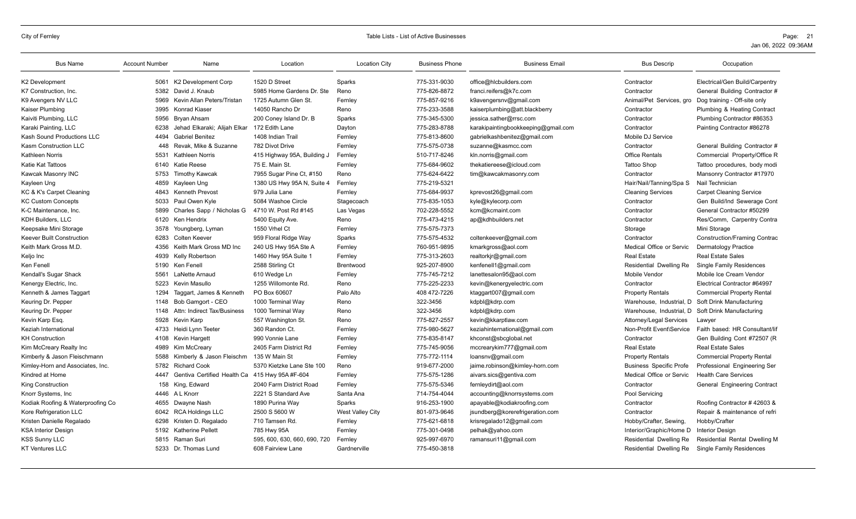| <b>Bus Name</b>                   | <b>Account Number</b> | Name                         | Location                     | <b>Location City</b> | <b>Business Phone</b> | <b>Business Email</b>               | <b>Bus Descrip</b>             | Occupation                        |
|-----------------------------------|-----------------------|------------------------------|------------------------------|----------------------|-----------------------|-------------------------------------|--------------------------------|-----------------------------------|
| K2 Development                    |                       | 5061 K2 Development Corp     | 1520 D Street                | Sparks               | 775-331-9030          | office@hlcbuilders.com              | Contractor                     | Electrical/Gen Build/Carpentry    |
| K7 Construction, Inc.             | 5382                  | David J. Knaub               | 5985 Home Gardens Dr. Ste    | Reno                 | 775-826-8872          | franci.reifers@k7c.com              | Contractor                     | General Building Contractor #     |
| K9 Avengers NV LLC                | 5969                  | Kevin Allan Peters/Tristan   | 1725 Autumn Glen St.         | Fernley              | 775-857-9216          | k9avengersnv@gmail.com              | Animal/Pet Services, gro       | Dog training - Off-site only      |
| Kaiser Plumbing                   |                       | 3995 Konrad Kiaser           | 14050 Rancho Dr              | Reno                 | 775-233-3588          | kaiserplumbing@att.blackberry       | Contractor                     | Plumbing & Heating Contract       |
| Kaiviti Plumbing, LLC             | 5956                  | Bryan Ahsam                  | 200 Coney Island Dr. B       | Sparks               | 775-345-5300          | jessica.sather@rrsc.com             | Contractor                     | Plumbing Contractor #86353        |
| Karaki Painting, LLC              | 6238                  | Jehad Elkaraki; Alijah Elkar | 172 Edith Lane               | Dayton               | 775-283-8788          | karakipaintingbookkeeping@gmail.com | Contractor                     | Painting Contractor #86278        |
| Kash Sound Productions LLC        | 4494                  | <b>Gabriel Benitez</b>       | 1408 Indian Trail            | Fernley              | 775-813-8600          | gabrielkashbenitez@gmail.com        | Mobile DJ Service              |                                   |
| Kasm Construction LLC             | 448                   | Revak. Mike & Suzanne        | 782 Divot Drive              | Fernley              | 775-575-0738          | suzanne@kasmcc.com                  | Contractor                     | General Building Contractor #     |
| Kathleen Norris                   | 5531                  | Kathleen Norris              | 415 Highway 95A, Building J  | Fernley              | 510-717-8246          | kln.norris@gmail.com                | <b>Office Rentals</b>          | Commercial Property/Office R      |
| Katie Kat Tattoos                 |                       | 6140 Katie Reese             | 75 E. Main St.               | Fernley              | 775-684-9602          | thekatiereese@icloud.com            | <b>Tattoo Shop</b>             | Tattoo procedures, body modi      |
| Kawcak Masonry INC                | 5753                  | Timothy Kawcak               | 7955 Sugar Pine Ct, #150     | Reno                 | 775-624-6422          | tim@kawcakmasonry.com               | Contractor                     | Mansonry Contractor #17970        |
| Kayleen Ung                       | 4859                  | Kayleen Ung                  | 1380 US Hwy 95A N, Suite 4   | Fernley              | 775-219-5321          |                                     | Hair/Nail/Tanning/Spa S        | Nail Technician                   |
| KC & K's Carpet Cleaning          | 4843                  | <b>Kenneth Prevost</b>       | 979 Julia Lane               | Fernley              | 775-684-9937          | kprevost26@gmail.com                | <b>Cleaning Services</b>       | <b>Carpet Cleaning Service</b>    |
| <b>KC Custom Concepts</b>         | 5033                  | Paul Owen Kyle               | 5084 Washoe Circle           | Stagecoach           | 775-835-1053          | kyle@kylecorp.com                   | Contractor                     | Gen Build/Ind Sewerage Cont       |
| K-C Maintenance. Inc.             | 5899                  | Charles Sapp / Nicholas G    | 4710 W. Post Rd #145         | Las Vegas            | 702-228-5552          | kcm@kcmaint.com                     | Contractor                     | General Contractor #50299         |
| KDH Builders, LLC                 | 6120                  | Ken Hendrix                  | 5400 Equity Ave.             | Reno                 | 775-473-4215          | ap@kdhbuilders.net                  | Contractor                     | Res/Comm, Carpentry Contra        |
| Keepsake Mini Storage             | 3578                  | Youngberg, Lyman             | 1550 Vrhel Ct                | Fernley              | 775-575-7373          |                                     | Storage                        | Mini Storage                      |
| Keever Built Construction         | 6283                  | Colten Keever                | 959 Floral Ridge Way         | Sparks               | 775-575-4532          | coltenkeever@gmail.com              | Contractor                     | Construction/Framing Contrac      |
| Keith Mark Gross M.D.             | 4356                  | Keith Mark Gross MD Inc      | 240 US Hwy 95A Ste A         | Fernley              | 760-951-9895          | kmarkgross@aol.com                  | Medical Office or Servic       | <b>Dermatology Practice</b>       |
| Keljo Inc                         | 4939                  | Kelly Robertson              | 1460 Hwy 95A Suite 1         | Fernley              | 775-313-2603          | realtorkjr@gmail.com                | <b>Real Estate</b>             | <b>Real Estate Sales</b>          |
| Ken Fenell                        |                       | 5190 Ken Fenell              | 2588 Stirling Ct             | Brentwood            | 925-207-8900          | kenfenell1@gmail.com                | Residential Dwelling Re        | <b>Single Family Residences</b>   |
| Kendall's Sugar Shack             | 5561                  | LaNette Arnaud               | 610 Wedge Ln                 | Fernley              | 775-745-7212          | lanettesalon95@aol.com              | Mobile Vendor                  | Mobile Ice Cream Vendor           |
| Kenergy Electric, Inc.            | 5223                  | Kevin Masullo                | 1255 Willomonte Rd.          | Reno                 | 775-225-2233          | kevin@kenergyelectric.com           | Contractor                     | Electrical Contractor #64997      |
| Kenneth & James Taggart           | 1294                  | Taggart, James & Kenneth     | PO Box 60607                 | Palo Alto            | 408 472-7226          | ktaggart007@gmail.com               | <b>Property Rentals</b>        | <b>Commercial Property Rental</b> |
| Keuring Dr. Pepper                | 1148                  | Bob Gamgort - CEO            | 1000 Terminal Way            | Reno                 | 322-3456              | kdpbl@kdrp.com                      | Warehouse, Industrial, D       | Soft Drink Manufacturing          |
| Keuring Dr. Pepper                | 1148                  | Attn: Indirect Tax/Business  | 1000 Terminal Way            | Reno                 | 322-3456              | kdpbl@kdrp.com                      | Warehouse, Industrial, D       | Soft Drink Manufacturing          |
| Kevin Karp Esq.                   | 5928                  | Kevin Karp                   | 557 Washington St.           | Reno                 | 775-827-2557          | kevin@kkarptlaw.com                 | Attorney/Legal Services        | Lawyer                            |
| Keziah International              | 4733                  | Heidi Lynn Teeter            | 360 Randon Ct.               | Fernley              | 775-980-5627          | keziahinternational@gmail.com       | Non-Profit Event\Service       | Faith based: HR Consultant/lif    |
| KH Construction                   | 4108                  | Kevin Hargett                | 990 Vonnie Lane              | Fernley              | 775-835-8147          | khconst@sbcglobal.net               | Contractor                     | Gen Building Cont #72507 (R       |
| Kim McCreary Realty Inc           | 4989                  | Kim McCreary                 | 2405 Farm District Rd        | Fernley              | 775-745-9056          | mccrearykim777@gmail.com            | <b>Real Estate</b>             | <b>Real Estate Sales</b>          |
| Kimberly & Jason Fleischmann      | 5588                  | Kimberly & Jason Fleischm    | 135 W Main St                | Fernley              | 775-772-1114          | loansnv@gmail.com                   | <b>Property Rentals</b>        | <b>Commercial Property Rental</b> |
| Kimley-Horn and Associates, Inc.  | 5782                  | <b>Richard Cook</b>          | 5370 Kietzke Lane Ste 100    | Reno                 | 919-677-2000          | jaime.robinson@kimley-horn.com      | <b>Business Specific Profe</b> | Professional Engineering Ser      |
| Kindred at Home                   | 4447                  | Gentiva Certified Health Ca  | 415 Hwy 95A #F-604           | Fernley              | 775-575-1286          | aivars.sics@gentiva.com             | Medical Office or Servic       | <b>Health Care Services</b>       |
| King Construction                 | 158                   | King, Edward                 | 2040 Farm District Road      | Fernley              | 775-575-5346          | fernleydirt@aol.com                 | Contractor                     | General Engineering Contract      |
| Knorr Systems, Inc                |                       | 4446 A L Knorr               | 2221 S Standard Ave          | Santa Ana            | 714-754-4044          | accounting@knorrsystems.com         | Pool Servicing                 |                                   |
| Kodiak Roofing & Waterproofing Co | 4655                  | Dwayne Nash                  | 1890 Purina Way              | Sparks               | 916-253-1900          | apayable@kodiakroofing.com          | Contractor                     | Roofing Contractor #42603 &       |
| Kore Refrigeration LLC            | 6042                  | <b>RCA Holdings LLC</b>      | 2500 S 5600 W                | West Valley City     | 801-973-9646          | jsundberg@korerefrigeration.com     | Contractor                     | Repair & maintenance of refri     |
| Kristen Danielle Regalado         | 6298                  | Kristen D. Regalado          | 710 Tamsen Rd.               | Fernley              | 775-621-6818          | krisregalado12@gmail.com            | Hobby/Crafter, Sewing,         | Hobby/Crafter                     |
| <b>KSA Interior Design</b>        |                       | 5192 Katherine Pellett       | 785 Hwy 95A                  | Fernley              | 775-301-0498          | pelhak@yahoo.com                    | Interior/Graphic/Home D        | <b>Interior Design</b>            |
| <b>KSS Sunny LLC</b>              | 5815                  | Raman Suri                   | 595, 600, 630, 660, 690, 720 | Fernley              | 925-997-6970          | ramansuri11@gmail.com               | Residential Dwelling Re        | Residential Rental Dwelling M     |
| <b>KT Ventures LLC</b>            |                       | 5233 Dr. Thomas Lund         | 608 Fairview Lane            | Gardnerville         | 775-450-3818          |                                     | Residential Dwelling Re        | <b>Single Family Residences</b>   |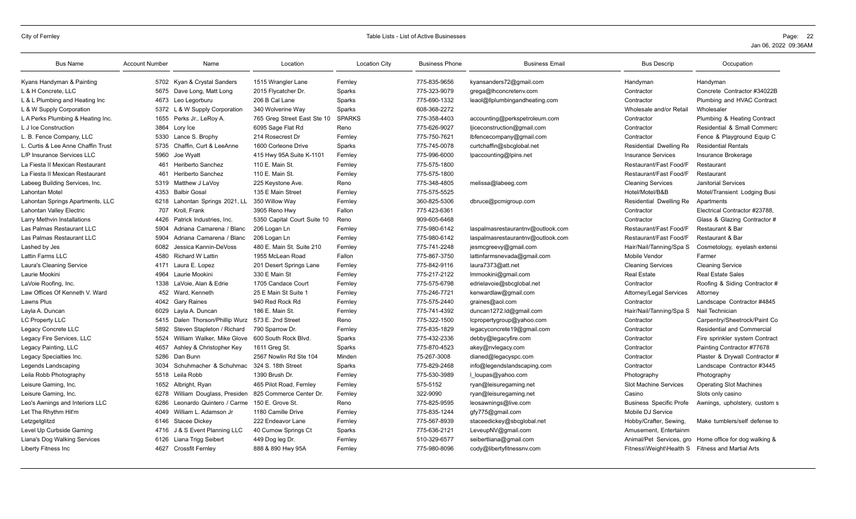| <b>Bus Name</b>                    | <b>Account Number</b> | Name                       | Location                    | <b>Location City</b> | <b>Business Phone</b> | <b>Business Email</b>             | <b>Bus Descrip</b>                               | Occupation                                             |
|------------------------------------|-----------------------|----------------------------|-----------------------------|----------------------|-----------------------|-----------------------------------|--------------------------------------------------|--------------------------------------------------------|
| Kyans Handyman & Painting          | 5702                  | Kyan & Crystal Sanders     | 1515 Wrangler Lane          | Fernley              | 775-835-9656          | kyansanders72@gmail.com           | Handyman                                         | Handyman                                               |
| L & H Concrete, LLC                | 5675                  | Dave Long, Matt Long       | 2015 Flycatcher Dr.         | Sparks               | 775-323-9079          | grega@lhconcretenv.com            | Contractor                                       | Concrete Contractor #34022B                            |
| L & L Plumbing and Heating Inc     | 4673                  | Leo Legorburu              | 206 B Cal Lane              | Sparks               | 775-690-1332          | leaol@llplumbingandheating.com    | Contractor                                       | Plumbing and HVAC Contract                             |
| L & W Supply Corporation           | 5372                  | L & W Supply Corporation   | 340 Wolverine Way           | Sparks               | 608-368-2272          |                                   | Wholesale and/or Retail                          | Wholesaler                                             |
| L A Perks Plumbing & Heating Inc.  | 1655                  | Perks Jr., LeRoy A.        | 765 Greg Street East Ste 10 | <b>SPARKS</b>        | 775-358-4403          | accounting@perkspetroleum.com     | Contractor                                       | Plumbing & Heating Contract                            |
| L J Ice Construction               | 3864                  | Lory Ice                   | 6095 Sage Flat Rd           | Reno                 | 775-626-9027          | ljiceconstruction@gmail.com       | Contractor                                       | Residential & Small Commerc                            |
| L. B. Fence Company, LLC           | 5330                  | Lance S. Brophy            | 214 Rosecrest Dr            | Fernley              | 775-750-7621          | lbfencecompany@gmail.com          | Contractor                                       | Fence & Playground Equip C                             |
| L. Curtis & Lee Anne Chaffin Trust | 5735                  | Chaffin, Curt & LeeAnne    | 1600 Corleone Drive         | Sparks               | 775-745-0078          | curtchaffin@sbcglobal.net         | Residential Dwelling Re                          | <b>Residential Rentals</b>                             |
| L/P Insurance Services LLC         | 5960                  | Joe Wvatt                  | 415 Hwy 95A Suite K-1101    | Fernley              | 775-996-6000          | lpaccounting@lpins.net            | <b>Insurance Services</b>                        | Insurance Brokerage                                    |
| La Fiesta II Mexican Restaurant    | 461                   | Heriberto Sanchez          | 110 E. Main St              | Fernley              | 775-575-1800          |                                   | Restaurant/Fast Food/F                           | Restaurant                                             |
| La Fiesta II Mexican Restaurant    | 461                   | Heriberto Sanchez          | 110 E. Main St              | Fernley              | 775-575-1800          |                                   | Restaurant/Fast Food/F                           | Restaurant                                             |
| Labeeg Building Services, Inc.     | 5319                  | Matthew J LaVoy            | 225 Keystone Ave.           | Reno                 | 775-348-4805          | melissa@labeeg.com                | <b>Cleaning Services</b>                         | <b>Janitorial Services</b>                             |
| Lahontan Motel                     | 4353                  | <b>Balbir Gosal</b>        | 135 E Main Street           | Fernley              | 775-575-5525          |                                   | Hotel/Motel/B&B                                  | Motel/Transient Lodging Busi                           |
| Lahontan Springs Apartments, LLC   | 6218                  | Lahontan Springs 2021, LL  | 350 Willow Way              | Fernley              | 360-825-5306          | dbruce@pcmigroup.com              | Residential Dwelling Re                          | Apartments                                             |
| Lahontan Valley Electric           | 707                   | Kroll, Frank               | 3905 Reno Hwy               | Fallon               | 775 423-6361          |                                   | Contractor                                       | Electrical Contractor #23788,                          |
| Larry Methvin Installations        | 4426                  | Patrick Industries, Inc.   | 5350 Capital Court Suite 10 | Reno                 | 909-605-6468          |                                   | Contractor                                       | Glass & Glazing Contractor #                           |
| Las Palmas Restaurant LLC          | 5904                  | Adriana Camarena / Blanc   | 206 Logan Ln                | Fernley              | 775-980-6142          | laspalmasrestaurantnv@outlook.com | Restaurant/Fast Food/F                           | Restaurant & Bar                                       |
| Las Palmas Restaurant LLC          | 5904                  | Adriana Camarena / Blanc   | 206 Logan Ln                | Fernley              | 775-980-6142          | laspalmasrestaurantnv@outlook.com | Restaurant/Fast Food/F                           | Restaurant & Bar                                       |
| Lashed by Jes                      | 6082                  | Jessica Kannin-DeVoss      | 480 E. Main St. Suite 210   | Fernley              | 775-741-2248          | jesmcgreevy@gmail.com             | Hair/Nail/Tanning/Spa S                          | Cosmetology, eyelash extensi                           |
| Lattin Farms LLC                   | 4580                  | <b>Richard W Lattin</b>    | 1955 McLean Road            | Fallon               | 775-867-3750          | lattinfarmsnevada@gmail.com       | Mobile Vendor                                    | Farmer                                                 |
| Laura's Cleaning Service           | 4171                  | Laura E. Lopez             | 201 Desert Springs Lane     | Fernley              | 775-842-9116          | laura7373@att.net                 | <b>Cleaning Services</b>                         | <b>Cleaning Service</b>                                |
| Laurie Mookini                     | 4964                  | Laurie Mookini             | 330 E Main St               | Fernley              | 775-217-2122          | Immookini@gmail.com               | <b>Real Estate</b>                               | <b>Real Estate Sales</b>                               |
| LaVoie Roofing, Inc.               | 1338                  | LaVoie, Alan & Edrie       | 1705 Candace Court          | Fernley              | 775-575-6798          | edrielavoie@sbcqlobal.net         | Contractor                                       | Roofing & Siding Contractor #                          |
| Law Offices Of Kenneth V. Ward     |                       | 452 Ward, Kenneth          | 25 E Main St Suite 1        | Fernley              | 775-246-7721          | kenwardlaw@gmail.com              | Attorney/Legal Services                          | Attorney                                               |
| Lawns Plus                         | 4042                  | <b>Gary Raines</b>         | 940 Red Rock Rd             | Fernley              | 775-575-2440          | graines@aol.com                   | Contractor                                       | Landscape Contractor #4845                             |
| Layla A. Duncan                    | 6029                  | Lavla A. Duncan            | 186 E. Main St.             | Fernley              | 775-741-4392          | duncan1272.ld@gmail.com           | Hair/Nail/Tanning/Spa S                          | Nail Technician                                        |
| <b>LC Property LLC</b>             | 5415                  | Dalen Thorson/Phillip Wurz | 573 E. 2nd Street           | Reno                 | 775-322-1500          | lcpropertygroup@yahoo.com         | Contractor                                       | Carpentry/Sheetrock/Paint Co                           |
| Legacy Concrete LLC                | 5892                  | Steven Stapleton / Richard | 790 Sparrow Dr.             | Fernley              | 775-835-1829          | legacyconcrete19@gmail.com        | Contractor                                       | <b>Residential and Commercial</b>                      |
| Legacy Fire Services, LLC          | 5524                  | William Walker, Mike Glove | 600 South Rock Blvd.        | Sparks               | 775-432-2336          | debby@legacyfire.com              | Contractor                                       | Fire sprinkler system Contract                         |
| Legacy Painting, LLC               | 4657                  | Ashley & Christopher Key   | 1611 Greg St.               | Sparks               | 775-870-4523          | akey@nvlegacy.com                 | Contractor                                       | Painting Contractor #77678                             |
| Legacy Specialties Inc.            | 5286                  | Dan Bunn                   | 2567 Nowlin Rd Ste 104      | Minden               | 75-267-3008           | dianed@legacyspc.com              | Contractor                                       | Plaster & Drywall Contractor #                         |
| Legends Landscaping                | 3034                  | Schuhmacher & Schuhmac     | 324 S. 18th Street          | Sparks               | 775-829-2468          | info@legendslandscaping.com       | Contractor                                       | Landscape Contractor #3445                             |
| Leila Robb Photography             |                       | 5518 Leila Robb            | 1390 Brush Dr.              | Fernley              | 775-530-3989          | l loupas@yahoo.com                | Photography                                      | Photography                                            |
| Leisure Gaming, Inc.               | 1652                  | Albright, Ryan             | 465 Pilot Road, Fernley     | Fernley              | 575-5152              | ryan@leisuregaming.net            | <b>Slot Machine Services</b>                     | <b>Operating Slot Machines</b>                         |
| Leisure Gaming, Inc.               | 6278                  | William Douglass, Presiden | 825 Commerce Center Dr.     | Fernley              | 322-9090              | ryan@leisuregaming.net            | Casino                                           | Slots only casino                                      |
| Leo's Awnings and Interiors LLC    | 6286                  | Leonardo Quintero / Carme  | 150 E. Grove St.            | Reno                 | 775-825-9595          | leosawnings@live.com              | <b>Business Specific Profe</b>                   | Awnings, upholstery, custom s                          |
| Let The Rhythm Hit'm               | 4049                  | William L. Adamson Jr      | 1180 Camille Drive          | Fernley              | 775-835-1244          | gfy775@gmail.com                  | Mobile DJ Service                                |                                                        |
| Letzgetglitzd                      | 6146                  | Stacee Dickey              | 222 Endeavor Lane           | Fernley              | 775-567-8939          | staceedickey@sbcglobal.net        | Hobby/Crafter, Sewing,                           | Make tumblers/self defense to                          |
| Level Up Curbside Gaming           | 4716                  | J & S Event Planning LLC   | 40 Curnow Springs Ct        | Sparks               | 775-636-2121          | LeveupNV@gmail.com                | Amusement, Entertainm                            |                                                        |
| Liana's Dog Walking Services       | 6126                  | Liana Trigg Seibert        | 449 Dog leg Dr.             | Fernley              | 510-329-6577          | seibertliana@gmail.com            |                                                  | Animal/Pet Services, gro Home office for dog walking & |
| Liberty Fitness Inc                | 4627                  | <b>Crossfit Fernley</b>    | 888 & 890 Hwy 95A           | Fernley              | 775-980-8096          | cody@libertyfitnessnv.com         | Fitness\Weight\Health S Fitness and Martial Arts |                                                        |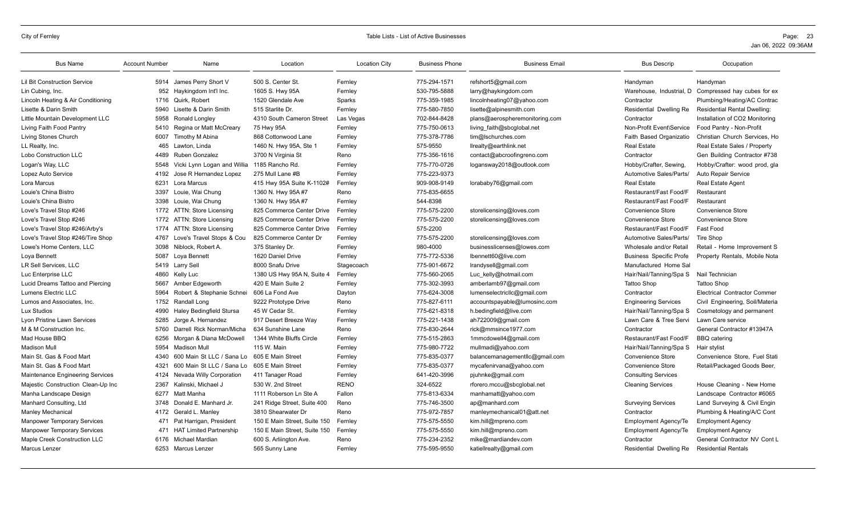| <b>Bus Name</b>                         | <b>Account Number</b> | Name                           | Location                     | <b>Location City</b> | <b>Business Phone</b> | <b>Business Email</b>          | <b>Bus Descrip</b>             | Occupation                          |
|-----------------------------------------|-----------------------|--------------------------------|------------------------------|----------------------|-----------------------|--------------------------------|--------------------------------|-------------------------------------|
| <b>Lil Bit Construction Service</b>     | 5914                  | James Perry Short V            | 500 S. Center St.            | Fernley              | 775-294-1571          | refshort5@gmail.com            | Handyman                       | Handyman                            |
| Lin Cubing, Inc.                        | 952                   | Haykingdom Int'l Inc.          | 1605 S. Hwy 95A              | Fernley              | 530-795-5888          | larry@haykingdom.com           | Warehouse. Industrial. D       | Compressed hay cubes for ex         |
| Lincoln Heating & Air Conditioning      | 1716                  | Quirk, Robert                  | 1520 Glendale Ave            | Sparks               | 775-359-1985          | lincolnheating07@yahoo.com     | Contractor                     | Plumbing/Heating/AC Contrac         |
| Lisette & Darin Smith                   | 5940                  | Lisette & Darin Smith          | 515 Starlite Dr.             | Fernley              | 775-580-7850          | lisette@alpinesmith.com        | Residential Dwelling Re        | <b>Residential Rental Dwelling:</b> |
| Little Mountain Development LLC         | 5958                  | Ronald Longley                 | 4310 South Cameron Street    | Las Vegas            | 702-844-8428          | plans@aerospheremonitoring.com | Contractor                     | Installation of CO2 Monitoring      |
| Living Faith Food Pantry                | 5410                  | Regina or Matt McCreary        | 75 Hwy 95A                   | Fernley              | 775-750-0613          | living faith@sbcglobal.net     | Non-Profit Event\Service       | Food Pantry - Non-Profit            |
| Living Stones Church                    | 6007                  | Timothy M Abina                | 868 Cottonwood Lane          | Fernley              | 775-378-7786          | tim@lschurches.com             | Faith Based Organizatio        | Christian Church Services, Ho       |
| LL Realty, Inc.                         | 465                   | Lawton, Linda                  | 1460 N. Hwy 95A, Ste 1       | Fernley              | 575-9550              | llrealty@earthlink.net         | <b>Real Estate</b>             | Real Estate Sales / Property        |
| Lobo Construction LLC                   | 4489                  | <b>Ruben Gonzalez</b>          | 3700 N Virginia St           | Reno                 | 775-356-1616          | contact@abcroofingreno.com     | Contractor                     | Gen Building Contractor #738        |
| Logan's Way, LLC                        | 5548                  | Vicki Lynn Logan and Willia    | 1185 Rancho Rd.              | Fernley              | 775-770-0726          | logansway2018@outlook.com      | Hobby/Crafter, Sewing,         | Hobby/Crafter: wood prod, gla       |
| Lopez Auto Service                      | 4192                  | Jose R Hernandez Lopez         | 275 Mull Lane #B             | Fernley              | 775-223-9373          |                                | Automotive Sales/Parts/        | Auto Repair Service                 |
| Lora Marcus                             | 6231                  | Lora Marcus                    | 415 Hwy 95A Suite K-1102#    | Fernley              | 909-908-9149          | lorababy76@gmail.com           | <b>Real Estate</b>             | <b>Real Estate Agent</b>            |
| Louie's China Bistro                    | 3397                  | Louie, Wai Chung               | 1360 N. Hwy 95A #7           | Reno                 | 775-835-6655          |                                | Restaurant/Fast Food/F         | Restaurant                          |
| Louie's China Bistro                    | 3398                  | Louie, Wai Chung               | 1360 N. Hwy 95A #7           | Fernley              | 544-8398              |                                | Restaurant/Fast Food/F         | Restaurant                          |
| Love's Travel Stop #246                 | 1772                  | ATTN: Store Licensing          | 825 Commerce Center Drive    | Fernley              | 775-575-2200          | storelicensing@loves.com       | <b>Convenience Store</b>       | Convenience Store                   |
| Love's Travel Stop #246                 | 1772                  | ATTN: Store Licensing          | 825 Commerce Center Drive    | Fernley              | 775-575-2200          | storelicensing@loves.com       | <b>Convenience Store</b>       | Convenience Store                   |
| Love's Travel Stop #246/Arby's          | 1774                  | ATTN: Store Licensing          | 825 Commerce Center Drive    | Fernley              | 575-2200              |                                | Restaurant/Fast Food/F         | Fast Food                           |
| Love's Travel Stop #246/Tire Shop       | 4767                  | Love's Travel Stops & Cou      | 825 Commerce Center Dr       | Fernley              | 775-575-2200          | storelicensing@loves.com       | Automotive Sales/Parts/        | <b>Tire Shop</b>                    |
| Lowe's Home Centers, LLC                | 3098                  | Niblock, Robert A.             | 375 Stanley Dr.              | Fernley              | 980-4000              | businesslicenses@lowes.com     | Wholesale and/or Retail        | Retail - Home Improvement S         |
| Loya Bennett                            | 5087                  | Loya Bennett                   | 1620 Daniel Drive            | Fernley              | 775-772-5336          | lbennett60@live.com            | <b>Business Specific Profe</b> | Property Rentals, Mobile Nota       |
| LR Sell Services, LLC                   |                       | 5419 Larry Sell                | 8000 Snafu Drive             | Stagecoach           | 775-901-6672          | Irandysell@gmail.com           | Manufactured Home Sal          |                                     |
| Luc Enterprise LLC                      | 4860                  | Kelly Luc                      | 1380 US Hwy 95A N, Suite 4   | Fernley              | 775-560-2065          | Luc kelly@hotmail.com          | Hair/Nail/Tanning/Spa S        | Nail Technician                     |
| Lucid Dreams Tattoo and Piercing        | 5667                  | Amber Edgeworth                | 420 E Main Suite 2           | Fernley              | 775-302-3993          | amberlamb97@gmail.com          | <b>Tattoo Shop</b>             | <b>Tattoo Shop</b>                  |
| Lumens Electric LLC                     | 5964                  | Robert & Stephanie Schnei      | 606 La Fond Ave              | Dayton               | 775-624-3008          | lumenselectricllc@gmail.com    | Contractor                     | <b>Electrical Contractor Commer</b> |
| Lumos and Associates, Inc.              | 1752                  | Randall Long                   | 9222 Prototype Drive         | Reno                 | 775-827-6111          | accountspayable@lumosinc.com   | <b>Engineering Services</b>    | Civil Engineering, Soil/Materia     |
| Lux Studios                             | 4990                  | Haley Bedingfield Stursa       | 45 W Cedar St.               | Fernley              | 775-621-8318          | h.bedingfield@live.com         | Hair/Nail/Tanning/Spa S        | Cosmetology and permanent           |
| Lyon Pristine Lawn Services             | 5285                  | Jorge A. Hernandez             | 917 Desert Breeze Way        | Fernley              | 775-221-1438          | ah722009@gmail.com             | Lawn Care & Tree Servi         | Lawn Care service                   |
| M & M Construction Inc.                 | 5760                  | Darrell Rick Norman/Micha      | 634 Sunshine Lane            | Reno                 | 775-830-2644          | rick@mmsince1977.com           | Contractor                     | General Contractor #13947A          |
| Mad House BBQ                           | 6256                  | Morgan & Diana McDowell        | 1344 White Bluffs Circle     | Fernley              | 775-515-2863          | 1mmcdowell4@gmail.com          | Restaurant/Fast Food/F         | <b>BBQ</b> catering                 |
| <b>Madison Mull</b>                     | 5954                  | <b>Madison Mull</b>            | 115 W. Main                  | Fernley              | 775-980-7722          | mullmadi@yahoo.com             | Hair/Nail/Tanning/Spa S        | Hair stylist                        |
| Main St. Gas & Food Mart                | 4340                  | 600 Main St LLC / Sana Lo      | 605 E Main Street            | Fernley              | 775-835-0377          | balancemanagementllc@gmail.com | <b>Convenience Store</b>       | Convenience Store, Fuel Stati       |
| Main St. Gas & Food Mart                | 4321                  | 600 Main St LLC / Sana Lo      | 605 E Main Street            | Fernley              | 775-835-0377          | mycafenirvana@yahoo.com        | <b>Convenience Store</b>       | Retail/Packaged Goods Beer,         |
| <b>Maintenance Engineering Services</b> | 4124                  | Nevada Willy Corporation       | 411 Tanager Road             | Fernley              | 641-420-3996          | pjuhnke@gmail.com              | <b>Consulting Services</b>     |                                     |
| Majestic Construction Clean-Up Inc      | 2367                  | Kalinski, Michael J            | 530 W. 2nd Street            | <b>RENO</b>          | 324-6522              | rforero.mccu@sbcglobal.net     | <b>Cleaning Services</b>       | House Cleaning - New Home           |
| Manha Landscape Design                  | 6277                  | Matt Manha                     | 1111 Roberson Ln Ste A       | Fallon               | 775-813-6334          | manhamatt@yahoo.com            |                                | Landscape Contractor #6065          |
| Manhard Consulting, Ltd                 | 3748                  | Donald E. Manhard Jr.          | 241 Ridge Street, Suite 400  | Reno                 | 775-746-3500          | ap@manhard.com                 | <b>Surveying Services</b>      | Land Surveying & Civil Engin        |
| <b>Manley Mechanical</b>                | 4172                  | Gerald L. Manley               | 3810 Shearwater Dr           | Reno                 | 775-972-7857          | manleymechanical01@att.net     | Contractor                     | Plumbing & Heating/A/C Cont         |
| <b>Manpower Temporary Services</b>      | 471                   | Pat Harrigan, President        | 150 E Main Street. Suite 150 | Fernley              | 775-575-5550          | kim.hill@mpreno.com            | <b>Employment Agency/Te</b>    | <b>Employment Agency</b>            |
| <b>Manpower Temporary Services</b>      | 471                   | <b>HAT Limited Partnership</b> | 150 E Main Street. Suite 150 | Fernley              | 775-575-5550          | kim.hill@mpreno.com            | <b>Employment Agency/Te</b>    | <b>Employment Agency</b>            |
| Maple Creek Construction LLC            | 6176                  | Michael Mardian                | 600 S. Arliington Ave.       | Reno                 | 775-234-2352          | mike@mardiandev.com            | Contractor                     | General Contractor NV Cont L        |
| Marcus Lenzer                           |                       | 6253 Marcus Lenzer             | 565 Sunny Lane               | Fernley              | 775-595-9550          | katiellrealty@gmail.com        | Residential Dwelling Re        | <b>Residential Rentals</b>          |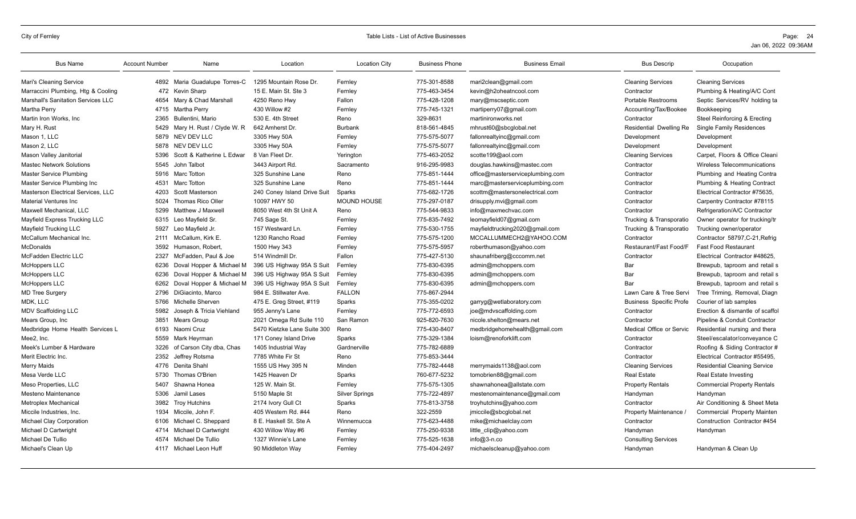| <b>Bus Name</b>                           | <b>Account Number</b> | Name                          | Location                    | <b>Location City</b>  | <b>Business Phone</b> | <b>Business Email</b>            | <b>Bus Descrip</b>             | Occupation                          |
|-------------------------------------------|-----------------------|-------------------------------|-----------------------------|-----------------------|-----------------------|----------------------------------|--------------------------------|-------------------------------------|
| Mari's Cleaning Service                   |                       | 4892 Maria Guadalupe Torres-C | 1295 Mountain Rose Dr.      | Fernley               | 775-301-8588          | mari2clean@gmail.com             | <b>Cleaning Services</b>       | <b>Cleaning Services</b>            |
| Marraccini Plumbing, Htg & Cooling        |                       | 472 Kevin Sharp               | 15 E. Main St. Ste 3        | Fernley               | 775-463-3454          | kevin@h2oheatncool.com           | Contractor                     | Plumbing & Heating/A/C Cont         |
| <b>Marshall's Sanitation Services LLC</b> | 4654                  | Mary & Chad Marshall          | 4250 Reno Hwy               | Fallon                | 775-428-1208          | mary@mscseptic.com               | Portable Restrooms             | Septic Services/RV holding ta       |
| Martha Perry                              | 4715                  | Martha Perry                  | 430 Willow #2               | Fernley               | 775-745-1321          | martiperry07@gmail.com           | Accounting/Tax/Bookee          | Bookkeeping                         |
| Martin Iron Works, Inc.                   | 2365                  | Bullentini, Mario             | 530 E. 4th Street           | Reno                  | 329-8631              | martinironworks.net              | Contractor                     | Steel Reinforcing & Erecting        |
| Mary H. Rust                              | 5429                  | Mary H. Rust / Clyde W. R     | 642 Amherst Dr.             | <b>Burbank</b>        | 818-561-4845          | mhrust60@sbcglobal.net           | Residential Dwelling Re        | <b>Single Family Residences</b>     |
| Mason 1, LLC                              |                       | 5879 NEV DEV LLC              | 3305 Hwy 50A                | Fernley               | 775-575-5077          | fallonrealtyinc@gmail.com        | Development                    | Development                         |
| Mason 2, LLC                              | 5878                  | NEV DEV LLC                   | 3305 Hwy 50A                | Fernley               | 775-575-5077          | fallonrealtyinc@gmail.com        | Development                    | Development                         |
| Mason Valley Janitorial                   | 5396                  | Scott & Katherine L Edwar     | 8 Van Fleet Dr.             | Yerington             | 775-463-2052          | scotte199@aol.com                | <b>Cleaning Services</b>       | Carpet, Floors & Office Cleani      |
| <b>Mastec Network Solutions</b>           | 5545                  | John Talbot                   | 3443 Airport Rd.            | Sacramento            | 916-295-9983          | douglas.hawkins@mastec.com       | Contractor                     | Wireless Telecommunications         |
| <b>Master Service Plumbing</b>            | 5916                  | Marc Totton                   | 325 Sunshine Lane           | Reno                  | 775-851-1444          | office@masterserviceplumbing.com | Contractor                     | Plumbing and Heating Contra         |
| Master Service Plumbing Inc               | 4531                  | Marc Totton                   | 325 Sunshine Lane           | Reno                  | 775-851-1444          | marc@masterserviceplumbing.com   | Contractor                     | Plumbing & Heating Contract         |
| Masterson Electrical Services. LLC        | 4203                  | Scott Masterson               | 240 Coney Island Drive Suit | Sparks                | 775-682-1726          | scottm@mastersonelectrical.com   | Contractor                     | Electrical Contractor #75635.       |
| <b>Material Ventures Inc</b>              | 5024                  | <b>Thomas Rico Oller</b>      | 10097 HWY 50                | <b>MOUND HOUSE</b>    | 775-297-0187          | drisupply.mvi@gmail.com          | Contractor                     | Carpentry Contractor #78115         |
| Maxwell Mechanical, LLC                   | 5299                  | Matthew J Maxwell             | 8050 West 4th St Unit A     | Reno                  | 775-544-9833          | info@maxmechvac.com              | Contractor                     | Refrigeration/A/C Contractor        |
| Mayfield Express Trucking LLC             | 6315                  | Leo Mavfield Sr.              | 745 Sage St.                | Fernley               | 775-835-7492          | leomayfield07@gmail.com          | Trucking & Transporatio        | Owner operator for trucking/tr      |
| Mayfield Trucking LLC                     | 5927                  | Leo Mayfield Jr.              | 157 Westward Ln.            | Fernley               | 775-530-1755          | mayfieldtrucking2020@gmail.com   | Trucking & Transporatio        | Trucking owner/operator             |
| McCallum Mechanical Inc.                  | 2111                  | McCallum, Kirk E.             | 1230 Rancho Road            | Fernlev               | 775-575-1200          | MCCALLUMMECH2@YAHOO.COM          | Contractor                     | Contractor 58797, C-21, Refrig      |
| <b>McDonalds</b>                          | 3592                  | Humason, Robert               | 1500 Hwy 343                | Fernley               | 775-575-5957          | roberthumason@yahoo.com          | Restaurant/Fast Food/F         | <b>Fast Food Restaurant</b>         |
| McFadden Electric LLC                     | 2327                  | McFadden, Paul & Joe          | 514 Windmill Dr.            | Fallon                | 775-427-5130          | shaunafriberg@cccomm.net         | Contractor                     | Electrical Contractor #48625.       |
| McHoppers LLC                             | 6236                  | Doval Hopper & Michael M      | 396 US Highway 95A S Suit   | Fernlev               | 775-830-6395          | admin@mchoppers.com              | Bar                            | Brewpub, taproom and retail s       |
| McHoppers LLC                             | 6236                  | Doval Hopper & Michael M      | 396 US Highway 95A S Suit   | Fernley               | 775-830-6395          | admin@mchoppers.com              | Bar                            | Brewpub, taproom and retail s       |
| <b>McHoppers LLC</b>                      | 6262                  | Doval Hopper & Michael M      | 396 US Highway 95A S Suit   | Fernley               | 775-830-6395          | admin@mchoppers.com              | Bar                            | Brewpub, taproom and retail s       |
| <b>MD Tree Surgery</b>                    | 2796                  | DiGiacinto, Marco             | 984 E. Stillwater Ave.      | <b>FALLON</b>         | 775-867-2944          |                                  | Lawn Care & Tree Servi         | Tree Triming, Removal, Diagn        |
| MDK, LLC                                  | 5766                  | Michelle Sherven              | 475 E. Greg Street, #119    | Sparks                | 775-355-0202          | garryg@wetlaboratory.com         | <b>Business Specific Profe</b> | Courier of lab samples              |
| <b>MDV Scaffolding LLC</b>                | 5982                  | Joseph & Tricia Viehland      | 955 Jenny's Lane            | Fernley               | 775-772-6593          | joe@mdvscaffolding.com           | Contractor                     | Erection & dismantle of scaffol     |
| Mears Group, Inc.                         | 3851                  | Mears Group                   | 2021 Omega Rd Suite 110     | San Ramon             | 925-820-7630          | nicole.shelton@mears.net         | Contractor                     | Pipeline & Conduit Contractor       |
| Medbridge Home Health Services L          | 6193                  | Naomi Cruz                    | 5470 Kietzke Lane Suite 300 | Reno                  | 775-430-8407          | medbridgehomehealth@gmail.com    | Medical Office or Servic       | Residential nursing and thera       |
| Mee2, Inc.                                | 5559                  | Mark Heyrman                  | 171 Coney Island Drive      | Sparks                | 775-329-1384          | loism@renoforklift.com           | Contractor                     | Steel/escalator/conveyance C        |
| Meek's Lumber & Hardware                  | 3226                  | of Carson City dba, Chas      | 1405 Industrial Way         | Gardnerville          | 775-782-6889          |                                  | Contractor                     | Roofing & Siding Contractor #       |
| Merit Electric Inc.                       | 2352                  | Jeffrey Rotsma                | 7785 White Fir St           | Reno                  | 775-853-3444          |                                  | Contractor                     | Electrical Contractor #55495.       |
| <b>Merry Maids</b>                        | 4776                  | Denita Shahl                  | 1555 US Hwy 395 N           | Minden                | 775-782-4448          | merrymaids1138@aol.com           | <b>Cleaning Services</b>       | <b>Residential Cleaning Service</b> |
| Mesa Verde LLC                            | 5730                  | Thomas O'Brien                | 1425 Heaven Dr              | Sparks                | 760-677-5232          | tomobrien88@gmail.com            | <b>Real Estate</b>             | Real Estate Investing               |
| Meso Properties, LLC                      | 5407                  | Shawna Honea                  | 125 W. Main St.             | Fernley               | 775-575-1305          | shawnahonea@allstate.com         | <b>Property Rentals</b>        | <b>Commercial Property Rentals</b>  |
| Mesteno Maintenance                       | 5306                  | Jamil Lases                   | 5150 Maple St               | <b>Silver Springs</b> | 775-722-4897          | mestenomaintenance@gmail.com     | Handyman                       | Handyman                            |
| <b>Metroplex Mechanical</b>               | 3982                  | <b>Trov Hutchins</b>          | 2174 Ivory Gull Ct          | Sparks                | 775-813-3758          | troyhutchins@yahoo.com           | Contractor                     | Air Conditioning & Sheet Meta       |
| Miccile Industries, Inc.                  | 1934                  | Miccile, John F.              | 405 Western Rd. #44         | Reno                  | 322-2559              | jmiccile@sbcglobal.net           | Property Maintenance           | <b>Commercial Property Mainten</b>  |
| <b>Michael Clay Corporation</b>           | 6106                  | Michael C. Sheppard           | 8 E. Haskell St. Ste A      | Winnemucca            | 775-623-4488          | mike@michaelclay.com             | Contractor                     | Construction Contractor #454        |
| Michael D Cartwright                      | 4714                  | Michael D Cartwright          | 430 Willow Way #6           | Fernley               | 775-250-9338          | little clip@yahoo.com            | Handyman                       | Handyman                            |
| Michael De Tullio                         | 4574                  | Michael De Tullio             | 1327 Winnie's Lane          | Fernley               | 775-525-1638          | $info@3-n.co$                    | <b>Consulting Services</b>     |                                     |
| Michael's Clean Up                        | 4117                  | Michael Leon Huff             | 90 Middleton Way            | Fernley               | 775-404-2497          | michaelscleanup@yahoo.com        | Handyman                       | Handyman & Clean Up                 |
|                                           |                       |                               |                             |                       |                       |                                  |                                |                                     |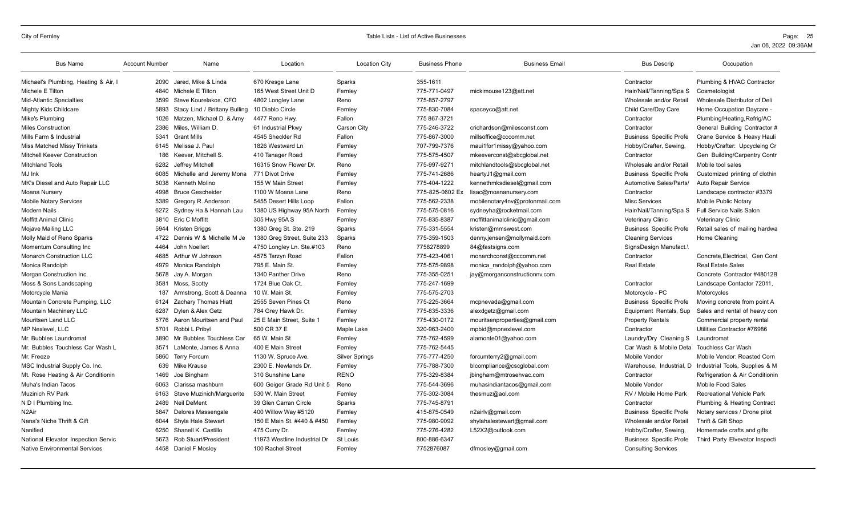| <b>Bus Name</b>                      | <b>Account Number</b> | Name                          | Location                     | <b>Location City</b>  | <b>Business Phone</b> | <b>Business Email</b>          | <b>Bus Descrip</b>             | Occupation                       |
|--------------------------------------|-----------------------|-------------------------------|------------------------------|-----------------------|-----------------------|--------------------------------|--------------------------------|----------------------------------|
| Michael's Plumbing, Heating & Air, I | 2090                  | Jared. Mike & Linda           | 670 Kresge Lane              | Sparks                | 355-1611              |                                | Contractor                     | Plumbing & HVAC Contractor       |
| Michele E Tilton                     | 4840                  | Michele E Tilton              | 165 West Street Unit D       | Fernley               | 775-771-0497          | mickimouse123@att.net          | Hair/Nail/Tanning/Spa S        | Cosmetologist                    |
| <b>Mid-Atlantic Specialties</b>      | 3599                  | Steve Kourelakos, CFO         | 4802 Longley Lane            | Reno                  | 775-857-2797          |                                | Wholesale and/or Retail        | Wholesale Distributor of Deli    |
| Mighty Kids Childcare                | 5893                  | Stacy Lind / Brittany Bulling | 10 Diablo Circle             | Fernley               | 775-830-7084          | spaceyco@att.net               | Child Care/Day Care            | Home Occupation Daycare -        |
| Mike's Plumbing                      | 1026                  | Matzen, Michael D. & Amy      | 4477 Reno Hwy.               | Fallon                | 775 867-3721          |                                | Contractor                     | Plumbing/Heating, Refrig/AC      |
| <b>Miles Construction</b>            | 2386                  | Miles, William D.             | 61 Industrial Pkwy           | <b>Carson City</b>    | 775-246-3722          | crichardson@milesconst.com     | Contractor                     | General Building Contractor #    |
| Mills Farm & Industrial              | 5341                  | <b>Grant Mills</b>            | 4545 Sheckler Rd             | Fallon                | 775-867-3000          | millsoffice@cccomm.net         | <b>Business Specific Profe</b> | Crane Service & Heavy Hauli      |
| <b>Miss Matched Missy Trinkets</b>   | 6145                  | Melissa J. Paul               | 1826 Westward Ln             | Fernley               | 707-799-7376          | maui1for1missy@yahoo.com       | Hobby/Crafter, Sewing,         | Hobby/Crafter: Upcycleing Cr     |
| <b>Mitchell Keever Construction</b>  | 186                   | Keever, Mitchell S.           | 410 Tanager Road             | Fernley               | 775-575-4507          | mkeeverconst@sbcglobal.net     | Contractor                     | Gen Building/Carpentry Contr     |
| <b>Mitchland Tools</b>               | 6282                  | Jeffrey Mitchell              | 16315 Snow Flower Dr.        | Reno                  | 775-997-9271          | mitchlandtools@sbcqlobal.net   | Wholesale and/or Retail        | Mobile tool sales                |
| MJ Ink                               | 6085                  | Michelle and Jeremy Mona      | 771 Divot Drive              | Fernley               | 775-741-2686          | heartyJ1@gmail.com             | <b>Business Specific Profe</b> | Customized printing of clothin   |
| MK's Diesel and Auto Repair LLC      | 5038                  | Kenneth Molino                | 155 W Main Street            | Fernley               | 775-404-1222          | kennethmksdiesel@gmail.com     | Automotive Sales/Parts/        | Auto Repair Service              |
| Moana Nursery                        | 4998                  | <b>Bruce Gescheider</b>       | 1100 W Moana Lane            | Reno                  | 775-825-0602 Ex       | lisac@moananursery.com         | Contractor                     | Landscape contractor #3379       |
| Mobile Notary Services               | 5389                  | Gregory R. Anderson           | 5455 Desert Hills Loop       | Fallon                | 775-562-2338          | mobilenotary4nv@protonmail.com | <b>Misc Services</b>           | Mobile Public Notary             |
| Modern Nails                         | 6272                  | Sydney Ha & Hannah Lau        | 1380 US Highway 95A North    | Fernley               | 775-575-0816          | sydneyha@rocketmail.com        | Hair/Nail/Tanning/Spa S        | Full Service Nails Salon         |
| <b>Moffitt Animal Clinic</b>         | 3810                  | Eric C Moffitt                | 305 Hwy 95A S                | Fernley               | 775-835-8387          | moffittanimalclinic@gmail.com  | Veterinary Clinic              | <b>Veterinary Clinic</b>         |
| Mojave Mailing LLC                   | 5944                  | Kristen Briggs                | 1380 Greg St. Ste. 219       | Sparks                | 775-331-5554          | kristen@mmswest.com            | <b>Business Specific Profe</b> | Retail sales of mailing hardwa   |
| Molly Maid of Reno Sparks            | 4722                  | Dennis W & Michelle M Je      | 1380 Greg Street, Suite 233  | Sparks                | 775-359-1503          | denny.jensen@mollymaid.com     | <b>Cleaning Services</b>       | Home Cleaning                    |
| Momentum Consulting Inc              | 4464                  | John Noellert                 | 4750 Longley Ln. Ste.#103    | Reno                  | 7758278899            | 84@fastsigns.com               | SignsDesign Manufact.\         |                                  |
| <b>Monarch Construction LLC</b>      | 4685                  | Arthur W Johnson              | 4575 Tarzyn Road             | Fallon                | 775-423-4061          | monarchconst@cccomm.net        | Contractor                     | Concrete.Electrical. Gen Cont    |
| Monica Randolph                      | 4979                  | Monica Randolph               | 795 E. Main St.              | Fernley               | 775-575-9898          | monica randolph@yahoo.com      | <b>Real Estate</b>             | <b>Real Estate Sales</b>         |
| Morgan Construction Inc.             | 5678                  | Jay A. Morgan                 | 1340 Panther Drive           | Reno                  | 775-355-0251          | jay@morganconstructionny.com   |                                | Concrete Contractor #48012B      |
| Moss & Sons Landscaping              | 3581                  | Moss, Scotty                  | 1724 Blue Oak Ct.            | Fernley               | 775-247-1699          |                                | Contractor                     | Landscape Contactor 72011,       |
| Motorcycle Mania                     | 187                   | Armstrong, Scott & Deanna     | 10 W. Main St.               | Fernley               | 775-575-2703          |                                | Motorcycle - PC                | Motorcycles                      |
| Mountain Concrete Pumping, LLC       | 6124                  | Zachary Thomas Hiatt          | 2555 Seven Pines Ct          | Reno                  | 775-225-3664          | mcpnevada@gmail.com            | <b>Business Specific Profe</b> | Moving concrete from point A     |
| Mountain Machinery LLC               | 6287                  | Dylen & Alex Getz             | 784 Grey Hawk Dr.            | Fernley               | 775-835-3336          | alexdgetz@gmail.com            | Equipment Rentals, Sup         | Sales and rental of heavy con    |
| Mouritsen Land LLC                   | 5776                  | Aaron Mouritsen and Paul      | 25 E Main Street. Suite 1    | Fernley               | 775-430-0172          | mouritsenproperties@gmail.com  | <b>Property Rentals</b>        | Commercial property rental       |
| <b>MP Nexlevel, LLC</b>              | 5701                  | Robbi L Pribyl                | 500 CR 37 E                  | Maple Lake            | 320-963-2400          | mpbid@mpnexlevel.com           | Contractor                     | Utilities Contractor #76986      |
| Mr. Bubbles Laundromat               | 3890                  | Mr Bubbles Touchless Car      | 65 W. Main St                | Fernley               | 775-762-4599          | alamonte01@yahoo.com           | Laundry/Dry Cleaning S         | Laundromat                       |
| Mr. Bubbles Touchless Car Wash L     | 3571                  | LaMonte, James & Anna         | 400 E Main Street            | Fernley               | 775-762-5445          |                                | Car Wash & Mobile Deta         | <b>Touchless Car Wash</b>        |
| Mr. Freeze                           | 5860                  | <b>Terry Forcum</b>           | 1130 W. Spruce Ave.          | <b>Silver Springs</b> | 775-777-4250          | forcumterry2@gmail.com         | Mobile Vendor                  | Mobile Vendor: Roasted Corn      |
| MSC Industrial Supply Co. Inc.       | 639                   | Mike Krause                   | 2300 E. Newlands Dr.         | Fernley               | 775-788-7300          | blcompliance@cscglobal.com     | Warehouse, Industrial, D       | Industrial Tools, Supplies & M   |
| Mt. Rose Heating & Air Conditionin   | 1469                  | Joe Bingham                   | 310 Sunshine Lane            | <b>RENO</b>           | 775-329-8384          | jbingham@mtrosehvac.com        | Contractor                     | Refrigeration & Air Conditionin  |
| Muha's Indian Tacos                  | 6063                  | Clarissa mashburn             | 600 Geiger Grade Rd Unit 5   | Reno                  | 775-544-3696          | muhasindiantacos@gmail.com     | Mobile Vendor                  | Mobile Food Sales                |
| <b>Muzinich RV Park</b>              | 6163                  | Steve Muzinich/Marquerite     | 530 W. Main Street           | Fernley               | 775-302-3084          | thesmuz@aol.com                | RV / Mobile Home Park          | <b>Recreational Vehicle Park</b> |
| N D I Plumbing Inc.                  | 2489                  | <b>Neil DeMent</b>            | 39 Glen Carran Circle        | Sparks                | 775-745-8791          |                                | Contractor                     | Plumbing & Heating Contract      |
| N2Air                                | 5847                  | Delores Massengale            | 400 Willow Way #5120         | Fernley               | 415-875-0549          | n2airlv@gmail.com              | <b>Business Specific Profe</b> | Notary services / Drone pilot    |
| Nana's Niche Thrift & Gift           | 6044                  | Shyla Hale Stewart            | 150 E Main St. #440 & #450   | Fernley               | 775-980-9092          | shylahalestewart@gmail.com     | Wholesale and/or Retail        | Thrift & Gift Shop               |
| Nanified                             | 6250                  | Shanell K. Castillo           | 475 Curry Dr.                | Fernley               | 775-276-4282          | L52X2@outlook.com              | Hobby/Crafter, Sewing          | Homemade crafts and gifts        |
| National Elevator Inspection Servic  | 5673                  | <b>Rob Stuart/President</b>   | 11973 Westline Industrial Dr | St Louis              | 800-886-6347          |                                | <b>Business Specific Profe</b> | Third Party Elvevator Inspecti   |
| <b>Native Environmental Services</b> |                       | 4458 Daniel F Mosley          | 100 Rachel Street            | Fernley               | 7752876087            | dfmosley@gmail.com             | <b>Consulting Services</b>     |                                  |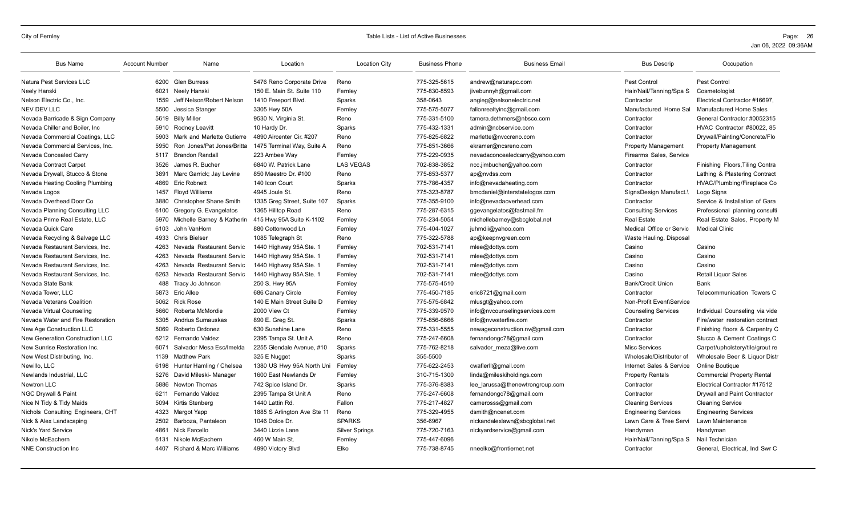| <b>Bus Name</b>                   | <b>Account Number</b> | Name                         | Location                    | <b>Location City</b>  | <b>Business Phone</b> | <b>Business Email</b>           | <b>Bus Descrip</b>          | Occupation                        |
|-----------------------------------|-----------------------|------------------------------|-----------------------------|-----------------------|-----------------------|---------------------------------|-----------------------------|-----------------------------------|
| Natura Pest Services LLC          | 6200                  | <b>Glen Burress</b>          | 5476 Reno Corporate Drive   | Reno                  | 775-325-5615          | andrew@naturapc.com             | Pest Control                | Pest Control                      |
| Neely Hanski                      | 6021                  | Neely Hanski                 | 150 E. Main St. Suite 110   | Fernley               | 775-830-8593          | jivebunnyh@gmail.com            | Hair/Nail/Tanning/Spa S     | Cosmetologist                     |
| Nelson Electric Co., Inc.         | 1559                  | Jeff Nelson/Robert Nelson    | 1410 Freeport Blvd.         | Sparks                | 358-0643              | angieg@nelsonelectric.net       | Contractor                  | Electrical Contractor #16697.     |
| <b>NEV DEV LLC</b>                | 5500                  | Jessica Stanger              | 3305 Hwy 50A                | Fernley               | 775-575-5077          | fallonrealtyinc@gmail.com       | Manufactured Home Sal       | <b>Manufactured Home Sales</b>    |
| Nevada Barricade & Sign Company   | 5619                  | <b>Billy Miller</b>          | 9530 N. Virginia St.        | Reno                  | 775-331-5100          | tamera.dethmers@nbsco.com       | Contractor                  | General Contractor #0052315       |
| Nevada Chiller and Boiler, Inc.   | 5910                  | Rodney Leavitt               | 10 Hardy Dr.                | Sparks                | 775-432-1331          | admin@ncbservice.com            | Contractor                  | HVAC Contractor #80022, 85        |
| Nevada Commercial Coatings, LLC   | 5903                  | Mark and Marlette Gutierre   | 4890 Aircenter Cir. #207    | Reno                  | 775-825-6822          | marlette@nvccreno.com           | Contractor                  | Drywall/Painting/Concrete/Flo     |
| Nevada Commercial Services, Inc.  | 5950                  | Ron Jones/Pat Jones/Britta   | 1475 Terminal Way, Suite A  | Reno                  | 775-851-3666          | ekramer@ncsreno.com             | <b>Property Management</b>  | <b>Property Management</b>        |
| Nevada Concealed Carry            | 5117                  | <b>Brandon Randall</b>       | 223 Ambee Way               | Fernley               | 775-229-0935          | nevadaconcealedcarry@yahoo.com  | Firearms Sales, Service     |                                   |
| Nevada Contract Carpet            | 3526                  | James R. Bucher              | 6840 W. Patrick Lane        | <b>LAS VEGAS</b>      | 702-838-3852          | ncc.jimbucher@yahoo.com         | Contractor                  | Finishing Floors, Tiling Contra   |
| Nevada Drywall, Stucco & Stone    | 3891                  | Marc Garrick: Jay Levine     | 850 Maestro Dr. #100        | Reno                  | 775-853-5377          | ap@nvdss.com                    | Contractor                  | Lathing & Plastering Contract     |
| Nevada Heating Cooling Plumbing   | 4869                  | <b>Eric Robnett</b>          | 140 Icon Court              | Sparks                | 775-786-4357          | info@nevadaheating.com          | Contractor                  | HVAC/Plumbing/Fireplace Co        |
| Nevada Logos                      | 1457                  | <b>Flovd Williams</b>        | 4945 Joule St.              | Reno                  | 775-323-8787          | bmcdaniel@interstatelogos.com   | SignsDesign Manufact.\      | Logo Signs                        |
| Nevada Overhead Door Co           | 3880                  | Christopher Shane Smith      | 1335 Greg Street, Suite 107 | Sparks                | 775-355-9100          | info@nevadaoverhead.com         | Contractor                  | Service & Installation of Gara    |
| Nevada Planning Consulting LLC    | 6100                  | Gregory G. Evangelatos       | 1365 Hilltop Road           | Reno                  | 775-287-6315          | ggevangelatos@fastmail.fm       | <b>Consulting Services</b>  | Professional planning consulti    |
| Nevada Prime Real Estate, LLC     | 5970                  | Michelle Barney & Katherin   | 415 Hwy 95A Suite K-1102    | Fernley               | 775-234-5054          | michellebarney@sbcglobal.net    | <b>Real Estate</b>          | Real Estate Sales, Property M     |
| Nevada Quick Care                 | 6103                  | John VanHorn                 | 880 Cottonwood Ln           | Fernley               | 775-404-1027          | juhmdii@yahoo.com               | Medical Office or Servic    | <b>Medical Clinic</b>             |
| Nevada Recycling & Salvage LLC    | 4933                  | <b>Chris Bielser</b>         | 1085 Telegraph St           | Reno                  | 775-322-5788          | ap@keepnvgreen.com              | Waste Hauling, Disposal     |                                   |
| Nevada Restaurant Services, Inc.  | 4263                  | Nevada Restaurant Servic     | 1440 Highway 95A Ste. 1     | Fernley               | 702-531-7141          | mlee@dottys.com                 | Casino                      | Casino                            |
| Nevada Restaurant Services, Inc.  | 4263                  | Nevada Restaurant Servic     | 1440 Highway 95A Ste. 1     | Fernley               | 702-531-7141          | mlee@dottys.com                 | Casino                      | Casino                            |
| Nevada Restaurant Services, Inc.  | 4263                  | Nevada Restaurant Servic     | 1440 Highway 95A Ste. 1     | Fernley               | 702-531-7141          | mlee@dottys.com                 | Casino                      | Casino                            |
| Nevada Restaurant Services, Inc.  | 6263                  | Nevada Restaurant Servic     | 1440 Highway 95A Ste. 1     | Fernley               | 702-531-7141          | mlee@dottys.com                 | Casino                      | <b>Retail Liquor Sales</b>        |
| Nevada State Bank                 | 488                   | Tracy Jo Johnson             | 250 S. Hwy 95A              | Fernley               | 775-575-4510          |                                 | <b>Bank/Credit Union</b>    | Bank                              |
| Nevada Tower, LLC                 | 5873                  | Eric Allee                   | 686 Canary Circle           | Fernley               | 775-450-7185          | eric8721@gmail.com              | Contractor                  | Telecommunication Towers C        |
| Nevada Veterans Coalition         |                       | 5062 Rick Rose               | 140 E Main Street Suite D   | Fernley               | 775-575-6842          | mlusgt@yahoo.com                | Non-Profit Event\Service    |                                   |
| Nevada Virtual Counseling         | 5660                  | Roberta McMordie             | 2000 View Ct                | Fernley               | 775-339-9570          | info@nvcounselingservices.com   | <b>Counseling Services</b>  | Individual Counseling via vide    |
| Nevada Water and Fire Restoration | 5305                  | <b>Andrius Sumauskas</b>     | 890 E. Greg St.             | Sparks                | 775-856-6666          | info@nvwaterfire.com            | Contractor                  | Fire/water restoration contract   |
| New Age Construction LLC          | 5069                  | Roberto Ordonez              | 630 Sunshine Lane           | Reno                  | 775-331-5555          | newageconstruction.nv@gmail.com | Contractor                  | Finishing floors & Carpentry C    |
| New Generation Construction LLC   | 6212                  | Fernando Valdez              | 2395 Tampa St. Unit A       | Reno                  | 775-247-6608          | fernandongc78@gmail.com         | Contractor                  | Stucco & Cement Coatings C        |
| New Sunrise Restoration Inc.      | 6071                  | Salvador Mesa Esc/Imelda     | 2255 Glendale Avenue, #10   | Sparks                | 775-762-8218          | salvador_meza@live.com          | <b>Misc Services</b>        | Carpet/upholstery/tile/grout re   |
| New West Distributing, Inc.       | 1139                  | <b>Matthew Park</b>          | 325 E Nugget                | Sparks                | 355-5500              |                                 | Wholesale/Distributor of    | Wholesale Beer & Liquor Distr     |
| Newillo, LLC                      | 6198                  | Hunter Hamling / Chelsea     | 1380 US Hwy 95A North Uni   | Fernley               | 775-622-2453          | cwaflerll@gmail.com             | Internet Sales & Service    | Online Boutique                   |
| Newlands Industrial, LLC          | 5276                  | David Mileski- Manager       | 1600 East Newlands Dr       | Fernley               | 310-715-1300          | linda@mileskiholdings.com       | <b>Property Rentals</b>     | <b>Commercial Property Rental</b> |
| Newtron LLC                       | 5886                  | Newton Thomas                | 742 Spice Island Dr.        | Sparks                | 775-376-8383          | lee larussa@thenewtrongroup.com | Contractor                  | Electrical Contractor #17512      |
| NGC Drywall & Paint               | 6211                  | Fernando Valdez              | 2395 Tampa St Unit A        | Reno                  | 775-247-6608          | fernandongc78@gmail.com         | Contractor                  | Drywall and Paint Contractor      |
| Nice N Tidy & Tidy Maids          | 5094                  | Kirtis Stenberg              | 1440 Lattin Rd.             | Fallon                | 775-217-4827          | camerosss@gmail.com             | <b>Cleaning Services</b>    | <b>Cleaning Service</b>           |
| Nichols Consulting Engineers, CHT | 4323                  | Margot Yapp                  | 1885 S Arlington Ave Ste 11 | Reno                  | 775-329-4955          | dsmith@ncenet.com               | <b>Engineering Services</b> | <b>Engineering Services</b>       |
| Nick & Alex Landscaping           | 2502                  | Barboza, Pantaleon           | 1046 Dolce Dr.              | <b>SPARKS</b>         | 356-6967              | nickandalexlawn@sbcglobal.net   | Lawn Care & Tree Servi      | Lawn Maintenance                  |
| Nick's Yard Service               | 4861                  | Nick Farcello                | 3440 Lizzie Lane            | <b>Silver Springs</b> | 775-720-7163          | nickyardservice@gmail.com       | Handyman                    | Handyman                          |
| Nikole McEachern                  | 6131                  | Nikole McEachern             | 460 W Main St.              | Fernley               | 775-447-6096          |                                 | Hair/Nail/Tanning/Spa S     | Nail Technician                   |
| <b>NNE Construction Inc.</b>      |                       | 4407 Richard & Marc Williams | 4990 Victory Blvd           | Elko                  | 775-738-8745          | nneelko@frontiernet.net         | Contractor                  | General, Electrical, Ind Swr C    |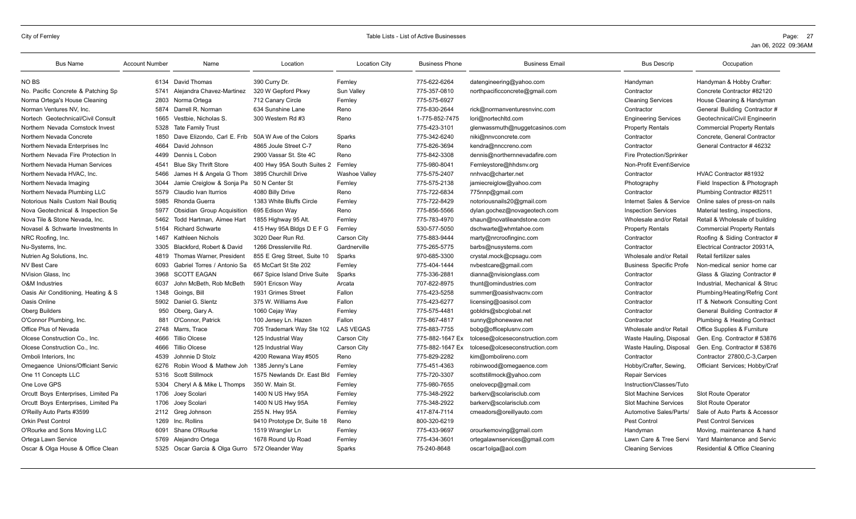| <b>Bus Name</b>                     | <b>Account Number</b> | Name                              | Location                     | <b>Location City</b> | <b>Business Phone</b> | <b>Business Email</b>          | <b>Bus Descrip</b>              | Occupation                         |
|-------------------------------------|-----------------------|-----------------------------------|------------------------------|----------------------|-----------------------|--------------------------------|---------------------------------|------------------------------------|
| NO BS                               |                       | 6134 David Thomas                 | 390 Curry Dr.                | Fernlev              | 775-622-6264          | datengineering@yahoo.com       | Handvman                        | Handyman & Hobby Crafter:          |
| No. Pacific Concrete & Patching Sp  | 5741                  | Alejandra Chavez-Martinez         | 320 W Gepford Pkwy           | Sun Valley           | 775-357-0810          | northpacificconcrete@gmail.com | Contractor                      | Concrete Contractor #82120         |
| Norma Ortega's House Cleaning       | 2803                  | Norma Ortega                      | 712 Canary Circle            | Fernley              | 775-575-6927          |                                | <b>Cleaning Services</b>        | House Cleaning & Handyman          |
| Norman Ventures NV, Inc.            | 5874                  | Darrell R. Norman                 | 634 Sunshine Lane            | Reno                 | 775-830-2644          | rick@normanventuresnvinc.com   | Contractor                      | General Building Contractor #      |
| Nortech Geotechnical/Civil Consult  | 1665                  | Vestbie, Nicholas S.              | 300 Western Rd #3            | Reno                 | 1-775-852-7475        | lori@nortechltd.com            | <b>Engineering Services</b>     | Geotechnical/Civil Engineerin      |
| Northern Nevada Comstock Invest     | 5328                  | <b>Tate Family Trust</b>          |                              |                      | 775-423-3101          | glenwassmuth@nuggetcasinos.com | <b>Property Rentals</b>         | <b>Commercial Property Rentals</b> |
| Northern Nevada Concrete            | 1850                  | Dave Elizondo, Carl E. Frib       | 50A W Ave of the Colors      | Sparks               | 775-342-6240          | niki@nnvconcrete.com           | Contractor                      | Concrete, General Contractor       |
| Northern Nevada Enterprises Inc     | 4664                  | David Johnson                     | 4865 Joule Street C-7        | Reno                 | 775-826-3694          | kendra@nnccreno.com            | Contractor                      | General Contractor #46232          |
| Northern Nevada Fire Protection In  | 4499                  | Dennis L Cobon                    | 2900 Vassar St. Ste 4C       | Reno                 | 775-842-3308          | dennis@northernnevadafire.com  | <b>Fire Protection/Sprinker</b> |                                    |
| Northern Nevada Human Services      | 4541                  | <b>Blue Sky Thrift Store</b>      | 400 Hwy 95A South Suites 2   | Fernley              | 775-980-8041          | Fernleystore@hhdsnv.org        | Non-Profit Event\Service        |                                    |
| Northern Nevada HVAC, Inc.          | 5466                  | James H & Angela G Thom           | 3895 Churchill Drive         | <b>Washoe Valley</b> | 775-575-2407          | nnhvac@charter.net             | Contractor                      | HVAC Contractor #81932             |
| Northern Nevada Imaging             | 3044                  | Jamie Creiglow & Sonja Pa         | 50 N Center St               | Fernley              | 775-575-2138          | jamiecreiglow@yahoo.com        | Photography                     | Field Inspection & Photograph      |
| Northern Nevada Plumbing LLC        | 5579                  | Claudio Ivan Iturrios             | 4080 Billy Drive             | Reno                 | 775-722-6834          | 775nnp@gmail.com               | Contractor                      | Plumbing Contractor #82511         |
| Notorious Nails Custom Nail Boutig  | 5985                  | Rhonda Guerra                     | 1383 White Bluffs Circle     | Fernley              | 775-722-8429          | notoriousnails20@gmail.com     | Internet Sales & Service        | Online sales of press-on nails     |
| Nova Geotechnical & Inspection Se   | 5977                  | <b>Obsidian Group Acquisition</b> | 695 Edison Way               | Reno                 | 775-856-5566          | dylan.gochez@novageotech.com   | <b>Inspection Services</b>      | Material testing, inspections,     |
| Nova Tile & Stone Nevada, Inc.      | 5462                  | Todd Hartman, Aimee Hart          | 1855 Highway 95 Alt          | Fernley              | 775-783-4970          | shaun@novatileandstone.com     | Wholesale and/or Retail         | Retail & Wholesale of building     |
| Novasel & Schwarte Investments In   | 5164                  | <b>Richard Schwarte</b>           | 415 Hwy 95A Bldgs D E F G    | Fernley              | 530-577-5050          | dschwarte@whmtahoe.com         | <b>Property Rentals</b>         | <b>Commercial Property Rentals</b> |
| NRC Roofing, Inc.                   | 1467                  | Kathleen Nichols                  | 3020 Deer Run Rd.            | Carson City          | 775-883-9444          | marty@nrcroofinginc.com        | Contractor                      | Roofing & Siding Contractor #      |
| Nu-Systems, Inc.                    | 3305                  | Blackford, Robert & David         | 1266 Dresslerville Rd        | Gardnerville         | 775-265-5775          | barbs@nusystems.com            | Contractor                      | Electrical Contractor 20931A.      |
| Nutrien Ag Solutions, Inc.          | 4819                  | <b>Thomas Warner, President</b>   | 855 E Greg Street, Suite 10  | Sparks               | 970-685-3300          | crystal.mock@cpsagu.com        | Wholesale and/or Retail         | Retail fertilizer sales            |
| <b>NV Best Care</b>                 | 6093                  | Gabriel Torres / Antonio Sa       | 65 McCart St Ste 202         | Fernley              | 775-404-1444          | nvbestcare@gmail.com           | <b>Business Specific Profe</b>  | Non-medical senior home car        |
| NVision Glass, Inc.                 | 3968                  | <b>SCOTT EAGAN</b>                | 667 Spice Island Drive Suite | Sparks               | 775-336-2881          | dianna@nvisionglass.com        | Contractor                      | Glass & Glazing Contractor #       |
| <b>O&amp;M</b> Industries           | 6037                  | John McBeth, Rob McBeth           | 5901 Ericson Way             | Arcata               | 707-822-8975          | thunt@omindustries.com         | Contractor                      | Industrial, Mechanical & Struc     |
| Oasis Air Conditioning, Heating & S |                       | 1348 Goings, Bill                 | 1931 Grimes Street           | Fallon               | 775-423-5258          | summer@oasishvacnv.com         | Contractor                      | Plumbing/Heating/Refrig Cont       |
| Oasis Online                        |                       | 5902 Daniel G. Slentz             | 375 W. Williams Ave          | Fallon               | 775-423-6277          | licensing@oasisol.com          | Contractor                      | IT & Network Consulting Cont       |
| <b>Oberg Builders</b>               | 950                   | Oberg, Gary A.                    | 1060 Cejay Way               | Fernley              | 775-575-4481          | gobldrs@sbcglobal.net          | Contractor                      | General Building Contractor #      |
| O'Connor Plumbing, Inc.             | 881                   | O'Connor, Patrick                 | 100 Jersey Ln. Hazen         | Fallon               | 775-867-4817          | sunny@phonewave.net            | Contractor                      | Plumbing & Heating Contract        |
| Office Plus of Nevada               |                       | 2748 Marrs, Trace                 | 705 Trademark Way Ste 102    | <b>LAS VEGAS</b>     | 775-883-7755          | bobg@officeplusnv.com          | Wholesale and/or Retail         | Office Supplies & Furniture        |
| Olcese Construction Co., Inc.       | 4666                  | Tillio Olcese                     | 125 Industrial Way           | Carson City          | 775-882-1647 Ex       | tolcese@olceseconstruction.com | Waste Hauling, Disposal         | Gen. Eng. Contractor # 53876       |
| Olcese Construction Co., Inc.       | 4666                  | <b>Tillio Olcese</b>              | 125 Industrial Way           | Carson City          | 775-882-1647 Ex       | tolcese@olceseconstruction.com | Waste Hauling, Disposal         | Gen. Eng. Contractor # 53876       |
| Omboli Interiors, Inc.              | 4539                  | Johnnie D Stolz                   | 4200 Rewana Way #505         | Reno                 | 775-829-2282          | kim@ombolireno.com             | Contractor                      | Contractor 27800, C-3, Carpen      |
| Omegaence Unions/Officiant Servic   | 6276                  | Robin Wood & Mathew Joh           | 1385 Jenny's Lane            | Fernley              | 775-451-4363          | robinwood@omegaence.com        | Hobby/Crafter, Sewing,          | Officiant Services; Hobby/Craf     |
| One 11 Concepts LLC                 |                       | 5316 Scott Stillmock              | 1575 Newlands Dr. East Bld   | Fernley              | 775-720-3307          | scottstillmock@yahoo.com       | <b>Repair Services</b>          |                                    |
| One Love GPS                        | 5304                  | Cheryl A & Mike L Thomps          | 350 W. Main St.              | Fernley              | 775-980-7655          | onelovecp@gmail.com            | Instruction/Classes/Tuto        |                                    |
| Orcutt Boys Enterprises, Limited Pa |                       | 1706 Joey Scolari                 | 1400 N US Hwy 95A            | Fernley              | 775-348-2922          | barkerv@scolarisclub.com       | <b>Slot Machine Services</b>    | Slot Route Operator                |
| Orcutt Boys Enterprises, Limited Pa | 1706                  | Joey Scolari                      | 1400 N US Hwy 95A            | Fernley              | 775-348-2922          | barkerv@scolarisclub.com       | <b>Slot Machine Services</b>    | <b>Slot Route Operator</b>         |
| O'Reilly Auto Parts #3599           |                       | 2112 Greg Johnson                 | 255 N. Hwy 95A               | Fernley              | 417-874-7114          | cmeadors@oreillyauto.com       | Automotive Sales/Parts/         | Sale of Auto Parts & Accessor      |
| <b>Orkin Pest Control</b>           |                       | 1269 Inc. Rollins                 | 9410 Prototype Dr, Suite 18  | Reno                 | 800-320-6219          |                                | Pest Control                    | <b>Pest Control Services</b>       |
| O'Rourke and Sons Moving LLC        | 6091                  | Shane O'Rourke                    | 1519 Wrangler Ln             | Fernley              | 775-433-9697          | orourkemoving@gmail.com        | Handyman                        | Moving, maintenance & hand         |
| Ortega Lawn Service                 | 5769                  | Alejandro Ortega                  | 1678 Round Up Road           | Fernley              | 775-434-3601          | ortegalawnservices@gmail.com   | Lawn Care & Tree Servi          | Yard Maintenance and Servic        |
| Oscar & Olga House & Office Clean   |                       | 5325 Oscar Garcia & Olga Gurro    | 572 Oleander Way             | Sparks               | 75-240-8648           | oscar1olga@aol.com             | <b>Cleaning Services</b>        | Residential & Office Cleaning      |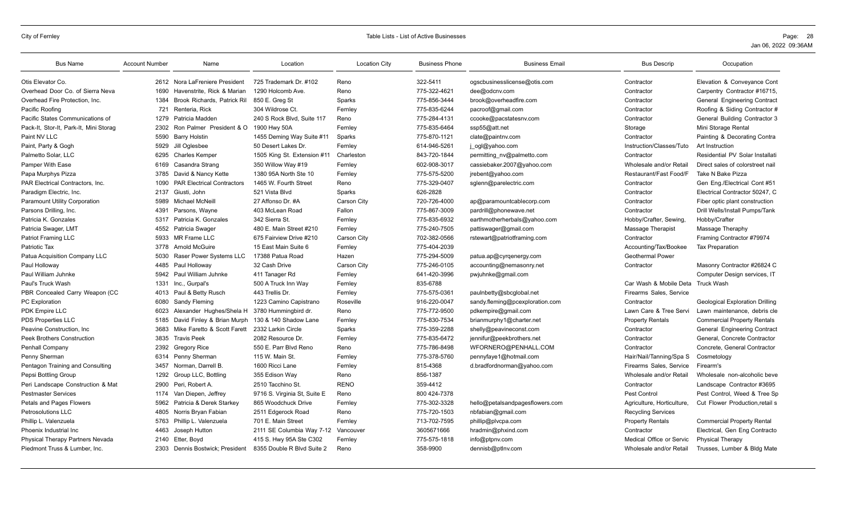| <b>Bus Name</b>                        | <b>Account Number</b> | Name                              | Location                     | <b>Location City</b> | <b>Business Phone</b> | <b>Business Email</b>           | <b>Bus Descrip</b>                | Occupation                             |
|----------------------------------------|-----------------------|-----------------------------------|------------------------------|----------------------|-----------------------|---------------------------------|-----------------------------------|----------------------------------------|
| Otis Elevator Co.                      |                       | 2612 Nora LaFreniere President    | 725 Trademark Dr. #102       | Reno                 | 322-5411              | ogscbusinesslicense@otis.com    | Contractor                        | Elevation & Conveyance Cont            |
| Overhead Door Co. of Sierra Neva       | 1690                  | Havenstrite, Rick & Marian        | 1290 Holcomb Ave.            | Reno                 | 775-322-4621          | dee@odcnv.com                   | Contractor                        | Carpentry Contractor #16715,           |
| Overhead Fire Protection, Inc.         | 1384                  | Brook Richards, Patrick Ril       | 850 E. Greg St               | Sparks               | 775-856-3444          | brook@overheadfire.com          | Contractor                        | General Engineering Contract           |
| Pacific Roofing                        | 721                   | Renteria, Rick                    | 304 Wildrose Ct.             | Fernley              | 775-835-6244          | pacroof@gmail.com               | Contractor                        | Roofing & Siding Contractor #          |
| Pacific States Communications of       | 1279                  | Patricia Madden                   | 240 S Rock Blvd. Suite 117   | Reno                 | 775-284-4131          | ccooke@pacstatesnv.com          | Contractor                        | General Building Contractor 3          |
| Pack-It, Stor-It, Park-It, Mini Storag | 2302                  | Ron Palmer President & O          | 1900 Hwy 50A                 | Fernley              | 775-835-6464          | ssp55@att.net                   | Storage                           | Mini Storage Rental                    |
| Paint NV LLC                           | 5590                  | <b>Barry Holstin</b>              | 1455 Deming Way Suite #11    | Sparks               | 775-870-1121          | clate@paintnv.com               | Contractor                        | Painting & Decorating Contra           |
| Paint, Party & Gogh                    | 5929                  | Jill Oglesbee                     | 50 Desert Lakes Dr.          | Fernley              | 614-946-5261          | j_ogl@yahoo.com                 | Instruction/Classes/Tuto          | Art Instruction                        |
| Palmetto Solar, LLC                    | 6295                  | <b>Charles Kemper</b>             | 1505 King St. Extension #11  | Charleston           | 843-720-1844          | permitting nv@palmetto.com      | Contractor                        | Residential PV Solar Installati        |
| Pamper With Ease                       | 6169                  | Casandra Strang                   | 350 Willow Way #19           | Fernley              | 602-908-3017          | cassiebaker.2007@yahoo.com      | Wholesale and/or Retail           | Direct sales of colorstreet nail       |
| Papa Murphys Pizza                     | 3785                  | David & Nancy Kette               | 1380 95A North Ste 10        | Fernley              | 775-575-5200          | jrebent@yahoo.com               | Restaurant/Fast Food/F            | Take N Bake Pizza                      |
| PAR Electrical Contractors, Inc.       | 1090                  | <b>PAR Electrical Contractors</b> | 1465 W. Fourth Street        | Reno                 | 775-329-0407          | sglenn@parelectric.com          | Contractor                        | Gen Eng./Electrical Cont #51           |
| Paradigm Electric, Inc.                | 2137                  | Giusti, John                      | 521 Vista Blvd               | Sparks               | 626-2828              |                                 | Contractor                        | Electrical Contractor 50247, C         |
| <b>Paramount Utility Corporation</b>   | 5989                  | Michael McNeill                   | 27 Affonso Dr. #A            | Carson City          | 720-726-4000          | ap@paramountcablecorp.com       | Contractor                        | Fiber optic plant construction         |
| Parsons Drilling, Inc.                 | 4391                  | Parsons, Wayne                    | 403 McLean Road              | Fallon               | 775-867-3009          | pardrill@phonewave.net          | Contractor                        | Drill Wells/Install Pumps/Tank         |
| Patricia K. Gonzales                   | 5317                  | Patricia K. Gonzales              | 342 Sierra St.               | Fernley              | 775-835-6932          | earthmotherherbals@yahoo.com    | Hobby/Crafter, Sewing             | Hobby/Crafter                          |
| Patricia Swager, LMT                   | 4552                  | Patricia Swager                   | 480 E. Main Street #210      | Fernley              | 775-240-7505          | pattiswager@gmail.com           | Massage Therapist                 | Massage Theraphy                       |
| Patriot Framing LLC                    | 5933                  | MR Frame LLC                      | 675 Fairview Drive #210      | Carson City          | 702-382-0566          | rstewart@patriotframing.com     | Contractor                        | Framing Contractor #79974              |
| Patriotic Tax                          | 3778                  | <b>Arnold McGuire</b>             | 15 East Main Suite 6         | Fernley              | 775-404-2039          |                                 | Accounting/Tax/Bookee             | <b>Tax Preparation</b>                 |
| Patua Acquisition Company LLC          | 5030                  | Raser Power Systems LLC           | 17388 Patua Road             | Hazen                | 775-294-5009          | patua.ap@cyrgenergy.com         | <b>Geothermal Power</b>           |                                        |
| Paul Holloway                          | 4485                  | Paul Holloway                     | 32 Cash Drive                | Carson City          | 775-246-0105          | accounting@nemasonry.net        | Contractor                        | Masonry Contractor #26824 C            |
| Paul William Juhnke                    | 5942                  | Paul William Juhnke               | 411 Tanager Rd               | Fernley              | 641-420-3996          | pwjuhnke@gmail.com              |                                   | Computer Design services, IT           |
| Paul's Truck Wash                      | 1331                  | Inc., Gurpal's                    | 500 A Truck Inn Wav          | Fernley              | 835-6788              |                                 | Car Wash & Mobile Deta Truck Wash |                                        |
| PBR Concealed Carry Weapon (CC         |                       | 4013 Paul & Betty Rusch           | 443 Trellis Dr.              | Fernley              | 775-575-0361          | paulnbetty@sbcglobal.net        | Firearms Sales, Service           |                                        |
| <b>PC</b> Exploration                  | 6080                  | Sandy Fleming                     | 1223 Camino Capistrano       | Roseville            | 916-220-0047          | sandy.fleming@pcexploration.com | Contractor                        | <b>Geological Exploration Drilling</b> |
| PDK Empire LLC                         | 6023                  | Alexander Hughes/Shela H          | 3780 Hummingbird dr.         | Reno                 | 775-772-9500          | pdkempire@gmail.com             | Lawn Care & Tree Servi            | Lawn maintenance, debris cle           |
| PDS Properties LLC                     | 5185                  | David Finley & Brian Murph        | 130 & 140 Shadow Lane        | Fernley              | 775-830-7534          | brianmurphy1@charter.net        | <b>Property Rentals</b>           | <b>Commercial Property Rentals</b>     |
| Peavine Construction, Inc.             | 3683                  | Mike Faretto & Scott Farett       | 2332 Larkin Circle           | Sparks               | 775-359-2288          | shelly@peavineconst.com         | Contractor                        | General Engineering Contract           |
| <b>Peek Brothers Construction</b>      | 3835                  | <b>Travis Peek</b>                | 2082 Resource Dr.            | Fernley              | 775-835-6472          | jennifur@peekbrothers.net       | Contractor                        | General, Concrete Contractor           |
| Penhall Company                        | 2392                  | <b>Gregory Rice</b>               | 550 E. Parr Blvd Reno        | Reno                 | 775-786-8498          | WFORNERO@PENHALL.COM            | Contractor                        | Concrete, General Contractor           |
| Penny Sherman                          |                       | 6314 Penny Sherman                | 115 W. Main St.              | Fernley              | 775-378-5760          | pennyfaye1@hotmail.com          | Hair/Nail/Tanning/Spa S           | Cosmetology                            |
| Pentagon Training and Consulting       | 3457                  | Norman, Darrell B.                | 1600 Ricci Lane              | Fernley              | 815-4368              | d.bradfordnorman@yahoo.com      | Firearms Sales, Service           | Firearm's                              |
| Pepsi Bottling Group                   | 1292                  | Group LLC, Bottling               | 355 Edison Way               | Reno                 | 856-1387              |                                 | Wholesale and/or Retail           | Wholesale non-alcoholic beve           |
| Peri Landscape Construction & Mat      | 2900                  | Peri, Robert A.                   | 2510 Tacchino St.            | <b>RENO</b>          | 359-4412              |                                 | Contractor                        | Landscape Contractor #3695             |
| <b>Pestmaster Services</b>             | 1174                  | Van Diepen, Jeffrey               | 9716 S. Virginia St, Suite E | Reno                 | 800 424-7378          |                                 | Pest Control                      | Pest Control, Weed & Tree Sp           |
| Petals and Pages Flowers               | 5962                  | Patricia & Derek Starkey          | 865 Woodchuck Drive          | Fernley              | 775-302-3328          | hello@petalsandpagesflowers.com | Agriculture, Horticulture,        | Cut Flower Production, retail s        |
| <b>Petrosolutions LLC</b>              | 4805                  | Norris Bryan Fabian               | 2511 Edgerock Road           | Reno                 | 775-720-1503          | nbfabian@gmail.com              | <b>Recycling Services</b>         |                                        |
| Phillip L. Valenzuela                  | 5763                  | Phillip L. Valenzuela             | 701 E. Main Street           | Fernley              | 713-702-7595          | phillip@plvcpa.com              | <b>Property Rentals</b>           | <b>Commercial Property Rental</b>      |
| Phoenix Industrial Inc.                | 4463                  | Joseph Hutton                     | 2111 SE Columbia Way 7-12    | Vancouver            | 3605671666            | hradmin@phxind.com              | Contractor                        | Electrical, Gen Eng Contracto          |
| Physical Therapy Partners Nevada       | 2140                  | Etter, Boyd                       | 415 S. Hwy 95A Ste C302      | Fernley              | 775-575-1818          | info@ptpnv.com                  | Medical Office or Servic          | <b>Physical Therapy</b>                |
| Piedmont Truss & Lumber, Inc.          | 2303                  | Dennis Bostwick: President        | 8355 Double R Blvd Suite 2   | Reno                 | 358-9900              | dennisb@ptlnv.com               | Wholesale and/or Retail           | Trusses, Lumber & Bldg Mate            |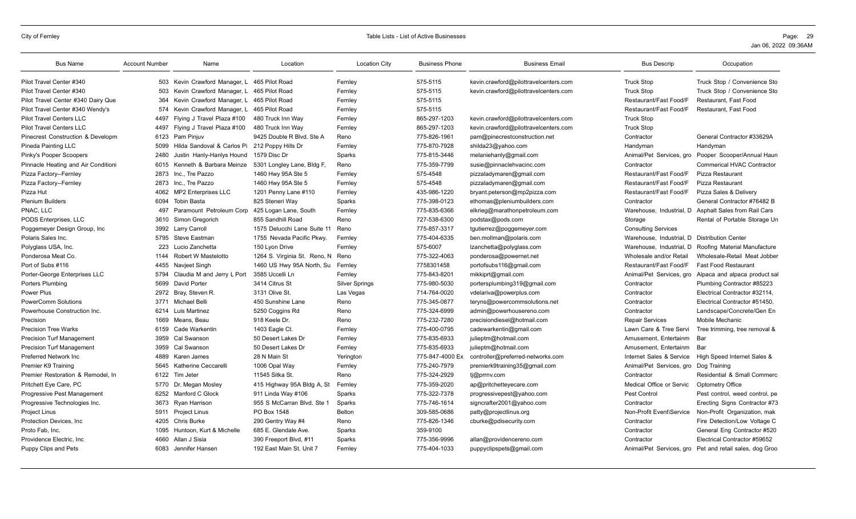| <b>Bus Name</b>                     | <b>Account Number</b> | Name                                         | Location                      | <b>Location City</b>  | <b>Business Phone</b> | <b>Business Email</b>                 | <b>Bus Descrip</b>                           | Occupation                                              |
|-------------------------------------|-----------------------|----------------------------------------------|-------------------------------|-----------------------|-----------------------|---------------------------------------|----------------------------------------------|---------------------------------------------------------|
| Pilot Travel Center #340            |                       | 503 Kevin Crawford Manager, L 465 Pilot Road |                               | Fernley               | 575-5115              | kevin.crawford@pilottravelcenters.com | <b>Truck Stop</b>                            | Truck Stop / Convenience Sto                            |
| Pilot Travel Center #340            | 503                   | Kevin Crawford Manager, L                    | 465 Pilot Road                | Fernley               | 575-5115              | kevin.crawford@pilottravelcenters.com | <b>Truck Stop</b>                            | Truck Stop / Convenience Sto                            |
| Pilot Travel Center #340 Dairy Que  | 364                   | Kevin Crawford Manager, L 465 Pilot Road     |                               | Fernley               | 575-5115              |                                       | Restaurant/Fast Food/F                       | Restaurant, Fast Food                                   |
| Pilot Travel Center #340 Wendy's    | 574                   | Kevin Crawford Manager, L                    | 465 Pilot Road                | Fernley               | 575-5115              |                                       | Restaurant/Fast Food/F                       | Restaurant, Fast Food                                   |
| <b>Pilot Travel Centers LLC</b>     | 4497                  | Flying J Travel Plaza #100                   | 480 Truck Inn Way             | Fernley               | 865-297-1203          | kevin.crawford@pilottravelcenters.com | <b>Truck Stop</b>                            |                                                         |
| <b>Pilot Travel Centers LLC</b>     | 4497                  | Flying J Travel Plaza #100                   | 480 Truck Inn Way             | Fernley               | 865-297-1203          | kevin.crawford@pilottravelcenters.com | <b>Truck Stop</b>                            |                                                         |
| Pinecrest Construction & Developm   | 6123                  | Pam Pinjuv                                   | 9425 Double R Blvd. Ste A     | Reno                  | 775-826-1961          | pam@pinecrestconstruction.net         | Contractor                                   | General Contractor #33629A                              |
| Pineda Painting LLC                 | 5099                  | Hilda Sandoval & Carlos Pi                   | 212 Poppy Hills Dr            | Fernley               | 775-870-7928          | shilda23@yahoo.com                    | Handyman                                     | Handyman                                                |
| Pinky's Pooper Scoopers             | 2480                  | Justin Hanly-Hanlys Hound                    | 1579 Disc Dr                  | Sparks                | 775-815-3446          | melaniehanly@gmail.com                | Animal/Pet Services, gro                     | Pooper Scooper/Annual Haun                              |
| Pinnacle Heating and Air Conditioni | 6015                  | Kenneth & Barbara Meinze                     | 5301 Longley Lane, Bldg F,    | Reno                  | 775-359-7799          | susie@pinnaclehvacinc.com             | Contractor                                   | <b>Commerical HVAC Contractor</b>                       |
| Pizza Factory--Fernley              | 2873                  | Inc., Tre Pazzo                              | 1460 Hwy 95A Ste 5            | Fernley               | 575-4548              | pizzaladymaren@gmail.com              | Restaurant/Fast Food/F                       | Pizza Restaurant                                        |
| Pizza Factory--Fernley              | 2873                  | Inc., Tre Pazzo                              | 1460 Hwy 95A Ste 5            | Fernley               | 575-4548              | pizzaladymaren@gmail.com              | Restaurant/Fast Food/F                       | <b>Pizza Restaurant</b>                                 |
| Pizza Hut                           | 4062                  | <b>MP2 Enterprises LLC</b>                   | 1201 Penny Lane #110          | Fernley               | 435-986-1220          | bryant.peterson@mp2pizza.com          | Restaurant/Fast Food/F                       | Pizza Sales & Delivery                                  |
| <b>Plenium Builders</b>             | 6094                  | <b>Tobin Basta</b>                           | 825 Steneri Way               | Sparks                | 775-398-0123          | ethomas@pleniumbuilders.com           | Contractor                                   | General Contractor #76482 B                             |
| PNAC. LLC                           | 497                   | Paramount Petroleum Corp                     | 425 Logan Lane, South         | Fernley               | 775-835-6366          | elkrieg@marathonpetroleum.com         | Warehouse. Industrial. D                     | Asphalt Sales from Rail Cars                            |
| PODS Enterprises, LLC               | 3610                  | Simon Gregorich                              | 855 Sandhill Road             | Reno                  | 727-538-6300          | podstax@pods.com                      | Storage                                      | Rental of Portable Storage Un                           |
| Poggemeyer Design Group, Inc.       |                       | 3992 Larry Carroll                           | 1575 Delucchi Lane Suite 11   | Reno                  | 775-857-3317          | tgutierrez@poggemeyer.com             | <b>Consulting Services</b>                   |                                                         |
| Polaris Sales Inc.                  | 5795                  | Steve Eastman                                | 1755 Nevada Pacific Pkwy.     | Fernley               | 775-404-6335          | ben.mollman@polaris.com               | Warehouse, Industrial, D Distribution Center |                                                         |
| Polyglass USA, Inc.                 | 223                   | Lucio Zanchetta                              | 150 Lvon Drive                | Fernlev               | 575-6007              | lzanchetta@polyglass.com              | Warehouse. Industrial. D                     | Roofing Material Manufacture                            |
| Ponderosa Meat Co.                  | 1144                  | Robert W Mastelotto                          | 1264 S. Virginia St. Reno, N. | Reno                  | 775-322-4063          | ponderosa@powernet.net                | Wholesale and/or Retail                      | Wholesale-Retail Meat Jobber                            |
| Port of Subs #116                   | 4455                  | Navjeet Singh                                | 1460 US Hwy 95A North, Su     | Fernley               | 7758301458            | portofsubs116@gmail.com               | Restaurant/Fast Food/F                       | <b>Fast Food Restaurant</b>                             |
| Porter-George Enterprises LLC       | 5794                  | Claudia M and Jerry L Port                   | 3585 Uccelli Ln               | Fernley               | 775-843-8201          | mikkiprt@gmail.com                    | Animal/Pet Services, gro                     | Alpaca and alpaca product sal                           |
| Porters Plumbing                    | 5699                  | <b>David Porter</b>                          | 3414 Citrus St                | <b>Silver Springs</b> | 775-980-5030          | portersplumbing319@gmail.com          | Contractor                                   | Plumbing Contractor #85223                              |
| Power Plus                          | 2972                  | Bray, Steven R.                              | 3131 Olive St.                | Las Vegas             | 714-764-0020          | vdelariva@powerplus.com               | Contractor                                   | Electrical Contractor #32114,                           |
| <b>PowerComm Solutions</b>          | 3771                  | <b>Michael Belli</b>                         | 450 Sunshine Lane             | Reno                  | 775-345-0877          | teryns@powercommsolutions.net         | Contractor                                   | Electrical Contractor #51450.                           |
| Powerhouse Construction Inc.        | 6214                  | Luis Martinez                                | 5250 Coggins Rd               | Reno                  | 775-324-6999          | admin@powerhousereno.com              | Contractor                                   | Landscape/Concrete/Gen En                               |
| Precision                           | 1669                  | Means, Beau                                  | 918 Keele Dr.                 | Reno                  | 775-232-7280          | precisiondiesel@hotmail.com           | <b>Repair Services</b>                       | <b>Mobile Mechanic</b>                                  |
| <b>Precision Tree Warks</b>         | 6159                  | Cade Warkentin                               | 1403 Eagle Ct.                | Fernley               | 775-400-0795          | cadewarkentin@gmail.com               | Lawn Care & Tree Servi                       | Tree trimming, tree removal &                           |
| <b>Precision Turf Management</b>    | 3959                  | Cal Swanson                                  | 50 Desert Lakes Dr            | Fernley               | 775-835-6933          | julieptm@hotmail.com                  | Amusement. Entertainm                        | Bar                                                     |
| <b>Precision Turf Management</b>    | 3959                  | Cal Swanson                                  | 50 Desert Lakes Dr            | Fernley               | 775-835-6933          | julieptm@hotmail.com                  | Amusement. Entertainm                        | Bar                                                     |
| Preferred Network Inc               | 4889                  | Karen James                                  | 28 N Main St                  | Yerington             | 775-847-4000 Ex       | controller@preferred-networks.com     | Internet Sales & Service                     | High Speed Internet Sales &                             |
| Premier K9 Training                 | 5645                  | Katherine Ceccarelli                         | 1006 Opal Way                 | Fernley               | 775-240-7979          | premierk9training35@gmail.com         | Animal/Pet Services, gro                     | Dog Training                                            |
| Premier Restoration & Remodel, In   | 6122                  | Tim Jeter                                    | 11545 Sitka St.               | Reno                  | 775-324-2929          | tj@prrnv.com                          | Contractor                                   | Residential & Small Commerc                             |
| Pritchett Eye Care, PC              | 5770                  | Dr. Megan Mosley                             | 415 Highway 95A Bldg A, St    | Fernley               | 775-359-2020          | ap@pritchetteyecare.com               | Medical Office or Servic                     | <b>Optometry Office</b>                                 |
| <b>Progressive Pest Management</b>  | 6252                  | Manford C Glock                              | 911 Linda Way #106            | Sparks                | 775-322-7378          | progressivepest@yahoo.com             | Pest Control                                 | Pest control, weed control, pe                          |
| Progressive Technologies Inc.       | 3673                  | Ryan Harrison                                | 955 S McCarran Blvd. Ste 1    | Sparks                | 775-746-1614          | signcrafter2001@yahoo.com             | Contractor                                   | Erecting Signs Contractor #73                           |
| <b>Project Linus</b>                | 5911                  | <b>Project Linus</b>                         | PO Box 1548                   | <b>Belton</b>         | 309-585-0686          | patty@projectlinus.org                | Non-Profit Event\Service                     | Non-Profit Organization, mak                            |
| Protection Devices, Inc.            | 4205                  | <b>Chris Burke</b>                           | 290 Gentry Way #4             | Reno                  | 775-826-1346          | cburke@pdisecurity.com                | Contractor                                   | Fire Detection/Low Voltage C                            |
| Proto Fab. Inc.                     | 1095                  | Huntoon, Kurt & Michelle                     | 685 E. Glendale Ave.          | Sparks                | 359-9100              |                                       | Contractor                                   | General Eng Contractor #520                             |
| Providence Electric, Inc.           | 4660                  | Allan J Sisia                                | 390 Freeport Blvd, #11        | Sparks                | 775-356-9996          | allan@providencereno.com              | Contractor                                   | Electrical Contractor #59652                            |
| Puppy Clips and Pets                |                       | 6083 Jennifer Hansen                         | 192 East Main St. Unit 7      | Fernley               | 775-404-1033          | puppyclipspets@gmail.com              |                                              | Animal/Pet Services, gro Pet and retail sales, dog Groo |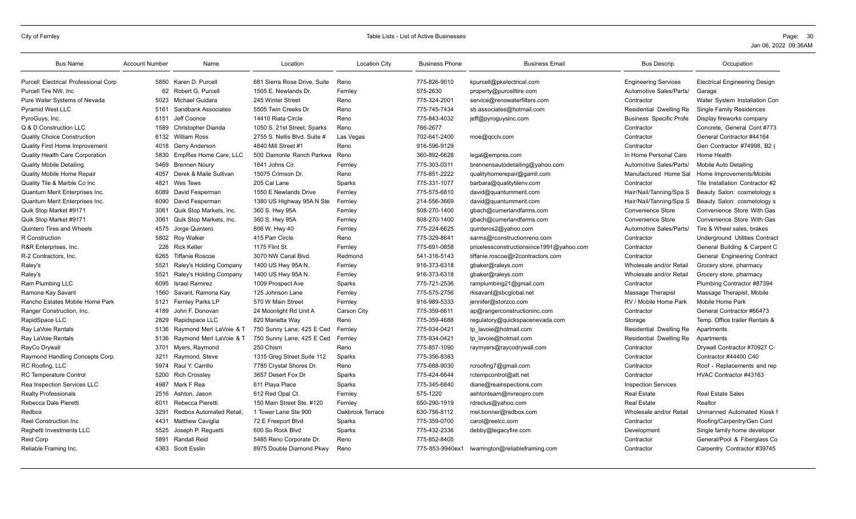| <b>Bus Name</b>                             | <b>Account Number</b> | Name                           | Location                     | <b>Location City</b> | <b>Business Phone</b> | <b>Business Email</b>                           | <b>Bus Descrip</b>             | Occupation                            |
|---------------------------------------------|-----------------------|--------------------------------|------------------------------|----------------------|-----------------------|-------------------------------------------------|--------------------------------|---------------------------------------|
| <b>Purcell Electrical Professional Corp</b> |                       | 5850 Karen D. Purcell          | 681 Sierra Rose Drive, Suite | Reno                 | 775-826-9010          | kpurcell@pkelectrical.com                       | <b>Engineering Services</b>    | <b>Electrical Engineering Design</b>  |
| Purcell Tire NW, Inc                        | 62                    | Robert G. Purcell              | 1505 E. Newlands Dr.         | Fernley              | 575-2630              | property@purcelltire.com                        | Automotive Sales/Parts/        | Garage                                |
| Pure Water Systems of Nevada                | 5023                  | Michael Guidara                | 245 Winter Street            | Reno                 | 775-324-2001          | service@renowaterfilters.com                    | Contractor                     | Water System Installation Con         |
| <b>Pyramid West LLC</b>                     | 5161                  | Sandbank Associates            | 5505 Twin Creeks Dr          | Reno                 | 775-745-7434          | sb.associates@hotmail.com                       | Residential Dwelling Re        | <b>Single Family Residences</b>       |
| PyroGuys, Inc.                              | 6151                  | Jeff Coonce                    | 14410 Riata Circle           | Reno                 | 775-843-4032          | jeff@pyroguysinc.com                            | <b>Business Specific Profe</b> | Display fireworks company             |
| Q & D Construction LLC                      | 1589                  | Christopher Dianda             | 1050 S. 21st Street, Sparks  | Reno                 | 786-2677              |                                                 | Contractor                     | Concrete, General Cont #773           |
| <b>Quality Choice Construction</b>          | 6132                  | <b>William Ross</b>            | 2755 S. Nellis Blvd. Suite # | Las Vegas            | 702-641-2400          | moe@gcclv.com                                   | Contractor                     | General Contractor #44164             |
| <b>Quality First Home Improvement</b>       | 4018                  | <b>Gerry Anderson</b>          | 4840 Mill Street #1          | Reno                 | 916-596-9129          |                                                 | Contractor                     | Gen Contractor #74998, B2 (           |
| <b>Quality Health Care Corporation</b>      | 5830                  | EmpRes Home Care, LLC          | 500 Damonte Ranch Parkwa     | Reno                 | 360-892-6628          | legal@empres.com                                | In Home Personal Care          | Home Health                           |
| <b>Quality Mobile Detailing</b>             | 5469                  | <b>Brennen Nourv</b>           | 1641 Johns Cir.              | Fernlev              | 775-303-0311          | brennensautodetailing@yahoo.com                 | Automotive Sales/Parts/        | Mobile Auto Detailing                 |
| Quality Mobile Home Repair                  | 4057                  | Derek & Maile Sullivan         | 15075 Crimson Dr.            | Reno                 | 775-851-2222          | qualityhomerepair@gamil.com                     | Manufactured Home Sal          | Home Improvements/Mobile              |
| Quality Tile & Marble Co Inc                | 4821                  | Wes Tews                       | 205 Cal Lane                 | Sparks               | 775-331-1077          | barbara@qualitytilenv.com                       | Contractor                     | Tile Installation Contractor #2       |
| Quantum Merit Enterprises Inc.              | 6089                  | David Fesperman                | 1550 E Newlands Drive        | Fernley              | 775-575-6810          | david@quantummerit.com                          | Hair/Nail/Tanning/Spa S        | Beauty Salon: cosmetology s           |
| Quantum Merit Enterprises Inc.              | 6090                  | David Fesperman                | 1380 US Highway 95A N Ste    | Fernley              | 214-556-3669          | david@quantummerit.com                          | Hair/Nail/Tanning/Spa S        | Beauty Salon: cosmetology s           |
| Quik Stop Market #9171                      | 3061                  | Quik Stop Markets, Inc.        | 360 S. Hwy 95A               | Fernley              | 508-270-1400          | gbach@cumerlandfarms.com                        | <b>Convenience Store</b>       | Convenience Store With Gas            |
| Quik Stop Market #9171                      | 3061                  | Quik Stop Markets, Inc.        | 360 S. Hwy 95A               | Fernley              | 508-270-1400          | gbach@cumerlandfarms.com                        | <b>Convenience Store</b>       | Convenience Store With Gas            |
| <b>Quintero Tires and Wheels</b>            | 4575                  | Jorge Quintero                 | 806 W. Hwy 40                | Fernley              | 775-224-6625          | quinteros2@yahoo.com                            | Automotive Sales/Parts/        | Tire & Wheel sales, brakes            |
| R Construction                              | 5802                  | <b>Roy Walker</b>              | 415 Parr Circle              | Reno                 | 775-329-8641          | sarms@rconstructionreno.com                     | Contractor                     | <b>Underground Utilities Contract</b> |
| R&R Enterprises, Inc.                       | 226                   | <b>Rick Keller</b>             | 1175 Flint St.               | Fernley              | 775-691-0858          | pricelessconstructionsince1991@yahoo.com        | Contractor                     | General Building & Carpent C          |
| R-2 Contractors, Inc.                       | 6265                  | <b>Tiffanie Roscoe</b>         | 3070 NW Canal Blvd.          | Redmond              | 541-316-5143          | tiffanie.roscoe@r2contractors.com               | Contractor                     | General Engineering Contract          |
| Raley's                                     | 5521                  | Raley's Holding Company        | 1400 US Hwy 95A N.           | Fernley              | 916-373-6318          | gbaker@raleys.com                               | Wholesale and/or Retail        | Grocery store, pharmacy               |
| Raley's                                     | 5521                  | Raley's Holding Company        | 1400 US Hwy 95A N.           | Fernley              | 916-373-6318          | gbaker@raleys.com                               | Wholesale and/or Retail        | Grocery store, pharmacy               |
| Ram Plumbing LLC                            | 6095                  | <b>Israel Ramirez</b>          | 1009 Prospect Ave            | Sparks               | 775-721-2536          | ramplumbing21@gmail.com                         | Contractor                     | Plumbing Contractor #87394            |
| Ramona Kay Savant                           | 1560                  | Savant, Ramona Kay             | 125 Johnson Lane             | Fernley              | 775-575-2756          | rksavant@sbcqlobal.net                          | Massage Therapist              | Massage Therapist, Mobile             |
| Rancho Estates Mobile Home Park             | 5121                  | <b>Fernley Parks LP</b>        | 570 W Main Street            | Fernley              | 916-989-5333          | jennifer@storzco.com                            | RV / Mobile Home Park          | Mobile Home Park                      |
| Ranger Construction, Inc.                   | 4189                  | John F. Donovan                | 24 Moonlight Rd Unit A       | Carson City          | 775-359-6611          | ap@rangerconstructioninc.com                    | Contractor                     | General Contractor #66473             |
| RapidSpace LLC                              | 2829                  | Rapidspace LLC                 | 820 Marietta Way             | Reno                 | 775-359-4688          | regulatory@quickspacenevada.com                 | Storage                        | Temp. Office trailer Rentals &        |
| Ray LaVoie Rentals                          | 5136                  | Raymond Merl LaVoie & T        | 750 Sunny Lane; 425 E Ced    | Fernley              | 775-934-0421          | tp lavoie@hotmail.com                           | Residential Dwelling Re        | Apartments                            |
| Ray LaVoie Rentals                          | 5136                  | Raymond Merl LaVoie & T        | 750 Sunny Lane; 425 E Ced    | Fernley              | 775-934-0421          | tp lavoie@hotmail.com                           | Residential Dwelling Re        | Apartments                            |
| RayCo Drywall                               | 3701                  | Myers, Raymond                 | 250 Chism                    | Reno                 | 775-857-1090          | raymyers@raycodrywall.com                       | Contractor                     | Drywall Contractor #70927 C-          |
| Raymond Handling Concepts Corp.             | 3211                  | Raymond, Steve                 | 1315 Greg Street Suite 112   | Sparks               | 775-356-8383          |                                                 | Contractor                     | Contractor #44400 C40                 |
| RC Roofing, LLC                             | 5974                  | Raul Y. Carrillo               | 7785 Crystal Shores Dr.      | Reno                 | 775-688-9030          | rcroofing7@gmail.com                            | Contractor                     | Roof - Replacements and rep           |
| <b>RC Temperature Control</b>               | 5200                  | <b>Rich Crossley</b>           | 3657 Desert Fox Dr           | Sparks               | 775-424-6644          | rctempcontrol@att.net                           | Contractor                     | HVAC Contractor #43163                |
| Rea Inspection Services LLC                 | 4987                  | Mark F Rea                     | 611 Playa Place              | Sparks               | 775-345-6840          | diane@reainspections.com                        | <b>Inspection Services</b>     |                                       |
| <b>Realty Professionals</b>                 | 2516                  | Ashton, Jason                  | 612 Red Opal Ct.             | Fernley              | 575-1220              | ashtonteam@nvreopro.com                         | <b>Real Estate</b>             | <b>Real Estate Sales</b>              |
| Rebecca Dale Pieretti                       | 6011                  | Rebecca Pieretti               | 150 Main Street Ste. #120    | Fernley              | 650-290-1919          | rdreclus@yahoo.com                              | <b>Real Estate</b>             | Realtor                               |
| Redbox                                      | 3291                  | <b>Redbox Automated Retail</b> | 1 Tower Lane Ste 900         | Oakbrook Terrace     | 630-756-8112          | mel.bonner@redbox.com                           | Wholesale and/or Retail        | Unmanned Automated Kiosk f            |
| Reel Construction Inc.                      | 4431                  | <b>Matthew Caviglia</b>        | 72 E Freeport Blvd           | Sparks               | 775-359-0700          | carol@reelcc.com                                | Contractor                     | Roofing/Carpentry/Gen Cont            |
| Reghetti Investments LLC                    | 5525                  | Joseph P. Requetti             | 600 So Rock Blvd             | Sparks               | 775-432-2336          | debby@legacyfire.com                            | Development                    | Single family home developer          |
| <b>Reid Corp</b>                            | 5891                  | Randall Reid                   | 5485 Reno Corporate Dr.      | Reno                 | 775-852-8405          |                                                 | Contractor                     | General/Pool & Fiberglass Co          |
| Reliable Framing Inc.                       |                       | 4363 Scott Esslin              | 8975 Double Diamond Pkwy     | Reno                 |                       | 775-853-9940ex1 lwarrington@reliableframing.com | Contractor                     | Carpentry Contractor #39745           |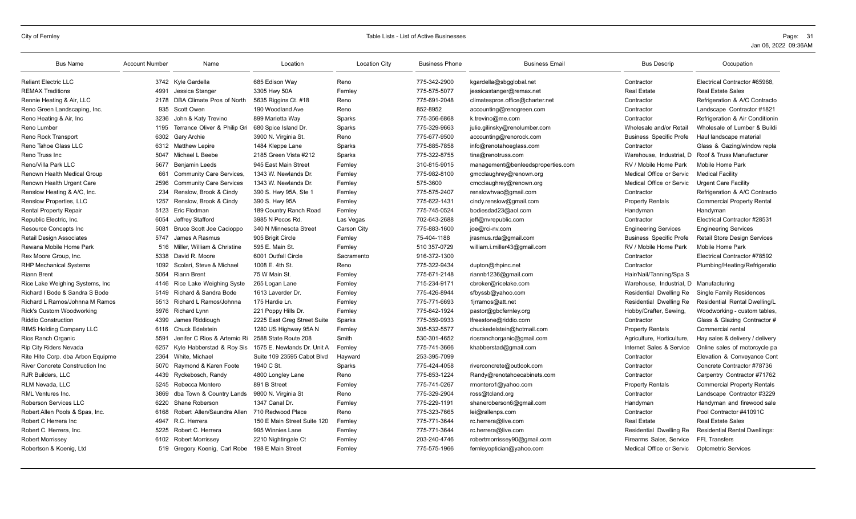| <b>Bus Name</b>                         | <b>Account Number</b> | Name                            | Location                    | <b>Location City</b> | <b>Business Phone</b> | <b>Business Email</b>             | <b>Bus Descrip</b>             | Occupation                           |
|-----------------------------------------|-----------------------|---------------------------------|-----------------------------|----------------------|-----------------------|-----------------------------------|--------------------------------|--------------------------------------|
| <b>Reliant Electric LLC</b>             |                       | 3742 Kyle Gardella              | 685 Edison Way              | Reno                 | 775-342-2900          | kgardella@sbgglobal.net           | Contractor                     | Electrical Contractor #65968,        |
| <b>REMAX Traditions</b>                 | 4991                  | Jessica Stanger                 | 3305 Hwy 50A                | Fernley              | 775-575-5077          | jessicastanger@remax.net          | <b>Real Estate</b>             | <b>Real Estate Sales</b>             |
| Rennie Heating & Air, LLC               | 2178                  | DBA Climate Pros of North       | 5635 Riggins Ct. #18        | Reno                 | 775-691-2048          | climatespros.office@charter.net   | Contractor                     | Refrigeration & A/C Contracto        |
| Reno Green Landscaping, Inc.            | 935                   | Scott Owen                      | 190 Woodland Ave            | Reno                 | 852-8952              | accounting@renogreen.com          | Contractor                     | Landscape Contractor #1821           |
| Reno Heating & Air, Inc.                | 3236                  | John & Katy Trevino             | 899 Marietta Way            | Sparks               | 775-356-6868          | k.trevino@me.com                  | Contractor                     | Refrigeration & Air Conditionin      |
| Reno Lumber                             | 1195                  | Terrance Oliver & Philip Gri    | 680 Spice Island Dr.        | Sparks               | 775-329-9663          | julie.gilinsky@renolumber.com     | Wholesale and/or Retai         | Wholesale of Lumber & Buildi         |
| Reno Rock Transport                     | 6302                  | Gary Archie                     | 3900 N. Virginia St.        | Reno                 | 775-677-9500          | accounting@renorock.com           | <b>Business Specific Profe</b> | Haul landscape material              |
| Reno Tahoe Glass LLC                    |                       | 6312 Matthew Lepire             | 1484 Kleppe Lane            | Sparks               | 775-885-7858          | info@renotahoeglass.com           | Contractor                     | Glass & Gazing/window repla          |
| Reno Truss Inc                          | 5047                  | Michael L Beebe                 | 2185 Green Vista #212       | Sparks               | 775-322-8755          | tina@renotruss.com                | Warehouse. Industrial. D       | Roof & Truss Manufacturer            |
| Reno/Villa Park LLC                     | 5677                  | <b>Benjamin Leeds</b>           | 945 East Main Street        | Fernley              | 310-815-9015          | management@benleedsproperties.com | RV / Mobile Home Park          | Mobile Home Park                     |
| Renown Health Medical Group             | 661                   | <b>Community Care Services,</b> | 1343 W. Newlands Dr.        | Fernley              | 775-982-8100          | gmcclaughrey@renown.org           | Medical Office or Servic       | <b>Medical Facility</b>              |
| Renown Health Urgent Care               | 2596                  | <b>Community Care Services</b>  | 1343 W. Newlands Dr.        | Fernley              | 575-3600              | cmcclaughrey@renown.org           | Medical Office or Servic       | <b>Urgent Care Facility</b>          |
| Renslow Heating & A/C, Inc.             | 234                   | Renslow, Brook & Cindy          | 390 S. Hwy 95A, Ste 1       | Fernley              | 775-575-2407          | renslowhvac@gmail.com             | Contractor                     | Refrigeration & A/C Contracto        |
| <b>Renslow Properties, LLC</b>          | 1257                  | Renslow, Brook & Cindy          | 390 S. Hwy 95A              | Fernley              | 775-622-1431          | cindy.renslow@gmail.com           | <b>Property Rentals</b>        | <b>Commercial Property Rental</b>    |
| <b>Rental Property Repair</b>           | 5123                  | Eric Flodman                    | 189 Country Ranch Road      | Fernley              | 775-745-0524          | bodiesdad23@aol.com               | Handyman                       | Handvman                             |
| Republic Electric, Inc.                 | 6054                  | Jeffrey Stafford                | 3985 N Pecos Rd.            | Las Vegas            | 702-643-2688          | jeff@nvrepublic.com               | Contractor                     | Electrical Contractor #28531         |
| <b>Resource Concepts Inc</b>            | 5081                  | <b>Bruce Scott Joe Cacioppo</b> | 340 N Minnesota Street      | <b>Carson City</b>   | 775-883-1600          | joe@rci-nv.com                    | <b>Engineering Services</b>    | <b>Engineering Services</b>          |
| <b>Retail Design Associates</b>         | 5747                  | James A Rasmus                  | 905 Brigit Circle           | Fernley              | 75-404-1188           | jrasmus.rda@gmail.com             | <b>Business Specific Profe</b> | <b>Retail Store Design Services</b>  |
| Rewana Mobile Home Park                 | 516                   | Miller, William & Christine     | 595 E. Main St.             | Fernley              | 510 357-0729          | william.i.miller43@gmail.com      | RV / Mobile Home Park          | Mobile Home Park                     |
| Rex Moore Group, Inc.                   | 5338                  | David R. Moore                  | 6001 Outfall Circle         | Sacramento           | 916-372-1300          |                                   | Contractor                     | Electrical Contractor #78592         |
| <b>RHP Mechanical Systems</b>           | 1092                  | Scolari, Steve & Michael        | 1008 E. 4th St.             | Reno                 | 775-322-9434          | dupton@rhpinc.net                 | Contractor                     | Plumbing/Heating/Refrigeratio        |
| <b>Riann Brent</b>                      | 5064                  | <b>Riann Brent</b>              | 75 W Main St.               | Fernley              | 775-671-2148          | riannb1236@gmail.com              | Hair/Nail/Tanning/Spa S        |                                      |
| Rice Lake Weighing Systems, Inc.        | 4146                  | Rice Lake Weighing Syste        | 265 Logan Lane              | Fernley              | 715-234-9171          | cbroker@ricelake.com              | Warehouse, Industrial, D       | Manufacturing                        |
| Richard I Bode & Sandra S Bode          | 5149                  | Richard & Sandra Bode           | 1613 Laverder Dr            | Fernley              | 775-426-8944          | sfbyssb@yahoo.com                 | Residential Dwelling Re        | <b>Single Family Residences</b>      |
| Richard L Ramos/Johnna M Ramos          | 5513                  | Richard L Ramos/Johnna          | 175 Hardie Ln.              | Fernley              | 775-771-6693          | 1jrramos@att.net                  | Residential Dwelling Re        | Residential Rental Dwelling/L        |
| <b>Rick's Custom Woodworking</b>        | 5976                  | <b>Richard Lynn</b>             | 221 Poppy Hills Dr.         | Fernley              | 775-842-1924          | pastor@gbcfernley.org             | Hobby/Crafter, Sewing,         | Woodworking - custom tables,         |
| <b>Riddio Construction</b>              | 4399                  | James Riddiough                 | 2225 East Greg Street Suite | Sparks               | 775-359-9933          | lfreestone@riddio.com             | Contractor                     | Glass & Glazing Contractor #         |
| RIMS Holding Company LLC                | 6116                  | Chuck Edelstein                 | 1280 US Highway 95A N       | Fernley              | 305-532-5577          | chuckedelstein@hotmail.com        | <b>Property Rentals</b>        | Commercial rental                    |
| Rios Ranch Organic                      | 5591                  | Jenifer C Rios & Artemio Ri     | 2588 State Route 208        | Smith                | 530-301-4652          | riosranchorganic@gmail.com        | Agriculture, Horticulture.     | Hay sales & delivery / delivery      |
| <b>Rip City Riders Nevada</b>           | 6257                  | Kyle Habberstad & Roy Sis       | 1575 E. Newlands Dr. Unit A | Fernley              | 775-741-3666          | khabberstad@gmail.com             | Internet Sales & Service       | Online sales of motorcycle pa        |
| Rite Hite Corp. dba Arbon Equipme       | 2364                  | White, Michael                  | Suite 109 23595 Cabot Blvd  | Hayward              | 253-395-7099          |                                   | Contractor                     | Elevation & Conveyance Cont          |
| <b>River Concrete Construction Inc.</b> | 5070                  | Raymond & Karen Foote           | 1940 C St.                  | Sparks               | 775-424-4058          | riverconcrete@outlook.com         | Contractor                     | Concrete Contractor #78736           |
| <b>RJR Builders, LLC</b>                | 4439                  | Ryckebosch, Randy               | 4800 Longley Lane           | Reno                 | 775-853-1224          | Randy@renotahoecabinets.com       | Contractor                     | Carpentry Contractor #71762          |
| <b>RLM Nevada, LLC</b>                  | 5245                  | Rebecca Montero                 | 891 B Street                | Fernley              | 775-741-0267          | rmontero1@yahoo.com               | <b>Property Rentals</b>        | <b>Commercial Property Rentals</b>   |
| RML Ventures Inc.                       | 3869                  | dba Town & Country Lands        | 9800 N. Virginia St         | Reno                 | 775-329-2904          | ross@tcland.org                   | Contractor                     | Landscape Contractor #3229           |
| Roberson Services LLC                   | 6220                  | Shane Roberson                  | 1347 Canal Dr.              | Fernley              | 775-229-1191          | shaneroberson6@gmail.com          | Handyman                       | Handyman and firewood sale           |
| Robert Allen Pools & Spas, Inc.         | 6168                  | Robert Allen/Saundra Allen      | 710 Redwood Place           | Reno                 | 775-323-7665          | lei@rallenps.com                  | Contractor                     | Pool Contractor #41091C              |
| Robert C Herrera Inc                    | 4947                  | R.C. Herrera                    | 150 E Main Street Suite 120 | Fernley              | 775-771-3644          | rc.herrera@live.com               | <b>Real Estate</b>             | <b>Real Estate Sales</b>             |
| Robert C. Herrera, Inc.                 | 5225                  | Robert C. Herrera               | 995 Winnies Lane            | Fernley              | 775-771-3644          | rc.herrera@live.com               | Residential Dwelling Re        | <b>Residential Rental Dwellings:</b> |
| <b>Robert Morrissey</b>                 | 6102                  | <b>Robert Morrissey</b>         | 2210 Nightingale Ct         | Fernley              | 203-240-4746          | robertmorrissey90@gmail.com       | Firearms Sales, Service        | <b>FFL Transfers</b>                 |
| Robertson & Koenig, Ltd                 |                       | 519 Gregory Koenig, Carl Robe   | 198 E Main Street           | Fernley              | 775-575-1966          | fernleyoptician@yahoo.com         | Medical Office or Servic       | <b>Optometric Services</b>           |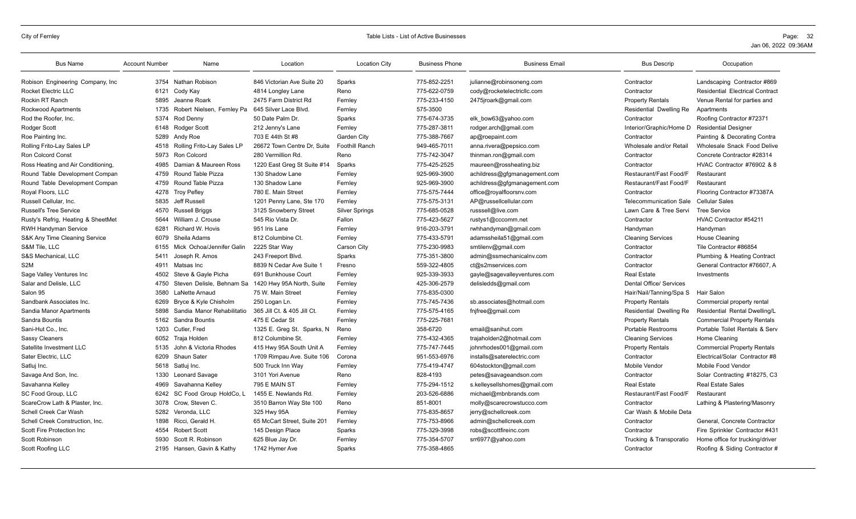| <b>Bus Name</b>                    | <b>Account Number</b> | Name                       | Location                    | <b>Location City</b>  | <b>Business Phone</b> | <b>Business Email</b>        | <b>Bus Descrip</b>             | Occupation                             |
|------------------------------------|-----------------------|----------------------------|-----------------------------|-----------------------|-----------------------|------------------------------|--------------------------------|----------------------------------------|
| Robison Engineering Company, Inc.  | 3754                  | Nathan Robison             | 846 Victorian Ave Suite 20  | Sparks                | 775-852-2251          | julianne@robinsoneng.com     | Contractor                     | Landscaping Contractor #869            |
| <b>Rocket Electric LLC</b>         | 6121                  | Cody Kay                   | 4814 Longley Lane           | Reno                  | 775-622-0759          | cody@rocketelectricllc.com   | Contractor                     | <b>Residential Electrical Contract</b> |
| Rockin RT Ranch                    | 5895                  | Jeanne Roark               | 2475 Farm District Rd       | Fernley               | 775-233-4150          | 2475jroark@gmail.com         | <b>Property Rentals</b>        | Venue Rental for parties and           |
| Rockwood Apartments                | 1735                  | Robert Nielsen, Fernley Pa | 645 Silver Lace Blvd.       | Fernley               | 575-3500              |                              | Residential Dwelling Re        | Apartments                             |
| Rod the Roofer, Inc.               | 5374                  | Rod Denny                  | 50 Date Palm Dr.            | Sparks                | 775-674-3735          | elk bow63@yahoo.com          | Contractor                     | Roofing Contractor #72371              |
| Rodger Scott                       | 6148                  | <b>Rodger Scott</b>        | 212 Jenny's Lane            | Fernley               | 775-287-3811          | rodger.arch@gmail.com        | Interior/Graphic/Home D        | <b>Residential Designer</b>            |
| Roe Painting Inc.                  | 5289                  | Andy Roe                   | 703 E 44th St #8            | Garden City           | 775-388-7667          | ap@roepaint.com              | Contractor                     | Painting & Decorating Contra           |
| Rolling Frito-Lay Sales LP         | 4518                  | Rolling Frito-Lay Sales LP | 26672 Town Centre Dr. Suite | <b>Foothill Ranch</b> | 949-465-7011          | anna.rivera@pepsico.com      | Wholesale and/or Retail        | Wholesale Snack Food Delive            |
| <b>Ron Colcord Const</b>           | 5973                  | <b>Ron Colcord</b>         | 280 Vermillion Rd.          | Reno                  | 775-742-3047          | thinman.ron@gmail.com        | Contractor                     | Concrete Contractor #28314             |
| Ross Heating and Air Conditioning, | 4985                  | Damian & Maureen Ross      | 1220 East Greg St Suite #14 | Sparks                | 775-425-2525          | maureen@rossheating.biz      | Contractor                     | HVAC Contractor #76902 & 8             |
| Round Table Development Compan     | 4759                  | Round Table Pizza          | 130 Shadow Lane             | Fernley               | 925-969-3900          | achildress@gfgmanagement.com | Restaurant/Fast Food/F         | Restaurant                             |
| Round Table Development Compan     | 4759                  | Round Table Pizza          | 130 Shadow Lane             | Fernley               | 925-969-3900          | achildress@gfgmanagement.com | Restaurant/Fast Food/F         | Restaurant                             |
| Royal Floors, LLC                  | 4278                  | <b>Troy Pefley</b>         | 780 E. Main Street          | Fernley               | 775-575-7444          | office@royalfloorsnv.com     | Contractor                     | Flooring Contractor #73387A            |
| Russell Cellular, Inc.             | 5835                  | Jeff Russell               | 1201 Penny Lane, Ste 170    | Fernley               | 775-575-3131          | AP@russellcellular.com       | <b>Telecommunication Sale</b>  | <b>Cellular Sales</b>                  |
| <b>Russell's Tree Service</b>      | 4570                  | <b>Russell Briggs</b>      | 3125 Snowberry Street       | <b>Silver Springs</b> | 775-685-0528          | russsell@live.com            | Lawn Care & Tree Servi         | <b>Tree Service</b>                    |
| Rusty's Refrig, Heating & SheetMet | 5644                  | William J. Crouse          | 545 Rio Vista Dr.           | Fallon                | 775-423-5627          | rustys1@cccomm.net           | Contractor                     | HVAC Contractor #54211                 |
| <b>RWH Handyman Service</b>        | 6281                  | Richard W. Hovis           | 951 Iris Lane               | Fernley               | 916-203-3791          | rwhhandyman@gmail.com        | Handyman                       | Handyman                               |
| S&K Any Time Cleaning Service      | 6079                  | Sheila Adams               | 812 Columbine Ct.           | Fernley               | 775-433-5791          | adamssheila51@gmail.com      | <b>Cleaning Services</b>       | House Cleaning                         |
| S&M Tile, LLC                      | 6155                  | Mick Ochoa/Jennifer Galin  | 2225 Star Way               | Carson City           | 775-230-9983          | smtilenv@gmail.com           | Contractor                     | Tile Contractor #86854                 |
| S&S Mechanical, LLC                | 5411                  | Joseph R. Amos             | 243 Freeport Blvd.          | Sparks                | 775-351-3800          | admin@ssmechanicalnv.com     | Contractor                     | Plumbing & Heating Contract            |
| S <sub>2</sub> M                   | 4911                  | Matsas Inc                 | 8839 N Cedar Ave Suite 1    | Fresno                | 559-322-4805          | ct@s2mservices.com           | Contractor                     | General Contractor #76607, A           |
| Sage Valley Ventures Inc           | 4502                  | Steve & Gavle Picha        | 691 Bunkhouse Court         | Fernley               | 925-339-3933          | gayle@sagevalleyventures.com | <b>Real Estate</b>             | Investments                            |
| Salar and Delisle, LLC             | 4750                  | Steven Delisle, Behnam Sa  | 1420 Hwy 95A North, Suite   | Fernley               | 425-306-2579          | delisledds@gmail.com         | <b>Dental Office/ Services</b> |                                        |
| Salon 95                           | 3580                  | LaNette Arnaud             | 75 W. Main Street           | Fernley               | 775-835-0300          |                              | Hair/Nail/Tanning/Spa S        | Hair Salon                             |
| Sandbank Associates Inc.           | 6269                  | Bryce & Kyle Chisholm      | 250 Logan Ln.               | Fernley               | 775-745-7436          | sb.associates@hotmail.com    | <b>Property Rentals</b>        | Commercial property rental             |
| Sandia Manor Apartments            | 5898                  | Sandia Manor Rehabilitatio | 365 Jill Ct. & 405 Jill Ct. | Fernley               | 775-575-4165          | fnjfree@gmail.com            | Residential Dwelling Re        | Residential Rental Dwelling/L          |
| Sandra Bountis                     |                       | 5162 Sandra Bountis        | 475 E Cedar St              | Fernley               | 775-225-7681          |                              | <b>Property Rentals</b>        | <b>Commercial Property Rentals</b>     |
| Sani-Hut Co., Inc.                 | 1203                  | Cutler, Fred               | 1325 E. Greg St. Sparks, N  | Reno                  | 358-6720              | email@sanihut.com            | Portable Restrooms             | Portable Toilet Rentals & Serv         |
| <b>Sassy Cleaners</b>              | 6052                  | Traja Holden               | 812 Columbine St.           | Fernley               | 775-432-4365          | trajaholden2@hotmail.com     | <b>Cleaning Services</b>       | Home Cleaning                          |
| Satellite Investment LLC           | 5135                  | John & Victoria Rhodes     | 415 Hwy 95A South Unit A    | Fernley               | 775-747-7445          | johnrhodes001@gmail.com      | <b>Property Rentals</b>        | <b>Commercial Property Rentals</b>     |
| Sater Electric. LLC                | 6209                  | Shaun Sater                | 1709 Rimpau Ave. Suite 106  | Corona                | 951-553-6976          | installs@saterelectric.com   | Contractor                     | Electrical/Solar Contractor #8         |
| Satluj Inc.                        | 5618                  | Satluj Inc.                | 500 Truck Inn Way           | Fernley               | 775-419-4747          | 604stockton@gmail.com        | Mobile Vendor                  | Mobile Food Vendor                     |
| Savage And Son, Inc.               | 1330                  | Leonard Savage             | 3101 Yori Avenue            | Reno                  | 828-4193              | petes@savageandson.com       | Contractor                     | Solar Contracting #18275, C3           |
| Savahanna Kelley                   | 4969                  | Savahanna Kelley           | 795 E MAIN ST               | Fernley               | 775-294-1512          | s.kelleysellshomes@gmail.com | <b>Real Estate</b>             | <b>Real Estate Sales</b>               |
| SC Food Group, LLC                 | 6242                  | SC Food Group HoldCo, L    | 1455 E. Newlands Rd.        | Fernley               | 203-526-6886          | michael@mbnbrands.com        | Restaurant/Fast Food/F         | Restaurant                             |
| ScareCrow Lath & Plaster, Inc.     | 3078                  | Crow. Steven C.            | 3510 Barron Way Ste 100     | Reno                  | 851-8001              | molly@scarecrowstucco.com    | Contractor                     | Lathing & Plastering/Masonry           |
| Schell Creek Car Wash              |                       | 5282 Veronda, LLC          | 325 Hwy 95A                 | Fernley               | 775-835-8657          | jerry@schellcreek.com        | Car Wash & Mobile Deta         |                                        |
| Schell Creek Construction, Inc.    | 1898                  | Ricci, Gerald H.           | 65 McCart Street, Suite 201 | Fernley               | 775-753-8966          | admin@schellcreek.com        | Contractor                     | General, Concrete Contractor           |
| Scott Fire Protection Inc          | 4554                  | <b>Robert Scott</b>        | 145 Design Place            | Sparks                | 775-329-3998          | robs@scottfireinc.com        | Contractor                     | Fire Sprinkler Contractor #431         |
| Scott Robinson                     | 5930                  | Scott R. Robinson          | 625 Blue Jay Dr.            | Fernley               | 775-354-5707          | srr6977@yahoo.com            | Trucking & Transporatio        | Home office for trucking/driver        |
|                                    |                       | 2195 Hansen, Gavin & Kathy | 1742 Hymer Ave              | Sparks                | 775-358-4865          |                              | Contractor                     | Roofing & Siding Contractor #          |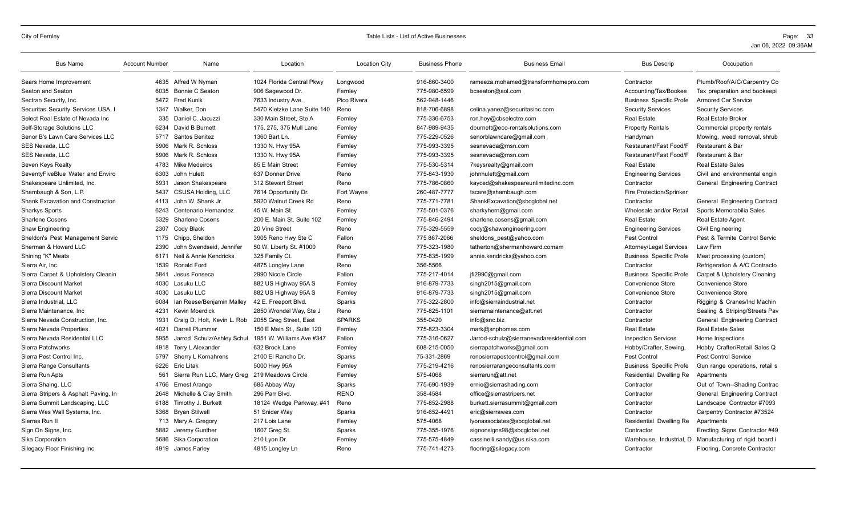| <b>Bus Name</b>                          | <b>Account Number</b> | Name                        | Location                    | <b>Location City</b> | <b>Business Phone</b> | <b>Business Email</b>                     | <b>Bus Descrip</b>             | Occupation                     |
|------------------------------------------|-----------------------|-----------------------------|-----------------------------|----------------------|-----------------------|-------------------------------------------|--------------------------------|--------------------------------|
| Sears Home Improvement                   | 4635                  | Alfred W Nyman              | 1024 Florida Central Pkwy   | Lonawood             | 916-860-3400          | rameeza.mohamed@transformhomepro.com      | Contractor                     | Plumb/Roof/A/C/Carpentry Co    |
| Seaton and Seaton                        | 6035                  | <b>Bonnie C Seaton</b>      | 906 Sagewood Dr.            | Fernley              | 775-980-6599          | bcseaton@aol.com                          | Accounting/Tax/Bookee          | Tax preparation and bookeepi   |
| Sectran Security, Inc.                   |                       | 5472 Fred Kunik             | 7633 Industry Ave.          | Pico Rivera          | 562-948-1446          |                                           | <b>Business Specific Profe</b> | <b>Armored Car Service</b>     |
| Securitas Security Services USA, I       |                       | 1347 Walker, Don            | 5470 Kietzke Lane Suite 140 | Reno                 | 818-706-6898          | celina.yanez@securitasinc.com             | <b>Security Services</b>       | <b>Security Services</b>       |
| Select Real Estate of Nevada Inc         | 335                   | Daniel C. Jacuzzi           | 330 Main Street, Ste A      | Fernley              | 775-336-6753          | ron.hoy@cbselectre.com                    | <b>Real Estate</b>             | <b>Real Estate Broker</b>      |
| Self-Storage Solutions LLC               | 6234                  | David B Burnett             | 175, 275, 375 Mull Lane     | Fernley              | 847-989-9435          | dburnett@eco-rentalsolutions.com          | <b>Property Rentals</b>        | Commercial property rentals    |
| Senor B's Lawn Care Services LLC         |                       | 5717 Santos Benitez         | 1360 Bart Ln.               | Fernley              | 775-229-0526          | senorblawncare@gmail.com                  | Handyman                       | Mowing, weed removal, shrub    |
| SES Nevada, LLC                          | 5906                  | Mark R. Schloss             | 1330 N. Hwy 95A             | Fernley              | 775-993-3395          | sesnevada@msn.com                         | Restaurant/Fast Food/F         | Restaurant & Bar               |
| SES Nevada, LLC                          | 5906                  | Mark R. Schloss             | 1330 N. Hwy 95A             | Fernley              | 775-993-3395          | sesnevada@msn.com                         | Restaurant/Fast Food/F         | <b>Restaurant &amp; Bar</b>    |
| Seven Keys Realty                        | 4783                  | Mike Medeiros               | 85 E Main Street            | Fernley              | 775-530-5314          | 7keysrealty@gmail.com                     | <b>Real Estate</b>             | <b>Real Estate Sales</b>       |
| SeventyFiveBlue Water and Enviro         | 6303                  | John Hulett                 | 637 Donner Drive            | Reno                 | 775-843-1930          | johnhulett@gmail.com                      | <b>Engineering Services</b>    | Civil and environmental engin  |
| Shakespeare Unlimited, Inc.              | 5931                  | Jason Shakespeare           | 312 Stewart Street          | Reno                 | 775-786-0860          | kayced@shakespeareunlimitedinc.com        | Contractor                     | General Engineering Contract   |
| Shambaugh & Son, L.P.                    | 5437                  | CSUSA Holding, LLC          | 7614 Opportunity Dr.        | Fort Wayne           | 260-487-7777          | tscare@shambaugh.com                      | Fire Protection/Sprinker       |                                |
| <b>Shank Excavation and Construction</b> | 4113                  | John W. Shank Jr.           | 5920 Walnut Creek Rd        | Reno                 | 775-771-7781          | ShankExcavation@sbcqlobal.net             | Contractor                     | General Engineering Contract   |
| <b>Sharkys Sports</b>                    | 6243                  | Centenario Hernandez        | 45 W. Main St.              | Fernley              | 775-501-0376          | sharkyhern@gmail.com                      | Wholesale and/or Retail        | Sports Memorabilia Sales       |
| <b>Sharlene Cosens</b>                   | 5329                  | <b>Sharlene Cosens</b>      | 200 E. Main St. Suite 102   | Fernley              | 775-846-2494          | sharlene.cosens@gmail.com                 | <b>Real Estate</b>             | <b>Real Estate Agent</b>       |
| <b>Shaw Engineering</b>                  | 2307                  | Cody Black                  | 20 Vine Street              | Reno                 | 775-329-5559          | cody@shawengineering.com                  | <b>Engineering Services</b>    | <b>Civil Engineering</b>       |
| Sheldon's Pest Management Servic         | 1175                  | Chipp, Sheldon              | 3905 Reno Hwy Ste C         | Fallon               | 775 867-2066          | sheldons pest@yahoo.com                   | <b>Pest Control</b>            | Pest & Termite Control Servic  |
| Sherman & Howard LLC                     | 2390                  | John Swendseid, Jennifer    | 50 W. Liberty St. #1000     | Reno                 | 775-323-1980          | tatherton@shermanhoward.comam             | Attorney/Legal Services        | Law Firm                       |
| Shining "K" Meats                        | 6171                  | Neil & Annie Kendricks      | 325 Family Ct.              | Fernley              | 775-835-1999          | annie.kendricks@yahoo.com                 | <b>Business Specific Profe</b> | Meat processing (custom)       |
| Sierra Air, Inc.                         | 1539                  | Ronald Ford                 | 4875 Longley Lane           | Reno                 | 356-5566              |                                           | Contractor                     | Refrigeration & A/C Contracto  |
| Sierra Carpet & Upholstery Cleanin       | 5841                  | Jesus Fonseca               | 2990 Nicole Circle          | Fallon               | 775-217-4014          | jfi2990@gmail.com                         | <b>Business Specific Profe</b> | Carpet & Upholstery Cleaning   |
| Sierra Discount Market                   | 4030                  | Lasuku LLC                  | 882 US Highway 95A S        | Fernley              | 916-879-7733          | singh2015@gmail.com                       | Convenience Store              | Convenience Store              |
| Sierra Discount Market                   | 4030                  | Lasuku LLC                  | 882 US Highway 95A S        | Fernley              | 916-879-7733          | singh2015@gmail.com                       | <b>Convenience Store</b>       | <b>Convenience Store</b>       |
| Sierra Industrial, LLC                   | 6084                  | Ian Reese/Benjamin Malley   | 42 E. Freeport Blvd.        | Sparks               | 775-322-2800          | info@sierraindustrial.net                 | Contractor                     | Rigging & Cranes/Ind Machin    |
| Sierra Maintenance, Inc.                 | 4231                  | Kevin Moerdick              | 2850 Wrondel Way, Ste J     | Reno                 | 775-825-1101          | sierramaintenance@att.net                 | Contractor                     | Sealing & Striping/Streets Pav |
| Sierra Nevada Construction, Inc.         | 1931                  | Craig D. Holt, Kevin L. Rob | 2055 Greg Street, East      | <b>SPARKS</b>        | 355-0420              | info@snc.biz                              | Contractor                     | General Engineering Contract   |
| Sierra Nevada Properties                 | 4021                  | Darrell Plummer             | 150 E Main St., Suite 120   | Fernley              | 775-823-3304          | mark@snphomes.com                         | <b>Real Estate</b>             | <b>Real Estate Sales</b>       |
| Sierra Nevada Residential LLC            | 5955                  | Jarrod Schulz/Ashley Schul  | 1951 W. Williams Ave #347   | Fallon               | 775-316-0627          | Jarrod-schulz@sierranevadaresidential.com | <b>Inspection Services</b>     | Home Inspections               |
| Sierra Patchworks                        | 4918                  | Terry L Alexander           | 632 Brook Lane              | Fernley              | 608-215-0050          | sierrapatchworks@gmail.com                | Hobby/Crafter, Sewing.         | Hobby Crafter/Retail Sales Q   |
| Sierra Pest Control Inc.                 | 5797                  | Sherry L Kornahrens         | 2100 El Rancho Dr.          | Sparks               | 75-331-2869           | renosierrapestcontrol@gmail.com           | Pest Control                   | <b>Pest Control Service</b>    |
| Sierra Range Consultants                 | 6226                  | <b>Eric Litak</b>           | 5000 Hwy 95A                | Fernley              | 775-219-4216          | renosierrarangeconsultants.com            | <b>Business Specific Profe</b> | Gun range operations, retail s |
| Sierra Run Apts                          | 561                   | Sierra Run LLC, Mary Greg   | 219 Meadows Circle          | Fernley              | 575-4068              | sierrarun@att.net                         | <b>Residential Dwelling Re</b> | Apartments                     |
| Sierra Shaing, LLC                       | 4766                  | Ernest Arango               | 685 Abbay Way               | Sparks               | 775-690-1939          | ernie@sierrashading.com                   | Contractor                     | Out of Town--Shading Contrac   |
| Sierra Stripers & Asphalt Paving, In     | 2648                  | Michelle & Clay Smith       | 296 Parr Blvd.              | <b>RENO</b>          | 358-4584              | office@sierrastripers.net                 | Contractor                     | General Engineering Contract   |
| Sierra Summit Landscaping, LLC           | 6188                  | Timothy J. Burkett          | 18124 Wedge Parkway, #41    | Reno                 | 775-852-2988          | burkett.sierrasummit@gmail.com            | Contractor                     | Landscape Contractor #7093     |
| Sierra Wes Wall Systems, Inc.            | 5368                  | <b>Bryan Stilwell</b>       | 51 Snider Way               | Sparks               | 916-652-4491          | eric@sierrawes.com                        | Contractor                     | Carpentry Contractor #73524    |
| Sierras Run II                           |                       | 713 Mary A. Gregory         | 217 Lois Lane               | Fernley              | 575-4068              | lyonassociates@sbcglobal.net              | Residential Dwelling Re        | Apartments                     |
| Sign On Signs, Inc.                      | 5882                  | Jeremy Gunther              | 1607 Greg St.               | Sparks               | 775-355-1976          | signonsigns98@sbcglobal.net               | Contractor                     | Erecting Signs Contractor #49  |
| Sika Corporation                         | 5686                  | Sika Corporation            | 210 Lyon Dr.                | Fernley              | 775-575-4849          | cassinelli.sandy@us.sika.com              | Warehouse, Industrial, D       | Manufacturing of rigid board i |
| Silegacy Floor Finishing Inc             |                       | 4919 James Farley           | 4815 Longley Ln             | Reno                 | 775-741-4273          | flooring@silegacy.com                     | Contractor                     | Flooring, Concrete Contractor  |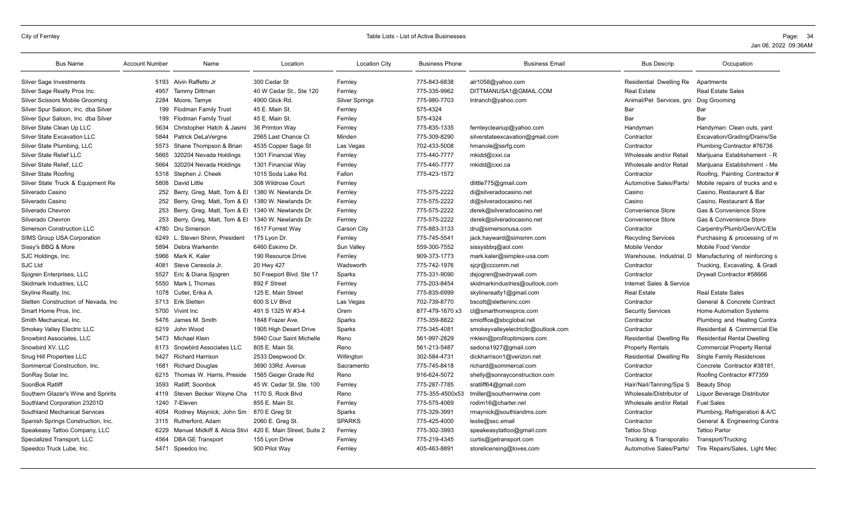| <b>Bus Name</b>                      | <b>Account Number</b> | Name                            | Location                    | <b>Location City</b>  | <b>Business Phone</b> | <b>Business Email</b>               | <b>Bus Descrip</b>        | Occupation                         |
|--------------------------------------|-----------------------|---------------------------------|-----------------------------|-----------------------|-----------------------|-------------------------------------|---------------------------|------------------------------------|
| <b>Silver Sage Investments</b>       |                       | 5193 Alvin Raffetto Jr          | 300 Cedar St                | Fernley               | 775-843-6838          | alr1058@yahoo.com                   | Residential Dwelling Re   | Apartments                         |
| Silver Sage Realty Pros Inc.         | 4957                  | Tammy Dittman                   | 40 W Cedar St., Ste 120     | Fernley               | 775-335-9962          | DITTMANUSA1@GMAIL.COM               | <b>Real Estate</b>        | <b>Real Estate Sales</b>           |
| Silver Scissors Mobile Grooming      | 2284                  | Moore, Tamye                    | 4900 Glick Rd.              | <b>Silver Springs</b> | 775-980-7703          | Intranch@yahoo.com                  | Animal/Pet Services, gro  | Dog Grooming                       |
| Silver Spur Saloon, Inc. dba Silver  | 199                   | <b>Flodman Family Trust</b>     | 45 E. Main St.              | Fernley               | 575-4324              |                                     | Bar                       | Bar                                |
| Silver Spur Saloon, Inc. dba Silver  | 199                   | <b>Flodman Family Trust</b>     | 45 E. Main St               | Fernley               | 575-4324              |                                     | Bar                       | Bar                                |
| Silver State Clean Up LLC            | 5634                  | Christopher Hatch & Jasmi       | 36 Primton Way              | Fernley               | 775-835-1335          | fernleycleanup@yahoo.com            | Handyman                  | Handyman: Clean outs, yard         |
| <b>Silver State Excavation LLC</b>   | 5844                  | Patrick DeLaVergne              | 2565 Last Chance Ct         | Minden                | 775-309-8290          | silverstateexcavation@gmail.com     | Contractor                | Excavation/Grading/Drains/Se       |
| Silver State Plumbing, LLC           | 5573                  | Shane Thompson & Brian          | 4535 Copper Sage St         | Las Vegas             | 702-433-5008          | hmanole@ssrfg.com                   | Contractor                | Plumbing Contractor #76736         |
| <b>Silver State Relief LLC</b>       | 5665                  | 320204 Nevada Holdings          | 1301 Financial Way          | Fernley               | 775-440-7777          | mkidd@cxxi.ca                       | Wholesale and/or Retail   | Marijuana Establishement - R       |
| Silver State Relief, LLC             | 5664                  | 320204 Nevada Holdings          | 1301 Financial Wav          | Fernley               | 775-440-7777          | mkidd@cxxi.ca                       | Wholesale and/or Retail   | Mariiuana Establishment - Me       |
| Silver State Roofing                 | 5318                  | Stephen J. Cheek                | 1015 Soda Lake Rd.          | Fallon                | 775-423-1572          |                                     | Contractor                | Roofing, Painting Contractor #     |
| Silver State Truck & Equipment Re    | 5808                  | David Little                    | 308 Wildrose Court          | Fernley               |                       | dlittle775@gmail.com                | Automotive Sales/Parts/   | Mobile repairs of trucks and e     |
| Silverado Casino                     | 252                   | Berry, Greg, Matt, Tom & El     | 1380 W. Newlands Dr.        | Fernley               | 775-575-2222          | di@silveradocasino.net              | Casino                    | Casino, Restaurant & Bar           |
| Silverado Casino                     |                       | 252 Berry, Greg, Matt, Tom & El | 1380 W. Newlands Dr.        | Fernley               | 775-575-2222          | di@silveradocasino.net              | Casino                    | Casino, Restaurant & Bar           |
| Silverado Chevron                    | 253                   | Berry, Greg, Matt, Tom & El     | 1340 W. Newlands Dr.        | Fernley               | 775-575-2222          | derek@silveradocasino.net           | Convenience Store         | Gas & Convenience Store            |
| Silverado Chevron                    | 253                   | Berry, Greg, Matt, Tom & El     | 1340 W. Newlands Dr.        | Fernley               | 775-575-2222          | derek@silveradocasino.net           | <b>Convenience Store</b>  | Gas & Convenience Store            |
| <b>Simerson Construction LLC</b>     | 4780                  | Dru Simerson                    | 1617 Forrest Wav            | Carson City           | 775-883-3133          | dru@simersonusa.com                 | Contractor                | Carpentry/Plumb/Gen/A/C/Ele        |
| SIMS Group USA Corporation           | 6249                  | L. Steven Shinn, President      | 175 Lyon Dr.                | Fernley               | 775-745-5541          | jack.hayward@simsmm.com             | <b>Recycling Services</b> | Purchasing & processing of m       |
| Sissy's BBQ & More                   | 5894                  | Debra Warkentin                 | 6460 Eskimo Dr.             | Sun Valley            | 559-300-7552          | sissysbbq@aol.com                   | Mobile Vendor             | Mobile Food Vendor                 |
| SJC Holdings, Inc.                   | 5966                  | Mark K. Kaler                   | 190 Resource Drive          | Fernley               | 909-373-1773          | mark.kaler@simplex-usa.com          | Warehouse, Industrial,    | Manufacturing of reinforcing s     |
| <b>SJC Ltd</b>                       | 4081                  | Steve Ceresola Jr.              | 20 Hwy 427                  | Wadsworth             | 775-742-1976          | sicir@cccomm.net                    | Contractor                | Trucking, Excavating, & Gradi      |
| Sjogren Enterprises, LLC             | 5527                  | Eric & Diana Sjogren            | 50 Freeport Blvd. Ste 17    | Sparks                | 775-331-9090          | dsjogren@sedrywall.com              | Contractor                | Drywall Contractor #58666          |
| Skidmark Industries, LLC             | 5550                  | Mark L Thomas                   | 892 F Street                | Fernley               | 775-203-8454          | skidmarkindustries@outlook.com      | Internet Sales & Service  |                                    |
| Skyline Realty, Inc.                 | 1078                  | Cutler, Erika A.                | 125 E. Main Street          | Fernley               | 775-835-6999          | skylinerealty1@gmail.com            | <b>Real Estate</b>        | <b>Real Estate Sales</b>           |
| Sletten Construction of Nevada, Inc. |                       | 5713 Erik Sletten               | 600 S LV Blvd               | Las Vegas             | 702-739-8770          | bscott@sletteninc.com               | Contractor                | General & Concrete Contract        |
| Smart Home Pros. Inc.                | 5700                  | Vivint Inc.                     | 491 S 1325 W #3-4           | Orem                  | 877-479-1670 x3       | cl@smarthomespros.com               | <b>Security Services</b>  | <b>Home Automation Systems</b>     |
| Smith Mechanical, Inc.               | 5476                  | James M. Smith                  | 1848 Frazer Ave.            | Sparks                | 775-359-8822          | smioffice@sbcglobal.net             | Contractor                | Plumbing and Heating Contra        |
| Smokey Valley Electric LLC           | 6219                  | John Wood                       | 1905 High Desert Drive      | Sparks                | 775-345-4081          | smokeyvalleyelectricllc@outlook.com | Contractor                | Residential & Commercial Ele       |
| Snowbird Associates, LLC             | 5473                  | Michael Klein                   | 5940 Cour Saint Michelle    | Reno                  | 561-997-2829          | mklein@profitoptimizers.com         | Residential Dwelling Re   | <b>Residential Rental Dwelling</b> |
| Snowbird XV, LLC                     | 6173                  | Snowbird Associates LLC         | 805 E. Main St.             | Reno                  | 561-213-5487          | sedona1927@gmail.com                | <b>Property Rentals</b>   | <b>Commercial Property Rental</b>  |
| Snug Hill Properties LLC             | 5427                  | <b>Richard Harrison</b>         | 2533 Deepwood Dr.           | Willington            | 302-584-4731          | dickharrison1@verizon.net           | Residential Dwelling Re   | <b>Single Family Residences</b>    |
| Sommercal Construction, Inc.         | 1681                  | <b>Richard Douglas</b>          | 3690 33Rd, Avenue           | Sacramento            | 775-745-8418          | richard@sommercal.com               | Contractor                | Concrete Contractor #38181,        |
| SonRay Solar Inc.                    | 6215                  | Thomas W. Harris, Preside       | 1565 Geiger Grade Rd        | Reno                  | 916-624-5072          | shelly@sonrayconstruction.com       | Contractor                | Roofing Contractor #77359          |
| SoonBok Ratliff                      | 3593                  | Ratliff, Soonbok                | 45 W. Cedar St. Ste. 100    | Fernley               | 775-287-7785          | sratliff64@gmail.com                | Hair/Nail/Tanning/Spa S   | Beauty Shop                        |
| Southern Glazer's Wine and Spririts  | 4119                  | Steven Becker Wayne Cha         | 1170 S. Rock Blvd           | Reno                  | 775-355-4500x53       | tmiller@southernwine.com            | Wholesale/Distributor of  | Liquor Beverage Distributor        |
| Southland Corporation 23201D         | 1240                  | 7-Eleven                        | 855 E. Main St.             | Fernley               | 775-575-4069          | rodim16@charter.net                 | Wholesale and/or Retail   | <b>Fuel Sales</b>                  |
| Southland Mechanical Services        | 4054                  | Rodney Maynick; John Sm         | 870 E Greg St               | Sparks                | 775-329-3991          | rmaynick@southlandms.com            | Contractor                | Plumbing, Refrigeration & A/C      |
| Spanish Springs Construction, Inc.   | 3115                  | Rutherford, Adam                | 2060 E. Greg St.            | <b>SPARKS</b>         | 775-425-4000          | leslie@ssc.email                    | Contractor                | General & Engineering Contra       |
| Speakeasy Tattoo Company, LLC        | 6229                  | Manuel Midkiff & Alicia Stivi   | 420 E. Main Street. Suite 2 | Fernley               | 775-302-3993          | speakeasytattoo@gmail.com           | <b>Tattoo Shop</b>        | <b>Tattoo Parlor</b>               |
| Specialized Transport, LLC           | 4564                  | <b>DBA GE Transport</b>         | 155 Lyon Drive              | Fernley               | 775-219-4345          | curtis@getransport.com              | Trucking & Transporatio   | Transport/Trucking                 |
| Speedco Truck Lube, Inc.             |                       | 5471 Speedco Inc.               | 900 Pilot Way               | Fernley               | 405-463-8891          | storelicensing@loves.com            | Automotive Sales/Parts/   | Tire Repairs/Sales, Light Mec      |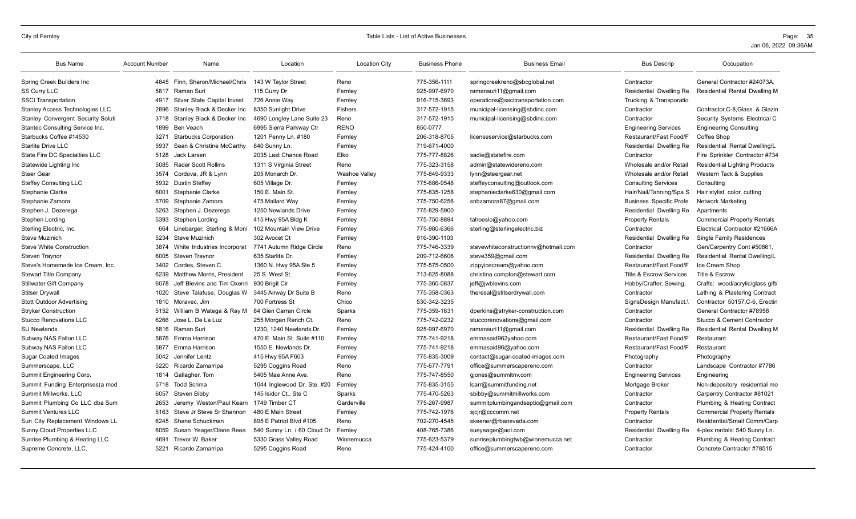| <b>Bus Name</b>                           | <b>Account Number</b> | Name                             | Location                    | <b>Location City</b> | <b>Business Phone</b> | <b>Business Email</b>                | <b>Bus Descrip</b>                 | Occupation                           |
|-------------------------------------------|-----------------------|----------------------------------|-----------------------------|----------------------|-----------------------|--------------------------------------|------------------------------------|--------------------------------------|
| Spring Creek Builders Inc                 | 4845                  | Finn, Sharon/Michael/Chris       | 143 W Taylor Street         | Reno                 | 775-356-1111          | springcreekreno@sbcglobal.net        | Contractor                         | General Contractor #24073A.          |
| SS Curry LLC                              | 5817                  | Raman Suri                       | 115 Curry Dr                | Fernley              | 925-997-6970          | ramansuri11@gmail.com                | Residential Dwelling Re            | Residential Rental Dwelling M        |
| SSCI Transportation                       | 4917                  | Silver State Capital Invest      | 726 Annie Way               | Fernley              | 916-715-3693          | operations@sscitransportation.com    | Trucking & Transporatio            |                                      |
| Stanley Access Technologies LLC           | 2896                  | Stanley Black & Decker Inc       | 8350 Sunlight Drive         | <b>Fishers</b>       | 317-572-1915          | municipal-licensing@sbdinc.com       | Contractor                         | Contractor, C-8, Glass & Glazin      |
| <b>Stanley Convergent Security Soluti</b> | 3718                  | Stanley Black & Decker Inc       | 4690 Longley Lane Suite 23  | Reno                 | 317-572-1915          | municipal-licensing@sbdinc.com       | Contractor                         | Security Systems Electrical C        |
| Stantec Consulting Service Inc.           | 1899                  | Ben Veach                        | 6995 Sierra Parkway Ctr     | <b>RENO</b>          | 850-0777              |                                      | <b>Engineering Services</b>        | <b>Engineering Consulting</b>        |
| Starbucks Coffee #14530                   | 3271                  | <b>Starbucks Corporation</b>     | 1201 Penny Ln. #180         | Fernley              | 206-318-8705          | licenseservice@starbucks.com         | Restaurant/Fast Food/F             | Coffee Shop                          |
| <b>Starlite Drive LLC</b>                 | 5937                  | Sean & Christine McCarthy        | 840 Sunny Ln.               | Fernley              | 719-671-4000          |                                      | Residential Dwelling Re            | Residential Rental Dwelling/L        |
| <b>State Fire DC Specialties LLC</b>      | 5128                  | Jack Larsen                      | 2035 Last Chance Road       | Elko                 | 775-777-8826          | sadie@statefire.com                  | Contractor                         | Fire Sprinkler Contractor #734       |
| Statewide Lighting Inc                    | 5085                  | <b>Rader Scott Rollins</b>       | 1311 S Virginia Street      | Reno                 | 775-323-3158          | admin@statewidereno.com              | Wholesale and/or Retail            | <b>Residential Lighting Products</b> |
| Steer Gear                                | 3574                  | Cordova, JR & Lynn               | 205 Monarch Dr.             | <b>Washoe Valley</b> | 775-849-9333          | lynn@steergear.net                   | Wholesale and/or Retai             | Western Tack & Supplies              |
| <b>Steffey Consulting LLC</b>             | 5932                  | Dustin Steffey                   | 605 Village Dr.             | Fernley              | 775-686-9548          | steffeyconsulting@outlook.com        | <b>Consulting Services</b>         | Consulting                           |
| Stephanie Clarke                          | 6001                  | Stephanie Clarke                 | 150 E. Main St.             | Fernley              | 775-835-1258          | stephanieclarke630@gmail.com         | Hair/Nail/Tanning/Spa S            | Hair stylist, color, cutting         |
| Stephanie Zamora                          | 5709                  | Stephanie Zamora                 | 475 Mallard Way             | Fernley              | 775-750-6256          | snbzamora87@gmail.com                | <b>Business Specific Profe</b>     | <b>Network Marketing</b>             |
| Stephen J. Dezerega                       | 5263                  | Stephen J. Dezerega              | 1250 Newlands Drive         | Fernley              | 775-829-5900          |                                      | Residential Dwelling Re            | Apartments                           |
| Stephen Lording                           | 5393                  | Stephen Lording                  | 415 Hwy 95A Bldg K          | Fernley              | 775-750-8894          | tahoeslo@yahoo.com                   | <b>Property Rentals</b>            | <b>Commercial Property Rentals</b>   |
| Sterling Electric, Inc.                   | 664                   | Linebarger, Sterling & Moni      | 102 Mountain View Drive     | Fernley              | 775-980-6366          | sterling@sterlingelectric.biz        | Contractor                         | Electrical Contractor #21666A        |
| Steve Muzinich                            | 5234                  | Steve Muzinich                   | 302 Avocet Ct               | Fernley              | 916-390-1103          |                                      | Residential Dwelling Re            | <b>Single Family Residences</b>      |
| <b>Steve White Construction</b>           | 3874                  | White Industries Incorporat      | 7741 Autumn Ridge Circle    | Reno                 | 775-746-3339          | stevewhiteconstructionnv@hotmail.com | Contractor                         | Gen/Carpentry Cont #50861,           |
| <b>Steven Traynor</b>                     | 6005                  | <b>Steven Traynor</b>            | 635 Starlite Dr.            | Fernley              | 209-712-6606          | steve359@gmail.com                   | Residential Dwelling Re            | Residential Rental Dwelling/L        |
| Steve's Homemade Ice Cream, Inc.          | 3402                  | Cordes, Steven C.                | 1360 N. Hwy 95A Ste 5       | Fernley              | 775-575-0500          | zippyicecream@yahoo.com              | Restaurant/Fast Food/F             | Ice Cream Shop                       |
| <b>Stewart Title Company</b>              | 6239                  | <b>Matthew Morris, President</b> | 25 S. West St               | Fernley              | 713-625-8088          | christina.compton@stewart.com        | <b>Title &amp; Escrow Services</b> | Title & Escrow                       |
| <b>Stillwater Gift Company</b>            | 6078                  | Jeff Blevins and Tim Oxenri      | 930 Brigit Cir              | Fernley              | 775-360-0837          | jeff@jwblevins.com                   | Hobby/Crafter, Sewing,             | Crafts: wood/acrylic/glass gift/     |
| <b>Stitser Drywall</b>                    | 1020                  | Steve Talafuse, Douglas W        | 3445 Airway Dr Suite B      | Reno                 | 775-358-0363          | theresal@stitserdrywall.com          | Contractor                         | Lathing & Plastering Contract        |
| <b>Stott Outdoor Advertising</b>          | 1810                  | Moravec, Jim                     | 700 Fortress St             | Chico                | 530-342-3235          |                                      | SignsDesign Manufact.\             | Contractor 50157, C-6, Erectin       |
| <b>Stryker Construction</b>               | 5152                  | William B Watega & Ray M         | 84 Glen Carran Circle       | Sparks               | 775-359-1631          | dperkins@stryker-construction.com    | Contractor                         | General Contractor #78958            |
| <b>Stucco Renovations LLC</b>             | 6266                  | Jose L. De La Luz                | 255 Morgan Ranch Ct.        | Reno                 | 775-742-0232          | stuccorenovations@gmail.com          | Contractor                         | Stucco & Cement Contractor           |
| <b>SU Newlands</b>                        | 5816                  | Raman Suri                       | 1230, 1240 Newlands Dr.     | Fernley              | 925-997-6970          | ramansuri11@gmail.com                | Residential Dwelling Re            | Residential Rental Dwelling M        |
| Subway NAS Fallon LLC                     | 5876                  | Emma Harrison                    | 470 E. Main St. Suite #110  | Fernley              | 775-741-9218          | emmasaid962yahoo.com                 | Restaurant/Fast Food/F             | Restaurant                           |
| Subway NAS Fallon LLC                     | 5877                  | Emma Harrison                    | 1550 E. Newlands Dr.        | Fernley              | 775-741-9218          | emmasaid96@yahoo.com                 | Restaurant/Fast Food/F             | Restaurant                           |
| <b>Sugar Coated Images</b>                | 5042                  | Jennifer Lentz                   | 415 Hwy 95A F603            | Fernley              | 775-835-3009          | contact@sugar-coated-images.com      | Photography                        | Photography                          |
| Summerscape, LLC                          | 5220                  | Ricardo Zamarripa                | 5295 Coggins Road           | Reno                 | 775-677-7791          | office@summerscapereno.com           | Contractor                         | Landscape Contractor #7786           |
| Summit Engineering Corp.                  | 1814                  | Gallagher, Tom                   | 5405 Mae Anne Ave.          | Reno                 | 775-747-8550          | gjones@summitnv.com                  | <b>Engineering Services</b>        | Engineering                          |
| Summit Funding Enterprises (a mod         | 5718                  | <b>Todd Scrima</b>               | 1044 Inglewood Dr. Ste. #20 | Fernley              | 775-835-3155          | lcarr@summitfunding.net              | Mortgage Broker                    | Non-depository residential mo        |
| Summit Millworks, LLC                     | 6057                  | Steven Bibby                     | 145 Isidor Ct., Ste C       | Sparks               | 775-470-5263          | sbibby@summitmillworks.com           | Contractor                         | Carpentry Contractor #81021          |
| Summit Plumbing Co LLC dba Sum            | 2653                  | Jeremy Weston/Paul Kearn         | 1749 Timber CT              | Garderville          | 775-267-9987          | summitplumbingandseptic@gmail.com    | Contractor                         | Plumbing & Heating Contract          |
| <b>Summit Ventures LLC</b>                | 5163                  | Steve Jr Steve Sr Shannon        | 480 E Main Street           | Fernley              | 775-742-1976          | sicir@cccomm.net                     | <b>Property Rentals</b>            | <b>Commercial Property Rentals</b>   |
| Sun City Replacement Windows LL           | 6245                  | Shane Schuckman                  | 895 E Patriot Blvd #105     | Reno                 | 702-270-4545          | skeener@rbanevada.com                | Contractor                         | Residential/Small Comm/Carp          |
| <b>Sunny Cloud Properties LLC</b>         | 6059                  | Susan Yeager/Diane Reea          | 540 Sunny Ln. / 60 Cloud Dr | Fernley              | 408-765-7386          | sueyeager@aol.com                    | <b>Residential Dwelling Re</b>     | 4-plex rentals: 540 Sunny Ln.        |
| Sunrise Plumbing & Heating LLC            | 4691                  | Trevor W. Baker                  | 5330 Grass Valley Road      | Winnemucca           | 775-623-5379          | sunriseplumbingtwb@winnemucca.net    | Contractor                         | Plumbing & Heating Contract          |
| Supreme Concrete, LLC.                    | 5221                  | Ricardo Zamarripa                | 5295 Coggins Road           | Reno                 | 775-424-4100          | office@summerscapereno.com           | Contractor                         | Concrete Contractor #78515           |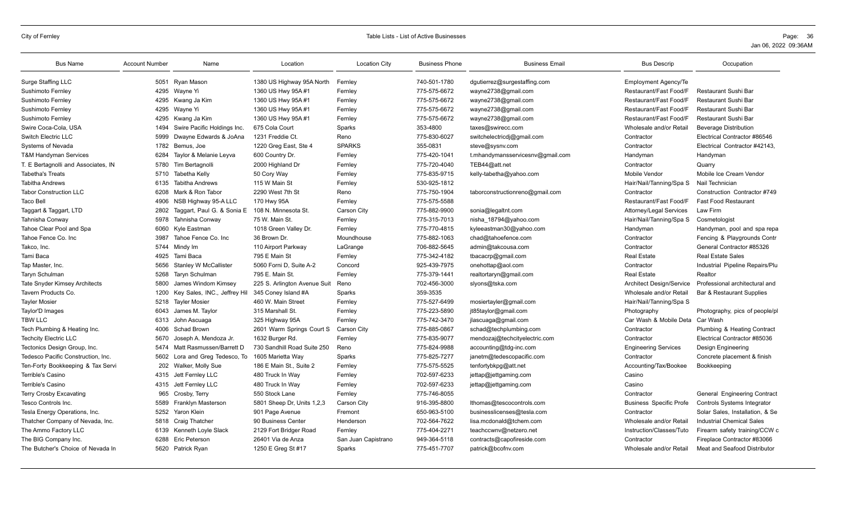| <b>Bus Name</b>                     | <b>Account Number</b> | Name                           | Location                     | <b>Location City</b> | <b>Business Phone</b> | <b>Business Email</b>            | <b>Bus Descrip</b>              | Occupation                           |
|-------------------------------------|-----------------------|--------------------------------|------------------------------|----------------------|-----------------------|----------------------------------|---------------------------------|--------------------------------------|
| Surge Staffing LLC                  |                       | 5051 Ryan Mason                | 1380 US Highway 95A North    | Fernley              | 740-501-1780          | dgutierrez@surgestaffing.com     | <b>Employment Agency/Te</b>     |                                      |
| Sushimoto Fernley                   |                       | 4295 Wayne Yi                  | 1360 US Hwy 95A #1           | Fernley              | 775-575-6672          | wayne2738@gmail.com              | Restaurant/Fast Food/F          | <b>Restaurant Sushi Bar</b>          |
| Sushimoto Fernley                   | 4295                  | Kwang Ja Kim                   | 1360 US Hwy 95A #1           | Fernley              | 775-575-6672          | wayne2738@gmail.com              | Restaurant/Fast Food/F          | <b>Restaurant Sushi Bar</b>          |
| Sushimoto Fernley                   |                       | 4295 Wayne Yi                  | 1360 US Hwy 95A #1           | Fernley              | 775-575-6672          | wayne2738@gmail.com              | Restaurant/Fast Food/F          | <b>Restaurant Sushi Bar</b>          |
| Sushimoto Fernley                   | 4295                  | Kwang Ja Kim                   | 1360 US Hwy 95A #1           | Fernley              | 775-575-6672          | wayne2738@gmail.com              | Restaurant/Fast Food/F          | Restaurant Sushi Bar                 |
| Swire Coca-Cola, USA                | 1494                  | Swire Pacific Holdings Inc.    | 675 Cola Court               | Sparks               | 353-4800              | taxes@swirecc.com                | Wholesale and/or Retail         | <b>Beverage Distribution</b>         |
| <b>Switch Electric LLC</b>          | 5999                  | Dwayne Edwards & JoAna         | 1231 Freddie Ct.             | Reno                 | 775-830-6027          | switchelectricdj@gmail.com       | Contractor                      | Electrical Contractor #86546         |
| Systems of Nevada                   | 1782                  | Bemus, Joe                     | 1220 Greg East, Ste 4        | <b>SPARKS</b>        | 355-0831              | steve@sysnv.com                  | Contractor                      | Electrical Contractor #42143.        |
| T&M Handyman Services               | 6284                  | Taylor & Melanie Leyva         | 600 Country Dr.              | Fernley              | 775-420-1041          | t.mhandymansservicesnv@gmail.com | Handyman                        | Handyman                             |
| T. E Bertagnolli and Associates, IN | 5780                  | Tim Bertagnolli                | 2000 Highland Dr             | Fernley              | 775-720-4040          | TEB44@att.net                    | Contractor                      | Quarry                               |
| Tabetha's Treats                    |                       | 5710 Tabetha Kelly             | 50 Cory Way                  | Fernley              | 775-835-9715          | kelly-tabetha@yahoo.com          | Mobile Vendor                   | Mobile Ice Cream Vendor              |
| <b>Tabitha Andrews</b>              | 6135                  | <b>Tabitha Andrews</b>         | 115 W Main St                | Fernley              | 530-925-1812          |                                  | Hair/Nail/Tanning/Spa S         | Nail Technician                      |
| Tabor Construction LLC              | 6208                  | Mark & Ron Tabor               | 2290 West 7th St             | Reno                 | 775-750-1904          | taborconstructionreno@gmail.com  | Contractor                      | Construction Contractor #749         |
| Taco Bell                           | 4906                  | NSB Highway 95-A LLC           | 170 Hwy 95A                  | Fernley              | 775-575-5588          |                                  | Restaurant/Fast Food/F          | <b>Fast Food Restaurant</b>          |
| Taggart & Taggart, LTD              | 2802                  | Taggart, Paul G. & Sonia E     | 108 N. Minnesota St.         | Carson City          | 775-882-9900          | sonia@legaltnt.com               | Attorney/Legal Services         | Law Firm                             |
| Tahnisha Conway                     | 5978                  | Tahnisha Conway                | 75 W. Main St.               | Fernley              | 775-315-7013          | nisha 18794@yahoo.com            | Hair/Nail/Tanning/Spa S         | Cosmetologist                        |
| Tahoe Clear Pool and Spa            | 6060                  | Kyle Eastman                   | 1018 Green Valley Dr.        | Fernley              | 775-770-4815          | kyleeastman30@yahoo.com          | Handyman                        | Handyman, pool and spa repa          |
| Tahoe Fence Co. Inc                 | 3987                  | Tahoe Fence Co. Inc.           | 36 Brown Dr.                 | Moundhouse           | 775-882-1063          | chad@tahoefence.com              | Contractor                      | Fencing & Playgrounds Contr          |
| Takco, Inc.                         | 5744                  | Mindy Im                       | 110 Airport Parkway          | LaGrange             | 706-882-5645          | admin@takcousa.com               | Contractor                      | General Contractor #85326            |
| Tami Baca                           | 4925                  | Tami Baca                      | 795 E Main St                | Fernley              | 775-342-4182          | tbacacrp@gmail.com               | <b>Real Estate</b>              | <b>Real Estate Sales</b>             |
| Tap Master, Inc.                    | 5656                  | <b>Stanley W McCallister</b>   | 5060 Forni D, Suite A-2      | Concord              | 925-439-7975          | onehottap@aol.com                | Contractor                      | Industrial Pipeline Repairs/Plu      |
| Taryn Schulman                      | 5268                  | <b>Taryn Schulman</b>          | 795 E. Main St.              | Fernley              | 775-379-1441          | realtortaryn@gmail.com           | <b>Real Estate</b>              | Realtor                              |
| Tate Snyder Kimsey Architects       | 5800                  | James Windom Kimsey            | 225 S. Arlington Avenue Suit | Reno                 | 702-456-3000          | slyons@tska.com                  | <b>Architect Design/Service</b> | Professional architectural and       |
| Tavern Products Co.                 | 1200                  | Key Sales, INC., Jeffrey Hil   | 345 Coney Island #A          | Sparks               | 359-3535              |                                  | Wholesale and/or Retail         | <b>Bar &amp; Restaurant Supplies</b> |
| <b>Tayler Mosier</b>                |                       | 5218 Tayler Mosier             | 460 W. Main Street           | Fernley              | 775-527-6499          | mosiertayler@gmail.com           | Hair/Nail/Tanning/Spa S         |                                      |
| Taylor'D Images                     | 6043                  | James M. Tavlor                | 315 Marshall St.             | Fernley              | 775-223-5890          | jt85taylor@gmail.com             | Photography                     | Photography, pics of people/pl       |
| <b>TBW LLC</b>                      | 6313                  | John Ascuaga                   | 325 Highway 95A              | Fernley              | 775-742-3470          | jlascuaga@gmail.com              | Car Wash & Mobile Deta          | Car Wash                             |
| Tech Plumbing & Heating Inc.        | 4006                  | Schad Brown                    | 2601 Warm Springs Court S    | Carson City          | 775-885-0867          | schad@techplumbing.com           | Contractor                      | Plumbing & Heating Contract          |
| <b>Techcity Electric LLC</b>        | 5670                  | Joseph A. Mendoza Jr.          | 1632 Burger Rd.              | Fernley              | 775-835-9077          | mendozaj@techcityelectric.com    | Contractor                      | Electrical Contractor #85036         |
| Tectonics Design Group, Inc.        | 5474                  | Matt Rasmussen/Barrett D       | 730 Sandhill Road Suite 250  | Reno                 | 775-824-9988          | accounting@tdg-inc.com           | <b>Engineering Services</b>     | <b>Design Engineering</b>            |
| Tedesco Pacific Construction, Inc.  |                       | 5602 Lora and Greg Tedesco, To | 1605 Marietta Way            | Sparks               | 775-825-7277          | janetm@tedescopacific.com        | Contractor                      | Concrete placement & finish          |
| Ten-Forty Bookkeeping & Tax Servi   | 202                   | Walker, Molly Sue              | 186 E Main St., Suite 2      | Fernley              | 775-575-5525          | tenfortybkpg@att.net             | Accounting/Tax/Bookee           | Bookkeeping                          |
| Terrible's Casino                   | 4315                  | Jett Fernley LLC               | 480 Truck In Way             | Fernley              | 702-597-6233          | jettap@jettgaming.com            | Casino                          |                                      |
| Terrible's Casino                   |                       | 4315 Jett Fernley LLC          | 480 Truck In Way             | Fernley              | 702-597-6233          | jettap@jettgaming.com            | Casino                          |                                      |
| Terry Crosby Excavating             | 965                   | Crosby, Terry                  | 550 Stock Lane               | Fernley              | 775-746-8055          |                                  | Contractor                      | <b>General Engineering Contract</b>  |
| Tesco Controls Inc.                 | 5589                  | Franklyn Masterson             | 5801 Sheep Dr, Units 1,2,3   | Carson City          | 916-395-8800          | lthomas@tescocontrols.com        | <b>Business Specific Profe</b>  | <b>Controls Systems Integrator</b>   |
| Tesla Energy Operations, Inc.       | 5252                  | Yaron Klein                    | 901 Page Avenue              | Fremont              | 650-963-5100          | businesslicenses@tesla.com       | Contractor                      | Solar Sales, Installation, & Se      |
| Thatcher Company of Nevada, Inc.    |                       | 5818 Craig Thatcher            | 90 Business Center           | Henderson            | 702-564-7622          | lisa.mcdonald@tchem.com          | Wholesale and/or Retail         | <b>Industrial Chemical Sales</b>     |
| The Ammo Factory LLC                | 6139                  | Kenneth Loyle Slack            | 2129 Fort Bridger Road       | Fernley              | 775-404-2271          | teachccwnv@netzero.net           | Instruction/Classes/Tuto        | Firearm safety training/CCW c        |
| The BIG Company Inc.                | 6288                  | Eric Peterson                  | 26401 Via de Anza            | San Juan Capistrano  | 949-364-5118          | contracts@capofireside.com       | Contractor                      | Fireplace Contractor #83066          |
| The Butcher's Choice of Nevada In   |                       | 5620 Patrick Ryan              | 1250 E Greg St #17           | Sparks               | 775-451-7707          | patrick@bcofnv.com               | Wholesale and/or Retail         | Meat and Seafood Distributor         |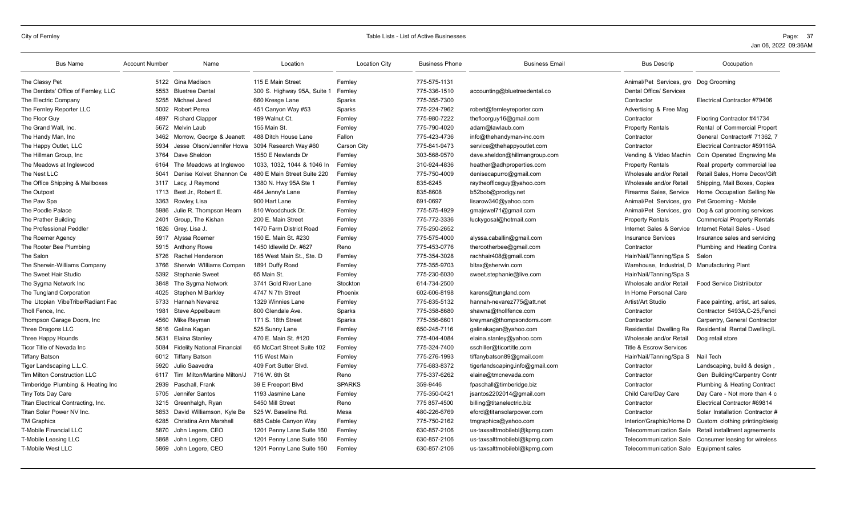| <b>Bus Name</b>                      | <b>Account Number</b> | Name                               | Location                    | <b>Location City</b> | <b>Business Phone</b> | <b>Business Email</b>           | <b>Bus Descrip</b>                           | Occupation                         |
|--------------------------------------|-----------------------|------------------------------------|-----------------------------|----------------------|-----------------------|---------------------------------|----------------------------------------------|------------------------------------|
| The Classy Pet                       | 5122                  | Gina Madison                       | 115 E Main Street           | Fernley              | 775-575-1131          |                                 | Animal/Pet Services, gro Dog Grooming        |                                    |
| The Dentists' Office of Fernley, LLC | 5553                  | <b>Bluetree Dental</b>             | 300 S. Highway 95A, Suite 1 | Fernley              | 775-336-1510          | accounting@bluetreedental.co    | <b>Dental Office/ Services</b>               |                                    |
| The Electric Company                 | 5255                  | Michael Jared                      | 660 Kresge Lane             | Sparks               | 775-355-7300          |                                 | Contractor                                   | Electrical Contractor #79406       |
| The Fernley Reporter LLC             | 5002                  | Robert Perea                       | 451 Canyon Way #53          | Sparks               | 775-224-7962          | robert@fernleyreporter.com      | Advertising & Free Mag                       |                                    |
| The Floor Guy                        | 4897                  | <b>Richard Clapper</b>             | 199 Walnut Ct.              | Fernley              | 775-980-7222          | thefloorguy16@gmail.com         | Contractor                                   | Flooring Contractor #41734         |
| The Grand Wall, Inc.                 | 5672                  | Melvin Laub                        | 155 Main St.                | Fernley              | 775-790-4020          | adam@lawlaub.com                | <b>Property Rentals</b>                      | Rental of Commercial Propert       |
| The Handy Man, Inc.                  | 3462                  | Morrow, George & Jeanett           | 488 Ditch House Lane        | Fallon               | 775-423-4736          | info@thehandyman-inc.com        | Contractor                                   | General Contractor# 71362, 7       |
| The Happy Outlet, LLC                | 5934                  | Jesse Olson/Jennifer Howa          | 3094 Research Wav #60       | <b>Carson City</b>   | 775-841-9473          | service@thehappyoutlet.com      | Contractor                                   | Electrical Contractor #59116A      |
| The Hillman Group, Inc.              | 3764                  | Dave Sheldon                       | 1550 E Newlands Dr          | Fernley              | 303-568-9570          | dave.sheldon@hillmangroup.com   | Vending & Video Machin                       | Coin Operated Engraving Ma         |
| The Meadows at Inglewood             | 6164                  | The Meadows at Inglewoo            | 1033, 1032, 1044 & 1046 In  | Fernley              | 310-924-4836          | heather@adhproperties.com       | <b>Property Rentals</b>                      | Real property commercial lea       |
| The Nest LLC                         | 5041                  | Denise Kolvet Shannon Ce           | 480 E Main Street Suite 220 | Fernley              | 775-750-4009          | denisecapurro@gmail.com         | Wholesale and/or Retail                      | Retail Sales, Home Decor/Gift      |
| The Office Shipping & Mailboxes      | 3117                  | Lacy, J Raymond                    | 1380 N. Hwy 95A Ste 1       | Fernley              | 835-6245              | raytheofficeguy@yahoo.com       | Wholesale and/or Retai                       | Shipping, Mail Boxes, Copies       |
| The Outpost                          | 1713                  | Best Jr., Robert E.                | 464 Jenny's Lane            | Fernley              | 835-8608              | b52bob@prodigy.net              | Firearms Sales, Service                      | Home Occupation Selling Ne         |
| The Paw Spa                          | 3363                  | Rowley, Lisa                       | 900 Hart Lane               | Fernley              | 691-0697              | lisarow340@yahoo.com            | Animal/Pet Services, gro                     | Pet Grooming - Mobile              |
| The Poodle Palace                    | 5986                  | Julie R. Thompson Hearn            | 810 Woodchuck Dr.           | Fernley              | 775-575-4929          | gmajewel71@gmail.com            | Animal/Pet Services, gro                     | Dog & cat grooming services        |
| The Prather Building                 | 2401                  | Group, The Kishan                  | 200 E. Main Street          | Fernley              | 775-772-3336          | luckygosal@hotmail.com          | <b>Property Rentals</b>                      | <b>Commercial Property Rentals</b> |
| The Professional Peddler             | 1826                  | Grey, Lisa J.                      | 1470 Farm District Road     | Fernley              | 775-250-2652          |                                 | Internet Sales & Service                     | Internet Retail Sales - Used       |
| The Roemer Agency                    | 5917                  | Alyssa Roemer                      | 150 E. Main St. #230        | Fernley              | 775-575-4000          | alyssa.caballin@gmail.com       | <b>Insurance Services</b>                    | Insurance sales and servicing      |
| The Rooter Bee Plumbing              | 5915                  | <b>Anthony Rowe</b>                | 1450 Idlewild Dr. #627      | Reno                 | 775-453-0776          | therootherbee@gmail.com         | Contractor                                   | Plumbing and Heating Contra        |
| The Salon                            | 5726                  | Rachel Henderson                   | 165 West Main St., Ste. D   | Fernley              | 775-354-3028          | rachhair408@gmail.com           | Hair/Nail/Tanning/Spa S                      | Salon                              |
| The Sherwin-Williams Company         | 3766                  | Sherwin Williams Compan            | 1891 Duffy Road             | Fernley              | 775-355-9703          | bltax@sherwin.com               | Warehouse, Industrial, D Manufacturing Plant |                                    |
| The Sweet Hair Studio                | 5392                  | <b>Stephanie Sweet</b>             | 65 Main St.                 | Fernley              | 775-230-6030          | sweet.stephanie@live.com        | Hair/Nail/Tanning/Spa S                      |                                    |
| The Sygma Network Inc                | 3848                  | The Sygma Network                  | 3741 Gold River Lane        | Stockton             | 614-734-2500          |                                 | Wholesale and/or Retail                      | <b>Food Service Distriibutor</b>   |
| The Tungland Corporation             | 4025                  | Stephen M Barkley                  | 4747 N 7th Street           | Phoenix              | 602-606-8198          | karens@tungland.com             | In Home Personal Care                        |                                    |
| The Utopian VibeTribe/Radiant Fac    | 5733                  | Hannah Nevarez                     | 1329 Winnies Lane           | Fernley              | 775-835-5132          | hannah-nevarez775@att.net       | Artist/Art Studio                            | Face painting, artist, art sales,  |
| Tholl Fence, Inc.                    | 1981                  | Steve Appelbaum                    | 800 Glendale Ave.           | Sparks               | 775-358-8680          | shawna@thollfence.com           | Contractor                                   | Contractor 5493A.C-25.Fenci        |
| Thompson Garage Doors, Inc.          | 4560                  | Mike Reyman                        | 171 S. 18th Street          | Sparks               | 775-356-6601          | kreyman@thompsondorrs.com       | Contractor                                   | Carpentry, General Contractor      |
| Three Dragons LLC                    | 5616                  | Galina Kagan                       | 525 Sunny Lane              | Fernley              | 650-245-7116          | galinakagan@yahoo.com           | Residential Dwelling Re                      | Residential Rental Dwelling/L      |
| Three Happy Hounds                   | 5631                  | Elaina Stanley                     | 470 E. Main St. #120        | Fernley              | 775-404-4084          | elaina.stanley@yahoo.com        | Wholesale and/or Retail                      | Dog retail store                   |
| Ticor Title of Nevada Inc            | 5084                  | <b>Fidelity National Financial</b> | 65 McCart Street Suite 102  | Fernley              | 775-324-7400          | sschiller@ticortitle.com        | <b>Title &amp; Escrow Services</b>           |                                    |
| <b>Tiffany Batson</b>                | 6012                  | Tiffany Batson                     | 115 West Main               | Fernley              | 775-276-1993          | tiffanybatson89@gmail.com       | Hair/Nail/Tanning/Spa S                      | Nail Tech                          |
| Tiger Landscaping L.L.C.             | 5920                  | Julio Saavedra                     | 409 Fort Sutter Blvd.       | Fernley              | 775-683-8372          | tigerlandscaping.info@gmail.com | Contractor                                   | Landscaping, build & design,       |
| <b>Tim Milton Construction LLC</b>   | 6117                  | Tim Milton/Martine Milton/J        | 716 W. 6th St               | Reno                 | 775-337-6262          | elaine@tmcnevada.com            | Contractor                                   | Gen Building/Carpentry Contr       |
| Timberidge Plumbing & Heating Inc    | 2939                  | Paschall, Frank                    | 39 E Freeport Blvd          | <b>SPARKS</b>        | 359-9446              | fpaschall@timberidge.biz        | Contractor                                   | Plumbing & Heating Contract        |
| Tiny Tots Day Care                   | 5705                  | Jennifer Santos                    | 1193 Jasmine Lane           | Fernley              | 775-350-0421          | jsantos2202014@gmail.com        | Child Care/Day Care                          | Day Care - Not more than 4 c       |
| Titan Electrical Contracting, Inc.   | 3215                  | Greenhalgh, Ryan                   | 5450 Mill Street            | Reno                 | 775 857-4500          | billing@titanelectric.biz       | Contractor                                   | Electrical Contractor #69814       |
| Titan Solar Power NV Inc.            | 5853                  | David Williamson, Kyle Be          | 525 W. Baseline Rd.         | Mesa                 | 480-226-6769          | eford@titansolarpower.com       | Contractor                                   | Solar Installation Contractor #    |
| <b>TM Graphics</b>                   | 6285                  | Christina Ann Marshall             | 685 Cable Canyon Way        | Fernley              | 775-750-2162          | tmgraphics@yahoo.com            | Interior/Graphic/Home D                      | Custom clothing printing/desig     |
| <b>T-Mobile Financial LLC</b>        | 5870                  | John Legere, CEO                   | 1201 Penny Lane Suite 160   | Fernley              | 630-857-2106          | us-taxsalttmobilebl@kpmq.com    | <b>Telecommunication Sale</b>                | Retail installment agreements      |
| <b>T-Mobile Leasing LLC</b>          | 5868                  | John Legere, CEO                   | 1201 Penny Lane Suite 160   | Fernley              | 630-857-2106          | us-taxsalttmobilebl@kpmg.com    | <b>Telecommunication Sale</b>                | Consumer leasing for wireless      |
| <b>T-Mobile West LLC</b>             |                       | 5869 John Legere, CEO              | 1201 Penny Lane Suite 160   | Fernley              | 630-857-2106          | us-taxsalttmobilebl@kpmg.com    | Telecommunication Sale Equipment sales       |                                    |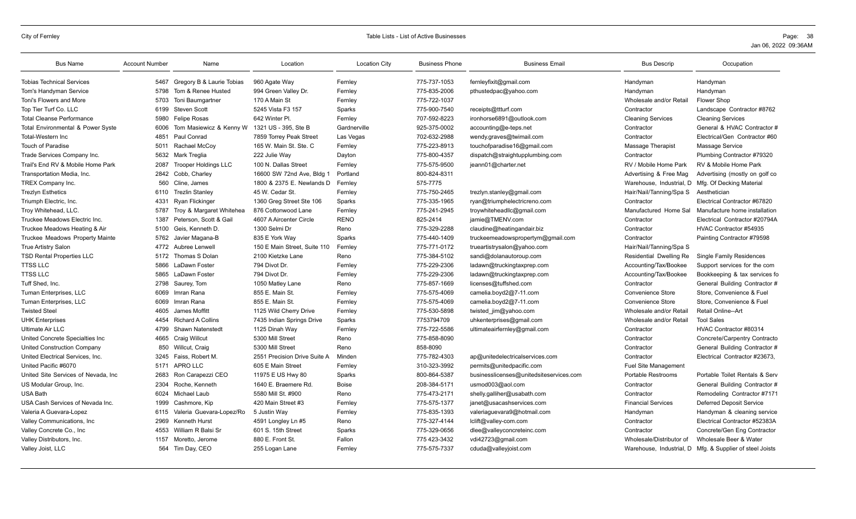| <b>Bus Name</b>                              | <b>Account Number</b> | Name                        | Location                     | <b>Location City</b> | <b>Business Phone</b> | <b>Business Email</b>                   | <b>Bus Descrip</b>        | Occupation                      |
|----------------------------------------------|-----------------------|-----------------------------|------------------------------|----------------------|-----------------------|-----------------------------------------|---------------------------|---------------------------------|
| <b>Tobias Technical Services</b>             | 5467                  | Gregory B & Laurie Tobias   | 960 Agate Way                | Fernley              | 775-737-1053          | fernleyfixit@gmail.com                  | Handyman                  | Handyman                        |
| Tom's Handyman Service                       | 5798                  | Tom & Renee Husted          | 994 Green Valley Dr.         | Fernley              | 775-835-2006          | pthustedpac@yahoo.com                   | Handyman                  | Handyman                        |
| Toni's Flowers and More                      | 5703                  | Toni Baumgartner            | 170 A Main St                | Fernley              | 775-722-1037          |                                         | Wholesale and/or Retail   | Flower Shop                     |
| Top Tier Turf Co. LLC                        | 6199                  | <b>Steven Scott</b>         | 5245 Vista F3 157            | Sparks               | 775-900-7540          | receipts@ttturf.com                     | Contractor                | Landscape Contractor #8762      |
| <b>Total Cleanse Performance</b>             | 5980                  | <b>Felipe Rosas</b>         | 642 Winter Pl.               | Fernley              | 707-592-8223          | ironhorse6891@outlook.com               | <b>Cleaning Services</b>  | <b>Cleaning Services</b>        |
| <b>Total Environmental &amp; Power Syste</b> | 6006                  | Tom Masiewicz & Kenny W     | 1321 US - 395. Ste B         | Gardnerville         | 925-375-0002          | accounting@e-teps.net                   | Contractor                | General & HVAC Contractor #     |
| Total-Western Inc                            | 4851                  | Paul Conrad                 | 7859 Torrey Peak Street      | Las Vegas            | 702-632-2988          | wendy.graves@twimail.com                | Contractor                | Electrical/Gen Contractor #60   |
| <b>Touch of Paradise</b>                     | 5011                  | Rachael McCoy               | 165 W. Main St. Ste. C       | Fernley              | 775-223-8913          | touchofparadise16@gmail.com             | Massage Therapist         | Massage Service                 |
| Trade Services Company Inc.                  | 5632                  | Mark Treglia                | 222 Julie Way                | Dayton               | 775-800-4357          | dispatch@straightupplumbing.com         | Contractor                | Plumbing Contractor #79320      |
| Trail's End RV & Mobile Home Park            | 2087                  | <b>Trooper Holdings LLC</b> | 100 N. Dallas Street         | Fernley              | 775-575-9500          | jeann01@charter.net                     | RV / Mobile Home Park     | RV & Mobile Home Park           |
| Transportation Media, Inc.                   | 2842                  | Cobb, Charley               | 16600 SW 72nd Ave, Bldg 1    | Portland             | 800-824-8311          |                                         | Advertising & Free Mag    | Advertising (mostly on golf co  |
| TREX Company Inc.                            | 560                   | Cline, James                | 1800 & 2375 E. Newlands D    | Fernley              | 575-7775              |                                         | Warehouse, Industrial, D  | Mfg. Of Decking Material        |
| <b>Trezlyn Esthetics</b>                     | 6110                  | <b>Trezlin Stanley</b>      | 45 W. Cedar St.              | Fernley              | 775-750-2465          | trezlyn.stanley@gmail.com               | Hair/Nail/Tanning/Spa S   | Aesthetician                    |
| Triumph Electric, Inc.                       | 4331                  | Ryan Flickinger             | 1360 Greg Street Ste 106     | Sparks               | 775-335-1965          | ryan@triumphelectricreno.com            | Contractor                | Electrical Contractor #67820    |
| Troy Whitehead, LLC.                         | 5787                  | Troy & Margaret Whitehea    | 876 Cottonwood Lane          | Fernley              | 775-241-2945          | troywhiteheadllc@gmail.com              | Manufactured Home Sal     | Manufacture home installation   |
| Truckee Meadows Electric Inc.                | 1387                  | Peterson, Scott & Gail      | 4607 A Aircenter Circle      | <b>RENO</b>          | 825-2414              | jamie@TMENV.com                         | Contractor                | Electrical Contractor #20794A   |
| Truckee Meadows Heating & Air                | 5100                  | Geis, Kenneth D.            | 1300 Selmi Dr                | Reno                 | 775-329-2288          | claudine@heatingandair.biz              | Contractor                | HVAC Contractor #54935          |
| Truckee Meadows Property Mainte              | 5762                  | Javier Magana-B             | 835 E York Way               | Sparks               | 775-440-1409          | truckeemeadowspropertym@gmail.com       | Contractor                | Painting Contractor #79598      |
| <b>True Artistry Salon</b>                   | 4772                  | Aubree Lenwell              | 150 E Main Street. Suite 110 | Fernley              | 775-771-0172          | trueartistrysalon@yahoo.com             | Hair/Nail/Tanning/Spa S   |                                 |
| <b>TSD Rental Properties LLC</b>             | 5172                  | Thomas S Dolan              | 2100 Kietzke Lane            | Reno                 | 775-384-5102          | sandi@dolanautoroup.com                 | Residential Dwelling Re   | Single Family Residences        |
| <b>TTSS LLC</b>                              | 5866                  | LaDawn Foster               | 794 Divot Dr.                | Fernley              | 775-229-2306          | ladawn@truckingtaxprep.com              | Accounting/Tax/Bookee     | Support services for the com    |
| <b>TTSS LLC</b>                              | 5865                  | LaDawn Foster               | 794 Divot Dr.                | Fernley              | 775-229-2306          | ladawn@truckingtaxprep.com              | Accounting/Tax/Bookee     | Bookkeeping & tax services fo   |
| Tuff Shed, Inc.                              | 2798                  | Saurey, Tom                 | 1050 Matley Lane             | Reno                 | 775-857-1669          | licenses@tuffshed.com                   | Contractor                | General Building Contractor #   |
| Tuman Enterprises, LLC                       | 6069                  | Imran Rana                  | 855 E. Main St.              | Fernley              | 775-575-4069          | camelia.boyd2@7-11.com                  | Convenience Store         | Store, Convenience & Fuel       |
| Tuman Enterprises, LLC                       | 6069                  | Imran Rana                  | 855 E. Main St.              | Fernley              | 775-575-4069          | camelia.boyd2@7-11.com                  | <b>Convenience Store</b>  | Store, Convenience & Fuel       |
| <b>Twisted Steel</b>                         | 4605                  | James Moffitt               | 1125 Wild Cherry Drive       | Fernley              | 775-530-5898          | twisted jim@yahoo.com                   | Wholesale and/or Retail   | Retail Online--Art              |
| <b>UHK Enterprises</b>                       | 4454                  | <b>Richard A Collins</b>    | 7435 Indian Springs Drive    | Sparks               | 7753794709            | uhkenterprises@gmail.com                | Wholesale and/or Retail   | <b>Tool Sales</b>               |
| <b>Ultimate Air LLC</b>                      | 4799                  | <b>Shawn Natenstedt</b>     | 1125 Dinah Way               | Fernley              | 775-722-5586          | ultimateairfernley@gmail.com            | Contractor                | HVAC Contractor #80314          |
| United Concrete Specialties Inc              | 4665                  | <b>Craig Willcut</b>        | 5300 Mill Street             | Reno                 | 775-858-8090          |                                         | Contractor                | Concrete/Carpentry Contracto    |
| United Construction Company                  | 850                   | Willcut, Craig              | 5300 Mill Street             | Reno                 | 858-8090              |                                         | Contractor                | General Building Contractor #   |
| United Electrical Services, Inc.             | 3245                  | Faiss, Robert M.            | 2551 Precision Drive Suite A | Minden               | 775-782-4303          | ap@unitedelectricalservices.com         | Contractor                | Electrical Contractor #23673.   |
| United Pacific #6070                         | 5171                  | APRO LLC                    | 605 E Main Street            | Fernley              | 310-323-3992          | permits@unitedpacific.com               | Fuel Site Management      |                                 |
| United Site Services of Nevada, Inc.         | 2683                  | Ron Carapezzi CEO           | 11975 E US Hwy 80            | Sparks               | 800-864-5387          | businesslicenses@unitedsiteservices.com | Portable Restrooms        | Portable Toilet Rentals & Serv  |
| US Modular Group, Inc.                       | 2304                  | Roche, Kenneth              | 1640 E. Braemere Rd.         | <b>Boise</b>         | 208-384-5171          | usmod003@aol.com                        | Contractor                | General Building Contractor #   |
| USA Bath                                     | 6024                  | Michael Laub                | 5580 Mill St. #900           | Reno                 | 775-473-2171          | shelly.galliher@usabath.com             | Contractor                | Remodeling Contractor #7171     |
| USA Cash Services of Nevada Inc.             | 1999                  | Cashmore, Kip               | 420 Main Street #3           | Fernley              | 775-575-1377          | janet@usacashservices.com               | <b>Financial Services</b> | <b>Deferred Deposit Service</b> |
| Valeria A Guevara-Lopez                      | 6115                  | Valeria Guevara-Lopez/Ro    | 5 Justin Way                 | Fernley              | 775-835-1393          | valeriaguevara9@hotmail.com             | Handyman                  | Handyman & cleaning service     |
| Valley Communications, Inc.                  | 2969                  | <b>Kenneth Hurst</b>        | 4591 Longley Ln #5           | Reno                 | 775-327-4144          | lclift@valley-com.com                   | Contractor                | Electrical Contractor #52383A   |
| Valley Concrete Co., Inc.                    | 4553                  | William R Balsi Sr          | 601 S. 15th Street           | Sparks               | 775-329-0656          | dlee@valleyconcreteinc.com              | Contractor                | Concrete/Gen Eng Contractor     |
| Valley Distributors, Inc.                    | 1157                  | Moretto, Jerome             | 880 E. Front St.             | Fallon               | 775 423-3432          | vdi42723@gmail.com                      | Wholesale/Distributor of  | Wholesale Beer & Water          |
| Valley Joist, LLC                            | 564                   | Tim Day, CEO                | 255 Logan Lane               | Fernley              | 775-575-7337          | cduda@valleyjoist.com                   | Warehouse, Industrial, D  | Mfg. & Supplier of steel Joists |
|                                              |                       |                             |                              |                      |                       |                                         |                           |                                 |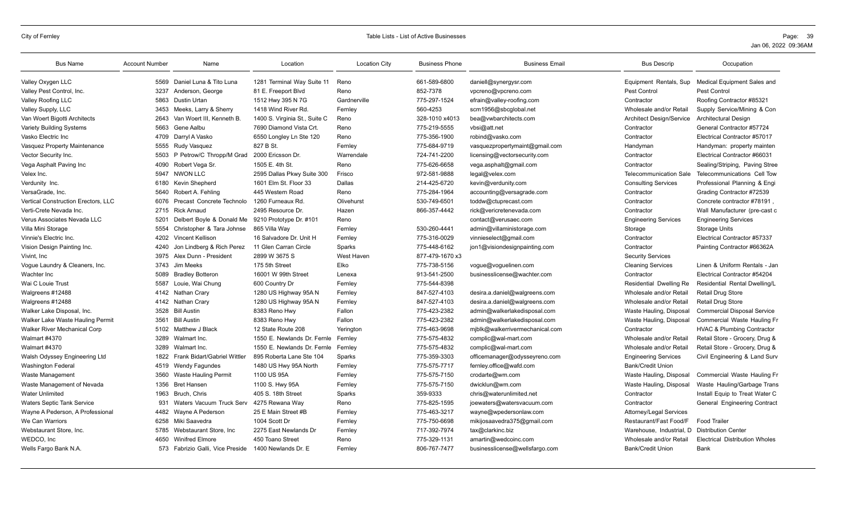| <b>Bus Name</b>                            | <b>Account Number</b> | Name                             | Location                      | <b>Location City</b> | <b>Business Phone</b> | <b>Business Email</b>           | <b>Bus Descrip</b>              | Occupation                            |
|--------------------------------------------|-----------------------|----------------------------------|-------------------------------|----------------------|-----------------------|---------------------------------|---------------------------------|---------------------------------------|
| Valley Oxygen LLC                          | 5569                  | Daniel Luna & Tito Luna          | 1281 Terminal Wav Suite 11    | Reno                 | 661-589-6800          | daniell@synergysr.com           | Equipment Rentals, Sup          | Medical Equipment Sales and           |
| Valley Pest Control, Inc.                  | 3237                  | Anderson, George                 | 81 E. Freeport Blvd           | Reno                 | 852-7378              | vpcreno@vpcreno.com             | Pest Control                    | Pest Control                          |
| Valley Roofing LLC                         | 5863                  | Dustin Urtan                     | 1512 Hwy 395 N 7G             | Gardnerville         | 775-297-1524          | efrain@valley-roofing.com       | Contractor                      | Roofing Contractor #85321             |
| Valley Supply, LLC                         | 3453                  | Meeks, Larry & Sherry            | 1418 Wind River Rd.           | Fernley              | 560-4253              | scm1956@sbcglobal.net           | Wholesale and/or Retail         | Supply Service/Mining & Con           |
| Van Woert Bigotti Architects               | 2643                  | Van Woert III. Kenneth B.        | 1400 S. Virginia St., Suite C | Reno                 | 328-1010 x4013        | bea@vwbarchitects.com           | <b>Architect Design/Service</b> | <b>Architectural Design</b>           |
| <b>Variety Building Systems</b>            | 5663                  | Gene Aalbu                       | 7690 Diamond Vista Crt.       | Reno                 | 775-219-5555          | vbsi@att.net                    | Contractor                      | General Contractor #57724             |
| Vasko Electric Inc                         | 4709                  | Darryl A Vasko                   | 6550 Longley Ln Ste 120       | Reno                 | 775-356-1900          | robind@vasko.com                | Contractor                      | Electrical Contractor #57017          |
| Vasquez Property Maintenance               | 5555                  | Rudy Vasquez                     | 827 B St.                     | Fernlev              | 775-684-9719          | vasquezpropertymaint@gmail.com  | Handyman                        | Handyman: property mainten            |
| Vector Security Inc.                       | 5503                  | P Petrow/C Thropp/M Grad         | 2000 Ericsson Dr.             | Warrendale           | 724-741-2200          | licensing@vectorsecurity.com    | Contractor                      | Electrical Contractor #66031          |
| Vega Asphalt Paving Inc                    | 4090                  | Robert Vega Sr.                  | 1505 E. 4th St.               | Reno                 | 775-626-6658          | vega.asphalt@gmail.com          | Contractor                      | Sealing/Striping, Paving Stree        |
| Velex Inc.                                 | 5947                  | NWON LLC                         | 2595 Dallas Pkwy Suite 300    | Frisco               | 972-581-9888          | legal@velex.com                 | <b>Telecommunication Sale</b>   | Telecommunications Cell Tow           |
| Verdunity Inc.                             | 6180                  | Kevin Shepherd                   | 1601 Elm St. Floor 33         | Dallas               | 214-425-6720          | kevin@verdunity.com             | <b>Consulting Services</b>      | Professional Planning & Engi          |
| VersaGrade, Inc.                           | 5640                  | Robert A. Fehling                | 445 Western Road              | Reno                 | 775-284-1964          | accounting@versagrade.com       | Contractor                      | Grading Contractor #72539             |
| <b>Vertical Construction Erectors, LLC</b> | 6076                  | Precast Concrete Technolo        | 1260 Furneaux Rd.             | Olivehurst           | 530-749-6501          | toddw@ctuprecast.com            | Contractor                      | Concrete contractor #78191,           |
| Verti-Crete Nevada Inc.                    | 2715                  | <b>Rick Arnaud</b>               | 2495 Resource Dr.             | Hazen                | 866-357-4442          | rick@vericretenevada.com        | Contractor                      | Wall Manufacturer (pre-cast c         |
| Verus Associates Nevada LLC                | 5201                  | Delbert Boyle & Donald Me        | 9210 Prototype Dr. #101       | Reno                 |                       | contact@verusaec.com            | <b>Engineering Services</b>     | <b>Engineering Services</b>           |
| Villa Mini Storage                         | 5554                  | Christopher & Tara Johnse        | 865 Villa Way                 | Fernley              | 530-260-4441          | admin@villaministorage.com      | Storage                         | <b>Storage Units</b>                  |
| Vinnie's Electric Inc.                     | 4202                  | <b>Vincent Kellison</b>          | 16 Salvadore Dr. Unit H       | Fernley              | 775-316-0029          | vinnieselect@gmail.com          | Contractor                      | Electrical Contractor #57337          |
| Vision Design Painting Inc.                | 4240                  | Jon Lindberg & Rich Perez        | 11 Glen Carran Circle         | Sparks               | 775-448-6162          | jon1@visiondesignpainting.com   | Contractor                      | Painting Contractor #66362A           |
| Vivint, Inc.                               | 3975                  | Alex Dunn - President            | 2899 W 3675 S                 | West Haven           | 877-479-1670 x3       |                                 | <b>Security Services</b>        |                                       |
| Vogue Laundry & Cleaners, Inc.             |                       | 3743 Jim Meeks                   | 175 5th Street                | Elko                 | 775-738-5156          | vogue@voguelinen.com            | <b>Cleaning Services</b>        | Linen & Uniform Rentals - Jan         |
| Wachter Inc.                               | 5089                  | <b>Bradley Botteron</b>          | 16001 W 99th Street           | Lenexa               | 913-541-2500          | businesslicense@wachter.com     | Contractor                      | Electrical Contractor #54204          |
| Wai C Louie Trust                          | 5587                  | Louie, Wai Chung                 | 600 Country Dr                | Fernley              | 775-544-8398          |                                 | Residential Dwelling Re         | Residential Rental Dwelling/L         |
| Walgreens #12488                           |                       | 4142 Nathan Crary                | 1280 US Highway 95A N         | Fernley              | 847-527-4103          | desira.a.daniel@walgreens.com   | Wholesale and/or Retail         | <b>Retail Drug Store</b>              |
| Walgreens #12488                           | 4142                  | Nathan Crary                     | 1280 US Highway 95A N         | Fernley              | 847-527-4103          | desira.a.daniel@walgreens.com   | Wholesale and/or Retail         | Retail Drug Store                     |
| Walker Lake Disposal, Inc.                 | 3528                  | <b>Bill Austin</b>               | 8383 Reno Hwy                 | Fallon               | 775-423-2382          | admin@walkerlakedisposal.com    | Waste Hauling, Disposal         | <b>Commercial Disposal Service</b>    |
| Walker Lake Waste Hauling Permit           | 3561                  | <b>Bill Austin</b>               | 8383 Reno Hwy                 | Fallon               | 775-423-2382          | admin@walkerlakedisposal.com    | Waste Hauling, Disposal         | Commercial Waste Hauling Fr           |
| <b>Walker River Mechanical Corp</b>        |                       | 5102 Matthew J Black             | 12 State Route 208            | Yerington            | 775-463-9698          | mjblk@walkerrivermechanical.com | Contractor                      | <b>HVAC &amp; Plumbing Contractor</b> |
| Walmart #4370                              | 3289                  | Walmart Inc.                     | 1550 E. Newlands Dr. Fernle   | Fernley              | 775-575-4832          | complic@wal-mart.com            | Wholesale and/or Retail         | Retail Store - Grocery, Drug &        |
| Walmart #4370                              | 3289                  | Walmart Inc.                     | 1550 E. Newlands Dr. Fernle   | Fernley              | 775-575-4832          | complic@wal-mart.com            | Wholesale and/or Retail         | Retail Store - Grocery, Drug &        |
| Walsh Odyssey Engineering Ltd              | 1822                  | Frank Bidart/Gabriel Wittler     | 895 Roberta Lane Ste 104      | Sparks               | 775-359-3303          | officemanager@odysseyreno.com   | <b>Engineering Services</b>     | Civil Engineering & Land Surv         |
| <b>Washington Federal</b>                  | 4519                  | Wendy Fagundes                   | 1480 US Hwy 95A North         | Fernley              | 775-575-7717          | fernley.office@wafd.com         | <b>Bank/Credit Union</b>        |                                       |
| Waste Management                           | 3560                  | <b>Waste Hauling Permit</b>      | 1100 US 95A                   | Fernley              | 775-575-7150          | crodarte@wm.com                 | Waste Hauling, Disposal         | Commercial Waste Hauling Fr           |
| Waste Management of Nevada                 | 1356                  | <b>Bret Hansen</b>               | 1100 S. Hwy 95A               | Fernley              | 775-575-7150          | dwicklun@wm.com                 | Waste Hauling, Disposal         | Waste Hauling/Garbage Trans           |
| Water Unlimited                            | 1963                  | Bruch, Chris                     | 405 S. 18th Street            | Sparks               | 359-9333              | chris@waterunlimited.net        | Contractor                      | Install Equip to Treat Water C        |
| <b>Waters Septic Tank Service</b>          | 931                   | Waters Vacuum Truck Serv         | 4275 Rewana Way               | Reno                 | 775-825-1595          | joewaters@watersvacuum.com      | Contractor                      | General Engineering Contract          |
| Wayne A Pederson, A Professional           | 4482                  | Wayne A Pederson                 | 25 E Main Street #B           | Fernley              | 775-463-3217          | wayne@wpedersonlaw.com          | Attorney/Legal Services         |                                       |
| We Can Warriors                            | 6258                  | Miki Saavedra                    | 1004 Scott Dr                 | Fernley              | 775-750-6698          | mikijosaavedra375@gmail.com     | Restaurant/Fast Food/F          | Food Trailer                          |
| Webstaurant Store, Inc.                    | 5785                  | Webstaurant Store, Inc.          | 2275 East Newlands Dr         | Fernley              | 717-392-7974          | tax@clarkinc.biz                | Warehouse. Industrial. D        | <b>Distribution Center</b>            |
| WEDCO, Inc.                                | 4650                  | <b>Winifred Elmore</b>           | 450 Toano Street              | Reno                 | 775-329-1131          | amartin@wedcoinc.com            | Wholesale and/or Retail         | <b>Electrical Distribution Wholes</b> |
| Wells Fargo Bank N.A.                      |                       | 573 Fabrizio Galli, Vice Preside | 1400 Newlands Dr. E           | Fernley              | 806-767-7477          | businesslicense@wellsfargo.com  | <b>Bank/Credit Union</b>        | <b>Bank</b>                           |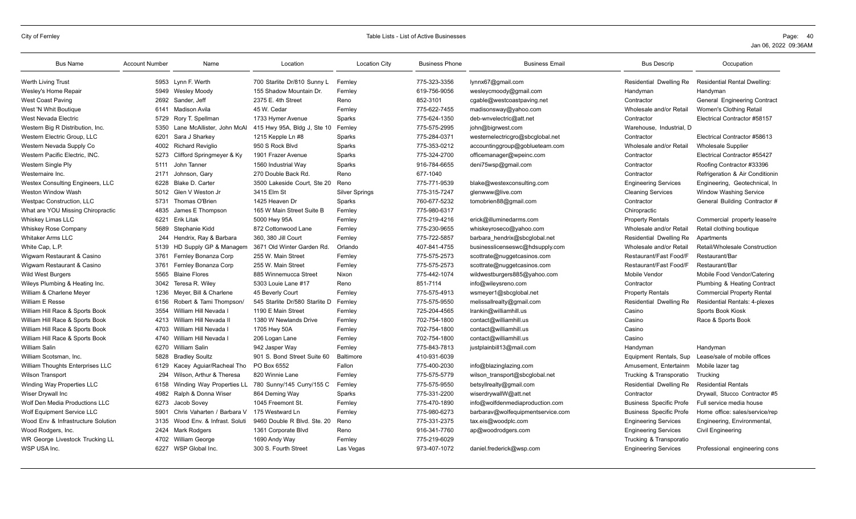| <b>Bus Name</b>                    | <b>Account Number</b> | Name                        | Location                       | <b>Location City</b>  | <b>Business Phone</b> | <b>Business Email</b>             | <b>Bus Descrip</b>             | Occupation                           |
|------------------------------------|-----------------------|-----------------------------|--------------------------------|-----------------------|-----------------------|-----------------------------------|--------------------------------|--------------------------------------|
| <b>Werth Living Trust</b>          |                       | 5953 Lynn F. Werth          | 700 Starlite Dr/810 Sunny L    | Fernley               | 775-323-3356          | lynnx67@gmail.com                 | Residential Dwelling Re        | <b>Residential Rental Dwelling:</b>  |
| Wesley's Home Repair               | 5949                  | Wesley Moody                | 155 Shadow Mountain Dr.        | Fernley               | 619-756-9056          | wesleycmoody@gmail.com            | Handyman                       | Handyman                             |
| <b>West Coast Paving</b>           |                       | 2692 Sander, Jeff           | 2375 E. 4th Street             | Reno                  | 852-3101              | cgable@westcoastpaving.net        | Contractor                     | General Engineering Contract         |
| West 'N Whit Boutique              |                       | 6141 Madison Avila          | 45 W. Cedar                    | Fernley               | 775-622-7455          | madisonsway@yahoo.com             | Wholesale and/or Retail        | Women's Clothing Retail              |
| West Nevada Electric               | 5729                  | Rory T. Spellman            | 1733 Hymer Avenue              | Sparks                | 775-624-1350          | deb-wnvelectric@att.net           | Contractor                     | Electrical Contractor #58157         |
| Western Big R Distribution, Inc.   | 5350                  | Lane McAllister, John McAl  | 415 Hwy 95A, Bldg J, Ste 10    | Fernley               | 775-575-2995          | john@bigrwest.com                 | Warehouse, Industrial, D       |                                      |
| Western Electric Group, LLC        | 6201                  | Sara J Sharkey              | 1215 Kepple Ln #8              | Sparks                | 775-284-0371          | westernelectricgro@sbcglobal.net  | Contractor                     | Electrical Contractor #58613         |
| Western Nevada Supply Co           | 4002                  | <b>Richard Reviglio</b>     | 950 S Rock Blvd                | Sparks                | 775-353-0212          | accountinggroup@goblueteam.com    | Wholesale and/or Retail        | <b>Wholesale Supplier</b>            |
| Western Pacific Electric, INC.     | 5273                  | Clifford Springmeyer & Ky   | 1901 Frazer Avenue             | Sparks                | 775-324-2700          | officemanager@wpeinc.com          | Contractor                     | Electrical Contractor #55427         |
| Western Single Ply                 | 5111                  | John Tanner                 | 1560 Industrial Way            | Sparks                | 916-784-6655          | deni75wsp@gmail.com               | Contractor                     | Roofing Contractor #33396            |
| Westernaire Inc.                   | 2171                  | Johnson, Gary               | 270 Double Back Rd.            | Reno                  | 677-1040              |                                   | Contractor                     | Refrigeration & Air Conditionin      |
| Westex Consulting Engineers, LLC   | 6228                  | Blake D. Carter             | 3500 Lakeside Court. Ste 20    | Reno                  | 775-771-9539          | blake@westexconsulting.com        | <b>Engineering Services</b>    | Engineering, Geotechnical, In        |
| Weston Window Wash                 | 5012                  | Glen V Weston Jr            | 3415 Elm St                    | <b>Silver Springs</b> | 775-315-7247          | glenwww@live.com                  | <b>Cleaning Services</b>       | <b>Window Washing Service</b>        |
| <b>Westpac Construction, LLC</b>   | 5731                  | Thomas O'Brien              | 1425 Heaven Dr                 | Sparks                | 760-677-5232          | tomobrien88@gmail.com             | Contractor                     | General Building Contractor #        |
| What are YOU Missing Chiropractic  | 4835                  | James E Thompson            | 165 W Main Street Suite B      | Fernley               | 775-980-6317          |                                   | Chiropractic                   |                                      |
| Whiskey Limas LLC                  | 6221                  | <b>Erik Litak</b>           | 5000 Hwy 95A                   | Fernley               | 775-219-4216          | erick@illuminedarms.com           | <b>Property Rentals</b>        | Commercial property lease/re         |
| <b>Whiskey Rose Company</b>        | 5689                  | Stephanie Kidd              | 872 Cottonwood Lane            | Fernley               | 775-230-9655          | whiskeyroseco@yahoo.com           | Wholesale and/or Retail        | Retail clothing boutique             |
| <b>Whitaker Arms LLC</b>           | 244                   | Hendrix, Ray & Barbara      | 360, 380 Jill Court            | Fernley               | 775-722-5857          | barbara hendrix@sbcglobal.net     | Residential Dwelling Re        | Apartments                           |
| White Cap, L.P.                    | 5139                  | HD Supply GP & Managem      | 3671 Old Winter Garden Rd.     | Orlando               | 407-841-4755          | businesslicenseswc@hdsupply.com   | Wholesale and/or Retail        | Retail/Wholesale Construction        |
| Wigwam Restaurant & Casino         | 3761                  | Fernley Bonanza Corp        | 255 W. Main Street             | Fernley               | 775-575-2573          | scottrate@nuggetcasinos.com       | Restaurant/Fast Food/F         | Restaurant/Bar                       |
| Wigwam Restaurant & Casino         | 3761                  | Fernley Bonanza Corp        | 255 W. Main Street             | Fernley               | 775-575-2573          | scottrate@nuggetcasinos.com       | Restaurant/Fast Food/F         | Restaurant/Bar                       |
| <b>Wild West Burgers</b>           | 5565                  | <b>Blaine Flores</b>        | 885 Winnemucca Street          | Nixon                 | 775-442-1074          | wildwestburgers885@yahoo.com      | Mobile Vendor                  | Mobile Food Vendor/Catering          |
| Wileys Plumbing & Heating Inc.     | 3042                  | Teresa R. Wilev             | 5303 Louie Lane #17            | Reno                  | 851-7114              | info@wileysreno.com               | Contractor                     | Plumbing & Heating Contract          |
| William & Charlene Meyer           | 1236                  | Meyer, Bill & Charlene      | 45 Beverly Court               | Fernley               | 775-575-4913          | wsmeyer1@sbcglobal.net            | <b>Property Rentals</b>        | <b>Commercial Property Rental</b>    |
| William E Resse                    | 6156                  | Robert & Tami Thompson/     | 545 Starlite Dr/580 Starlite D | Fernley               | 775-575-9550          | melissallrealty@gmail.com         | Residential Dwelling Re        | <b>Residential Rentals: 4-plexes</b> |
| William Hill Race & Sports Book    | 3554                  | William Hill Nevada I       | 1190 E Main Street             | Fernley               | 725-204-4565          | Irankin@williamhill.us            | Casino                         | Sports Book Kiosk                    |
| William Hill Race & Sports Book    | 4213                  | William Hill Nevada II      | 1380 W Newlands Drive          | Fernley               | 702-754-1800          | contact@williamhill.us            | Casino                         | Race & Sports Book                   |
| William Hill Race & Sports Book    | 4703                  | William Hill Nevada I       | 1705 Hwy 50A                   | Fernley               | 702-754-1800          | contact@williamhill.us            | Casino                         |                                      |
| William Hill Race & Sports Book    | 4740                  | William Hill Nevada I       | 206 Logan Lane                 | Fernley               | 702-754-1800          | contact@williamhill.us            | Casino                         |                                      |
| <b>William Salin</b>               | 6270                  | William Salin               | 942 Jasper Way                 | Fernley               | 775-843-7813          | justplainbill13@mail.com          | Handyman                       | Handyman                             |
| William Scotsman, Inc.             | 5828                  | <b>Bradley Soultz</b>       | 901 S. Bond Street Suite 60    | Baltimore             | 410-931-6039          |                                   | Equipment Rentals, Sup         | Lease/sale of mobile offices         |
| William Thoughts Enterprises LLC   | 6129                  | Kacey Aguiar/Racheal Tho    | PO Box 6552                    | Fallon                | 775-400-2030          | info@blazinglazing.com            | Amusement. Entertainm          | Mobile lazer tag                     |
| <b>Wilson Transport</b>            | 294                   | Wilson, Arthur & Theresa    | 820 Winnie Lane                | Fernley               | 775-575-5779          | wilson transport@sbcglobal.net    | Trucking & Transporatio        | Trucking                             |
| Winding Way Properties LLC         | 6158                  | Winding Way Properties LL   | 780 Sunny/145 Curry/155 C      | Fernley               | 775-575-9550          | betsyllrealty@gmail.com           | Residential Dwelling Re        | <b>Residential Rentals</b>           |
| Wiser Drywall Inc                  |                       | 4982 Ralph & Donna Wiser    | 864 Deming Way                 | Sparks                | 775-331-2200          | wiserdrywallW@att.net             | Contractor                     | Drywall, Stucco Contractor #5        |
| Wolf Den Media Productions LLC     | 6273                  | Jacob Sovey                 | 1045 Freemont St.              | Fernley               | 775-470-1890          | info@wolfdenmediaproduction.com   | <b>Business Specific Profe</b> | Full service media house             |
| Wolf Equipment Service LLC         | 5901                  | Chris Vaharten / Barbara V  | 175 Westward Ln                | Fernley               | 775-980-6273          | barbarav@wolfequipmentservice.com | <b>Business Specific Profe</b> | Home office: sales/service/rep       |
| Wood Env & Infrastructure Solution | 3135                  | Wood Env. & Infrast. Soluti | 9460 Double R Blvd. Ste. 20    | Reno                  | 775-331-2375          | tax.eis@woodplc.com               | <b>Engineering Services</b>    | Engineering, Environmental,          |
| Wood Rodgers, Inc.                 | 2424                  | Mark Rodgers                | 1361 Corporate Blvd            | Reno                  | 916-341-7760          | ap@woodrodgers.com                | <b>Engineering Services</b>    | <b>Civil Engineering</b>             |
| WR George Livestock Trucking LL    | 4702                  | <b>William George</b>       | 1690 Andy Way                  | Fernley               | 775-219-6029          |                                   | Trucking & Transporatio        |                                      |
| WSP USA Inc.                       |                       | 6227 WSP Global Inc.        | 300 S. Fourth Street           | Las Vegas             | 973-407-1072          | daniel.frederick@wsp.com          | <b>Engineering Services</b>    | Professional engineering cons        |
|                                    |                       |                             |                                |                       |                       |                                   |                                |                                      |